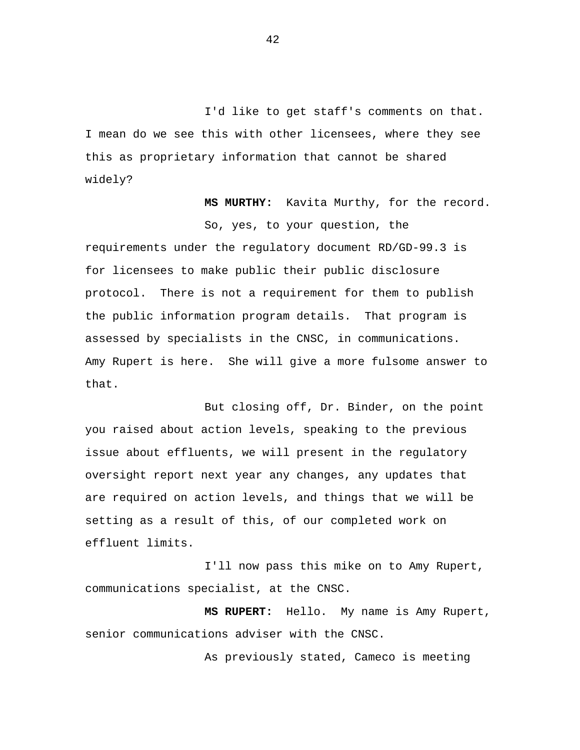I'd like to get staff's comments on that. I mean do we see this with other licensees, where they see this as proprietary information that cannot be shared widely?

**MS MURTHY:** Kavita Murthy, for the record. So, yes, to your question, the requirements under the regulatory document RD/GD-99.3 is for licensees to make public their public disclosure protocol. There is not a requirement for them to publish the public information program details. That program is assessed by specialists in the CNSC, in communications. Amy Rupert is here. She will give a more fulsome answer to that.

But closing off, Dr. Binder, on the point you raised about action levels, speaking to the previous issue about effluents, we will present in the regulatory oversight report next year any changes, any updates that are required on action levels, and things that we will be setting as a result of this, of our completed work on effluent limits.

I'll now pass this mike on to Amy Rupert, communications specialist, at the CNSC.

**MS RUPERT:** Hello. My name is Amy Rupert, senior communications adviser with the CNSC.

As previously stated, Cameco is meeting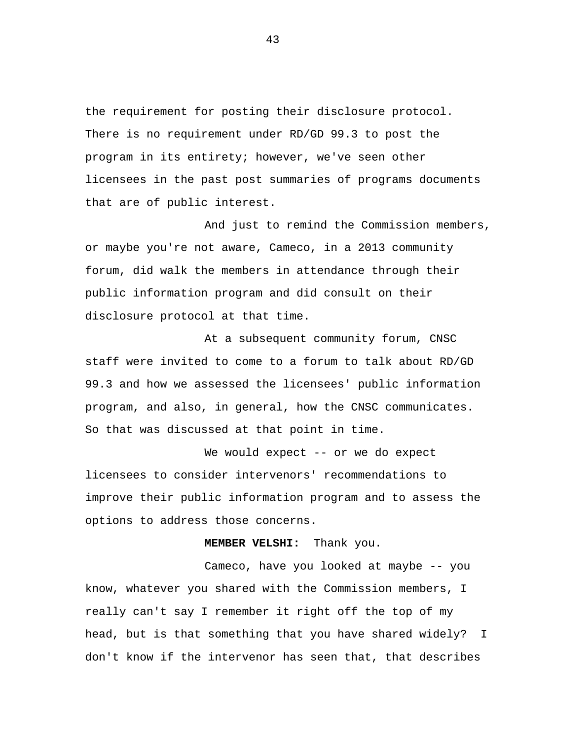the requirement for posting their disclosure protocol. There is no requirement under RD/GD 99.3 to post the program in its entirety; however, we've seen other licensees in the past post summaries of programs documents that are of public interest.

And just to remind the Commission members, or maybe you're not aware, Cameco, in a 2013 community forum, did walk the members in attendance through their public information program and did consult on their disclosure protocol at that time.

At a subsequent community forum, CNSC staff were invited to come to a forum to talk about RD/GD 99.3 and how we assessed the licensees' public information program, and also, in general, how the CNSC communicates. So that was discussed at that point in time.

We would expect -- or we do expect licensees to consider intervenors' recommendations to improve their public information program and to assess the options to address those concerns.

## **MEMBER VELSHI:** Thank you.

Cameco, have you looked at maybe -- you know, whatever you shared with the Commission members, I really can't say I remember it right off the top of my head, but is that something that you have shared widely? I don't know if the intervenor has seen that, that describes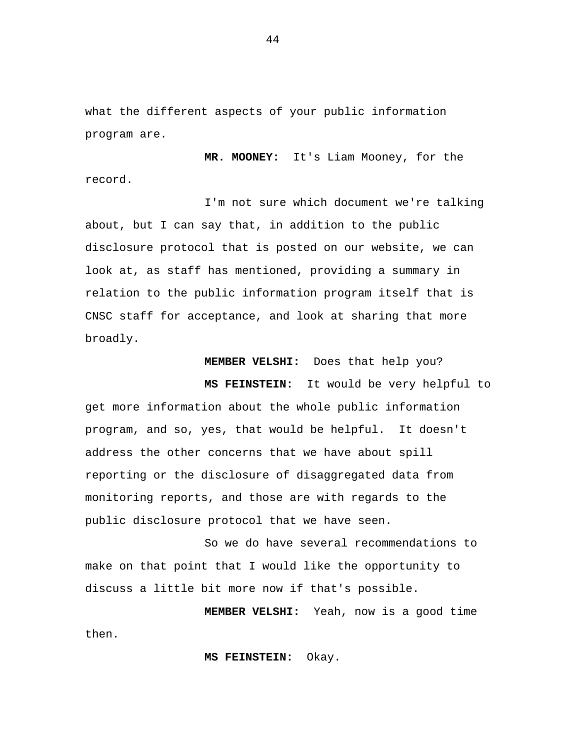what the different aspects of your public information program are.

**MR. MOONEY:** It's Liam Mooney, for the record.

I'm not sure which document we're talking about, but I can say that, in addition to the public disclosure protocol that is posted on our website, we can look at, as staff has mentioned, providing a summary in relation to the public information program itself that is CNSC staff for acceptance, and look at sharing that more broadly.

**MEMBER VELSHI:** Does that help you?

**MS FEINSTEIN:** It would be very helpful to get more information about the whole public information program, and so, yes, that would be helpful. It doesn't address the other concerns that we have about spill reporting or the disclosure of disaggregated data from monitoring reports, and those are with regards to the public disclosure protocol that we have seen.

So we do have several recommendations to make on that point that I would like the opportunity to discuss a little bit more now if that's possible.

**MEMBER VELSHI:** Yeah, now is a good time then.

**MS FEINSTEIN:** Okay.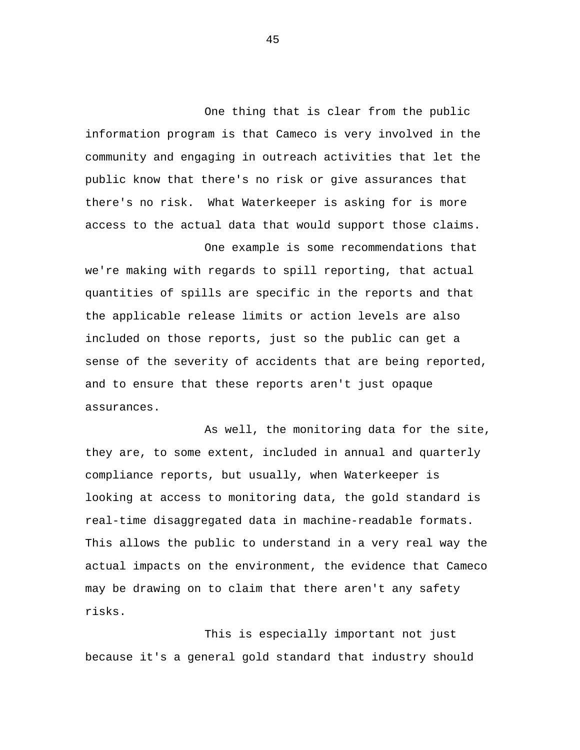One thing that is clear from the public information program is that Cameco is very involved in the community and engaging in outreach activities that let the public know that there's no risk or give assurances that there's no risk. What Waterkeeper is asking for is more access to the actual data that would support those claims.

One example is some recommendations that we're making with regards to spill reporting, that actual quantities of spills are specific in the reports and that the applicable release limits or action levels are also included on those reports, just so the public can get a sense of the severity of accidents that are being reported, and to ensure that these reports aren't just opaque assurances.

As well, the monitoring data for the site, they are, to some extent, included in annual and quarterly compliance reports, but usually, when Waterkeeper is looking at access to monitoring data, the gold standard is real-time disaggregated data in machine-readable formats. This allows the public to understand in a very real way the actual impacts on the environment, the evidence that Cameco may be drawing on to claim that there aren't any safety risks.

This is especially important not just because it's a general gold standard that industry should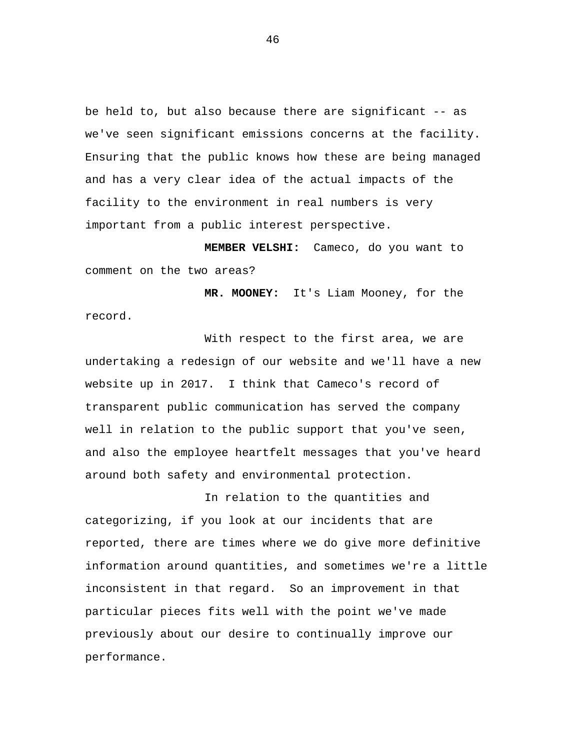be held to, but also because there are significant -- as we've seen significant emissions concerns at the facility. Ensuring that the public knows how these are being managed and has a very clear idea of the actual impacts of the facility to the environment in real numbers is very important from a public interest perspective.

**MEMBER VELSHI:** Cameco, do you want to comment on the two areas?

**MR. MOONEY:** It's Liam Mooney, for the record.

With respect to the first area, we are undertaking a redesign of our website and we'll have a new website up in 2017. I think that Cameco's record of transparent public communication has served the company well in relation to the public support that you've seen, and also the employee heartfelt messages that you've heard around both safety and environmental protection.

In relation to the quantities and categorizing, if you look at our incidents that are reported, there are times where we do give more definitive information around quantities, and sometimes we're a little inconsistent in that regard. So an improvement in that particular pieces fits well with the point we've made previously about our desire to continually improve our performance.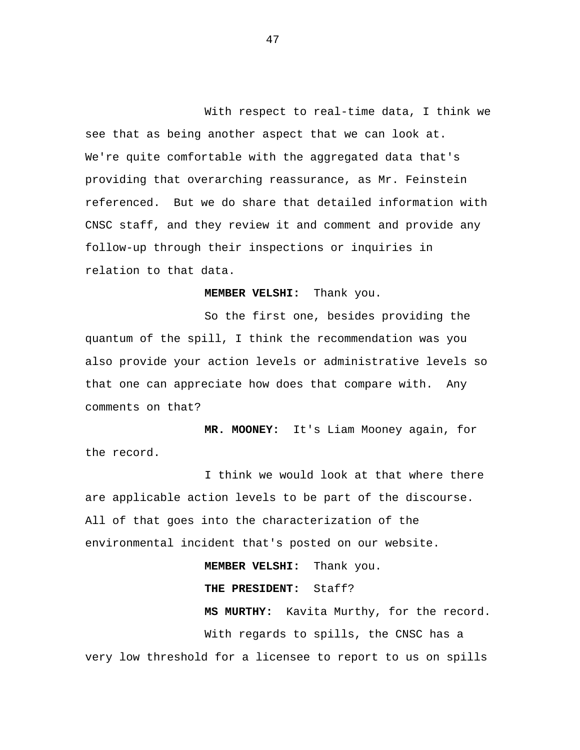With respect to real-time data, I think we see that as being another aspect that we can look at. We're quite comfortable with the aggregated data that's providing that overarching reassurance, as Mr. Feinstein referenced. But we do share that detailed information with CNSC staff, and they review it and comment and provide any follow-up through their inspections or inquiries in relation to that data.

## **MEMBER VELSHI:** Thank you.

So the first one, besides providing the quantum of the spill, I think the recommendation was you also provide your action levels or administrative levels so that one can appreciate how does that compare with. Any comments on that?

**MR. MOONEY:** It's Liam Mooney again, for the record.

I think we would look at that where there are applicable action levels to be part of the discourse. All of that goes into the characterization of the environmental incident that's posted on our website.

## **MEMBER VELSHI:** Thank you.

**THE PRESIDENT:** Staff?

**MS MURTHY:** Kavita Murthy, for the record. With regards to spills, the CNSC has a

very low threshold for a licensee to report to us on spills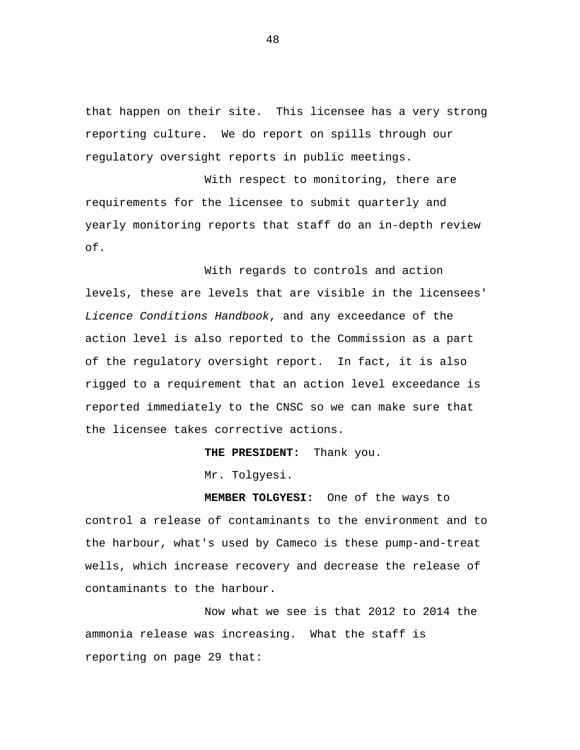that happen on their site. This licensee has a very strong reporting culture. We do report on spills through our regulatory oversight reports in public meetings.

With respect to monitoring, there are requirements for the licensee to submit quarterly and yearly monitoring reports that staff do an in-depth review of.

With regards to controls and action levels, these are levels that are visible in the licensees' *Licence Conditions Handbook*, and any exceedance of the action level is also reported to the Commission as a part of the regulatory oversight report. In fact, it is also rigged to a requirement that an action level exceedance is reported immediately to the CNSC so we can make sure that the licensee takes corrective actions.

**THE PRESIDENT:** Thank you.

Mr. Tolgyesi.

**MEMBER TOLGYESI:** One of the ways to control a release of contaminants to the environment and to the harbour, what's used by Cameco is these pump-and-treat wells, which increase recovery and decrease the release of contaminants to the harbour.

Now what we see is that 2012 to 2014 the ammonia release was increasing. What the staff is reporting on page 29 that: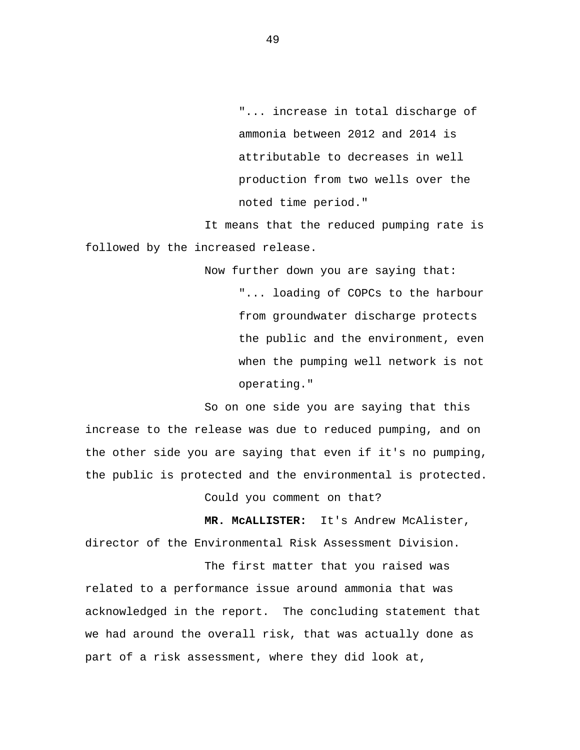"... increase in total discharge of ammonia between 2012 and 2014 is attributable to decreases in well production from two wells over the noted time period."

It means that the reduced pumping rate is followed by the increased release.

> Now further down you are saying that: "... loading of COPCs to the harbour from groundwater discharge protects the public and the environment, even when the pumping well network is not operating."

So on one side you are saying that this increase to the release was due to reduced pumping, and on the other side you are saying that even if it's no pumping, the public is protected and the environmental is protected.

Could you comment on that?

**MR. McALLISTER:** It's Andrew McAlister, director of the Environmental Risk Assessment Division.

The first matter that you raised was related to a performance issue around ammonia that was acknowledged in the report. The concluding statement that we had around the overall risk, that was actually done as part of a risk assessment, where they did look at,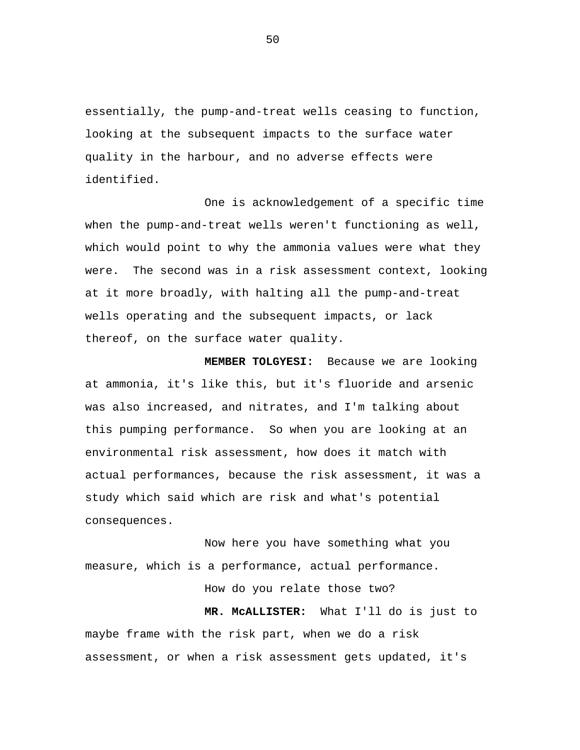essentially, the pump-and-treat wells ceasing to function, looking at the subsequent impacts to the surface water quality in the harbour, and no adverse effects were identified.

One is acknowledgement of a specific time when the pump-and-treat wells weren't functioning as well, which would point to why the ammonia values were what they were. The second was in a risk assessment context, looking at it more broadly, with halting all the pump-and-treat wells operating and the subsequent impacts, or lack thereof, on the surface water quality.

**MEMBER TOLGYESI:** Because we are looking at ammonia, it's like this, but it's fluoride and arsenic was also increased, and nitrates, and I'm talking about this pumping performance. So when you are looking at an environmental risk assessment, how does it match with actual performances, because the risk assessment, it was a study which said which are risk and what's potential consequences.

Now here you have something what you measure, which is a performance, actual performance.

How do you relate those two?

**MR. McALLISTER:** What I'll do is just to maybe frame with the risk part, when we do a risk assessment, or when a risk assessment gets updated, it's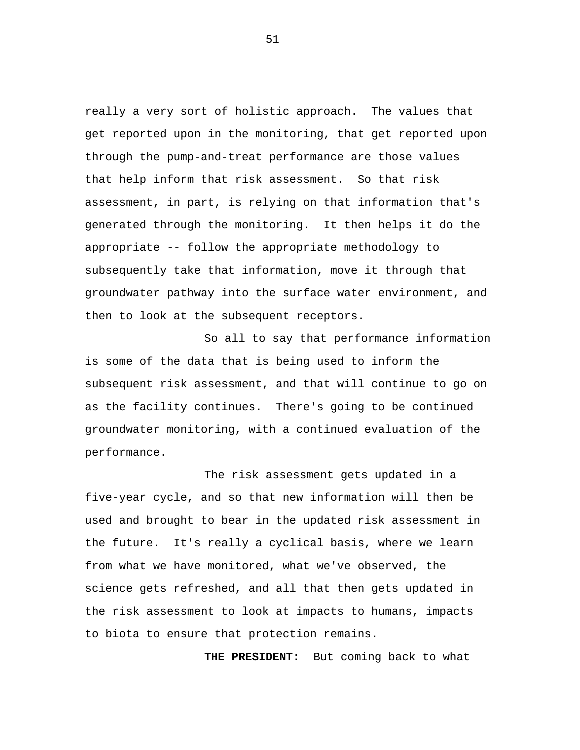really a very sort of holistic approach. The values that get reported upon in the monitoring, that get reported upon through the pump-and-treat performance are those values that help inform that risk assessment. So that risk assessment, in part, is relying on that information that's generated through the monitoring. It then helps it do the appropriate -- follow the appropriate methodology to subsequently take that information, move it through that groundwater pathway into the surface water environment, and then to look at the subsequent receptors.

So all to say that performance information is some of the data that is being used to inform the subsequent risk assessment, and that will continue to go on as the facility continues. There's going to be continued groundwater monitoring, with a continued evaluation of the performance.

The risk assessment gets updated in a five-year cycle, and so that new information will then be used and brought to bear in the updated risk assessment in the future. It's really a cyclical basis, where we learn from what we have monitored, what we've observed, the science gets refreshed, and all that then gets updated in the risk assessment to look at impacts to humans, impacts to biota to ensure that protection remains.

**THE PRESIDENT:** But coming back to what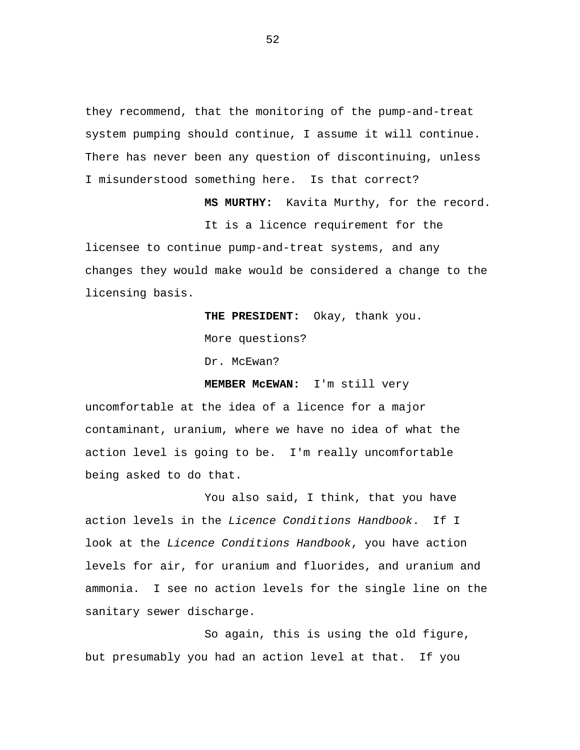they recommend, that the monitoring of the pump-and-treat system pumping should continue, I assume it will continue. There has never been any question of discontinuing, unless I misunderstood something here. Is that correct?

**MS MURTHY:** Kavita Murthy, for the record.

It is a licence requirement for the licensee to continue pump-and-treat systems, and any changes they would make would be considered a change to the licensing basis.

> **THE PRESIDENT:** Okay, thank you. More questions? Dr. McEwan?

**MEMBER McEWAN:** I'm still very

uncomfortable at the idea of a licence for a major contaminant, uranium, where we have no idea of what the action level is going to be. I'm really uncomfortable being asked to do that.

You also said, I think, that you have action levels in the *Licence Conditions Handbook*. If I look at the *Licence Conditions Handbook*, you have action levels for air, for uranium and fluorides, and uranium and ammonia. I see no action levels for the single line on the sanitary sewer discharge.

So again, this is using the old figure, but presumably you had an action level at that. If you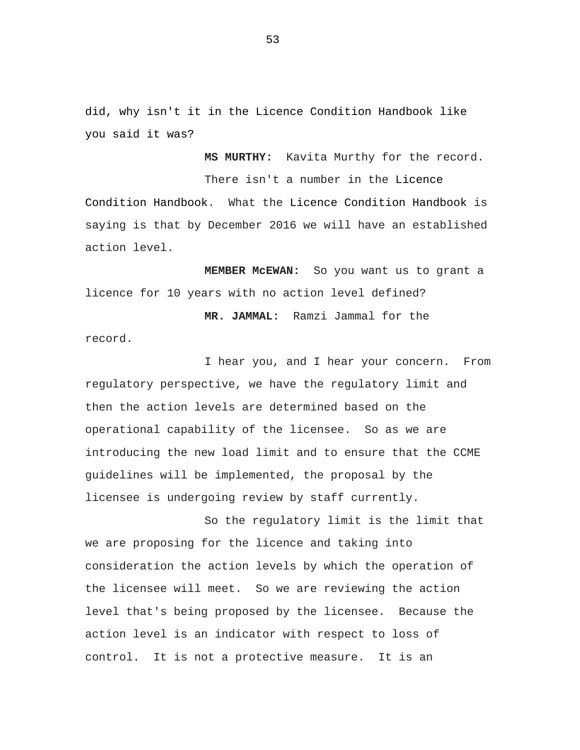did, why isn't it in the Licence Condition Handbook like you said it was?

**MS MURTHY:** Kavita Murthy for the record. There isn't a number in the Licence Condition Handbook. What the Licence Condition Handbook is saying is that by December 2016 we will have an established action level.

**MEMBER McEWAN:** So you want us to grant a licence for 10 years with no action level defined?

**MR. JAMMAL:** Ramzi Jammal for the record.

I hear you, and I hear your concern. From regulatory perspective, we have the regulatory limit and then the action levels are determined based on the operational capability of the licensee. So as we are introducing the new load limit and to ensure that the CCME guidelines will be implemented, the proposal by the licensee is undergoing review by staff currently.

So the regulatory limit is the limit that we are proposing for the licence and taking into consideration the action levels by which the operation of the licensee will meet. So we are reviewing the action level that's being proposed by the licensee. Because the action level is an indicator with respect to loss of control. It is not a protective measure. It is an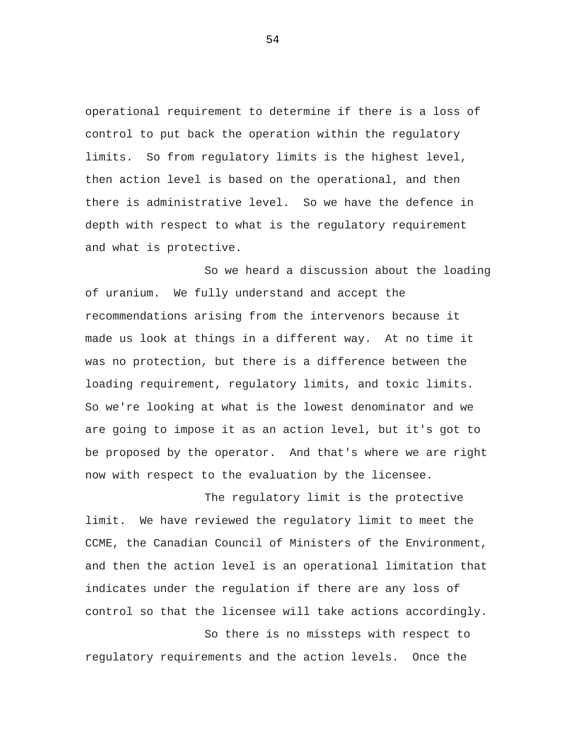operational requirement to determine if there is a loss of control to put back the operation within the regulatory limits. So from regulatory limits is the highest level, then action level is based on the operational, and then there is administrative level. So we have the defence in depth with respect to what is the regulatory requirement and what is protective.

So we heard a discussion about the loading of uranium. We fully understand and accept the recommendations arising from the intervenors because it made us look at things in a different way. At no time it was no protection, but there is a difference between the loading requirement, regulatory limits, and toxic limits. So we're looking at what is the lowest denominator and we are going to impose it as an action level, but it's got to be proposed by the operator. And that's where we are right now with respect to the evaluation by the licensee.

The regulatory limit is the protective limit. We have reviewed the regulatory limit to meet the CCME, the Canadian Council of Ministers of the Environment, and then the action level is an operational limitation that indicates under the regulation if there are any loss of control so that the licensee will take actions accordingly.

So there is no missteps with respect to regulatory requirements and the action levels. Once the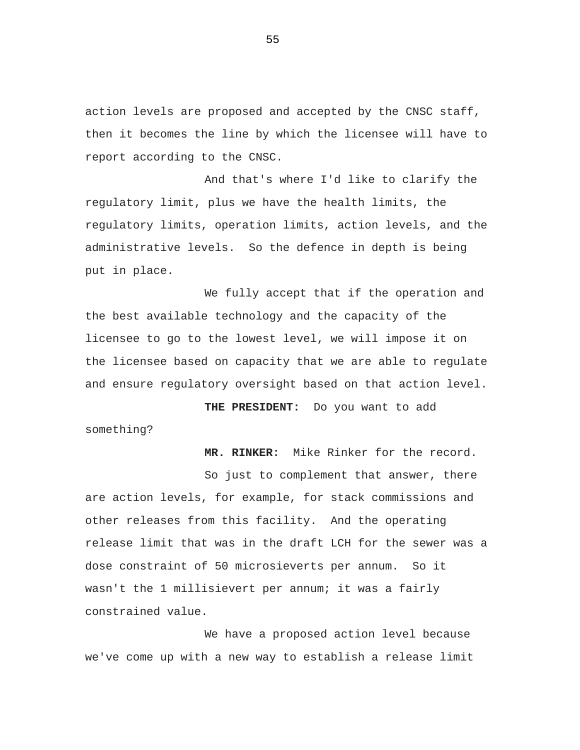action levels are proposed and accepted by the CNSC staff, then it becomes the line by which the licensee will have to report according to the CNSC.

And that's where I'd like to clarify the regulatory limit, plus we have the health limits, the regulatory limits, operation limits, action levels, and the administrative levels. So the defence in depth is being put in place.

We fully accept that if the operation and the best available technology and the capacity of the licensee to go to the lowest level, we will impose it on the licensee based on capacity that we are able to regulate and ensure regulatory oversight based on that action level.

**THE PRESIDENT:** Do you want to add something?

**MR. RINKER:** Mike Rinker for the record.

So just to complement that answer, there are action levels, for example, for stack commissions and other releases from this facility. And the operating release limit that was in the draft LCH for the sewer was a dose constraint of 50 microsieverts per annum. So it wasn't the 1 millisievert per annum; it was a fairly constrained value.

We have a proposed action level because we've come up with a new way to establish a release limit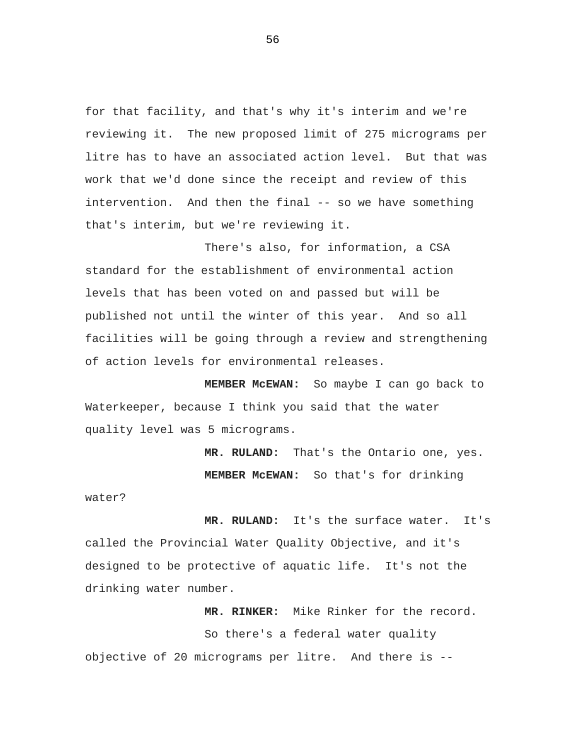for that facility, and that's why it's interim and we're reviewing it. The new proposed limit of 275 micrograms per litre has to have an associated action level. But that was work that we'd done since the receipt and review of this intervention. And then the final -- so we have something that's interim, but we're reviewing it.

There's also, for information, a CSA standard for the establishment of environmental action levels that has been voted on and passed but will be published not until the winter of this year. And so all facilities will be going through a review and strengthening of action levels for environmental releases.

**MEMBER McEWAN:** So maybe I can go back to Waterkeeper, because I think you said that the water quality level was 5 micrograms.

> **MR. RULAND:** That's the Ontario one, yes. **MEMBER McEWAN:** So that's for drinking

water?

 **MR. RULAND:** It's the surface water. It's called the Provincial Water Quality Objective, and it's designed to be protective of aquatic life. It's not the drinking water number.

**MR. RINKER:** Mike Rinker for the record. So there's a federal water quality objective of 20 micrograms per litre. And there is --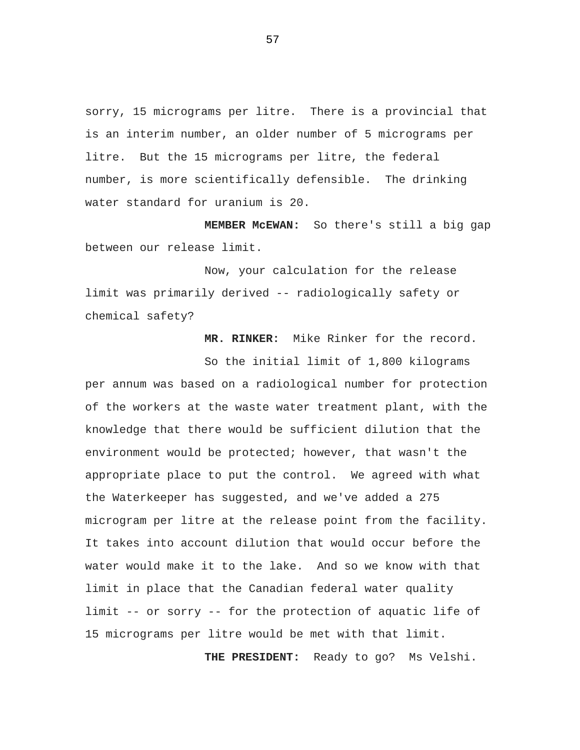sorry, 15 micrograms per litre. There is a provincial that is an interim number, an older number of 5 micrograms per litre. But the 15 micrograms per litre, the federal number, is more scientifically defensible. The drinking water standard for uranium is 20.

**MEMBER McEWAN:** So there's still a big gap between our release limit.

Now, your calculation for the release limit was primarily derived -- radiologically safety or chemical safety?

**MR. RINKER:** Mike Rinker for the record.

So the initial limit of 1,800 kilograms per annum was based on a radiological number for protection of the workers at the waste water treatment plant, with the knowledge that there would be sufficient dilution that the environment would be protected; however, that wasn't the appropriate place to put the control. We agreed with what the Waterkeeper has suggested, and we've added a 275 microgram per litre at the release point from the facility. It takes into account dilution that would occur before the water would make it to the lake. And so we know with that limit in place that the Canadian federal water quality limit -- or sorry -- for the protection of aquatic life of 15 micrograms per litre would be met with that limit.

**THE PRESIDENT:** Ready to go? Ms Velshi.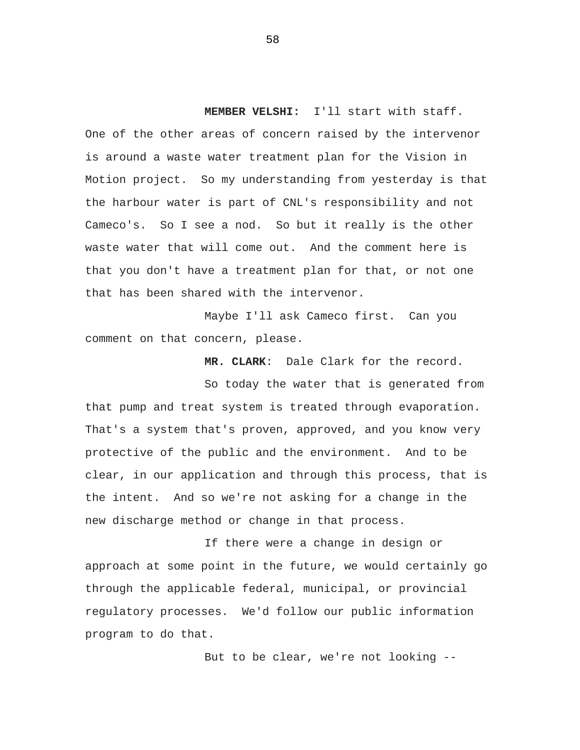**MEMBER VELSHI:** I'll start with staff. One of the other areas of concern raised by the intervenor is around a waste water treatment plan for the Vision in Motion project. So my understanding from yesterday is that the harbour water is part of CNL's responsibility and not Cameco's. So I see a nod. So but it really is the other waste water that will come out. And the comment here is that you don't have a treatment plan for that, or not one that has been shared with the intervenor.

Maybe I'll ask Cameco first. Can you comment on that concern, please.

**MR. CLARK**: Dale Clark for the record.

So today the water that is generated from that pump and treat system is treated through evaporation. That's a system that's proven, approved, and you know very protective of the public and the environment. And to be clear, in our application and through this process, that is the intent. And so we're not asking for a change in the new discharge method or change in that process.

If there were a change in design or approach at some point in the future, we would certainly go through the applicable federal, municipal, or provincial regulatory processes. We'd follow our public information program to do that.

But to be clear, we're not looking --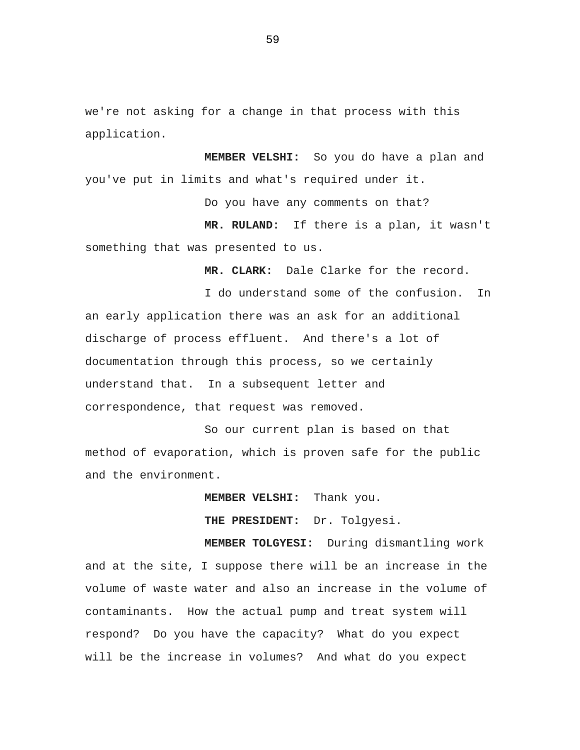we're not asking for a change in that process with this application.

**MEMBER VELSHI:** So you do have a plan and you've put in limits and what's required under it.

Do you have any comments on that?

**MR. RULAND:** If there is a plan, it wasn't something that was presented to us.

**MR. CLARK:** Dale Clarke for the record.

I do understand some of the confusion. In an early application there was an ask for an additional discharge of process effluent. And there's a lot of documentation through this process, so we certainly understand that. In a subsequent letter and correspondence, that request was removed.

So our current plan is based on that method of evaporation, which is proven safe for the public and the environment.

**MEMBER VELSHI:** Thank you.

**THE PRESIDENT:** Dr. Tolgyesi.

**MEMBER TOLGYESI:** During dismantling work and at the site, I suppose there will be an increase in the volume of waste water and also an increase in the volume of contaminants. How the actual pump and treat system will respond? Do you have the capacity? What do you expect will be the increase in volumes? And what do you expect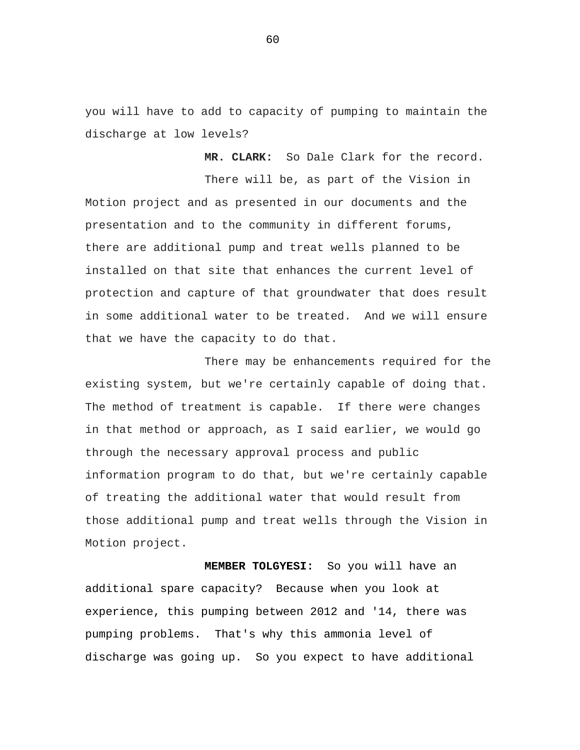you will have to add to capacity of pumping to maintain the discharge at low levels?

**MR. CLARK:** So Dale Clark for the record.

There will be, as part of the Vision in Motion project and as presented in our documents and the presentation and to the community in different forums, there are additional pump and treat wells planned to be installed on that site that enhances the current level of protection and capture of that groundwater that does result in some additional water to be treated. And we will ensure that we have the capacity to do that.

There may be enhancements required for the existing system, but we're certainly capable of doing that. The method of treatment is capable. If there were changes in that method or approach, as I said earlier, we would go through the necessary approval process and public information program to do that, but we're certainly capable of treating the additional water that would result from those additional pump and treat wells through the Vision in Motion project.

**MEMBER TOLGYESI:** So you will have an additional spare capacity? Because when you look at experience, this pumping between 2012 and '14, there was pumping problems. That's why this ammonia level of discharge was going up. So you expect to have additional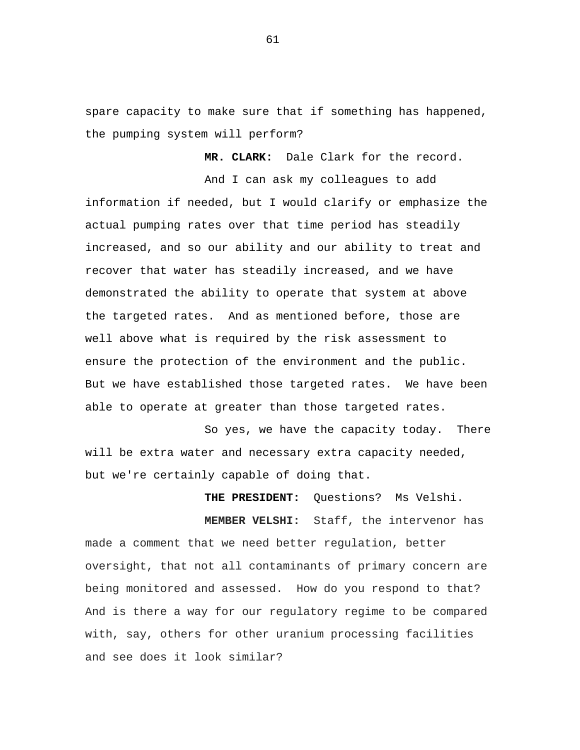spare capacity to make sure that if something has happened, the pumping system will perform?

**MR. CLARK:** Dale Clark for the record.

And I can ask my colleagues to add information if needed, but I would clarify or emphasize the actual pumping rates over that time period has steadily increased, and so our ability and our ability to treat and recover that water has steadily increased, and we have demonstrated the ability to operate that system at above the targeted rates. And as mentioned before, those are well above what is required by the risk assessment to ensure the protection of the environment and the public. But we have established those targeted rates. We have been able to operate at greater than those targeted rates.

So yes, we have the capacity today. There will be extra water and necessary extra capacity needed, but we're certainly capable of doing that.

**THE PRESIDENT:** Questions? Ms Velshi.

**MEMBER VELSHI:** Staff, the intervenor has made a comment that we need better regulation, better oversight, that not all contaminants of primary concern are being monitored and assessed. How do you respond to that? And is there a way for our regulatory regime to be compared with, say, others for other uranium processing facilities and see does it look similar?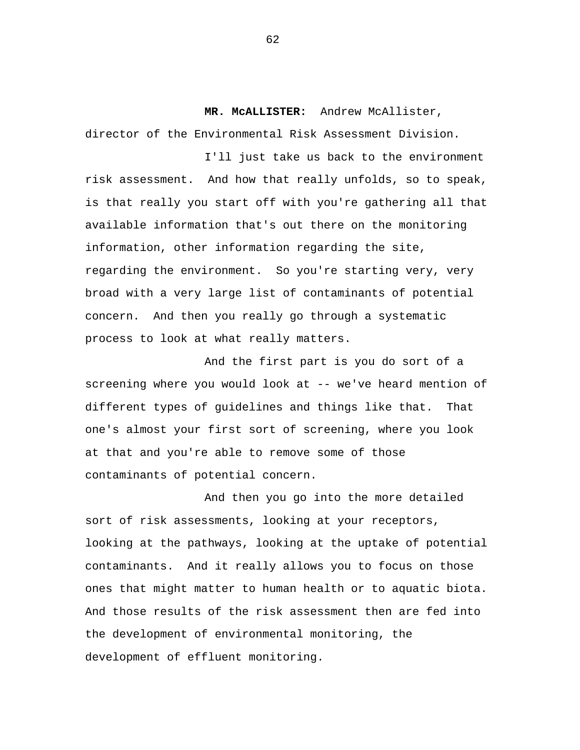**MR. McALLISTER:** Andrew McAllister, director of the Environmental Risk Assessment Division.

I'll just take us back to the environment risk assessment. And how that really unfolds, so to speak, is that really you start off with you're gathering all that available information that's out there on the monitoring information, other information regarding the site, regarding the environment. So you're starting very, very broad with a very large list of contaminants of potential concern. And then you really go through a systematic process to look at what really matters.

And the first part is you do sort of a screening where you would look at -- we've heard mention of different types of guidelines and things like that. That one's almost your first sort of screening, where you look at that and you're able to remove some of those contaminants of potential concern.

And then you go into the more detailed sort of risk assessments, looking at your receptors, looking at the pathways, looking at the uptake of potential contaminants. And it really allows you to focus on those ones that might matter to human health or to aquatic biota. And those results of the risk assessment then are fed into the development of environmental monitoring, the development of effluent monitoring.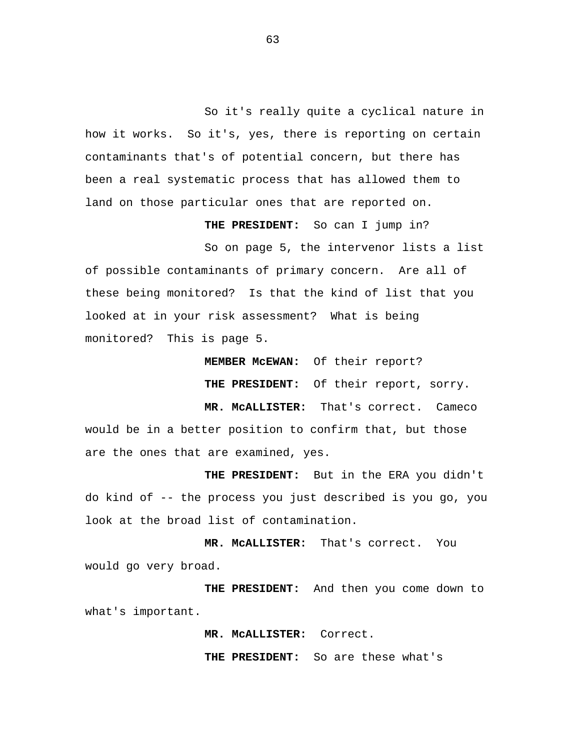So it's really quite a cyclical nature in how it works. So it's, yes, there is reporting on certain contaminants that's of potential concern, but there has been a real systematic process that has allowed them to land on those particular ones that are reported on.

**THE PRESIDENT:** So can I jump in?

So on page 5, the intervenor lists a list of possible contaminants of primary concern. Are all of these being monitored? Is that the kind of list that you looked at in your risk assessment? What is being monitored? This is page 5.

> **MEMBER McEWAN:** Of their report? **THE PRESIDENT:** Of their report, sorry.

 **MR. McALLISTER:** That's correct. Cameco would be in a better position to confirm that, but those are the ones that are examined, yes.

**THE PRESIDENT:** But in the ERA you didn't do kind of -- the process you just described is you go, you look at the broad list of contamination.

**MR. McALLISTER:** That's correct. You would go very broad.

**THE PRESIDENT:** And then you come down to what's important.

 **MR. McALLISTER:** Correct.

**THE PRESIDENT:** So are these what's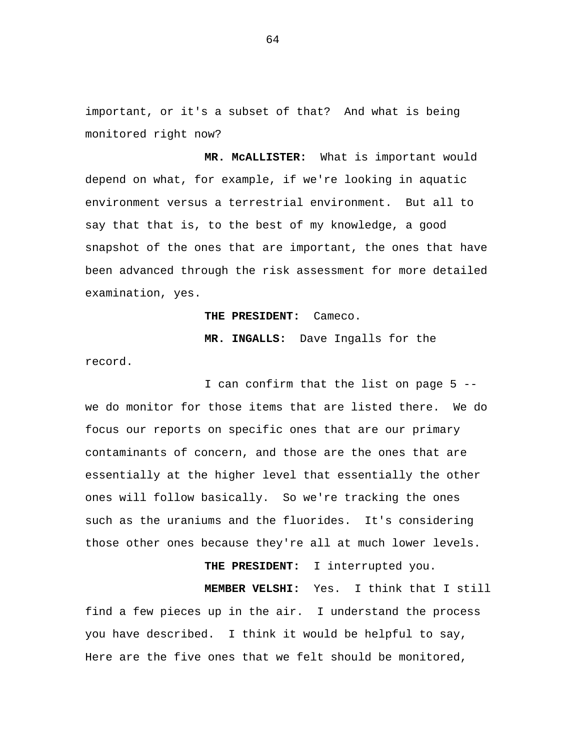important, or it's a subset of that? And what is being monitored right now?

 **MR. McALLISTER:** What is important would depend on what, for example, if we're looking in aquatic environment versus a terrestrial environment. But all to say that that is, to the best of my knowledge, a good snapshot of the ones that are important, the ones that have been advanced through the risk assessment for more detailed examination, yes.

**THE PRESIDENT:** Cameco.

record.

**MR. INGALLS:** Dave Ingalls for the

I can confirm that the list on page 5 - we do monitor for those items that are listed there. We do focus our reports on specific ones that are our primary contaminants of concern, and those are the ones that are essentially at the higher level that essentially the other ones will follow basically. So we're tracking the ones such as the uraniums and the fluorides. It's considering those other ones because they're all at much lower levels.

**THE PRESIDENT:** I interrupted you.

 **MEMBER VELSHI:** Yes. I think that I still find a few pieces up in the air. I understand the process you have described. I think it would be helpful to say, Here are the five ones that we felt should be monitored,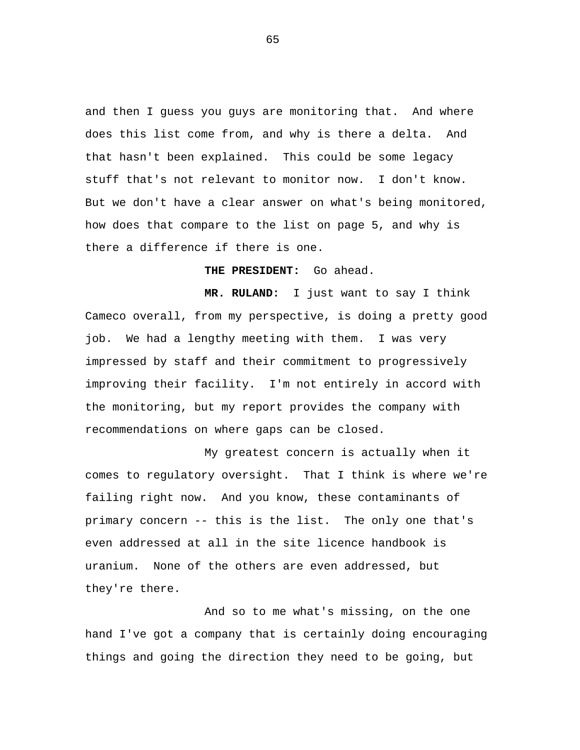and then I guess you guys are monitoring that. And where does this list come from, and why is there a delta. And that hasn't been explained. This could be some legacy stuff that's not relevant to monitor now. I don't know. But we don't have a clear answer on what's being monitored, how does that compare to the list on page 5, and why is there a difference if there is one.

**THE PRESIDENT:** Go ahead.

**MR. RULAND:** I just want to say I think Cameco overall, from my perspective, is doing a pretty good job. We had a lengthy meeting with them. I was very impressed by staff and their commitment to progressively improving their facility. I'm not entirely in accord with the monitoring, but my report provides the company with recommendations on where gaps can be closed.

My greatest concern is actually when it comes to regulatory oversight. That I think is where we're failing right now. And you know, these contaminants of primary concern -- this is the list. The only one that's even addressed at all in the site licence handbook is uranium. None of the others are even addressed, but they're there.

And so to me what's missing, on the one hand I've got a company that is certainly doing encouraging things and going the direction they need to be going, but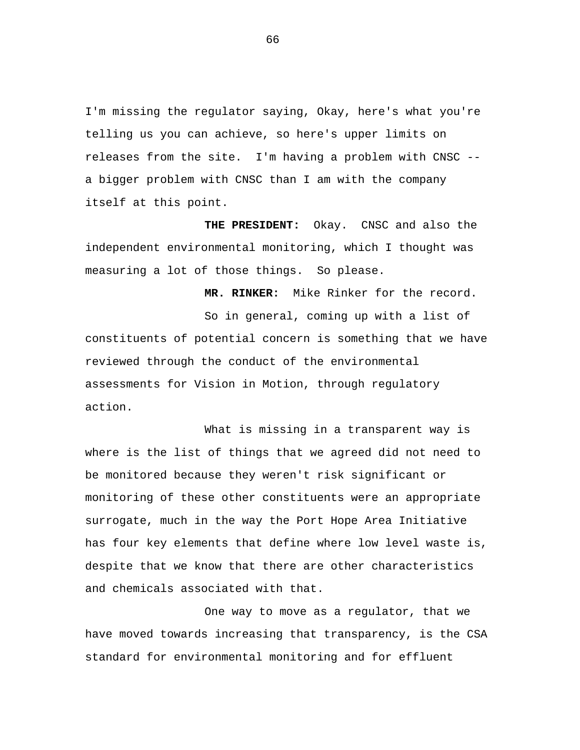I'm missing the regulator saying, Okay, here's what you're telling us you can achieve, so here's upper limits on releases from the site. I'm having a problem with CNSC - a bigger problem with CNSC than I am with the company itself at this point.

**THE PRESIDENT:** Okay. CNSC and also the independent environmental monitoring, which I thought was measuring a lot of those things. So please.

**MR. RINKER:** Mike Rinker for the record. So in general, coming up with a list of constituents of potential concern is something that we have reviewed through the conduct of the environmental assessments for Vision in Motion, through regulatory action.

What is missing in a transparent way is where is the list of things that we agreed did not need to be monitored because they weren't risk significant or monitoring of these other constituents were an appropriate surrogate, much in the way the Port Hope Area Initiative has four key elements that define where low level waste is, despite that we know that there are other characteristics and chemicals associated with that.

One way to move as a regulator, that we have moved towards increasing that transparency, is the CSA standard for environmental monitoring and for effluent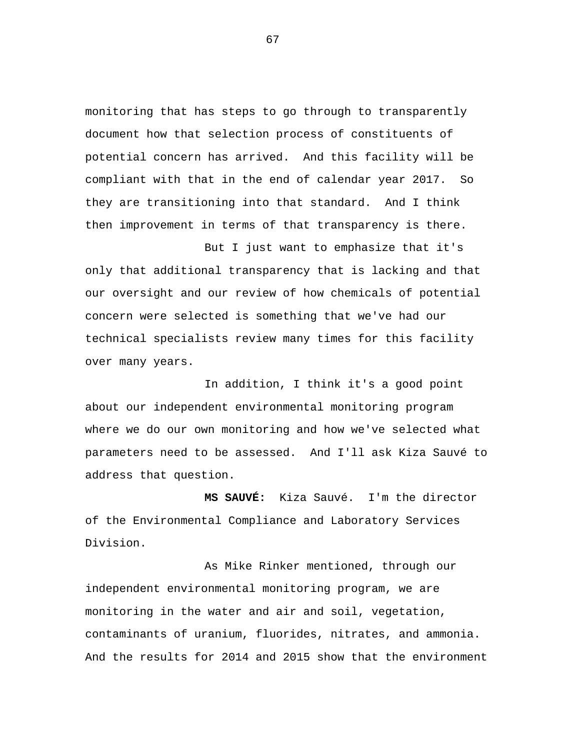monitoring that has steps to go through to transparently document how that selection process of constituents of potential concern has arrived. And this facility will be compliant with that in the end of calendar year 2017. So they are transitioning into that standard. And I think then improvement in terms of that transparency is there.

But I just want to emphasize that it's only that additional transparency that is lacking and that our oversight and our review of how chemicals of potential concern were selected is something that we've had our technical specialists review many times for this facility over many years.

In addition, I think it's a good point about our independent environmental monitoring program where we do our own monitoring and how we've selected what parameters need to be assessed. And I'll ask Kiza Sauvé to address that question.

**MS SAUVÉ:** Kiza Sauvé. I'm the director of the Environmental Compliance and Laboratory Services Division.

As Mike Rinker mentioned, through our independent environmental monitoring program, we are monitoring in the water and air and soil, vegetation, contaminants of uranium, fluorides, nitrates, and ammonia. And the results for 2014 and 2015 show that the environment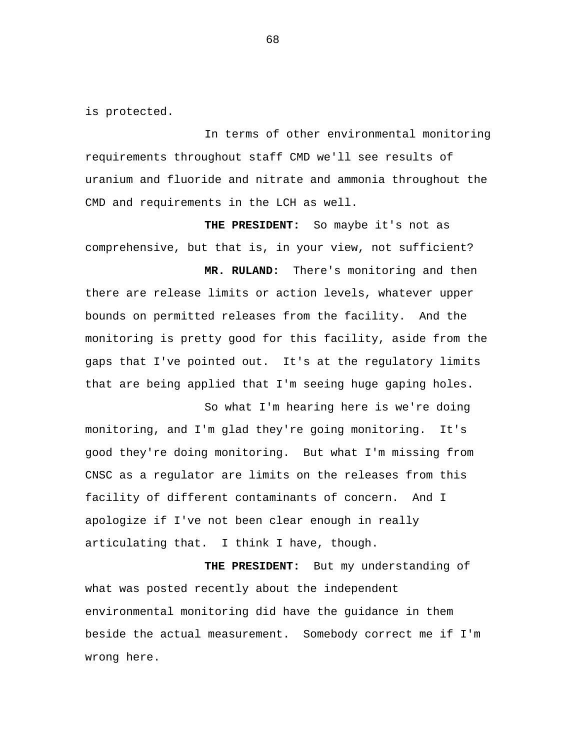is protected.

In terms of other environmental monitoring requirements throughout staff CMD we'll see results of uranium and fluoride and nitrate and ammonia throughout the CMD and requirements in the LCH as well.

**THE PRESIDENT:** So maybe it's not as comprehensive, but that is, in your view, not sufficient?

**MR. RULAND:** There's monitoring and then there are release limits or action levels, whatever upper bounds on permitted releases from the facility. And the monitoring is pretty good for this facility, aside from the gaps that I've pointed out. It's at the regulatory limits that are being applied that I'm seeing huge gaping holes.

So what I'm hearing here is we're doing monitoring, and I'm glad they're going monitoring. It's good they're doing monitoring. But what I'm missing from CNSC as a regulator are limits on the releases from this facility of different contaminants of concern. And I apologize if I've not been clear enough in really articulating that. I think I have, though.

**THE PRESIDENT:** But my understanding of what was posted recently about the independent environmental monitoring did have the guidance in them beside the actual measurement. Somebody correct me if I'm wrong here.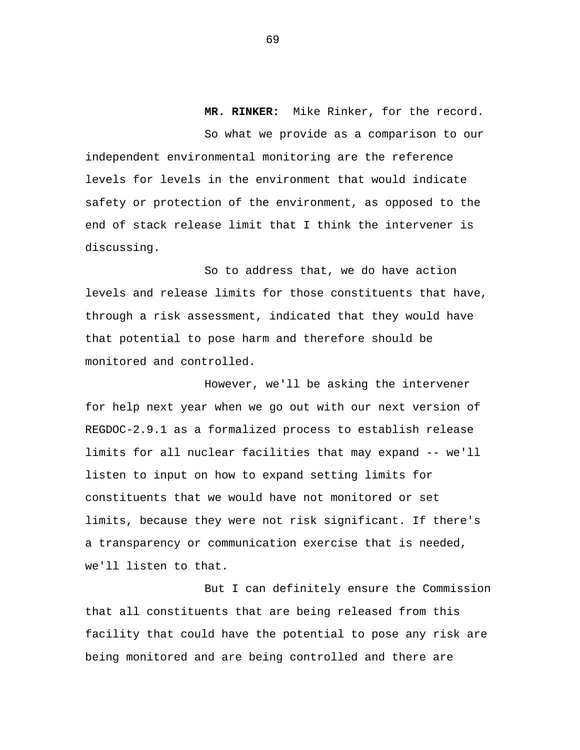So what we provide as a comparison to our independent environmental monitoring are the reference levels for levels in the environment that would indicate safety or protection of the environment, as opposed to the end of stack release limit that I think the intervener is discussing.

**MR. RINKER:** Mike Rinker, for the record.

So to address that, we do have action levels and release limits for those constituents that have, through a risk assessment, indicated that they would have that potential to pose harm and therefore should be monitored and controlled.

However, we'll be asking the intervener for help next year when we go out with our next version of REGDOC-2.9.1 as a formalized process to establish release limits for all nuclear facilities that may expand -- we'll listen to input on how to expand setting limits for constituents that we would have not monitored or set limits, because they were not risk significant. If there's a transparency or communication exercise that is needed, we'll listen to that.

But I can definitely ensure the Commission that all constituents that are being released from this facility that could have the potential to pose any risk are being monitored and are being controlled and there are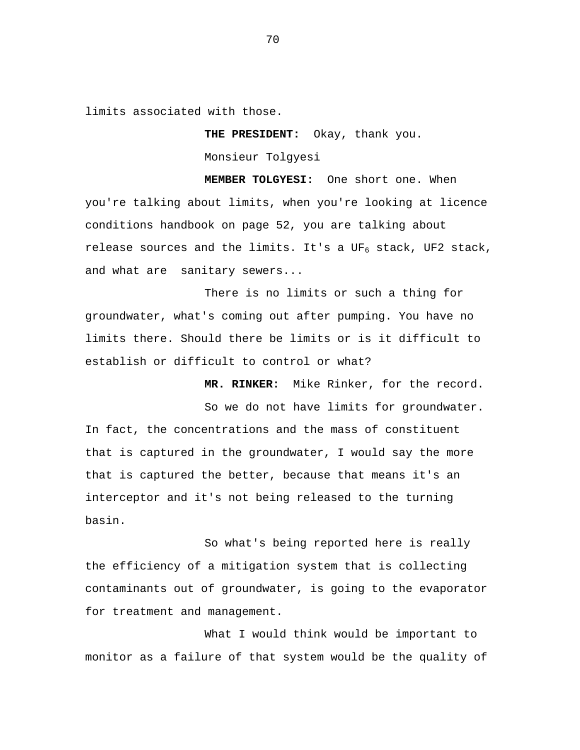limits associated with those.

 **THE PRESIDENT:** Okay, thank you. Monsieur Tolgyesi

 **MEMBER TOLGYESI:** One short one. When you're talking about limits, when you're looking at licence conditions handbook on page 52, you are talking about release sources and the limits. It's a UF<sub>6</sub> stack, UF2 stack, and what are sanitary sewers...

There is no limits or such a thing for groundwater, what's coming out after pumping. You have no limits there. Should there be limits or is it difficult to establish or difficult to control or what?

 **MR. RINKER:** Mike Rinker, for the record.

So we do not have limits for groundwater. In fact, the concentrations and the mass of constituent that is captured in the groundwater, I would say the more that is captured the better, because that means it's an interceptor and it's not being released to the turning basin.

So what's being reported here is really the efficiency of a mitigation system that is collecting contaminants out of groundwater, is going to the evaporator for treatment and management.

What I would think would be important to monitor as a failure of that system would be the quality of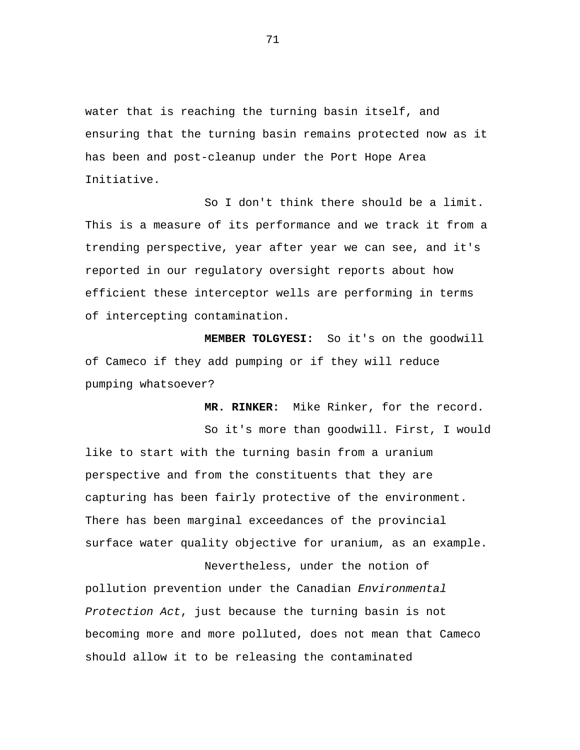water that is reaching the turning basin itself, and ensuring that the turning basin remains protected now as it has been and post-cleanup under the Port Hope Area Initiative.

So I don't think there should be a limit. This is a measure of its performance and we track it from a trending perspective, year after year we can see, and it's reported in our regulatory oversight reports about how efficient these interceptor wells are performing in terms of intercepting contamination.

 **MEMBER TOLGYESI:** So it's on the goodwill of Cameco if they add pumping or if they will reduce pumping whatsoever?

 **MR. RINKER:** Mike Rinker, for the record.

So it's more than goodwill. First, I would like to start with the turning basin from a uranium perspective and from the constituents that they are capturing has been fairly protective of the environment. There has been marginal exceedances of the provincial surface water quality objective for uranium, as an example.

Nevertheless, under the notion of pollution prevention under the Canadian *Environmental Protection Act*, just because the turning basin is not becoming more and more polluted, does not mean that Cameco should allow it to be releasing the contaminated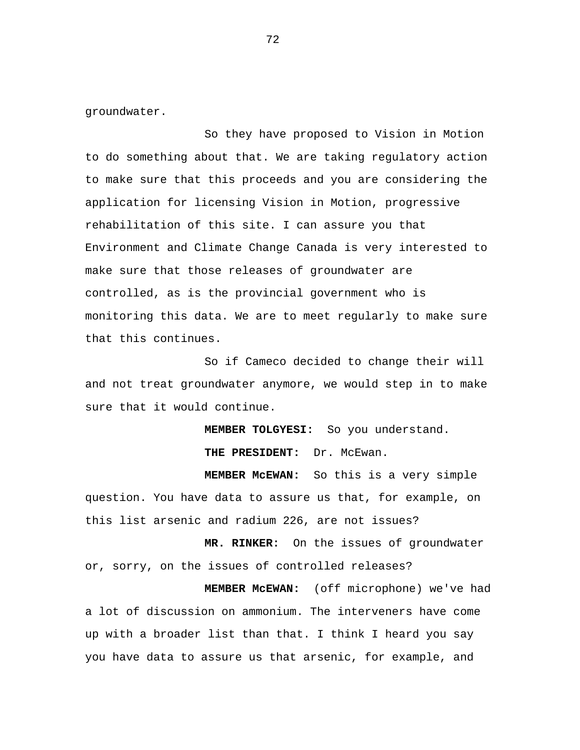groundwater.

So they have proposed to Vision in Motion to do something about that. We are taking regulatory action to make sure that this proceeds and you are considering the application for licensing Vision in Motion, progressive rehabilitation of this site. I can assure you that Environment and Climate Change Canada is very interested to make sure that those releases of groundwater are controlled, as is the provincial government who is monitoring this data. We are to meet regularly to make sure that this continues.

So if Cameco decided to change their will and not treat groundwater anymore, we would step in to make sure that it would continue.

> **MEMBER TOLGYESI:** So you understand.  **THE PRESIDENT:** Dr. McEwan.

 **MEMBER McEWAN:** So this is a very simple question. You have data to assure us that, for example, on this list arsenic and radium 226, are not issues?

 **MR. RINKER:** On the issues of groundwater or, sorry, on the issues of controlled releases?

 **MEMBER McEWAN:** (off microphone) we've had a lot of discussion on ammonium. The interveners have come up with a broader list than that. I think I heard you say you have data to assure us that arsenic, for example, and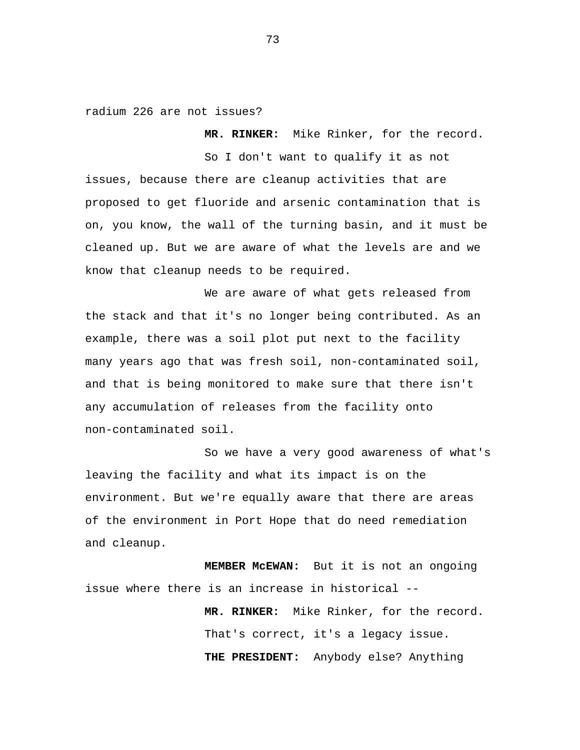radium 226 are not issues?

 **MR. RINKER:** Mike Rinker, for the record.

So I don't want to qualify it as not issues, because there are cleanup activities that are proposed to get fluoride and arsenic contamination that is on, you know, the wall of the turning basin, and it must be cleaned up. But we are aware of what the levels are and we know that cleanup needs to be required.

We are aware of what gets released from the stack and that it's no longer being contributed. As an example, there was a soil plot put next to the facility many years ago that was fresh soil, non-contaminated soil, and that is being monitored to make sure that there isn't any accumulation of releases from the facility onto non-contaminated soil.

So we have a very good awareness of what's leaving the facility and what its impact is on the environment. But we're equally aware that there are areas of the environment in Port Hope that do need remediation and cleanup.

 **MEMBER McEWAN:** But it is not an ongoing issue where there is an increase in historical --

> **MR. RINKER:** Mike Rinker, for the record. That's correct, it's a legacy issue.  **THE PRESIDENT:** Anybody else? Anything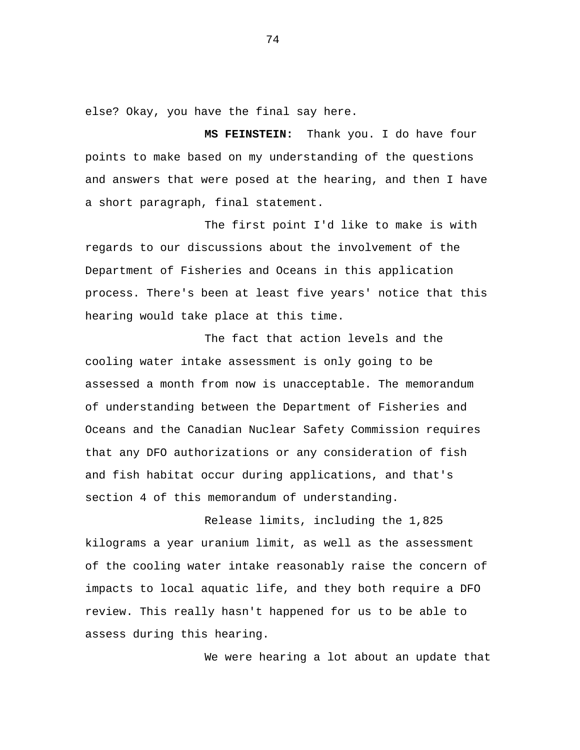else? Okay, you have the final say here.

 **MS FEINSTEIN:** Thank you. I do have four points to make based on my understanding of the questions and answers that were posed at the hearing, and then I have a short paragraph, final statement.

The first point I'd like to make is with regards to our discussions about the involvement of the Department of Fisheries and Oceans in this application process. There's been at least five years' notice that this hearing would take place at this time.

The fact that action levels and the cooling water intake assessment is only going to be assessed a month from now is unacceptable. The memorandum of understanding between the Department of Fisheries and Oceans and the Canadian Nuclear Safety Commission requires that any DFO authorizations or any consideration of fish and fish habitat occur during applications, and that's section 4 of this memorandum of understanding.

Release limits, including the 1,825 kilograms a year uranium limit, as well as the assessment of the cooling water intake reasonably raise the concern of impacts to local aquatic life, and they both require a DFO review. This really hasn't happened for us to be able to assess during this hearing.

We were hearing a lot about an update that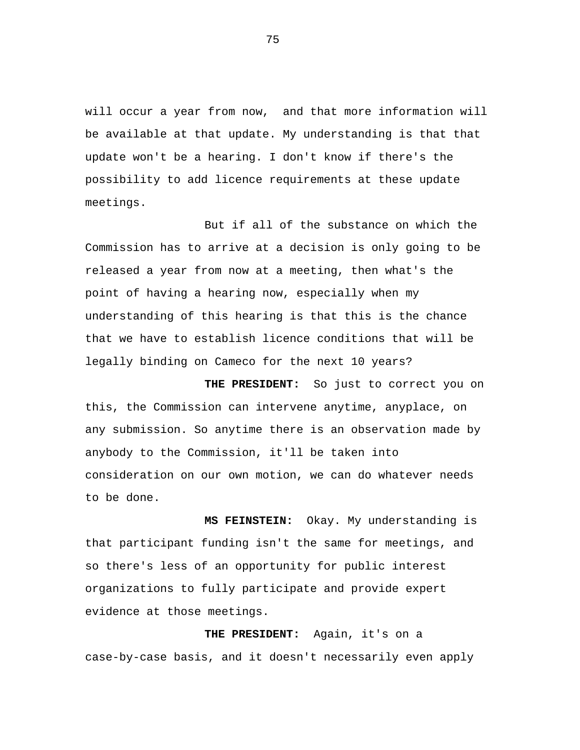will occur a year from now, and that more information will be available at that update. My understanding is that that update won't be a hearing. I don't know if there's the possibility to add licence requirements at these update meetings.

But if all of the substance on which the Commission has to arrive at a decision is only going to be released a year from now at a meeting, then what's the point of having a hearing now, especially when my understanding of this hearing is that this is the chance that we have to establish licence conditions that will be legally binding on Cameco for the next 10 years?

 **THE PRESIDENT:** So just to correct you on this, the Commission can intervene anytime, anyplace, on any submission. So anytime there is an observation made by anybody to the Commission, it'll be taken into consideration on our own motion, we can do whatever needs to be done.

 **MS FEINSTEIN:** Okay. My understanding is that participant funding isn't the same for meetings, and so there's less of an opportunity for public interest organizations to fully participate and provide expert evidence at those meetings.

 **THE PRESIDENT:** Again, it's on a case-by-case basis, and it doesn't necessarily even apply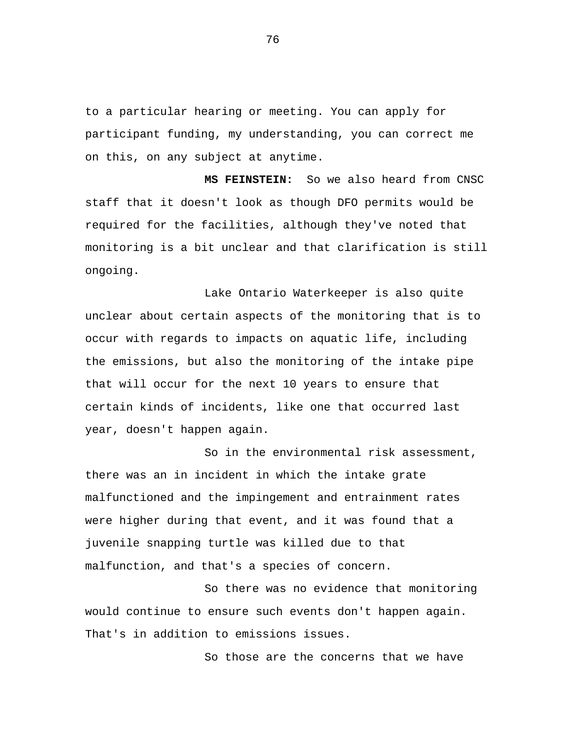to a particular hearing or meeting. You can apply for participant funding, my understanding, you can correct me on this, on any subject at anytime.

 **MS FEINSTEIN:** So we also heard from CNSC staff that it doesn't look as though DFO permits would be required for the facilities, although they've noted that monitoring is a bit unclear and that clarification is still ongoing.

Lake Ontario Waterkeeper is also quite unclear about certain aspects of the monitoring that is to occur with regards to impacts on aquatic life, including the emissions, but also the monitoring of the intake pipe that will occur for the next 10 years to ensure that certain kinds of incidents, like one that occurred last year, doesn't happen again.

So in the environmental risk assessment, there was an in incident in which the intake grate malfunctioned and the impingement and entrainment rates were higher during that event, and it was found that a juvenile snapping turtle was killed due to that malfunction, and that's a species of concern.

So there was no evidence that monitoring would continue to ensure such events don't happen again. That's in addition to emissions issues.

So those are the concerns that we have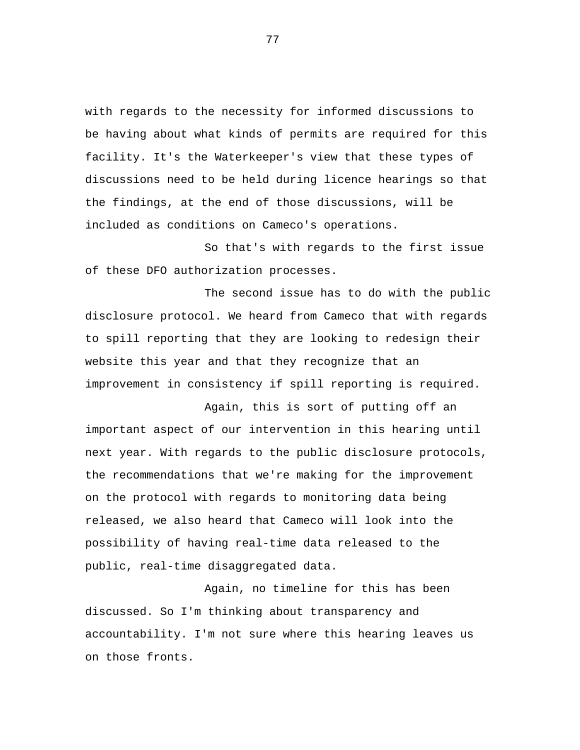with regards to the necessity for informed discussions to be having about what kinds of permits are required for this facility. It's the Waterkeeper's view that these types of discussions need to be held during licence hearings so that the findings, at the end of those discussions, will be included as conditions on Cameco's operations.

So that's with regards to the first issue of these DFO authorization processes.

The second issue has to do with the public disclosure protocol. We heard from Cameco that with regards to spill reporting that they are looking to redesign their website this year and that they recognize that an improvement in consistency if spill reporting is required.

Again, this is sort of putting off an important aspect of our intervention in this hearing until next year. With regards to the public disclosure protocols, the recommendations that we're making for the improvement on the protocol with regards to monitoring data being released, we also heard that Cameco will look into the possibility of having real-time data released to the public, real-time disaggregated data.

Again, no timeline for this has been discussed. So I'm thinking about transparency and accountability. I'm not sure where this hearing leaves us on those fronts.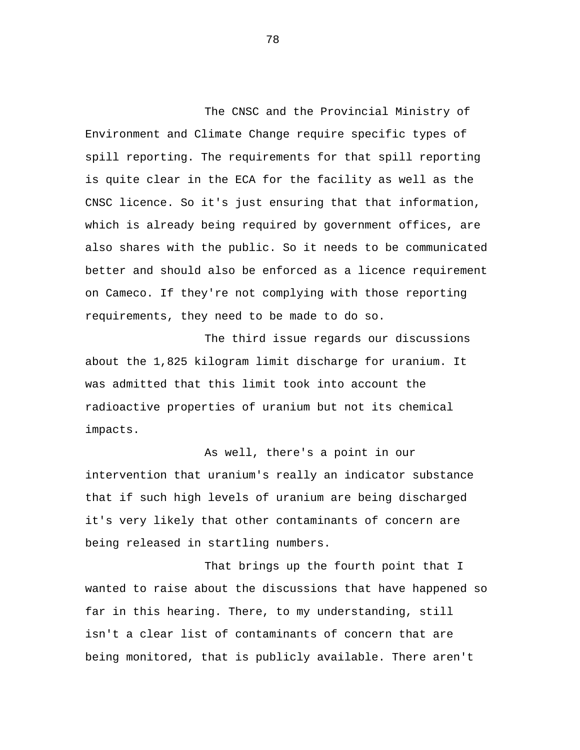The CNSC and the Provincial Ministry of Environment and Climate Change require specific types of spill reporting. The requirements for that spill reporting is quite clear in the ECA for the facility as well as the CNSC licence. So it's just ensuring that that information, which is already being required by government offices, are also shares with the public. So it needs to be communicated better and should also be enforced as a licence requirement on Cameco. If they're not complying with those reporting requirements, they need to be made to do so.

The third issue regards our discussions about the 1,825 kilogram limit discharge for uranium. It was admitted that this limit took into account the radioactive properties of uranium but not its chemical impacts.

As well, there's a point in our intervention that uranium's really an indicator substance that if such high levels of uranium are being discharged it's very likely that other contaminants of concern are being released in startling numbers.

That brings up the fourth point that I wanted to raise about the discussions that have happened so far in this hearing. There, to my understanding, still isn't a clear list of contaminants of concern that are being monitored, that is publicly available. There aren't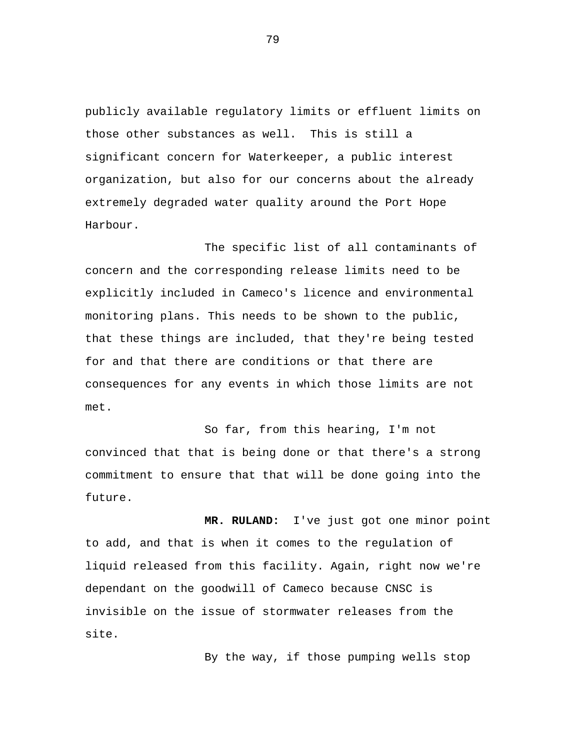publicly available regulatory limits or effluent limits on those other substances as well. This is still a significant concern for Waterkeeper, a public interest organization, but also for our concerns about the already extremely degraded water quality around the Port Hope Harbour.

The specific list of all contaminants of concern and the corresponding release limits need to be explicitly included in Cameco's licence and environmental monitoring plans. This needs to be shown to the public, that these things are included, that they're being tested for and that there are conditions or that there are consequences for any events in which those limits are not met.

So far, from this hearing, I'm not convinced that that is being done or that there's a strong commitment to ensure that that will be done going into the future.

 **MR. RULAND:** I've just got one minor point to add, and that is when it comes to the regulation of liquid released from this facility. Again, right now we're dependant on the goodwill of Cameco because CNSC is invisible on the issue of stormwater releases from the site.

By the way, if those pumping wells stop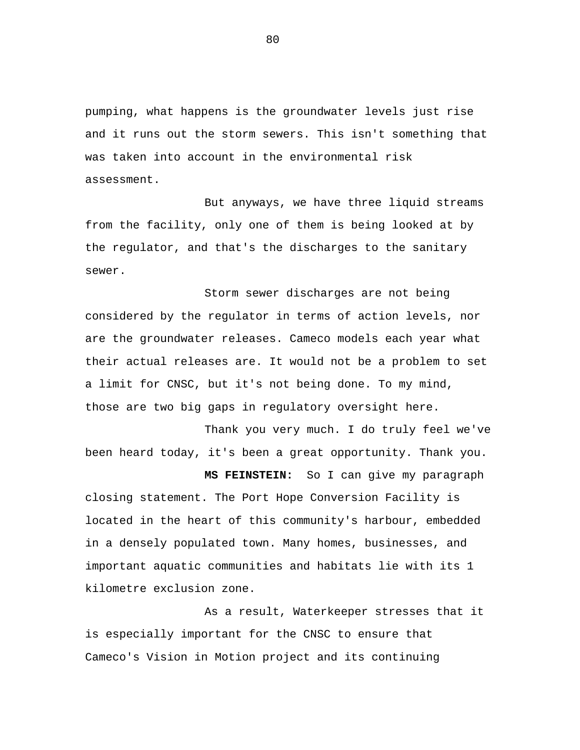pumping, what happens is the groundwater levels just rise and it runs out the storm sewers. This isn't something that was taken into account in the environmental risk assessment.

But anyways, we have three liquid streams from the facility, only one of them is being looked at by the regulator, and that's the discharges to the sanitary sewer.

Storm sewer discharges are not being considered by the regulator in terms of action levels, nor are the groundwater releases. Cameco models each year what their actual releases are. It would not be a problem to set a limit for CNSC, but it's not being done. To my mind, those are two big gaps in regulatory oversight here.

Thank you very much. I do truly feel we've been heard today, it's been a great opportunity. Thank you.

 **MS FEINSTEIN:** So I can give my paragraph closing statement. The Port Hope Conversion Facility is located in the heart of this community's harbour, embedded in a densely populated town. Many homes, businesses, and important aquatic communities and habitats lie with its 1 kilometre exclusion zone.

As a result, Waterkeeper stresses that it is especially important for the CNSC to ensure that Cameco's Vision in Motion project and its continuing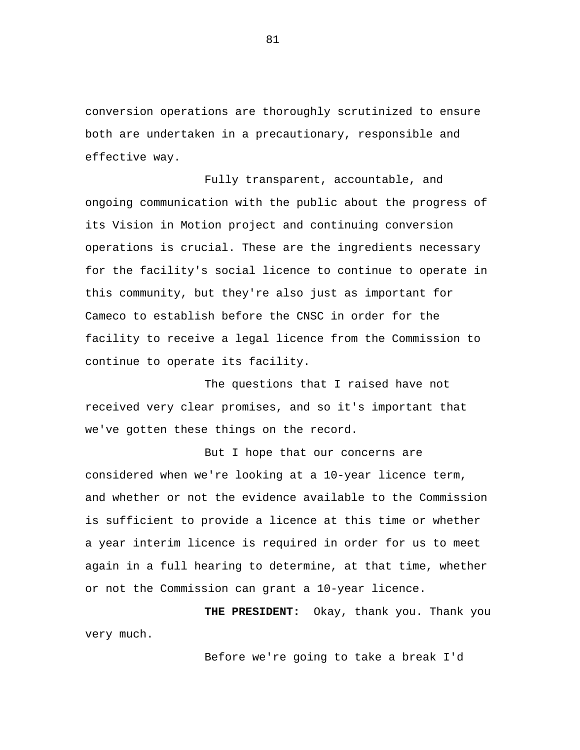conversion operations are thoroughly scrutinized to ensure both are undertaken in a precautionary, responsible and effective way.

Fully transparent, accountable, and ongoing communication with the public about the progress of its Vision in Motion project and continuing conversion operations is crucial. These are the ingredients necessary for the facility's social licence to continue to operate in this community, but they're also just as important for Cameco to establish before the CNSC in order for the facility to receive a legal licence from the Commission to continue to operate its facility.

The questions that I raised have not received very clear promises, and so it's important that we've gotten these things on the record.

But I hope that our concerns are considered when we're looking at a 10-year licence term, and whether or not the evidence available to the Commission is sufficient to provide a licence at this time or whether a year interim licence is required in order for us to meet again in a full hearing to determine, at that time, whether or not the Commission can grant a 10-year licence.

 **THE PRESIDENT:** Okay, thank you. Thank you very much.

Before we're going to take a break I'd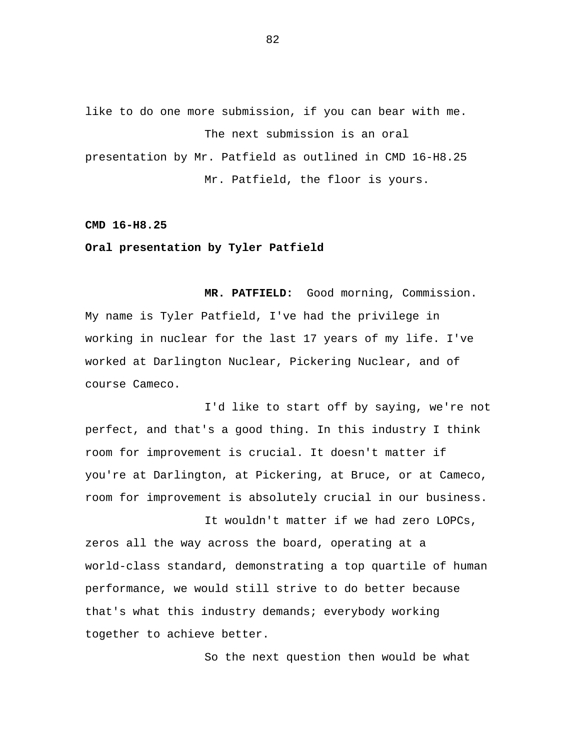like to do one more submission, if you can bear with me. The next submission is an oral presentation by Mr. Patfield as outlined in CMD 16-H8.25 Mr. Patfield, the floor is yours.

**CMD 16-H8.25** 

**Oral presentation by Tyler Patfield** 

 **MR. PATFIELD:** Good morning, Commission. My name is Tyler Patfield, I've had the privilege in working in nuclear for the last 17 years of my life. I've worked at Darlington Nuclear, Pickering Nuclear, and of course Cameco.

I'd like to start off by saying, we're not perfect, and that's a good thing. In this industry I think room for improvement is crucial. It doesn't matter if you're at Darlington, at Pickering, at Bruce, or at Cameco, room for improvement is absolutely crucial in our business.

It wouldn't matter if we had zero LOPCs, zeros all the way across the board, operating at a world-class standard, demonstrating a top quartile of human performance, we would still strive to do better because that's what this industry demands; everybody working together to achieve better.

So the next question then would be what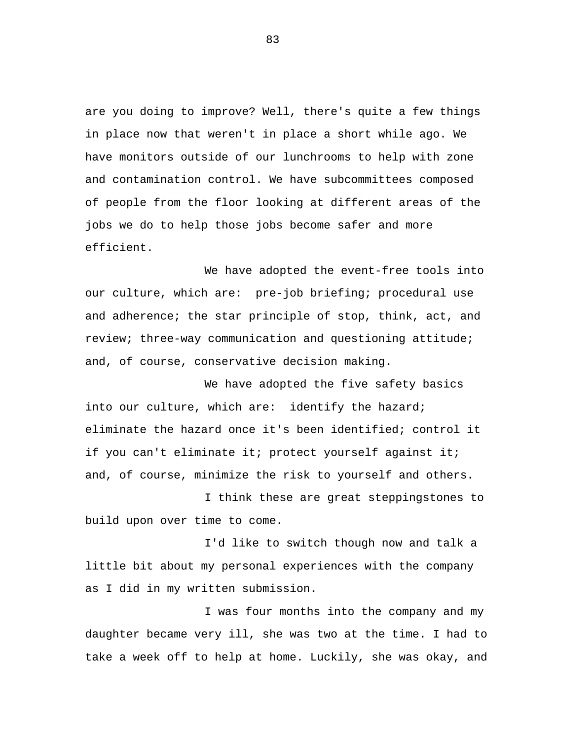are you doing to improve? Well, there's quite a few things in place now that weren't in place a short while ago. We have monitors outside of our lunchrooms to help with zone and contamination control. We have subcommittees composed of people from the floor looking at different areas of the jobs we do to help those jobs become safer and more efficient.

We have adopted the event-free tools into our culture, which are: pre-job briefing; procedural use and adherence; the star principle of stop, think, act, and review; three-way communication and questioning attitude; and, of course, conservative decision making.

We have adopted the five safety basics into our culture, which are: identify the hazard; eliminate the hazard once it's been identified; control it if you can't eliminate it; protect yourself against it; and, of course, minimize the risk to yourself and others.

I think these are great steppingstones to build upon over time to come.

I'd like to switch though now and talk a little bit about my personal experiences with the company as I did in my written submission.

I was four months into the company and my daughter became very ill, she was two at the time. I had to take a week off to help at home. Luckily, she was okay, and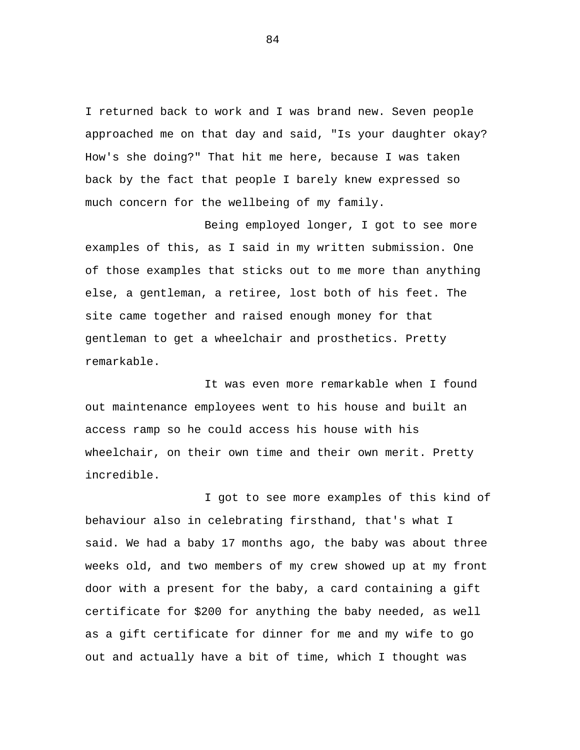I returned back to work and I was brand new. Seven people approached me on that day and said, "Is your daughter okay? How's she doing?" That hit me here, because I was taken back by the fact that people I barely knew expressed so much concern for the wellbeing of my family.

Being employed longer, I got to see more examples of this, as I said in my written submission. One of those examples that sticks out to me more than anything else, a gentleman, a retiree, lost both of his feet. The site came together and raised enough money for that gentleman to get a wheelchair and prosthetics. Pretty remarkable.

It was even more remarkable when I found out maintenance employees went to his house and built an access ramp so he could access his house with his wheelchair, on their own time and their own merit. Pretty incredible.

I got to see more examples of this kind of behaviour also in celebrating firsthand, that's what I said. We had a baby 17 months ago, the baby was about three weeks old, and two members of my crew showed up at my front door with a present for the baby, a card containing a gift certificate for \$200 for anything the baby needed, as well as a gift certificate for dinner for me and my wife to go out and actually have a bit of time, which I thought was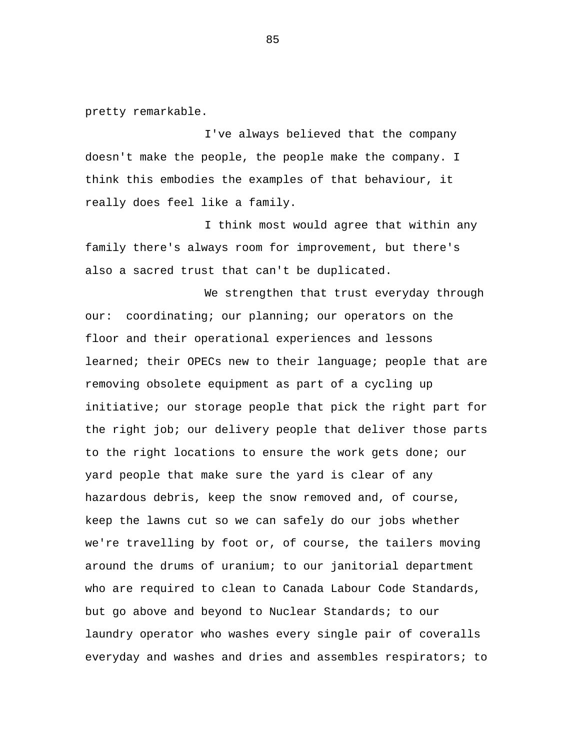pretty remarkable.

I've always believed that the company doesn't make the people, the people make the company. I think this embodies the examples of that behaviour, it really does feel like a family.

I think most would agree that within any family there's always room for improvement, but there's also a sacred trust that can't be duplicated.

We strengthen that trust everyday through our: coordinating; our planning; our operators on the floor and their operational experiences and lessons learned; their OPECs new to their language; people that are removing obsolete equipment as part of a cycling up initiative; our storage people that pick the right part for the right job; our delivery people that deliver those parts to the right locations to ensure the work gets done; our yard people that make sure the yard is clear of any hazardous debris, keep the snow removed and, of course, keep the lawns cut so we can safely do our jobs whether we're travelling by foot or, of course, the tailers moving around the drums of uranium; to our janitorial department who are required to clean to Canada Labour Code Standards, but go above and beyond to Nuclear Standards; to our laundry operator who washes every single pair of coveralls everyday and washes and dries and assembles respirators; to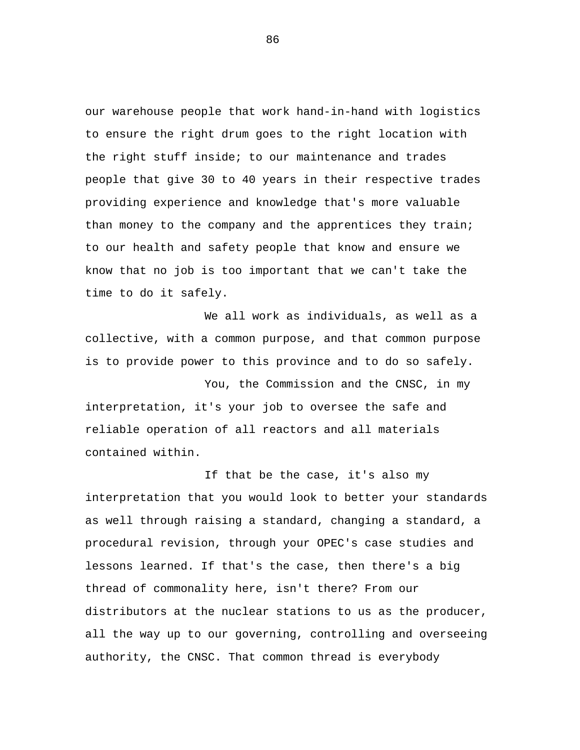our warehouse people that work hand-in-hand with logistics to ensure the right drum goes to the right location with the right stuff inside; to our maintenance and trades people that give 30 to 40 years in their respective trades providing experience and knowledge that's more valuable than money to the company and the apprentices they train; to our health and safety people that know and ensure we know that no job is too important that we can't take the time to do it safely.

We all work as individuals, as well as a collective, with a common purpose, and that common purpose is to provide power to this province and to do so safely.

You, the Commission and the CNSC, in my interpretation, it's your job to oversee the safe and reliable operation of all reactors and all materials contained within.

If that be the case, it's also my interpretation that you would look to better your standards as well through raising a standard, changing a standard, a procedural revision, through your OPEC's case studies and lessons learned. If that's the case, then there's a big thread of commonality here, isn't there? From our distributors at the nuclear stations to us as the producer, all the way up to our governing, controlling and overseeing authority, the CNSC. That common thread is everybody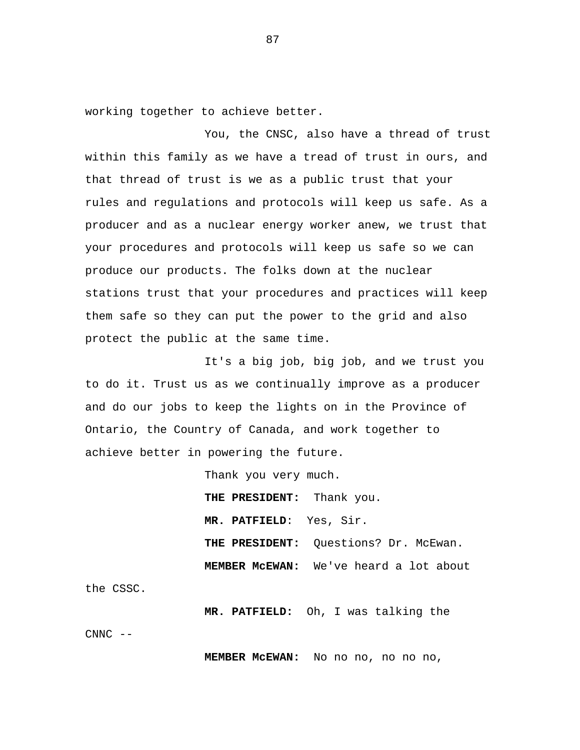working together to achieve better.

You, the CNSC, also have a thread of trust within this family as we have a tread of trust in ours, and that thread of trust is we as a public trust that your rules and regulations and protocols will keep us safe. As a producer and as a nuclear energy worker anew, we trust that your procedures and protocols will keep us safe so we can produce our products. The folks down at the nuclear stations trust that your procedures and practices will keep them safe so they can put the power to the grid and also protect the public at the same time.

It's a big job, big job, and we trust you to do it. Trust us as we continually improve as a producer and do our jobs to keep the lights on in the Province of Ontario, the Country of Canada, and work together to achieve better in powering the future.

Thank you very much.

 **THE PRESIDENT:** Thank you.  **MR. PATFIELD**: Yes, Sir.  **THE PRESIDENT:** Questions? Dr. McEwan.  **MEMBER McEWAN:** We've heard a lot about

the CSSC.

 **MR. PATFIELD:** Oh, I was talking the

 $CNNC$   $--$ 

 **MEMBER McEWAN:** No no no, no no no,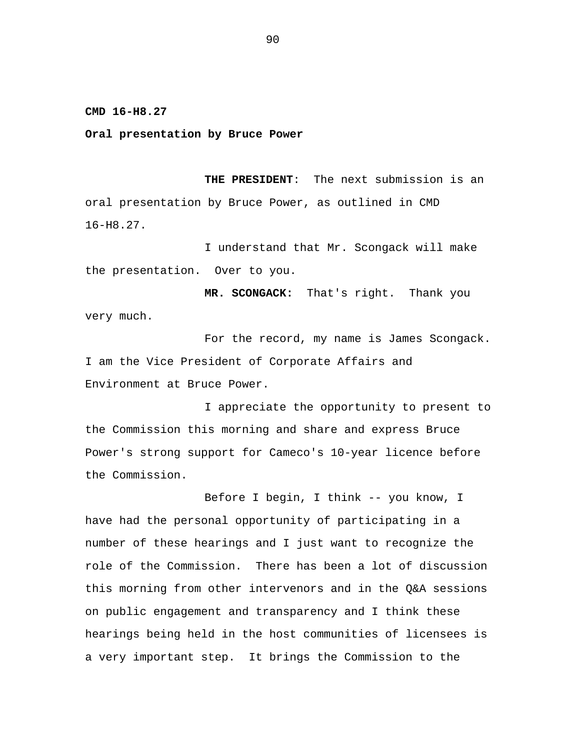**CMD 16-H8.27** 

**Oral presentation by Bruce Power** 

**THE PRESIDENT**: The next submission is an oral presentation by Bruce Power, as outlined in CMD 16-H8.27.

I understand that Mr. Scongack will make the presentation. Over to you.

**MR. SCONGACK:** That's right. Thank you very much.

For the record, my name is James Scongack. I am the Vice President of Corporate Affairs and Environment at Bruce Power.

I appreciate the opportunity to present to the Commission this morning and share and express Bruce Power's strong support for Cameco's 10-year licence before the Commission.

Before I begin, I think -- you know, I have had the personal opportunity of participating in a number of these hearings and I just want to recognize the role of the Commission. There has been a lot of discussion this morning from other intervenors and in the Q&A sessions on public engagement and transparency and I think these hearings being held in the host communities of licensees is a very important step. It brings the Commission to the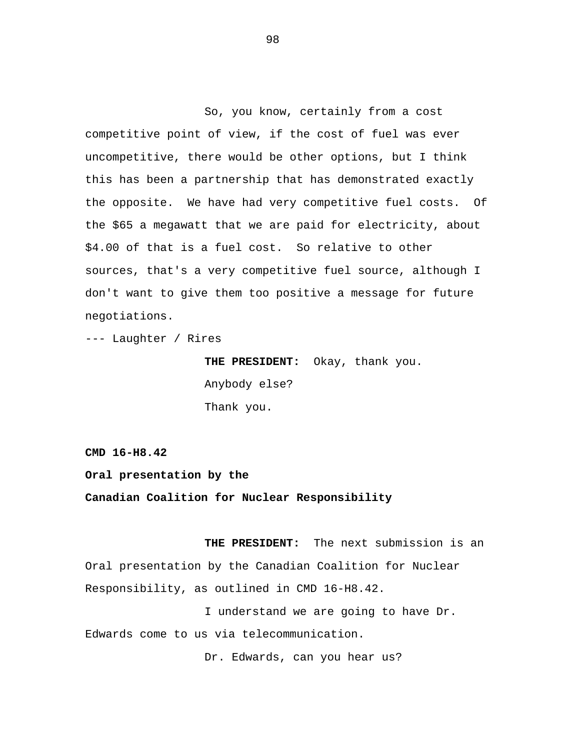So, you know, certainly from a cost competitive point of view, if the cost of fuel was ever uncompetitive, there would be other options, but I think this has been a partnership that has demonstrated exactly the opposite. We have had very competitive fuel costs. Of the \$65 a megawatt that we are paid for electricity, about \$4.00 of that is a fuel cost. So relative to other sources, that's a very competitive fuel source, although I don't want to give them too positive a message for future negotiations.

--- Laughter / Rires

**THE PRESIDENT:** Okay, thank you. Anybody else? Thank you.

**CMD 16-H8.42** 

**Oral presentation by the** 

**Canadian Coalition for Nuclear Responsibility** 

**THE PRESIDENT:** The next submission is an Oral presentation by the Canadian Coalition for Nuclear Responsibility, as outlined in CMD 16-H8.42.

I understand we are going to have Dr. Edwards come to us via telecommunication.

Dr. Edwards, can you hear us?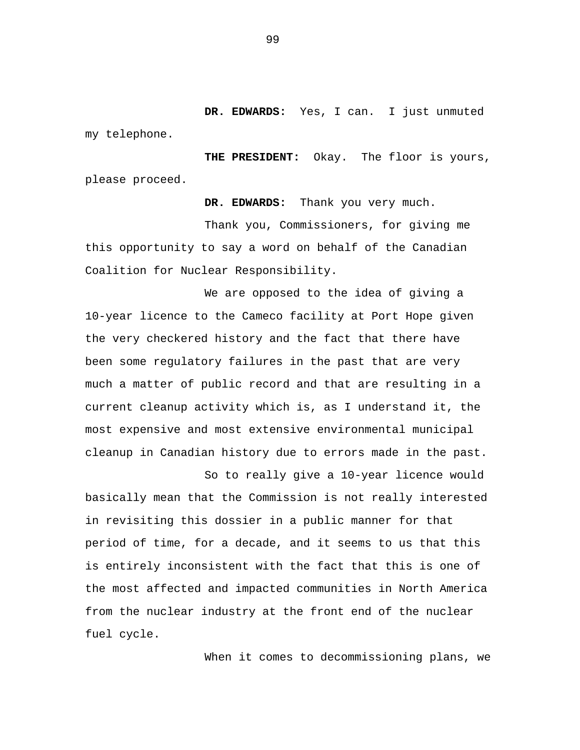**DR. EDWARDS:** Yes, I can. I just unmuted my telephone.

**THE PRESIDENT:** Okay. The floor is yours, please proceed.

**DR. EDWARDS:** Thank you very much.

Thank you, Commissioners, for giving me this opportunity to say a word on behalf of the Canadian Coalition for Nuclear Responsibility.

We are opposed to the idea of giving a 10-year licence to the Cameco facility at Port Hope given the very checkered history and the fact that there have been some regulatory failures in the past that are very much a matter of public record and that are resulting in a current cleanup activity which is, as I understand it, the most expensive and most extensive environmental municipal cleanup in Canadian history due to errors made in the past.

So to really give a 10-year licence would basically mean that the Commission is not really interested in revisiting this dossier in a public manner for that period of time, for a decade, and it seems to us that this is entirely inconsistent with the fact that this is one of the most affected and impacted communities in North America from the nuclear industry at the front end of the nuclear fuel cycle.

When it comes to decommissioning plans, we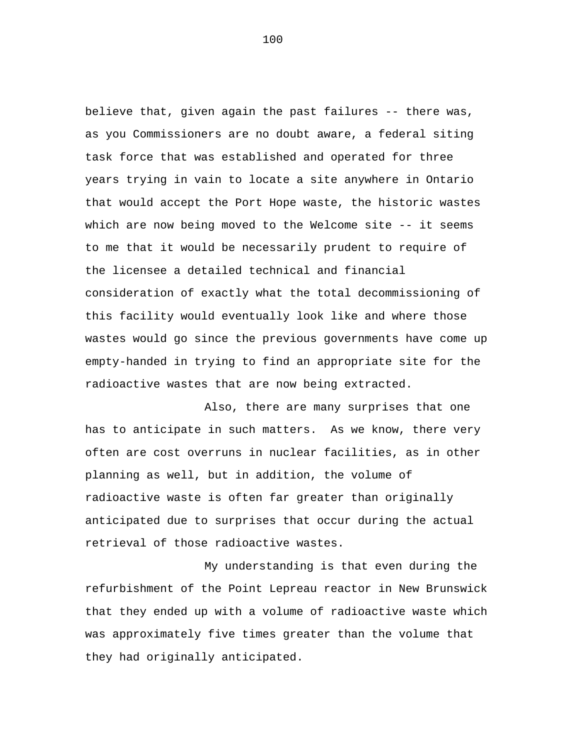believe that, given again the past failures -- there was, as you Commissioners are no doubt aware, a federal siting task force that was established and operated for three years trying in vain to locate a site anywhere in Ontario that would accept the Port Hope waste, the historic wastes which are now being moved to the Welcome site -- it seems to me that it would be necessarily prudent to require of the licensee a detailed technical and financial consideration of exactly what the total decommissioning of this facility would eventually look like and where those wastes would go since the previous governments have come up empty-handed in trying to find an appropriate site for the radioactive wastes that are now being extracted.

Also, there are many surprises that one has to anticipate in such matters. As we know, there very often are cost overruns in nuclear facilities, as in other planning as well, but in addition, the volume of radioactive waste is often far greater than originally anticipated due to surprises that occur during the actual retrieval of those radioactive wastes.

My understanding is that even during the refurbishment of the Point Lepreau reactor in New Brunswick that they ended up with a volume of radioactive waste which was approximately five times greater than the volume that they had originally anticipated.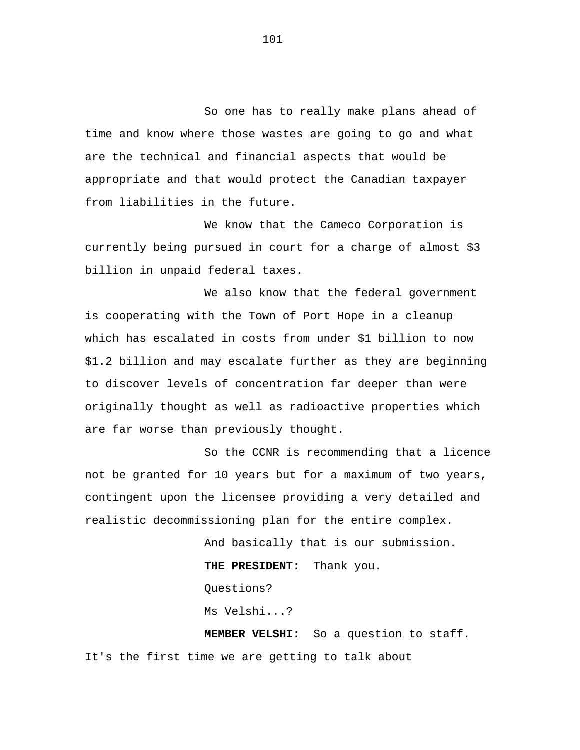So one has to really make plans ahead of time and know where those wastes are going to go and what are the technical and financial aspects that would be appropriate and that would protect the Canadian taxpayer from liabilities in the future.

We know that the Cameco Corporation is currently being pursued in court for a charge of almost \$3 billion in unpaid federal taxes.

We also know that the federal government is cooperating with the Town of Port Hope in a cleanup which has escalated in costs from under \$1 billion to now \$1.2 billion and may escalate further as they are beginning to discover levels of concentration far deeper than were originally thought as well as radioactive properties which are far worse than previously thought.

So the CCNR is recommending that a licence not be granted for 10 years but for a maximum of two years, contingent upon the licensee providing a very detailed and realistic decommissioning plan for the entire complex.

And basically that is our submission. **THE PRESIDENT:** Thank you. Questions? Ms Velshi...? **MEMBER VELSHI:** So a question to staff. It's the first time we are getting to talk about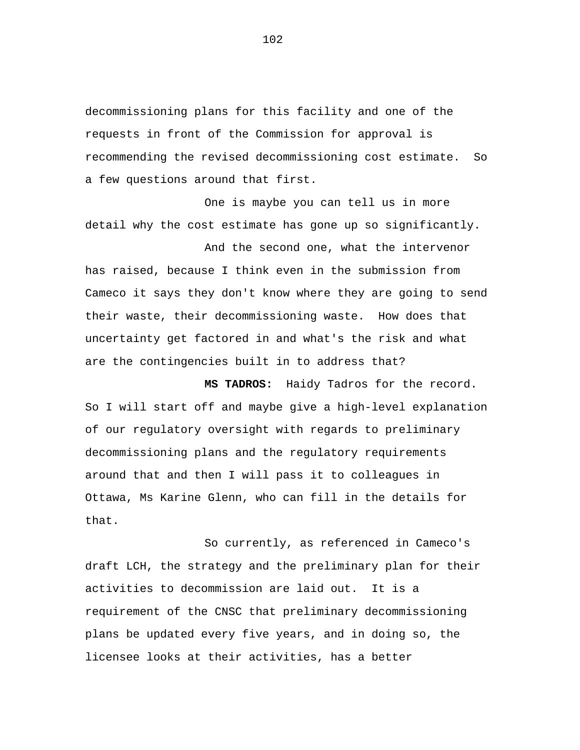decommissioning plans for this facility and one of the requests in front of the Commission for approval is recommending the revised decommissioning cost estimate. So a few questions around that first.

One is maybe you can tell us in more detail why the cost estimate has gone up so significantly.

And the second one, what the intervenor has raised, because I think even in the submission from Cameco it says they don't know where they are going to send their waste, their decommissioning waste. How does that uncertainty get factored in and what's the risk and what are the contingencies built in to address that?

**MS TADROS:** Haidy Tadros for the record. So I will start off and maybe give a high-level explanation of our regulatory oversight with regards to preliminary decommissioning plans and the regulatory requirements around that and then I will pass it to colleagues in Ottawa, Ms Karine Glenn, who can fill in the details for that.

So currently, as referenced in Cameco's draft LCH, the strategy and the preliminary plan for their activities to decommission are laid out. It is a requirement of the CNSC that preliminary decommissioning plans be updated every five years, and in doing so, the licensee looks at their activities, has a better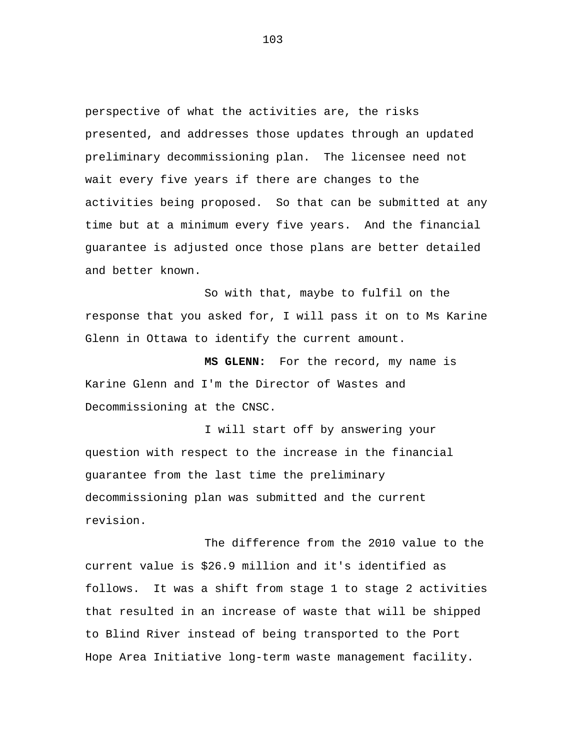perspective of what the activities are, the risks presented, and addresses those updates through an updated preliminary decommissioning plan. The licensee need not wait every five years if there are changes to the activities being proposed. So that can be submitted at any time but at a minimum every five years. And the financial guarantee is adjusted once those plans are better detailed and better known.

So with that, maybe to fulfil on the response that you asked for, I will pass it on to Ms Karine Glenn in Ottawa to identify the current amount.

**MS GLENN:** For the record, my name is Karine Glenn and I'm the Director of Wastes and Decommissioning at the CNSC.

I will start off by answering your question with respect to the increase in the financial guarantee from the last time the preliminary decommissioning plan was submitted and the current revision.

The difference from the 2010 value to the current value is \$26.9 million and it's identified as follows. It was a shift from stage 1 to stage 2 activities that resulted in an increase of waste that will be shipped to Blind River instead of being transported to the Port Hope Area Initiative long-term waste management facility.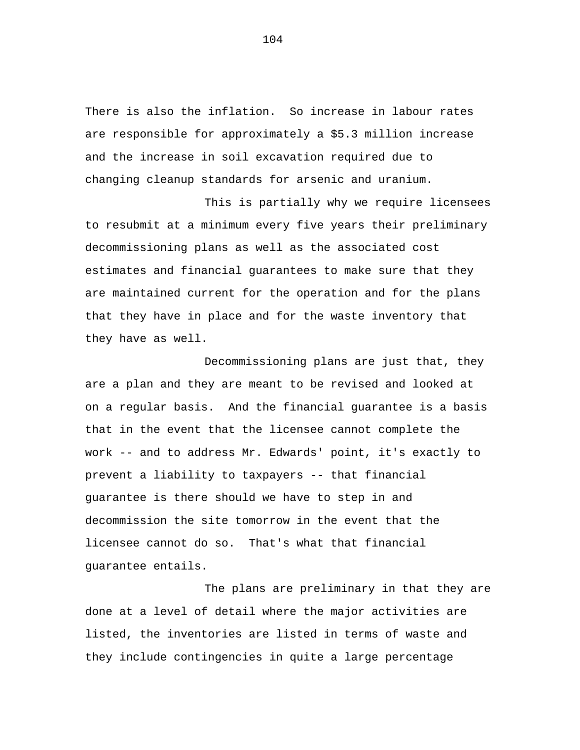There is also the inflation. So increase in labour rates are responsible for approximately a \$5.3 million increase and the increase in soil excavation required due to changing cleanup standards for arsenic and uranium.

This is partially why we require licensees to resubmit at a minimum every five years their preliminary decommissioning plans as well as the associated cost estimates and financial guarantees to make sure that they are maintained current for the operation and for the plans that they have in place and for the waste inventory that they have as well.

Decommissioning plans are just that, they are a plan and they are meant to be revised and looked at on a regular basis. And the financial guarantee is a basis that in the event that the licensee cannot complete the work -- and to address Mr. Edwards' point, it's exactly to prevent a liability to taxpayers -- that financial guarantee is there should we have to step in and decommission the site tomorrow in the event that the licensee cannot do so. That's what that financial guarantee entails.

The plans are preliminary in that they are done at a level of detail where the major activities are listed, the inventories are listed in terms of waste and they include contingencies in quite a large percentage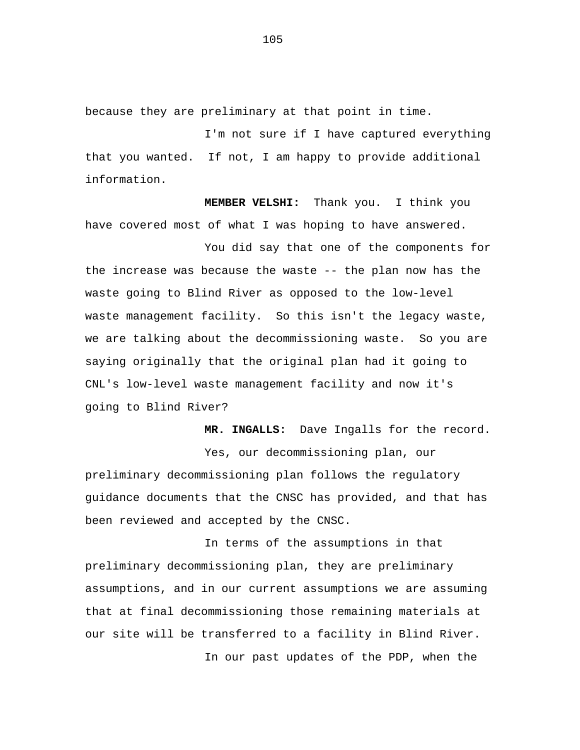because they are preliminary at that point in time.

I'm not sure if I have captured everything that you wanted. If not, I am happy to provide additional information.

**MEMBER VELSHI:** Thank you. I think you have covered most of what I was hoping to have answered.

You did say that one of the components for the increase was because the waste -- the plan now has the waste going to Blind River as opposed to the low-level waste management facility. So this isn't the legacy waste, we are talking about the decommissioning waste. So you are saying originally that the original plan had it going to CNL's low-level waste management facility and now it's going to Blind River?

**MR. INGALLS:** Dave Ingalls for the record. Yes, our decommissioning plan, our preliminary decommissioning plan follows the regulatory guidance documents that the CNSC has provided, and that has been reviewed and accepted by the CNSC.

In terms of the assumptions in that preliminary decommissioning plan, they are preliminary assumptions, and in our current assumptions we are assuming that at final decommissioning those remaining materials at our site will be transferred to a facility in Blind River.

In our past updates of the PDP, when the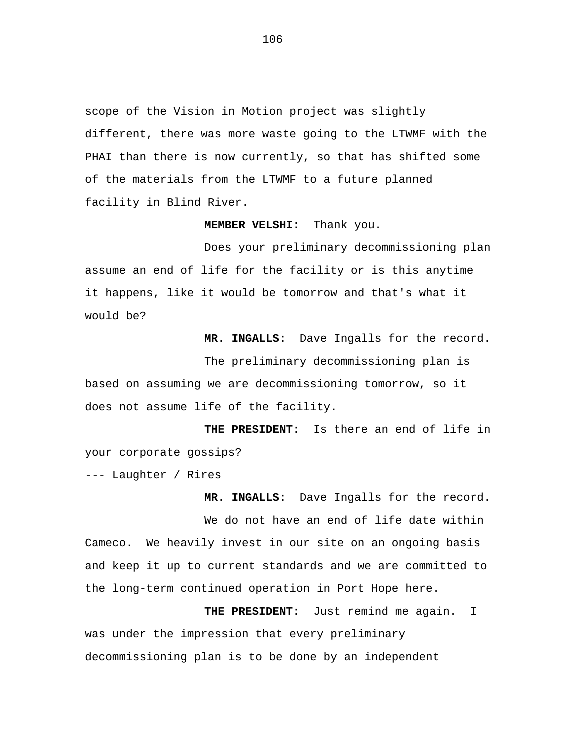scope of the Vision in Motion project was slightly different, there was more waste going to the LTWMF with the PHAI than there is now currently, so that has shifted some of the materials from the LTWMF to a future planned facility in Blind River.

**MEMBER VELSHI:** Thank you.

Does your preliminary decommissioning plan assume an end of life for the facility or is this anytime it happens, like it would be tomorrow and that's what it would be?

**MR. INGALLS:** Dave Ingalls for the record.

The preliminary decommissioning plan is based on assuming we are decommissioning tomorrow, so it does not assume life of the facility.

**THE PRESIDENT:** Is there an end of life in your corporate gossips?

--- Laughter / Rires

**MR. INGALLS:** Dave Ingalls for the record. We do not have an end of life date within Cameco. We heavily invest in our site on an ongoing basis and keep it up to current standards and we are committed to the long-term continued operation in Port Hope here.

**THE PRESIDENT:** Just remind me again. I was under the impression that every preliminary decommissioning plan is to be done by an independent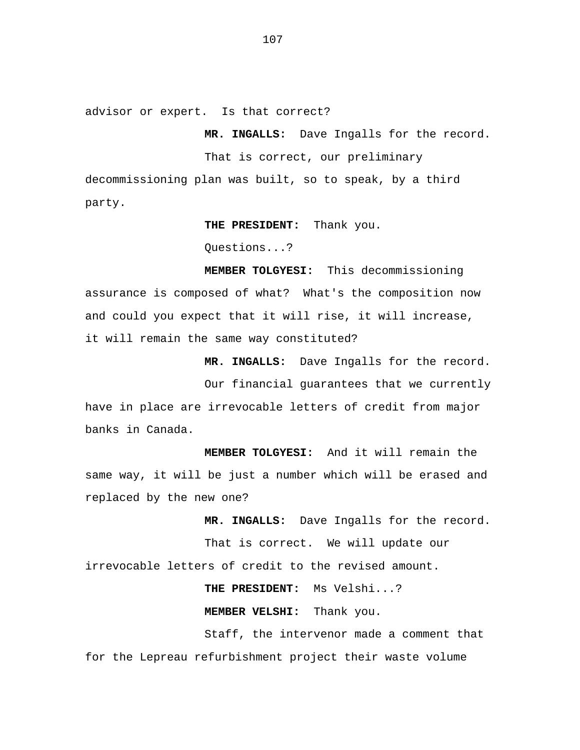advisor or expert. Is that correct?

**MR. INGALLS:** Dave Ingalls for the record.

That is correct, our preliminary decommissioning plan was built, so to speak, by a third party.

**THE PRESIDENT:** Thank you.

Questions...?

**MEMBER TOLGYESI:** This decommissioning assurance is composed of what? What's the composition now and could you expect that it will rise, it will increase, it will remain the same way constituted?

**MR. INGALLS:** Dave Ingalls for the record.

Our financial guarantees that we currently have in place are irrevocable letters of credit from major banks in Canada.

**MEMBER TOLGYESI:** And it will remain the same way, it will be just a number which will be erased and replaced by the new one?

**MR. INGALLS:** Dave Ingalls for the record. That is correct. We will update our irrevocable letters of credit to the revised amount.

**THE PRESIDENT:** Ms Velshi...?

**MEMBER VELSHI:** Thank you.

Staff, the intervenor made a comment that for the Lepreau refurbishment project their waste volume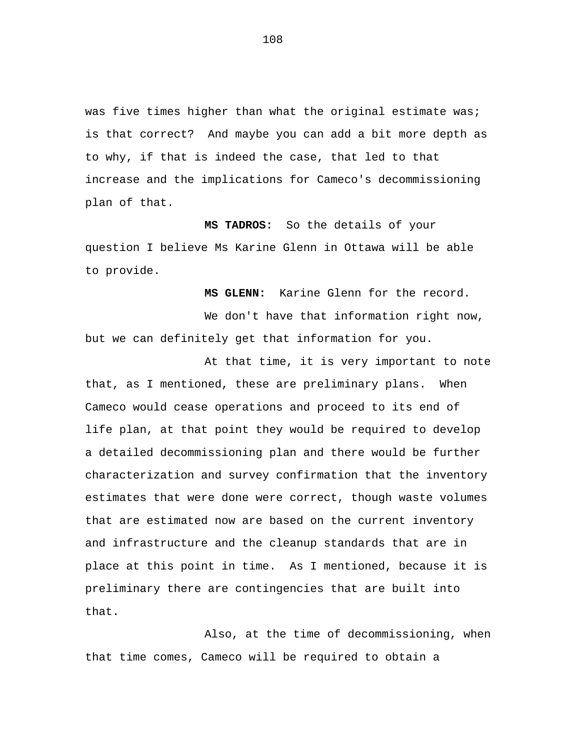was five times higher than what the original estimate was; is that correct? And maybe you can add a bit more depth as to why, if that is indeed the case, that led to that increase and the implications for Cameco's decommissioning plan of that.

**MS TADROS:** So the details of your question I believe Ms Karine Glenn in Ottawa will be able to provide.

**MS GLENN:** Karine Glenn for the record. We don't have that information right now, but we can definitely get that information for you.

At that time, it is very important to note that, as I mentioned, these are preliminary plans. When Cameco would cease operations and proceed to its end of life plan, at that point they would be required to develop a detailed decommissioning plan and there would be further characterization and survey confirmation that the inventory estimates that were done were correct, though waste volumes that are estimated now are based on the current inventory and infrastructure and the cleanup standards that are in place at this point in time. As I mentioned, because it is preliminary there are contingencies that are built into that.

Also, at the time of decommissioning, when that time comes, Cameco will be required to obtain a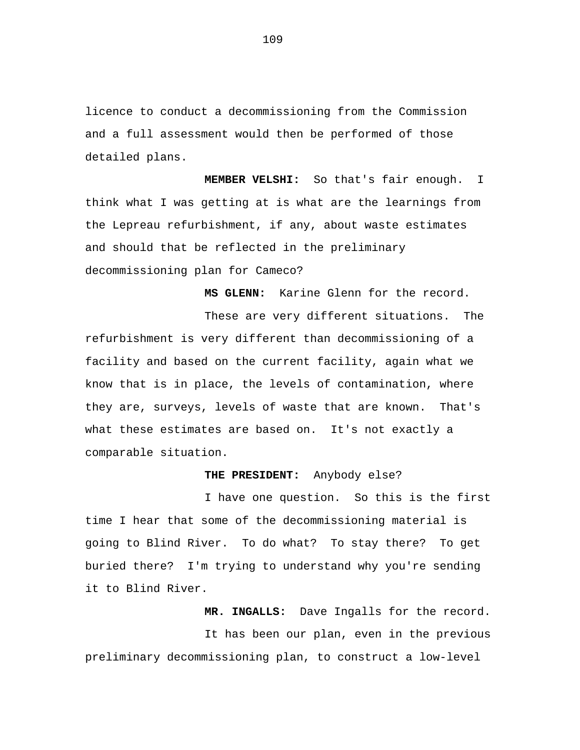licence to conduct a decommissioning from the Commission and a full assessment would then be performed of those detailed plans.

**MEMBER VELSHI:** So that's fair enough. I think what I was getting at is what are the learnings from the Lepreau refurbishment, if any, about waste estimates and should that be reflected in the preliminary decommissioning plan for Cameco?

**MS GLENN:** Karine Glenn for the record.

These are very different situations. The refurbishment is very different than decommissioning of a facility and based on the current facility, again what we know that is in place, the levels of contamination, where they are, surveys, levels of waste that are known. That's what these estimates are based on. It's not exactly a comparable situation.

## **THE PRESIDENT:** Anybody else?

I have one question. So this is the first time I hear that some of the decommissioning material is going to Blind River. To do what? To stay there? To get buried there? I'm trying to understand why you're sending it to Blind River.

**MR. INGALLS:** Dave Ingalls for the record. It has been our plan, even in the previous preliminary decommissioning plan, to construct a low-level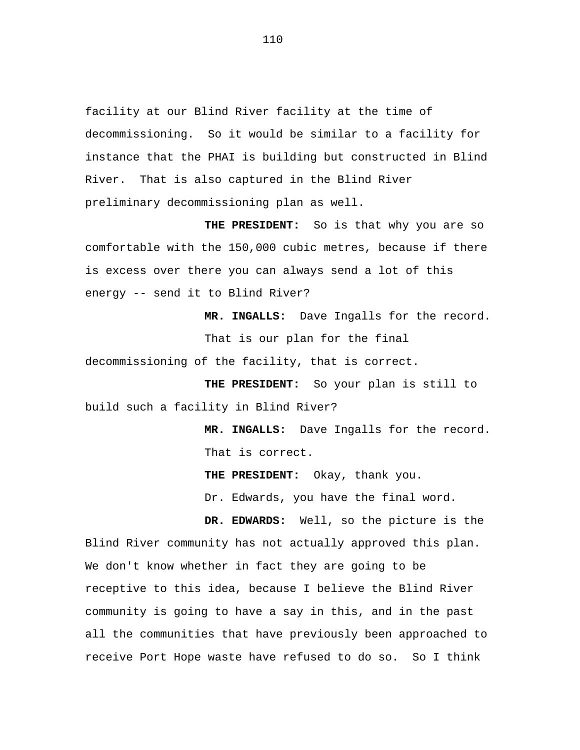facility at our Blind River facility at the time of decommissioning. So it would be similar to a facility for instance that the PHAI is building but constructed in Blind River. That is also captured in the Blind River preliminary decommissioning plan as well.

**THE PRESIDENT:** So is that why you are so comfortable with the 150,000 cubic metres, because if there is excess over there you can always send a lot of this energy -- send it to Blind River?

> **MR. INGALLS:** Dave Ingalls for the record. That is our plan for the final

decommissioning of the facility, that is correct.

**THE PRESIDENT:** So your plan is still to build such a facility in Blind River?

> **MR. INGALLS:** Dave Ingalls for the record. That is correct.

**THE PRESIDENT:** Okay, thank you.

Dr. Edwards, you have the final word.

**DR. EDWARDS:** Well, so the picture is the Blind River community has not actually approved this plan. We don't know whether in fact they are going to be receptive to this idea, because I believe the Blind River community is going to have a say in this, and in the past all the communities that have previously been approached to receive Port Hope waste have refused to do so. So I think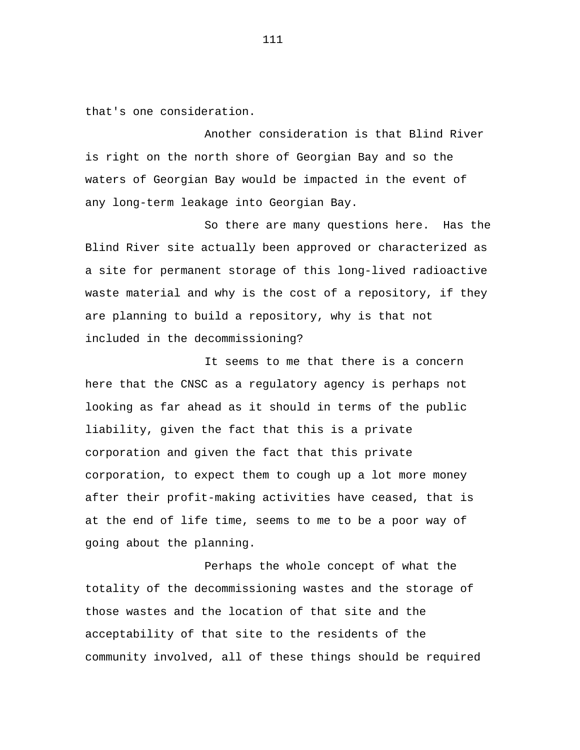that's one consideration.

Another consideration is that Blind River is right on the north shore of Georgian Bay and so the waters of Georgian Bay would be impacted in the event of any long-term leakage into Georgian Bay.

So there are many questions here. Has the Blind River site actually been approved or characterized as a site for permanent storage of this long-lived radioactive waste material and why is the cost of a repository, if they are planning to build a repository, why is that not included in the decommissioning?

It seems to me that there is a concern here that the CNSC as a regulatory agency is perhaps not looking as far ahead as it should in terms of the public liability, given the fact that this is a private corporation and given the fact that this private corporation, to expect them to cough up a lot more money after their profit-making activities have ceased, that is at the end of life time, seems to me to be a poor way of going about the planning.

Perhaps the whole concept of what the totality of the decommissioning wastes and the storage of those wastes and the location of that site and the acceptability of that site to the residents of the community involved, all of these things should be required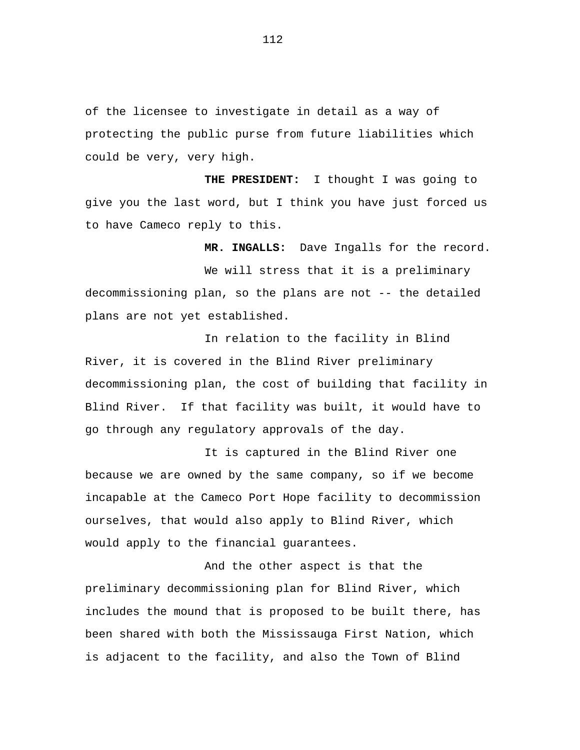of the licensee to investigate in detail as a way of protecting the public purse from future liabilities which could be very, very high.

**THE PRESIDENT:** I thought I was going to give you the last word, but I think you have just forced us to have Cameco reply to this.

**MR. INGALLS:** Dave Ingalls for the record.

We will stress that it is a preliminary decommissioning plan, so the plans are not -- the detailed plans are not yet established.

In relation to the facility in Blind River, it is covered in the Blind River preliminary decommissioning plan, the cost of building that facility in Blind River. If that facility was built, it would have to go through any regulatory approvals of the day.

It is captured in the Blind River one because we are owned by the same company, so if we become incapable at the Cameco Port Hope facility to decommission ourselves, that would also apply to Blind River, which would apply to the financial guarantees.

And the other aspect is that the preliminary decommissioning plan for Blind River, which includes the mound that is proposed to be built there, has been shared with both the Mississauga First Nation, which is adjacent to the facility, and also the Town of Blind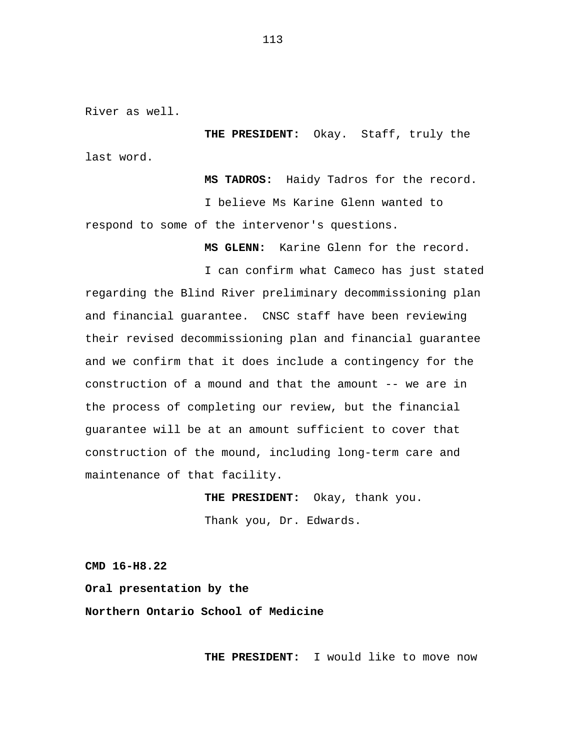River as well.

**THE PRESIDENT:** Okay. Staff, truly the last word.

**MS TADROS:** Haidy Tadros for the record.

I believe Ms Karine Glenn wanted to respond to some of the intervenor's questions.

**MS GLENN:** Karine Glenn for the record.

I can confirm what Cameco has just stated regarding the Blind River preliminary decommissioning plan and financial guarantee. CNSC staff have been reviewing their revised decommissioning plan and financial guarantee and we confirm that it does include a contingency for the construction of a mound and that the amount -- we are in the process of completing our review, but the financial guarantee will be at an amount sufficient to cover that construction of the mound, including long-term care and maintenance of that facility.

> **THE PRESIDENT:** Okay, thank you. Thank you, Dr. Edwards.

**CMD 16-H8.22** 

**Oral presentation by the Northern Ontario School of Medicine** 

**THE PRESIDENT:** I would like to move now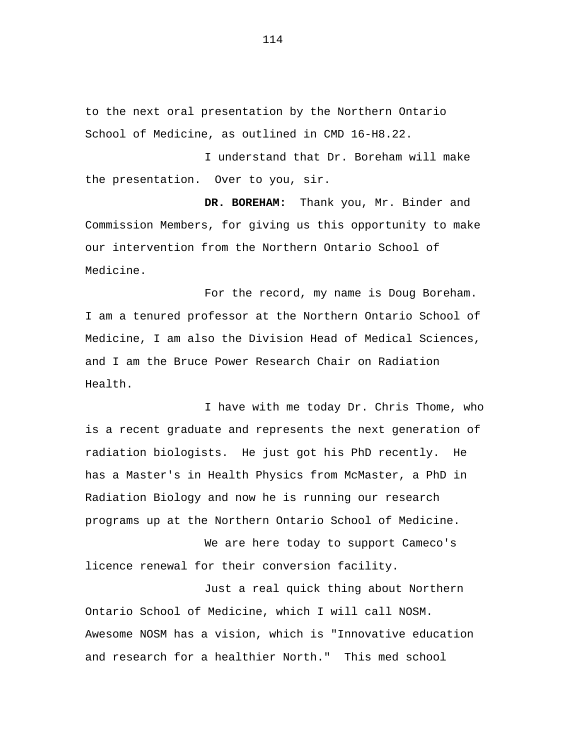to the next oral presentation by the Northern Ontario School of Medicine, as outlined in CMD 16-H8.22.

I understand that Dr. Boreham will make the presentation. Over to you, sir.

**DR. BOREHAM:** Thank you, Mr. Binder and Commission Members, for giving us this opportunity to make our intervention from the Northern Ontario School of Medicine.

For the record, my name is Doug Boreham. I am a tenured professor at the Northern Ontario School of Medicine, I am also the Division Head of Medical Sciences, and I am the Bruce Power Research Chair on Radiation Health.

I have with me today Dr. Chris Thome, who is a recent graduate and represents the next generation of radiation biologists. He just got his PhD recently. He has a Master's in Health Physics from McMaster, a PhD in Radiation Biology and now he is running our research programs up at the Northern Ontario School of Medicine.

We are here today to support Cameco's licence renewal for their conversion facility.

Just a real quick thing about Northern Ontario School of Medicine, which I will call NOSM. Awesome NOSM has a vision, which is "Innovative education and research for a healthier North." This med school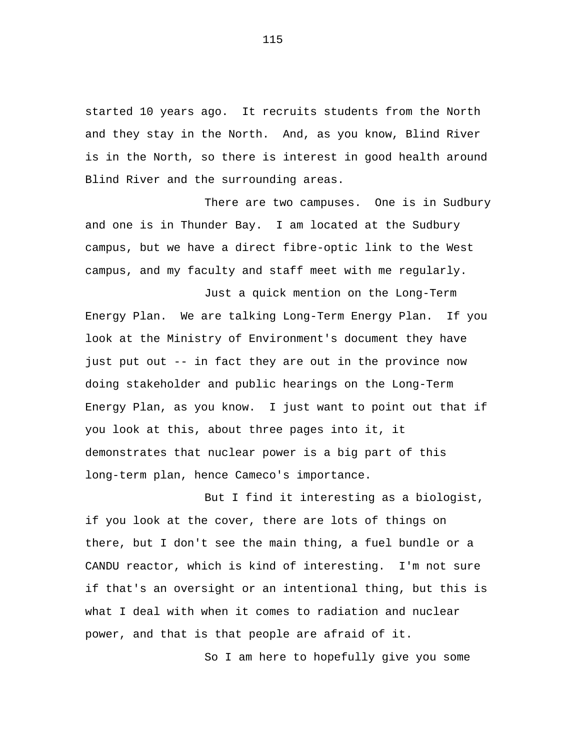started 10 years ago. It recruits students from the North and they stay in the North. And, as you know, Blind River is in the North, so there is interest in good health around Blind River and the surrounding areas.

There are two campuses. One is in Sudbury and one is in Thunder Bay. I am located at the Sudbury campus, but we have a direct fibre-optic link to the West campus, and my faculty and staff meet with me regularly.

Just a quick mention on the Long-Term Energy Plan. We are talking Long-Term Energy Plan. If you look at the Ministry of Environment's document they have just put out -- in fact they are out in the province now doing stakeholder and public hearings on the Long-Term Energy Plan, as you know. I just want to point out that if you look at this, about three pages into it, it demonstrates that nuclear power is a big part of this long-term plan, hence Cameco's importance.

But I find it interesting as a biologist, if you look at the cover, there are lots of things on there, but I don't see the main thing, a fuel bundle or a CANDU reactor, which is kind of interesting. I'm not sure if that's an oversight or an intentional thing, but this is what I deal with when it comes to radiation and nuclear power, and that is that people are afraid of it.

So I am here to hopefully give you some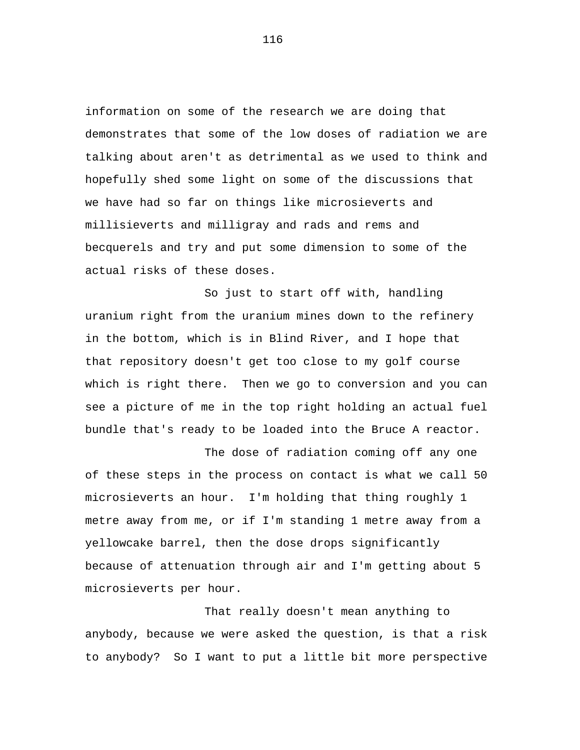information on some of the research we are doing that demonstrates that some of the low doses of radiation we are talking about aren't as detrimental as we used to think and hopefully shed some light on some of the discussions that we have had so far on things like microsieverts and millisieverts and milligray and rads and rems and becquerels and try and put some dimension to some of the actual risks of these doses.

So just to start off with, handling uranium right from the uranium mines down to the refinery in the bottom, which is in Blind River, and I hope that that repository doesn't get too close to my golf course which is right there. Then we go to conversion and you can see a picture of me in the top right holding an actual fuel bundle that's ready to be loaded into the Bruce A reactor.

The dose of radiation coming off any one of these steps in the process on contact is what we call 50 microsieverts an hour. I'm holding that thing roughly 1 metre away from me, or if I'm standing 1 metre away from a yellowcake barrel, then the dose drops significantly because of attenuation through air and I'm getting about 5 microsieverts per hour.

That really doesn't mean anything to anybody, because we were asked the question, is that a risk to anybody? So I want to put a little bit more perspective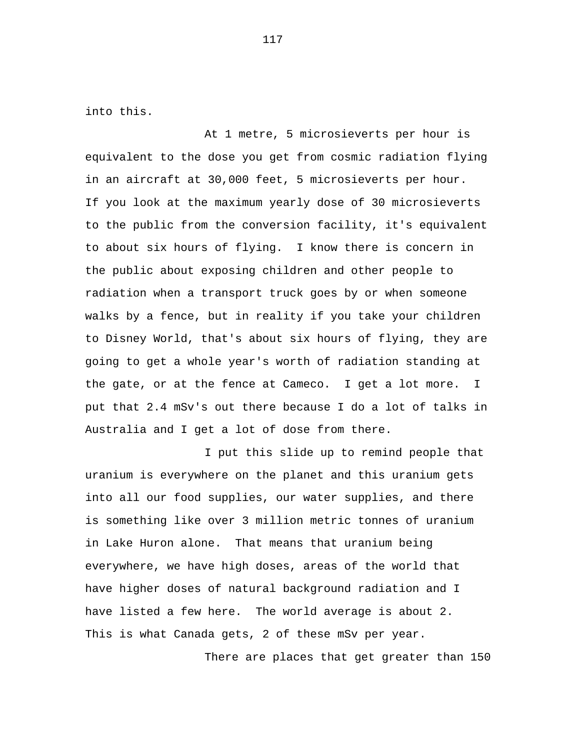into this.

At 1 metre, 5 microsieverts per hour is equivalent to the dose you get from cosmic radiation flying in an aircraft at 30,000 feet, 5 microsieverts per hour. If you look at the maximum yearly dose of 30 microsieverts to the public from the conversion facility, it's equivalent to about six hours of flying. I know there is concern in the public about exposing children and other people to radiation when a transport truck goes by or when someone walks by a fence, but in reality if you take your children to Disney World, that's about six hours of flying, they are going to get a whole year's worth of radiation standing at the gate, or at the fence at Cameco. I get a lot more. I put that 2.4 mSv's out there because I do a lot of talks in Australia and I get a lot of dose from there.

I put this slide up to remind people that uranium is everywhere on the planet and this uranium gets into all our food supplies, our water supplies, and there is something like over 3 million metric tonnes of uranium in Lake Huron alone. That means that uranium being everywhere, we have high doses, areas of the world that have higher doses of natural background radiation and I have listed a few here. The world average is about 2. This is what Canada gets, 2 of these mSv per year.

There are places that get greater than 150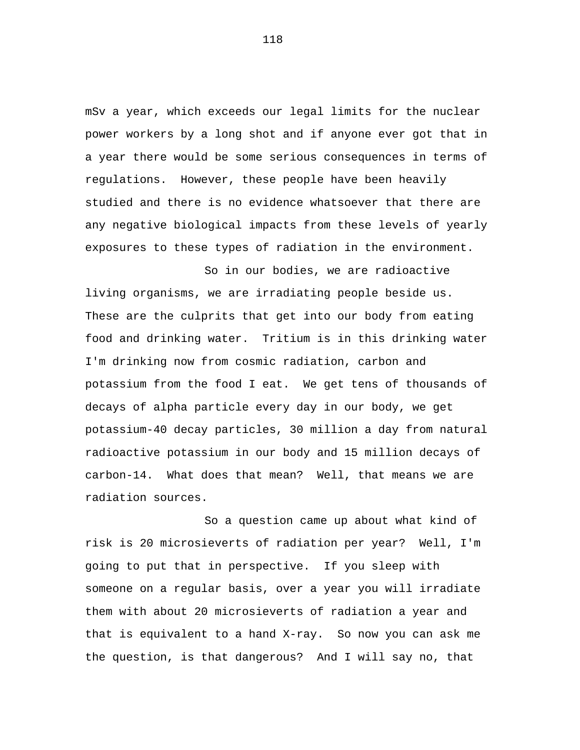mSv a year, which exceeds our legal limits for the nuclear power workers by a long shot and if anyone ever got that in a year there would be some serious consequences in terms of regulations. However, these people have been heavily studied and there is no evidence whatsoever that there are any negative biological impacts from these levels of yearly exposures to these types of radiation in the environment.

So in our bodies, we are radioactive living organisms, we are irradiating people beside us. These are the culprits that get into our body from eating food and drinking water. Tritium is in this drinking water I'm drinking now from cosmic radiation, carbon and potassium from the food I eat. We get tens of thousands of decays of alpha particle every day in our body, we get potassium-40 decay particles, 30 million a day from natural radioactive potassium in our body and 15 million decays of carbon-14. What does that mean? Well, that means we are radiation sources.

So a question came up about what kind of risk is 20 microsieverts of radiation per year? Well, I'm going to put that in perspective. If you sleep with someone on a regular basis, over a year you will irradiate them with about 20 microsieverts of radiation a year and that is equivalent to a hand X-ray. So now you can ask me the question, is that dangerous? And I will say no, that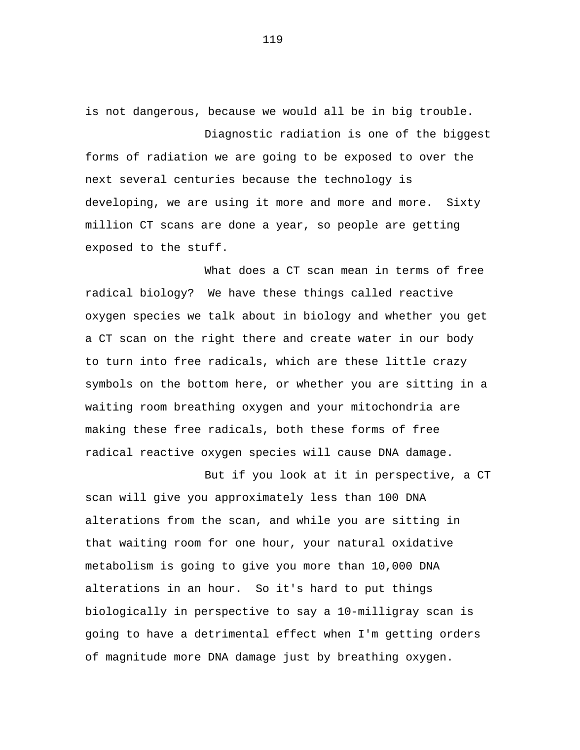is not dangerous, because we would all be in big trouble.

Diagnostic radiation is one of the biggest forms of radiation we are going to be exposed to over the next several centuries because the technology is developing, we are using it more and more and more. Sixty million CT scans are done a year, so people are getting exposed to the stuff.

What does a CT scan mean in terms of free radical biology? We have these things called reactive oxygen species we talk about in biology and whether you get a CT scan on the right there and create water in our body to turn into free radicals, which are these little crazy symbols on the bottom here, or whether you are sitting in a waiting room breathing oxygen and your mitochondria are making these free radicals, both these forms of free radical reactive oxygen species will cause DNA damage.

But if you look at it in perspective, a CT scan will give you approximately less than 100 DNA alterations from the scan, and while you are sitting in that waiting room for one hour, your natural oxidative metabolism is going to give you more than 10,000 DNA alterations in an hour. So it's hard to put things biologically in perspective to say a 10-milligray scan is going to have a detrimental effect when I'm getting orders of magnitude more DNA damage just by breathing oxygen.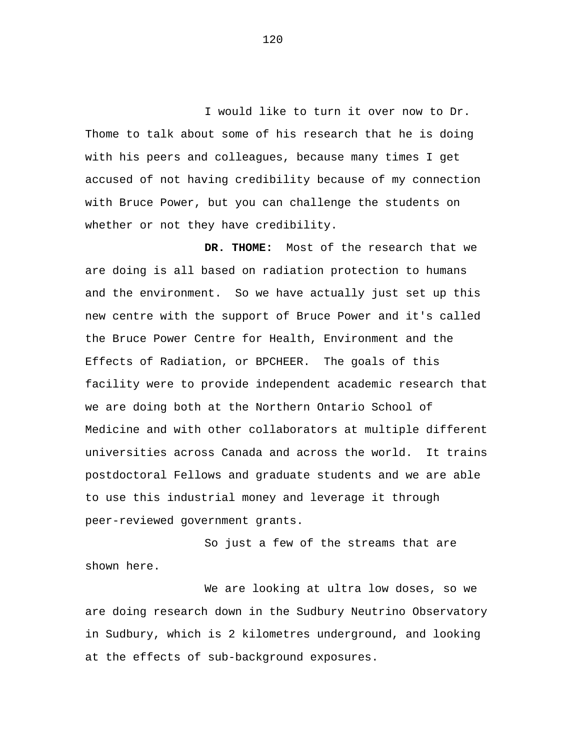I would like to turn it over now to Dr. Thome to talk about some of his research that he is doing with his peers and colleagues, because many times I get accused of not having credibility because of my connection with Bruce Power, but you can challenge the students on whether or not they have credibility.

**DR. THOME:** Most of the research that we are doing is all based on radiation protection to humans and the environment. So we have actually just set up this new centre with the support of Bruce Power and it's called the Bruce Power Centre for Health, Environment and the Effects of Radiation, or BPCHEER. The goals of this facility were to provide independent academic research that we are doing both at the Northern Ontario School of Medicine and with other collaborators at multiple different universities across Canada and across the world. It trains postdoctoral Fellows and graduate students and we are able to use this industrial money and leverage it through peer-reviewed government grants.

So just a few of the streams that are shown here.

We are looking at ultra low doses, so we are doing research down in the Sudbury Neutrino Observatory in Sudbury, which is 2 kilometres underground, and looking at the effects of sub-background exposures.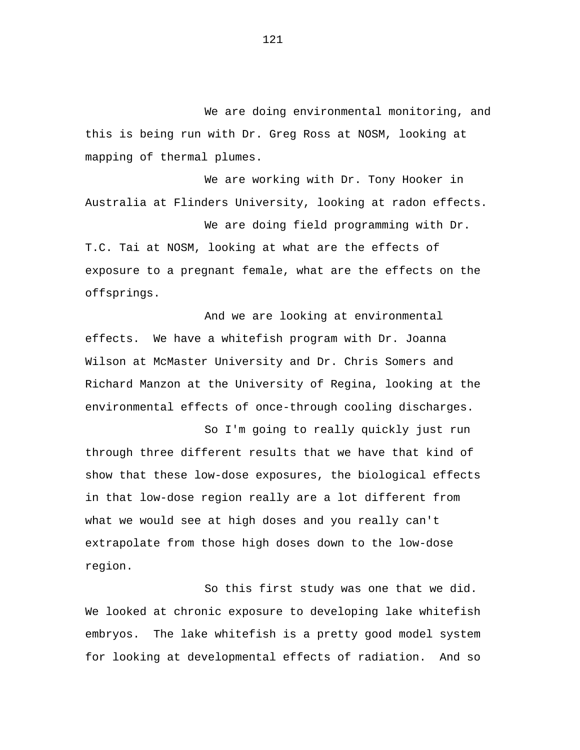We are doing environmental monitoring, and this is being run with Dr. Greg Ross at NOSM, looking at mapping of thermal plumes.

We are working with Dr. Tony Hooker in Australia at Flinders University, looking at radon effects.

We are doing field programming with Dr. T.C. Tai at NOSM, looking at what are the effects of exposure to a pregnant female, what are the effects on the offsprings.

And we are looking at environmental effects. We have a whitefish program with Dr. Joanna Wilson at McMaster University and Dr. Chris Somers and Richard Manzon at the University of Regina, looking at the environmental effects of once-through cooling discharges.

So I'm going to really quickly just run through three different results that we have that kind of show that these low-dose exposures, the biological effects in that low-dose region really are a lot different from what we would see at high doses and you really can't extrapolate from those high doses down to the low-dose region.

So this first study was one that we did. We looked at chronic exposure to developing lake whitefish embryos. The lake whitefish is a pretty good model system for looking at developmental effects of radiation. And so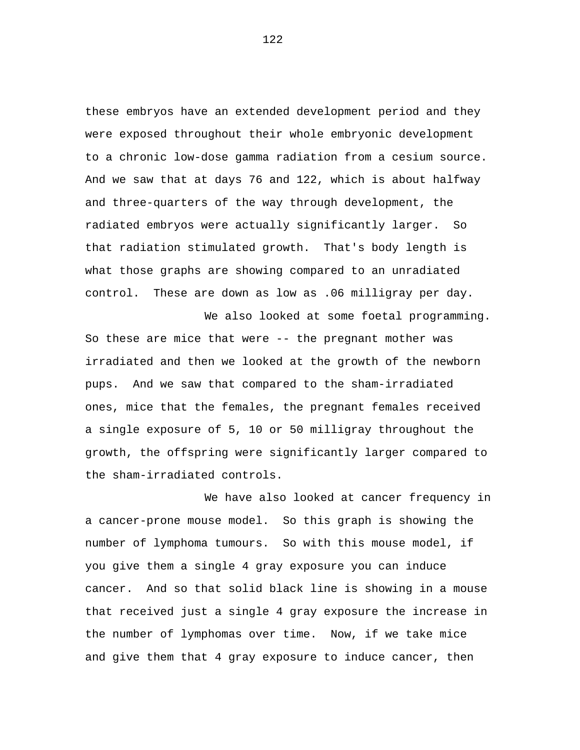these embryos have an extended development period and they were exposed throughout their whole embryonic development to a chronic low-dose gamma radiation from a cesium source. And we saw that at days 76 and 122, which is about halfway and three-quarters of the way through development, the radiated embryos were actually significantly larger. So that radiation stimulated growth. That's body length is what those graphs are showing compared to an unradiated control. These are down as low as .06 milligray per day.

We also looked at some foetal programming. So these are mice that were -- the pregnant mother was irradiated and then we looked at the growth of the newborn pups. And we saw that compared to the sham-irradiated ones, mice that the females, the pregnant females received a single exposure of 5, 10 or 50 milligray throughout the growth, the offspring were significantly larger compared to the sham-irradiated controls.

We have also looked at cancer frequency in a cancer-prone mouse model. So this graph is showing the number of lymphoma tumours. So with this mouse model, if you give them a single 4 gray exposure you can induce cancer. And so that solid black line is showing in a mouse that received just a single 4 gray exposure the increase in the number of lymphomas over time. Now, if we take mice and give them that 4 gray exposure to induce cancer, then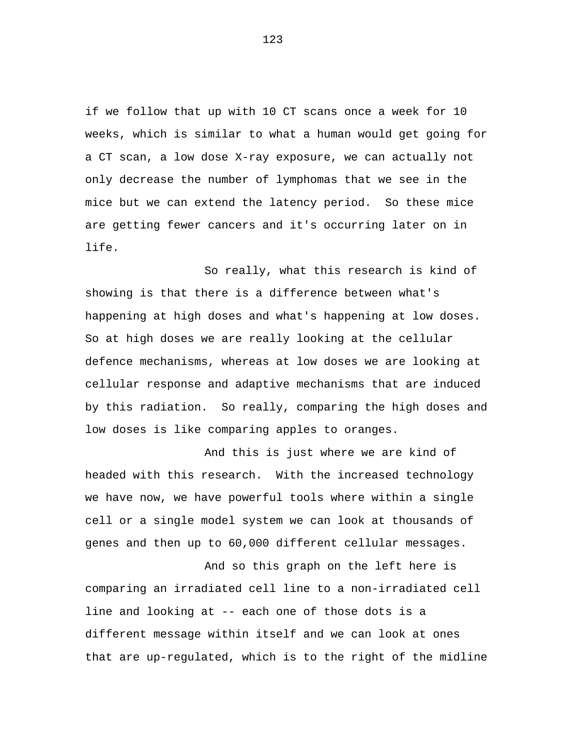if we follow that up with 10 CT scans once a week for 10 weeks, which is similar to what a human would get going for a CT scan, a low dose X-ray exposure, we can actually not only decrease the number of lymphomas that we see in the mice but we can extend the latency period. So these mice are getting fewer cancers and it's occurring later on in life.

So really, what this research is kind of showing is that there is a difference between what's happening at high doses and what's happening at low doses. So at high doses we are really looking at the cellular defence mechanisms, whereas at low doses we are looking at cellular response and adaptive mechanisms that are induced by this radiation. So really, comparing the high doses and low doses is like comparing apples to oranges.

And this is just where we are kind of headed with this research. With the increased technology we have now, we have powerful tools where within a single cell or a single model system we can look at thousands of genes and then up to 60,000 different cellular messages.

And so this graph on the left here is comparing an irradiated cell line to a non-irradiated cell line and looking at -- each one of those dots is a different message within itself and we can look at ones that are up-regulated, which is to the right of the midline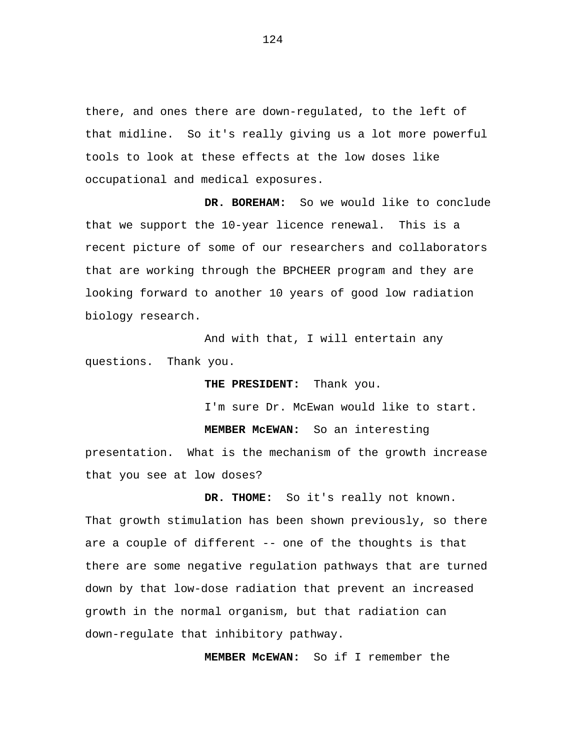there, and ones there are down-regulated, to the left of that midline. So it's really giving us a lot more powerful tools to look at these effects at the low doses like occupational and medical exposures.

**DR. BOREHAM:** So we would like to conclude that we support the 10-year licence renewal. This is a recent picture of some of our researchers and collaborators that are working through the BPCHEER program and they are looking forward to another 10 years of good low radiation biology research.

And with that, I will entertain any questions. Thank you.

**THE PRESIDENT:** Thank you.

I'm sure Dr. McEwan would like to start.

**MEMBER McEWAN:** So an interesting

presentation. What is the mechanism of the growth increase that you see at low doses?

**DR. THOME:** So it's really not known. That growth stimulation has been shown previously, so there are a couple of different -- one of the thoughts is that there are some negative regulation pathways that are turned down by that low-dose radiation that prevent an increased growth in the normal organism, but that radiation can down-regulate that inhibitory pathway.

**MEMBER McEWAN:** So if I remember the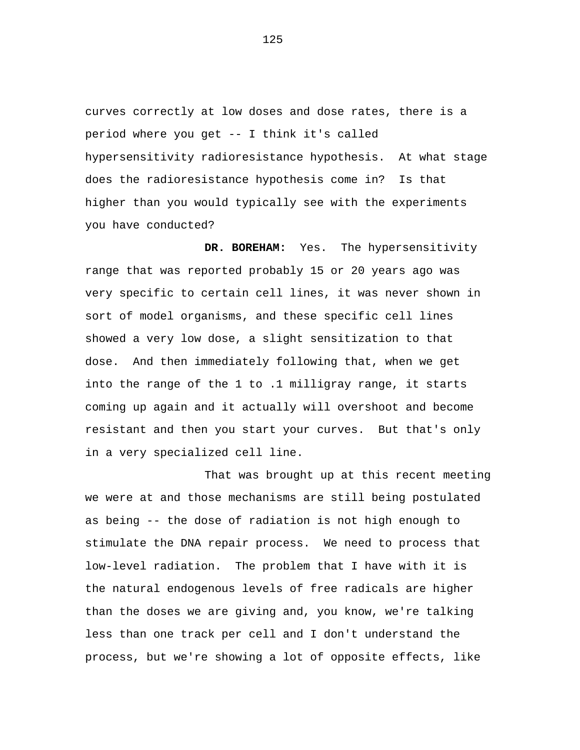curves correctly at low doses and dose rates, there is a period where you get -- I think it's called hypersensitivity radioresistance hypothesis. At what stage does the radioresistance hypothesis come in? Is that higher than you would typically see with the experiments you have conducted?

**DR. BOREHAM:** Yes. The hypersensitivity range that was reported probably 15 or 20 years ago was very specific to certain cell lines, it was never shown in sort of model organisms, and these specific cell lines showed a very low dose, a slight sensitization to that dose. And then immediately following that, when we get into the range of the 1 to .1 milligray range, it starts coming up again and it actually will overshoot and become resistant and then you start your curves. But that's only in a very specialized cell line.

That was brought up at this recent meeting we were at and those mechanisms are still being postulated as being -- the dose of radiation is not high enough to stimulate the DNA repair process. We need to process that low-level radiation. The problem that I have with it is the natural endogenous levels of free radicals are higher than the doses we are giving and, you know, we're talking less than one track per cell and I don't understand the process, but we're showing a lot of opposite effects, like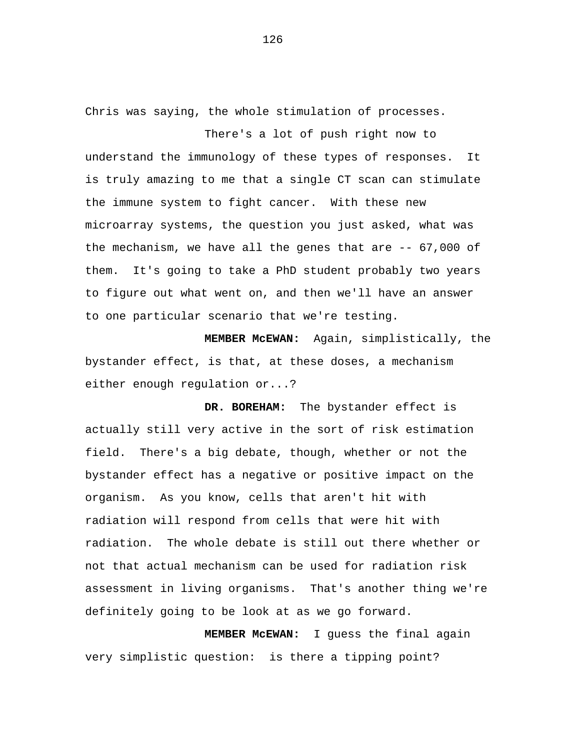Chris was saying, the whole stimulation of processes.

There's a lot of push right now to understand the immunology of these types of responses. It is truly amazing to me that a single CT scan can stimulate the immune system to fight cancer. With these new microarray systems, the question you just asked, what was the mechanism, we have all the genes that are  $- - 67,000$  of them. It's going to take a PhD student probably two years to figure out what went on, and then we'll have an answer to one particular scenario that we're testing.

**MEMBER McEWAN:** Again, simplistically, the bystander effect, is that, at these doses, a mechanism either enough regulation or...?

**DR. BOREHAM:** The bystander effect is actually still very active in the sort of risk estimation field. There's a big debate, though, whether or not the bystander effect has a negative or positive impact on the organism. As you know, cells that aren't hit with radiation will respond from cells that were hit with radiation. The whole debate is still out there whether or not that actual mechanism can be used for radiation risk assessment in living organisms. That's another thing we're definitely going to be look at as we go forward.

**MEMBER McEWAN:** I guess the final again very simplistic question: is there a tipping point?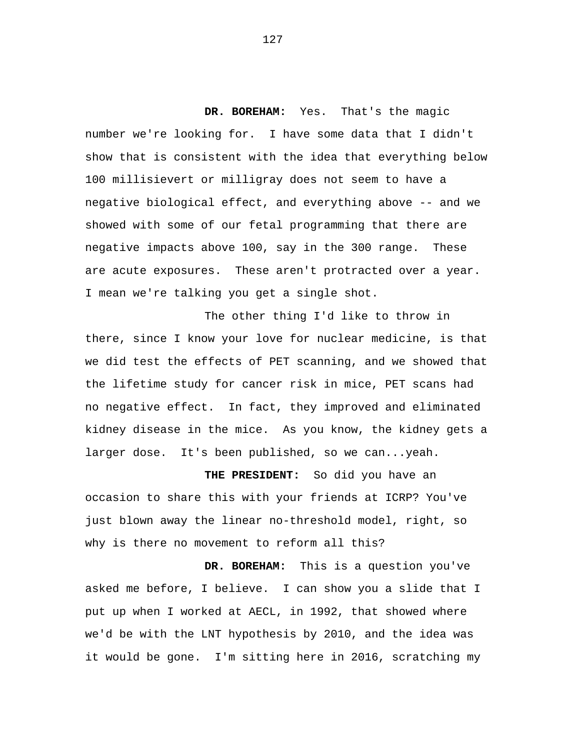**DR. BOREHAM:** Yes. That's the magic number we're looking for. I have some data that I didn't show that is consistent with the idea that everything below 100 millisievert or milligray does not seem to have a negative biological effect, and everything above -- and we showed with some of our fetal programming that there are negative impacts above 100, say in the 300 range. These are acute exposures. These aren't protracted over a year. I mean we're talking you get a single shot.

The other thing I'd like to throw in there, since I know your love for nuclear medicine, is that we did test the effects of PET scanning, and we showed that the lifetime study for cancer risk in mice, PET scans had no negative effect. In fact, they improved and eliminated kidney disease in the mice. As you know, the kidney gets a larger dose. It's been published, so we can...yeah.

**THE PRESIDENT:** So did you have an occasion to share this with your friends at ICRP? You've just blown away the linear no-threshold model, right, so why is there no movement to reform all this?

**DR. BOREHAM:** This is a question you've asked me before, I believe. I can show you a slide that I put up when I worked at AECL, in 1992, that showed where we'd be with the LNT hypothesis by 2010, and the idea was it would be gone. I'm sitting here in 2016, scratching my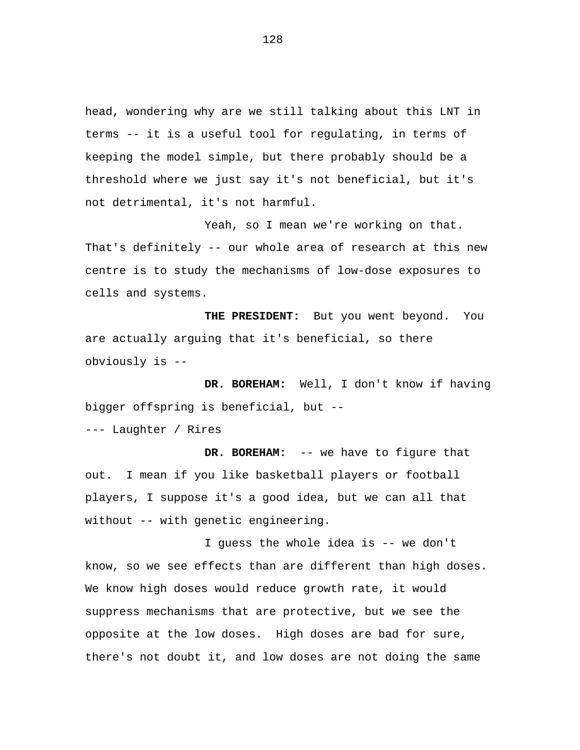head, wondering why are we still talking about this LNT in terms -- it is a useful tool for regulating, in terms of keeping the model simple, but there probably should be a threshold where we just say it's not beneficial, but it's not detrimental, it's not harmful.

Yeah, so I mean we're working on that. That's definitely -- our whole area of research at this new centre is to study the mechanisms of low-dose exposures to cells and systems.

**THE PRESIDENT:** But you went beyond. You are actually arguing that it's beneficial, so there obviously is --

**DR. BOREHAM:** Well, I don't know if having bigger offspring is beneficial, but --

--- Laughter / Rires

**DR. BOREHAM:** -- we have to figure that out. I mean if you like basketball players or football players, I suppose it's a good idea, but we can all that without -- with genetic engineering.

I guess the whole idea is -- we don't know, so we see effects than are different than high doses. We know high doses would reduce growth rate, it would suppress mechanisms that are protective, but we see the opposite at the low doses. High doses are bad for sure, there's not doubt it, and low doses are not doing the same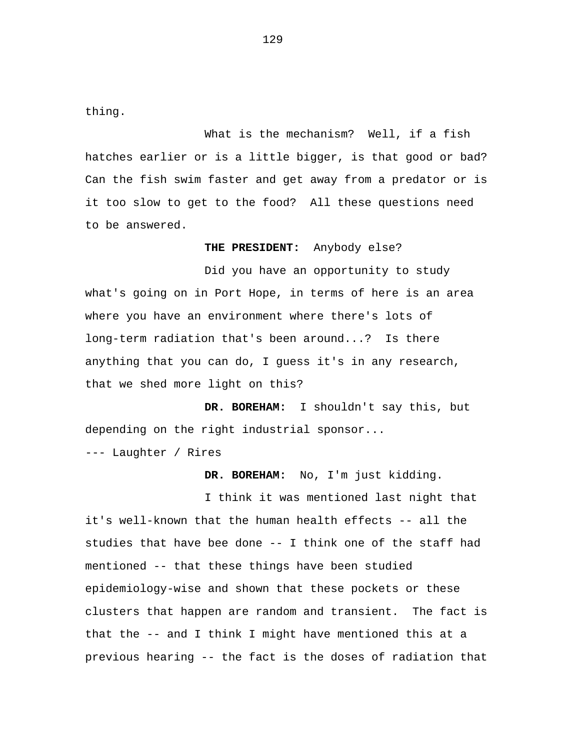thing.

What is the mechanism? Well, if a fish hatches earlier or is a little bigger, is that good or bad? Can the fish swim faster and get away from a predator or is it too slow to get to the food? All these questions need to be answered.

**THE PRESIDENT:** Anybody else?

Did you have an opportunity to study what's going on in Port Hope, in terms of here is an area where you have an environment where there's lots of long-term radiation that's been around...? Is there anything that you can do, I guess it's in any research, that we shed more light on this?

**DR. BOREHAM:** I shouldn't say this, but depending on the right industrial sponsor...

--- Laughter / Rires

**DR. BOREHAM:** No, I'm just kidding.

I think it was mentioned last night that it's well-known that the human health effects -- all the studies that have bee done -- I think one of the staff had mentioned -- that these things have been studied epidemiology-wise and shown that these pockets or these clusters that happen are random and transient. The fact is that the -- and I think I might have mentioned this at a previous hearing -- the fact is the doses of radiation that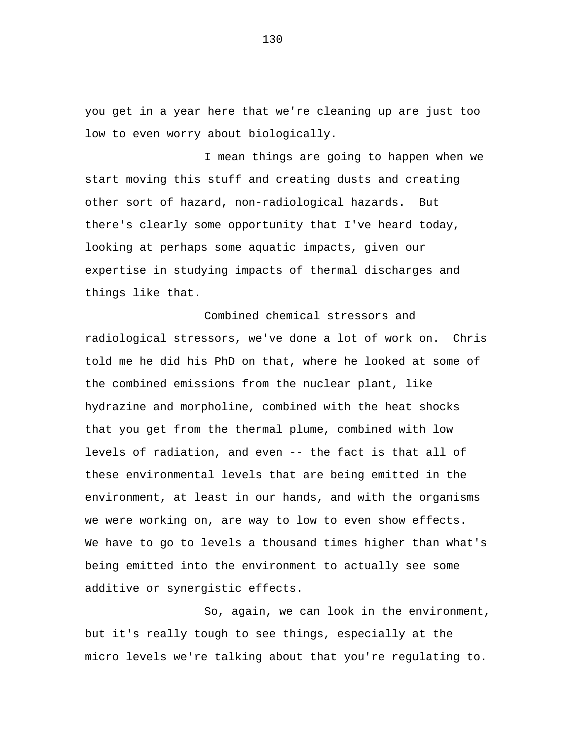you get in a year here that we're cleaning up are just too low to even worry about biologically.

I mean things are going to happen when we start moving this stuff and creating dusts and creating other sort of hazard, non-radiological hazards. But there's clearly some opportunity that I've heard today, looking at perhaps some aquatic impacts, given our expertise in studying impacts of thermal discharges and things like that.

Combined chemical stressors and radiological stressors, we've done a lot of work on. Chris told me he did his PhD on that, where he looked at some of the combined emissions from the nuclear plant, like hydrazine and morpholine, combined with the heat shocks that you get from the thermal plume, combined with low levels of radiation, and even -- the fact is that all of these environmental levels that are being emitted in the environment, at least in our hands, and with the organisms we were working on, are way to low to even show effects. We have to go to levels a thousand times higher than what's being emitted into the environment to actually see some additive or synergistic effects.

So, again, we can look in the environment, but it's really tough to see things, especially at the micro levels we're talking about that you're regulating to.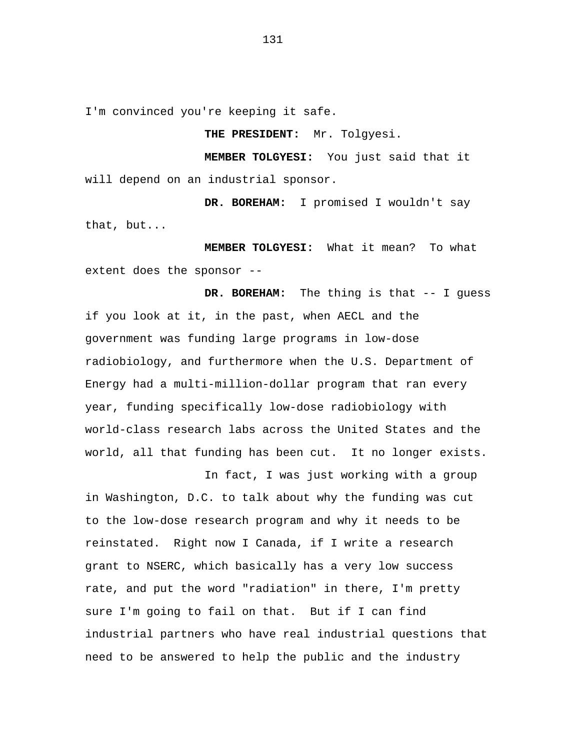I'm convinced you're keeping it safe.

## **THE PRESIDENT:** Mr. Tolgyesi.

**MEMBER TOLGYESI:** You just said that it will depend on an industrial sponsor.

**DR. BOREHAM:** I promised I wouldn't say that, but...

**MEMBER TOLGYESI:** What it mean? To what extent does the sponsor --

**DR. BOREHAM:** The thing is that -- I guess if you look at it, in the past, when AECL and the government was funding large programs in low-dose radiobiology, and furthermore when the U.S. Department of Energy had a multi-million-dollar program that ran every year, funding specifically low-dose radiobiology with world-class research labs across the United States and the world, all that funding has been cut. It no longer exists.

In fact, I was just working with a group in Washington, D.C. to talk about why the funding was cut to the low-dose research program and why it needs to be reinstated. Right now I Canada, if I write a research grant to NSERC, which basically has a very low success rate, and put the word "radiation" in there, I'm pretty sure I'm going to fail on that. But if I can find industrial partners who have real industrial questions that need to be answered to help the public and the industry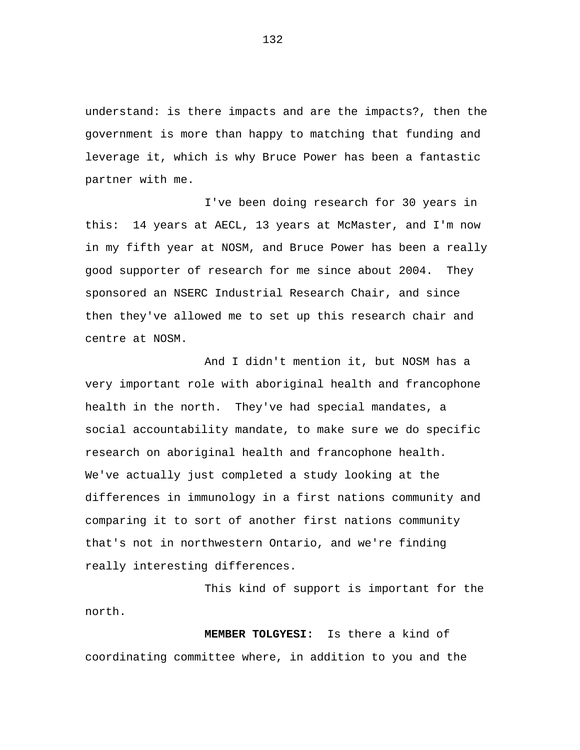understand: is there impacts and are the impacts?, then the government is more than happy to matching that funding and leverage it, which is why Bruce Power has been a fantastic partner with me.

I've been doing research for 30 years in this: 14 years at AECL, 13 years at McMaster, and I'm now in my fifth year at NOSM, and Bruce Power has been a really good supporter of research for me since about 2004. They sponsored an NSERC Industrial Research Chair, and since then they've allowed me to set up this research chair and centre at NOSM.

And I didn't mention it, but NOSM has a very important role with aboriginal health and francophone health in the north. They've had special mandates, a social accountability mandate, to make sure we do specific research on aboriginal health and francophone health. We've actually just completed a study looking at the differences in immunology in a first nations community and comparing it to sort of another first nations community that's not in northwestern Ontario, and we're finding really interesting differences.

This kind of support is important for the north.

**MEMBER TOLGYESI:** Is there a kind of coordinating committee where, in addition to you and the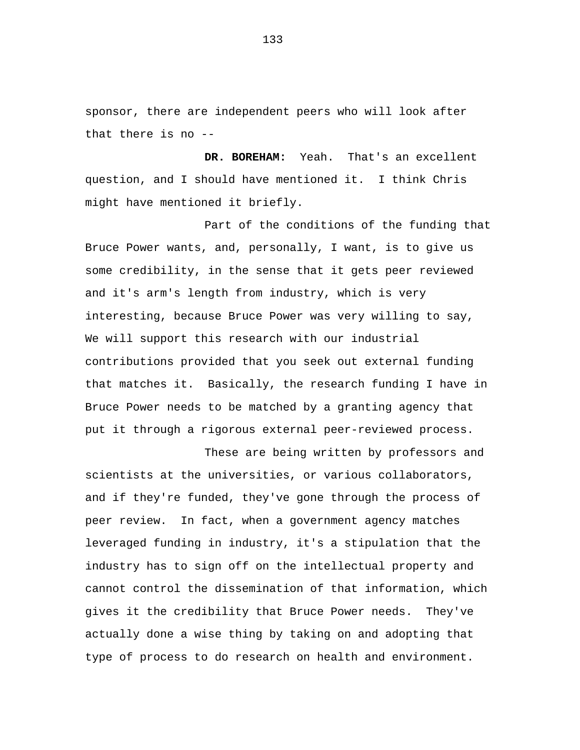sponsor, there are independent peers who will look after that there is no --

**DR. BOREHAM:** Yeah. That's an excellent question, and I should have mentioned it. I think Chris might have mentioned it briefly.

Part of the conditions of the funding that Bruce Power wants, and, personally, I want, is to give us some credibility, in the sense that it gets peer reviewed and it's arm's length from industry, which is very interesting, because Bruce Power was very willing to say, We will support this research with our industrial contributions provided that you seek out external funding that matches it. Basically, the research funding I have in Bruce Power needs to be matched by a granting agency that put it through a rigorous external peer-reviewed process.

These are being written by professors and scientists at the universities, or various collaborators, and if they're funded, they've gone through the process of peer review. In fact, when a government agency matches leveraged funding in industry, it's a stipulation that the industry has to sign off on the intellectual property and cannot control the dissemination of that information, which gives it the credibility that Bruce Power needs. They've actually done a wise thing by taking on and adopting that type of process to do research on health and environment.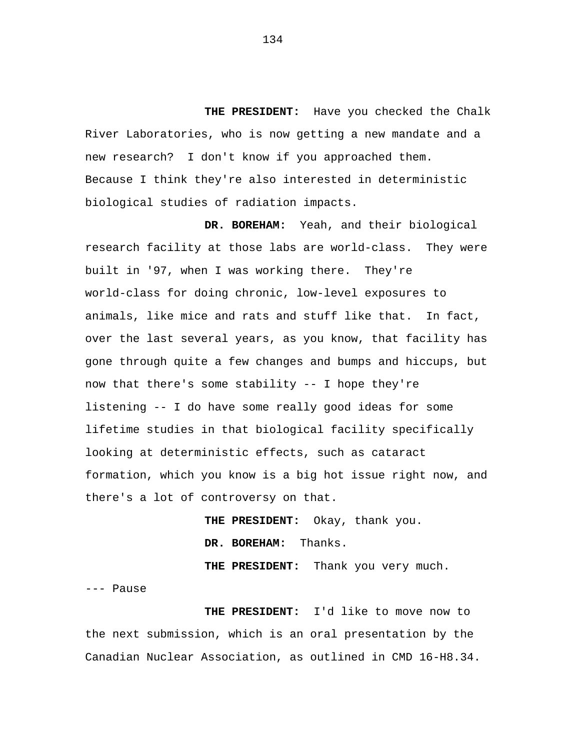**THE PRESIDENT:** Have you checked the Chalk River Laboratories, who is now getting a new mandate and a new research? I don't know if you approached them. Because I think they're also interested in deterministic biological studies of radiation impacts.

**DR. BOREHAM:** Yeah, and their biological research facility at those labs are world-class. They were built in '97, when I was working there. They're world-class for doing chronic, low-level exposures to animals, like mice and rats and stuff like that. In fact, over the last several years, as you know, that facility has gone through quite a few changes and bumps and hiccups, but now that there's some stability -- I hope they're listening -- I do have some really good ideas for some lifetime studies in that biological facility specifically looking at deterministic effects, such as cataract formation, which you know is a big hot issue right now, and there's a lot of controversy on that.

> **THE PRESIDENT:** Okay, thank you. **DR. BOREHAM:** Thanks. **THE PRESIDENT:** Thank you very much.

--- Pause

**THE PRESIDENT:** I'd like to move now to the next submission, which is an oral presentation by the Canadian Nuclear Association, as outlined in CMD 16-H8.34.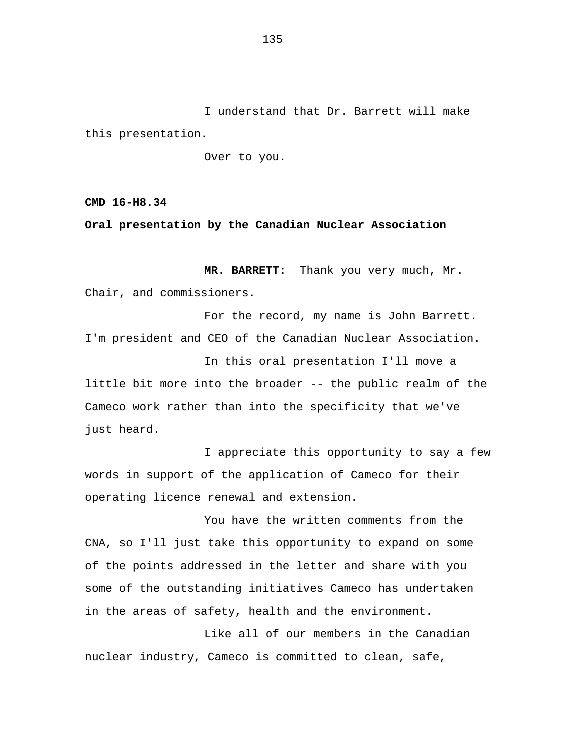I understand that Dr. Barrett will make this presentation.

Over to you.

**CMD 16-H8.34** 

## **Oral presentation by the Canadian Nuclear Association**

**MR. BARRETT:** Thank you very much, Mr. Chair, and commissioners.

For the record, my name is John Barrett. I'm president and CEO of the Canadian Nuclear Association.

In this oral presentation I'll move a little bit more into the broader -- the public realm of the Cameco work rather than into the specificity that we've just heard.

I appreciate this opportunity to say a few words in support of the application of Cameco for their operating licence renewal and extension.

You have the written comments from the CNA, so I'll just take this opportunity to expand on some of the points addressed in the letter and share with you some of the outstanding initiatives Cameco has undertaken in the areas of safety, health and the environment.

Like all of our members in the Canadian nuclear industry, Cameco is committed to clean, safe,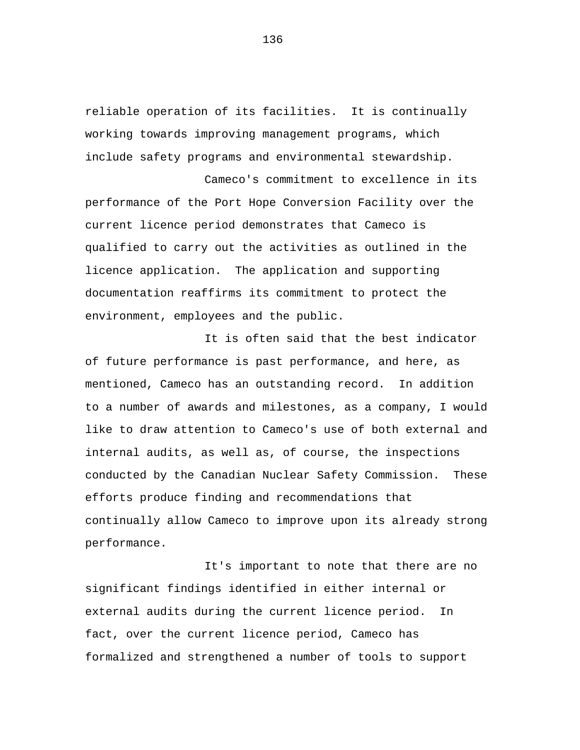reliable operation of its facilities. It is continually working towards improving management programs, which include safety programs and environmental stewardship.

Cameco's commitment to excellence in its performance of the Port Hope Conversion Facility over the current licence period demonstrates that Cameco is qualified to carry out the activities as outlined in the licence application. The application and supporting documentation reaffirms its commitment to protect the environment, employees and the public.

It is often said that the best indicator of future performance is past performance, and here, as mentioned, Cameco has an outstanding record. In addition to a number of awards and milestones, as a company, I would like to draw attention to Cameco's use of both external and internal audits, as well as, of course, the inspections conducted by the Canadian Nuclear Safety Commission. These efforts produce finding and recommendations that continually allow Cameco to improve upon its already strong performance.

It's important to note that there are no significant findings identified in either internal or external audits during the current licence period. In fact, over the current licence period, Cameco has formalized and strengthened a number of tools to support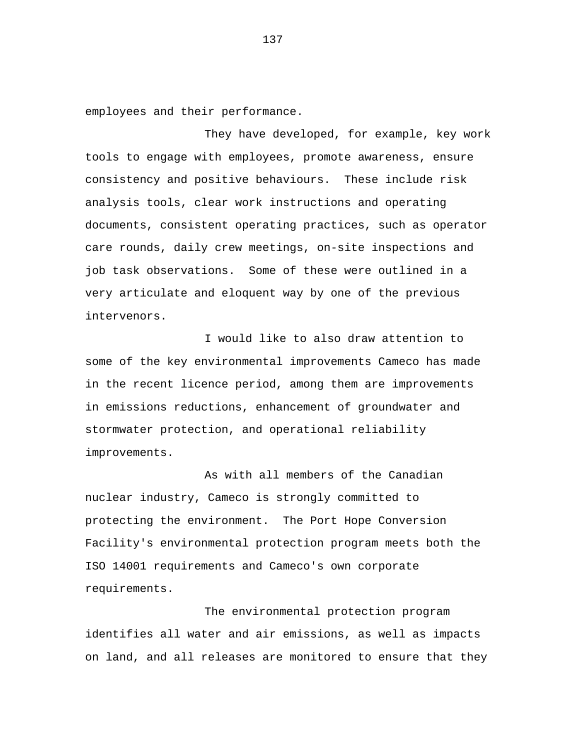employees and their performance.

They have developed, for example, key work tools to engage with employees, promote awareness, ensure consistency and positive behaviours. These include risk analysis tools, clear work instructions and operating documents, consistent operating practices, such as operator care rounds, daily crew meetings, on-site inspections and job task observations. Some of these were outlined in a very articulate and eloquent way by one of the previous intervenors.

I would like to also draw attention to some of the key environmental improvements Cameco has made in the recent licence period, among them are improvements in emissions reductions, enhancement of groundwater and stormwater protection, and operational reliability improvements.

As with all members of the Canadian nuclear industry, Cameco is strongly committed to protecting the environment. The Port Hope Conversion Facility's environmental protection program meets both the ISO 14001 requirements and Cameco's own corporate requirements.

The environmental protection program identifies all water and air emissions, as well as impacts on land, and all releases are monitored to ensure that they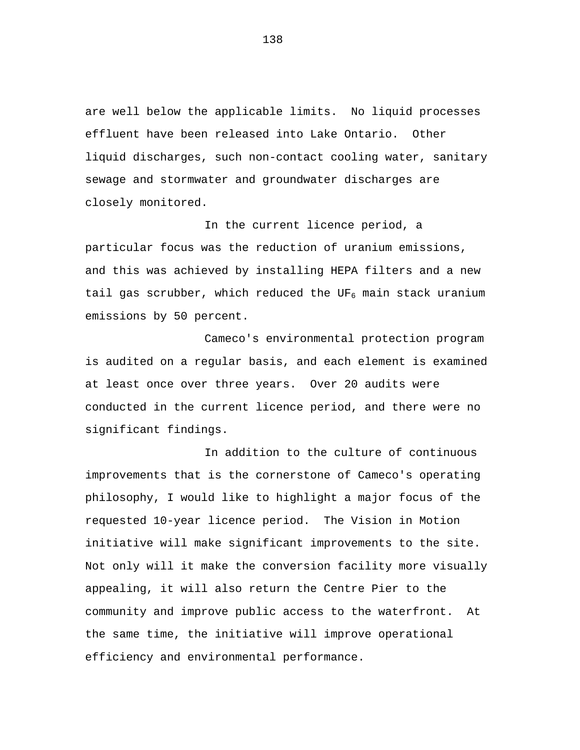are well below the applicable limits. No liquid processes effluent have been released into Lake Ontario. Other liquid discharges, such non-contact cooling water, sanitary sewage and stormwater and groundwater discharges are closely monitored.

In the current licence period, a particular focus was the reduction of uranium emissions, and this was achieved by installing HEPA filters and a new tail gas scrubber, which reduced the UF<sub>6</sub> main stack uranium emissions by 50 percent.

Cameco's environmental protection program is audited on a regular basis, and each element is examined at least once over three years. Over 20 audits were conducted in the current licence period, and there were no significant findings.

In addition to the culture of continuous improvements that is the cornerstone of Cameco's operating philosophy, I would like to highlight a major focus of the requested 10-year licence period. The Vision in Motion initiative will make significant improvements to the site. Not only will it make the conversion facility more visually appealing, it will also return the Centre Pier to the community and improve public access to the waterfront. At the same time, the initiative will improve operational efficiency and environmental performance.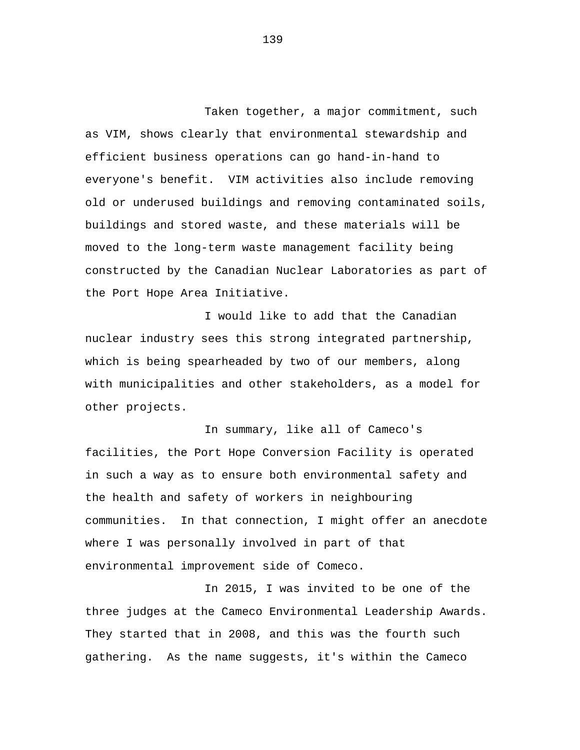Taken together, a major commitment, such as VIM, shows clearly that environmental stewardship and efficient business operations can go hand-in-hand to everyone's benefit. VIM activities also include removing old or underused buildings and removing contaminated soils, buildings and stored waste, and these materials will be moved to the long-term waste management facility being constructed by the Canadian Nuclear Laboratories as part of the Port Hope Area Initiative.

I would like to add that the Canadian nuclear industry sees this strong integrated partnership, which is being spearheaded by two of our members, along with municipalities and other stakeholders, as a model for other projects.

In summary, like all of Cameco's facilities, the Port Hope Conversion Facility is operated in such a way as to ensure both environmental safety and the health and safety of workers in neighbouring communities. In that connection, I might offer an anecdote where I was personally involved in part of that environmental improvement side of Comeco.

In 2015, I was invited to be one of the three judges at the Cameco Environmental Leadership Awards. They started that in 2008, and this was the fourth such gathering. As the name suggests, it's within the Cameco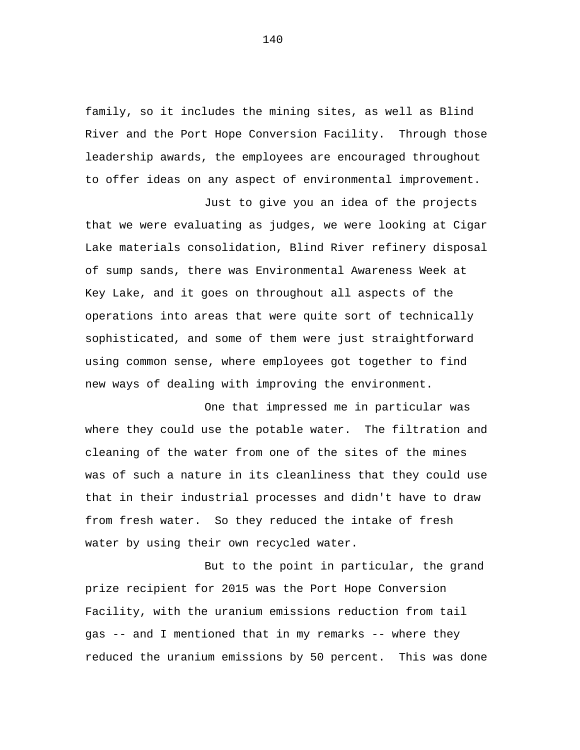family, so it includes the mining sites, as well as Blind River and the Port Hope Conversion Facility. Through those leadership awards, the employees are encouraged throughout to offer ideas on any aspect of environmental improvement.

Just to give you an idea of the projects that we were evaluating as judges, we were looking at Cigar Lake materials consolidation, Blind River refinery disposal of sump sands, there was Environmental Awareness Week at Key Lake, and it goes on throughout all aspects of the operations into areas that were quite sort of technically sophisticated, and some of them were just straightforward using common sense, where employees got together to find new ways of dealing with improving the environment.

One that impressed me in particular was where they could use the potable water. The filtration and cleaning of the water from one of the sites of the mines was of such a nature in its cleanliness that they could use that in their industrial processes and didn't have to draw from fresh water. So they reduced the intake of fresh water by using their own recycled water.

But to the point in particular, the grand prize recipient for 2015 was the Port Hope Conversion Facility, with the uranium emissions reduction from tail gas -- and I mentioned that in my remarks -- where they reduced the uranium emissions by 50 percent. This was done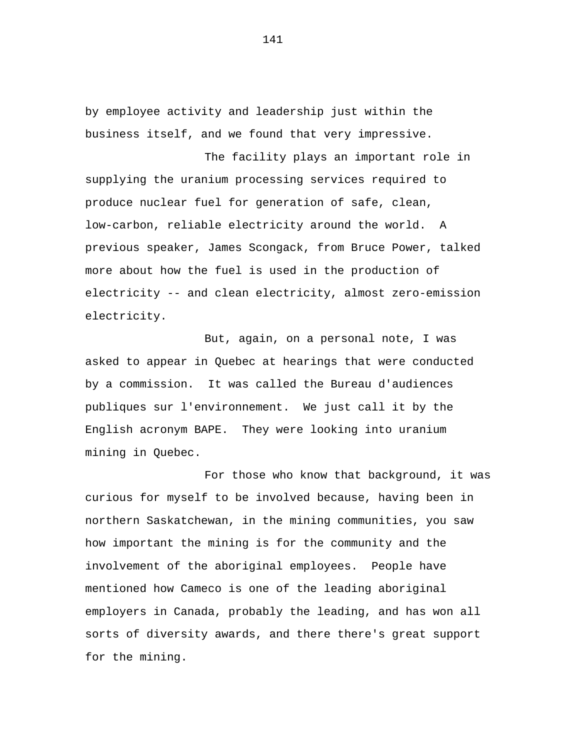by employee activity and leadership just within the business itself, and we found that very impressive.

The facility plays an important role in supplying the uranium processing services required to produce nuclear fuel for generation of safe, clean, low-carbon, reliable electricity around the world. A previous speaker, James Scongack, from Bruce Power, talked more about how the fuel is used in the production of electricity -- and clean electricity, almost zero-emission electricity.

But, again, on a personal note, I was asked to appear in Quebec at hearings that were conducted by a commission. It was called the Bureau d'audiences publiques sur l'environnement. We just call it by the English acronym BAPE. They were looking into uranium mining in Quebec.

For those who know that background, it was curious for myself to be involved because, having been in northern Saskatchewan, in the mining communities, you saw how important the mining is for the community and the involvement of the aboriginal employees. People have mentioned how Cameco is one of the leading aboriginal employers in Canada, probably the leading, and has won all sorts of diversity awards, and there there's great support for the mining.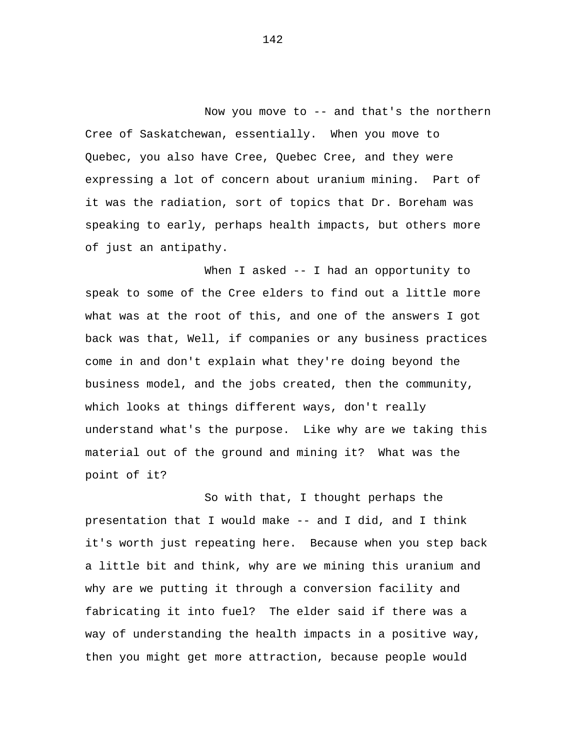Now you move to -- and that's the northern Cree of Saskatchewan, essentially. When you move to Quebec, you also have Cree, Quebec Cree, and they were expressing a lot of concern about uranium mining. Part of it was the radiation, sort of topics that Dr. Boreham was speaking to early, perhaps health impacts, but others more of just an antipathy.

When I asked -- I had an opportunity to speak to some of the Cree elders to find out a little more what was at the root of this, and one of the answers I got back was that, Well, if companies or any business practices come in and don't explain what they're doing beyond the business model, and the jobs created, then the community, which looks at things different ways, don't really understand what's the purpose. Like why are we taking this material out of the ground and mining it? What was the point of it?

So with that, I thought perhaps the presentation that I would make -- and I did, and I think it's worth just repeating here. Because when you step back a little bit and think, why are we mining this uranium and why are we putting it through a conversion facility and fabricating it into fuel? The elder said if there was a way of understanding the health impacts in a positive way, then you might get more attraction, because people would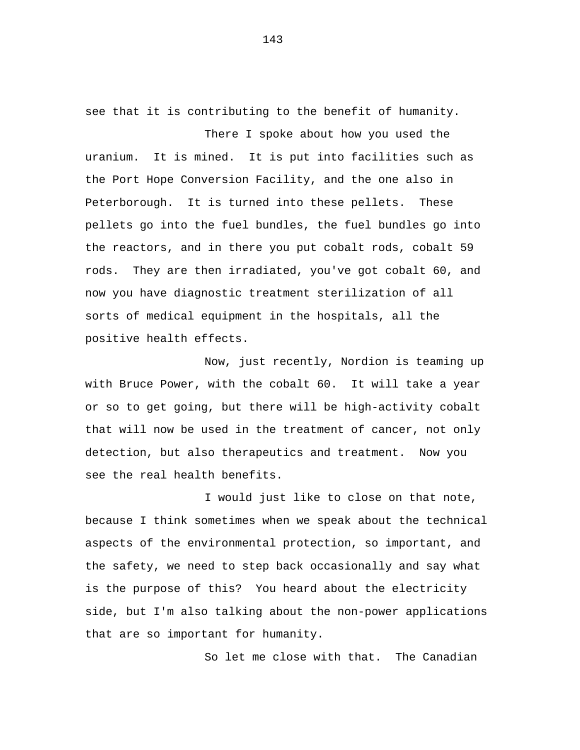see that it is contributing to the benefit of humanity.

There I spoke about how you used the uranium. It is mined. It is put into facilities such as the Port Hope Conversion Facility, and the one also in Peterborough. It is turned into these pellets. These pellets go into the fuel bundles, the fuel bundles go into the reactors, and in there you put cobalt rods, cobalt 59 rods. They are then irradiated, you've got cobalt 60, and now you have diagnostic treatment sterilization of all sorts of medical equipment in the hospitals, all the positive health effects.

Now, just recently, Nordion is teaming up with Bruce Power, with the cobalt 60. It will take a year or so to get going, but there will be high-activity cobalt that will now be used in the treatment of cancer, not only detection, but also therapeutics and treatment. Now you see the real health benefits.

I would just like to close on that note, because I think sometimes when we speak about the technical aspects of the environmental protection, so important, and the safety, we need to step back occasionally and say what is the purpose of this? You heard about the electricity side, but I'm also talking about the non-power applications that are so important for humanity.

So let me close with that. The Canadian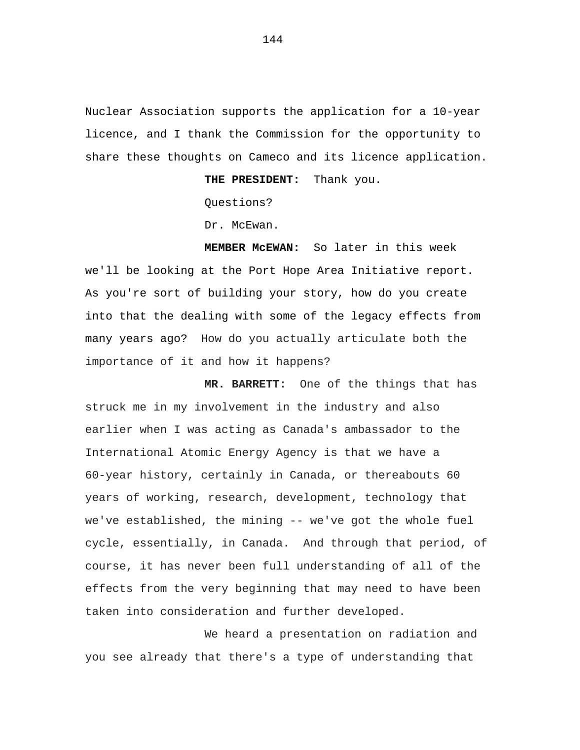Nuclear Association supports the application for a 10-year licence, and I thank the Commission for the opportunity to share these thoughts on Cameco and its licence application.

**THE PRESIDENT:** Thank you.

Questions?

Dr. McEwan.

**MEMBER McEWAN:** So later in this week we'll be looking at the Port Hope Area Initiative report. As you're sort of building your story, how do you create into that the dealing with some of the legacy effects from many years ago? How do you actually articulate both the importance of it and how it happens?

**MR. BARRETT:** One of the things that has struck me in my involvement in the industry and also earlier when I was acting as Canada's ambassador to the International Atomic Energy Agency is that we have a 60-year history, certainly in Canada, or thereabouts 60 years of working, research, development, technology that we've established, the mining -- we've got the whole fuel cycle, essentially, in Canada. And through that period, of course, it has never been full understanding of all of the effects from the very beginning that may need to have been taken into consideration and further developed.

We heard a presentation on radiation and you see already that there's a type of understanding that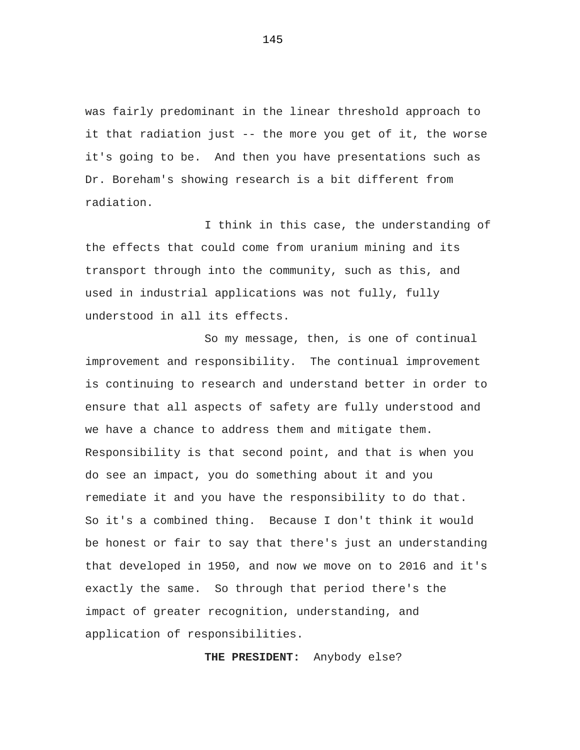was fairly predominant in the linear threshold approach to it that radiation just -- the more you get of it, the worse it's going to be. And then you have presentations such as Dr. Boreham's showing research is a bit different from radiation.

I think in this case, the understanding of the effects that could come from uranium mining and its transport through into the community, such as this, and used in industrial applications was not fully, fully understood in all its effects.

So my message, then, is one of continual improvement and responsibility. The continual improvement is continuing to research and understand better in order to ensure that all aspects of safety are fully understood and we have a chance to address them and mitigate them. Responsibility is that second point, and that is when you do see an impact, you do something about it and you remediate it and you have the responsibility to do that. So it's a combined thing. Because I don't think it would be honest or fair to say that there's just an understanding that developed in 1950, and now we move on to 2016 and it's exactly the same. So through that period there's the impact of greater recognition, understanding, and application of responsibilities.

**THE PRESIDENT:** Anybody else?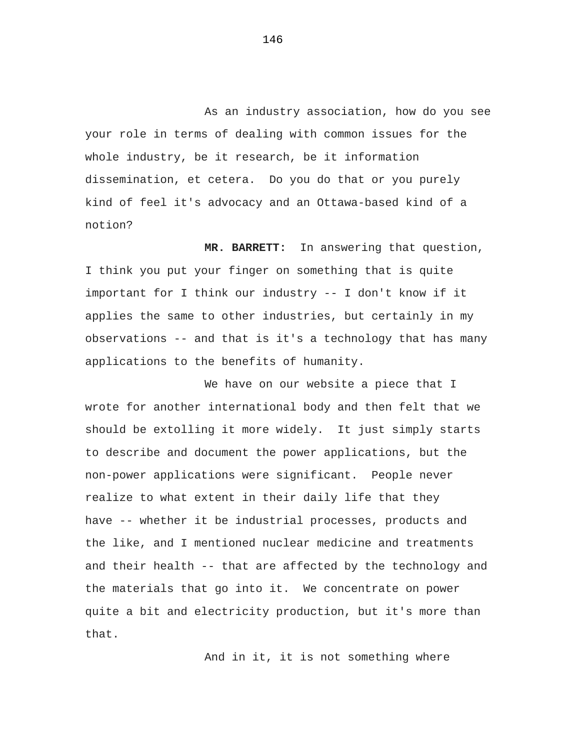As an industry association, how do you see your role in terms of dealing with common issues for the whole industry, be it research, be it information dissemination, et cetera. Do you do that or you purely kind of feel it's advocacy and an Ottawa-based kind of a notion?

**MR. BARRETT:** In answering that question, I think you put your finger on something that is quite important for I think our industry -- I don't know if it applies the same to other industries, but certainly in my observations -- and that is it's a technology that has many applications to the benefits of humanity.

We have on our website a piece that I wrote for another international body and then felt that we should be extolling it more widely. It just simply starts to describe and document the power applications, but the non-power applications were significant. People never realize to what extent in their daily life that they have -- whether it be industrial processes, products and the like, and I mentioned nuclear medicine and treatments and their health -- that are affected by the technology and the materials that go into it. We concentrate on power quite a bit and electricity production, but it's more than that.

And in it, it is not something where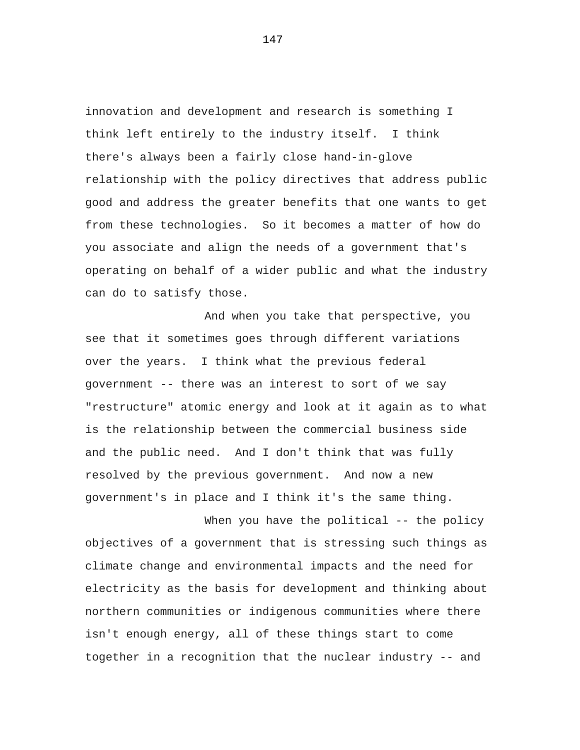innovation and development and research is something I think left entirely to the industry itself. I think there's always been a fairly close hand-in-glove relationship with the policy directives that address public good and address the greater benefits that one wants to get from these technologies. So it becomes a matter of how do you associate and align the needs of a government that's operating on behalf of a wider public and what the industry can do to satisfy those.

And when you take that perspective, you see that it sometimes goes through different variations over the years. I think what the previous federal government -- there was an interest to sort of we say "restructure" atomic energy and look at it again as to what is the relationship between the commercial business side and the public need. And I don't think that was fully resolved by the previous government. And now a new government's in place and I think it's the same thing.

When you have the political -- the policy objectives of a government that is stressing such things as climate change and environmental impacts and the need for electricity as the basis for development and thinking about northern communities or indigenous communities where there isn't enough energy, all of these things start to come together in a recognition that the nuclear industry -- and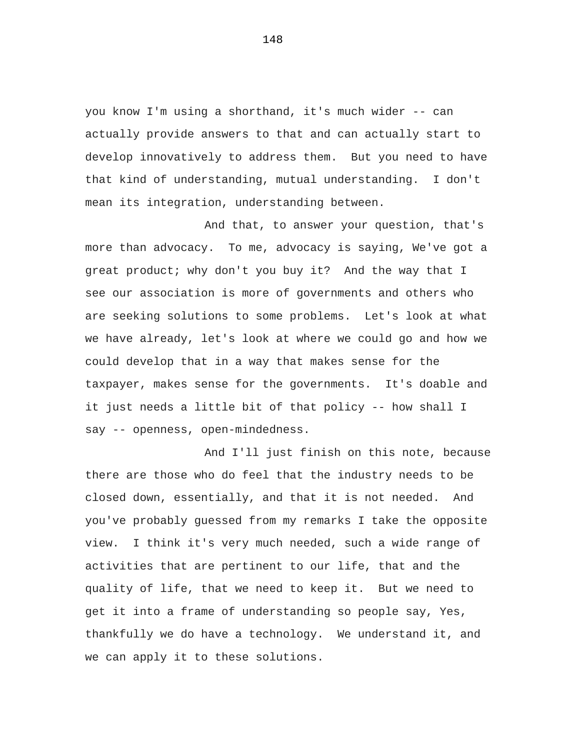you know I'm using a shorthand, it's much wider -- can actually provide answers to that and can actually start to develop innovatively to address them. But you need to have that kind of understanding, mutual understanding. I don't mean its integration, understanding between.

And that, to answer your question, that's more than advocacy. To me, advocacy is saying, We've got a great product; why don't you buy it? And the way that I see our association is more of governments and others who are seeking solutions to some problems. Let's look at what we have already, let's look at where we could go and how we could develop that in a way that makes sense for the taxpayer, makes sense for the governments. It's doable and it just needs a little bit of that policy -- how shall I say -- openness, open-mindedness.

And I'll just finish on this note, because there are those who do feel that the industry needs to be closed down, essentially, and that it is not needed. And you've probably guessed from my remarks I take the opposite view. I think it's very much needed, such a wide range of activities that are pertinent to our life, that and the quality of life, that we need to keep it. But we need to get it into a frame of understanding so people say, Yes, thankfully we do have a technology. We understand it, and we can apply it to these solutions.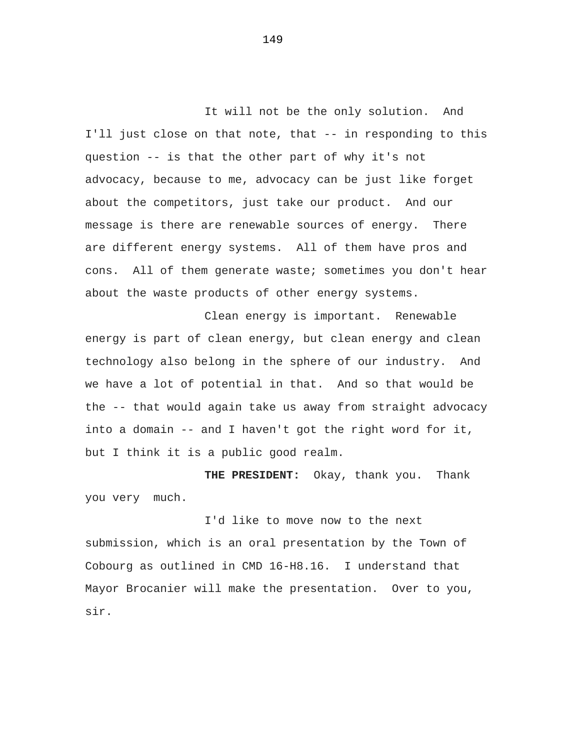It will not be the only solution. And I'll just close on that note, that -- in responding to this question -- is that the other part of why it's not advocacy, because to me, advocacy can be just like forget about the competitors, just take our product. And our message is there are renewable sources of energy. There are different energy systems. All of them have pros and cons. All of them generate waste; sometimes you don't hear about the waste products of other energy systems.

Clean energy is important. Renewable energy is part of clean energy, but clean energy and clean technology also belong in the sphere of our industry. And we have a lot of potential in that. And so that would be the -- that would again take us away from straight advocacy into a domain -- and I haven't got the right word for it, but I think it is a public good realm.

**THE PRESIDENT:** Okay, thank you. Thank you very much.

I'd like to move now to the next submission, which is an oral presentation by the Town of Cobourg as outlined in CMD 16-H8.16. I understand that Mayor Brocanier will make the presentation. Over to you, sir.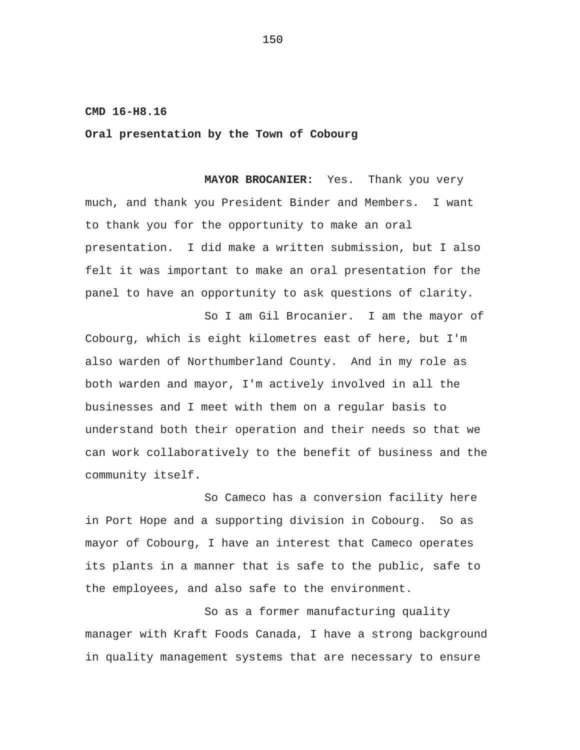## **CMD 16-H8.16**

## **Oral presentation by the Town of Cobourg**

**MAYOR BROCANIER:** Yes. Thank you very much, and thank you President Binder and Members. I want to thank you for the opportunity to make an oral presentation. I did make a written submission, but I also felt it was important to make an oral presentation for the panel to have an opportunity to ask questions of clarity.

So I am Gil Brocanier. I am the mayor of Cobourg, which is eight kilometres east of here, but I'm also warden of Northumberland County. And in my role as both warden and mayor, I'm actively involved in all the businesses and I meet with them on a regular basis to understand both their operation and their needs so that we can work collaboratively to the benefit of business and the community itself.

So Cameco has a conversion facility here in Port Hope and a supporting division in Cobourg. So as mayor of Cobourg, I have an interest that Cameco operates its plants in a manner that is safe to the public, safe to the employees, and also safe to the environment.

So as a former manufacturing quality manager with Kraft Foods Canada, I have a strong background in quality management systems that are necessary to ensure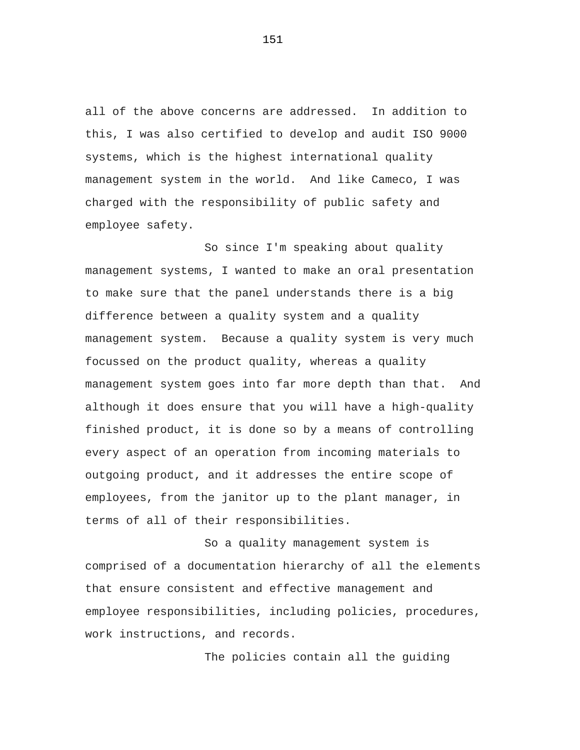all of the above concerns are addressed. In addition to this, I was also certified to develop and audit ISO 9000 systems, which is the highest international quality management system in the world. And like Cameco, I was charged with the responsibility of public safety and employee safety.

So since I'm speaking about quality management systems, I wanted to make an oral presentation to make sure that the panel understands there is a big difference between a quality system and a quality management system. Because a quality system is very much focussed on the product quality, whereas a quality management system goes into far more depth than that. And although it does ensure that you will have a high-quality finished product, it is done so by a means of controlling every aspect of an operation from incoming materials to outgoing product, and it addresses the entire scope of employees, from the janitor up to the plant manager, in terms of all of their responsibilities.

So a quality management system is comprised of a documentation hierarchy of all the elements that ensure consistent and effective management and employee responsibilities, including policies, procedures, work instructions, and records.

The policies contain all the guiding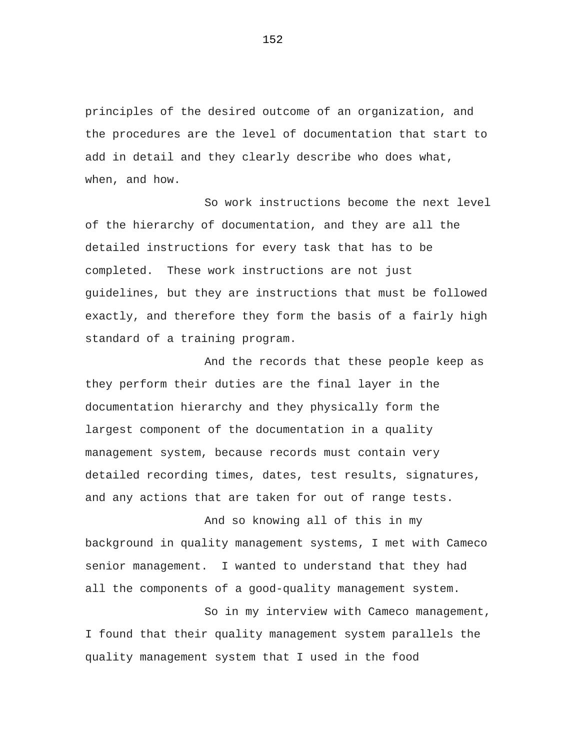principles of the desired outcome of an organization, and the procedures are the level of documentation that start to add in detail and they clearly describe who does what, when, and how.

So work instructions become the next level of the hierarchy of documentation, and they are all the detailed instructions for every task that has to be completed. These work instructions are not just guidelines, but they are instructions that must be followed exactly, and therefore they form the basis of a fairly high standard of a training program.

And the records that these people keep as they perform their duties are the final layer in the documentation hierarchy and they physically form the largest component of the documentation in a quality management system, because records must contain very detailed recording times, dates, test results, signatures, and any actions that are taken for out of range tests.

And so knowing all of this in my background in quality management systems, I met with Cameco senior management. I wanted to understand that they had all the components of a good-quality management system.

So in my interview with Cameco management, I found that their quality management system parallels the quality management system that I used in the food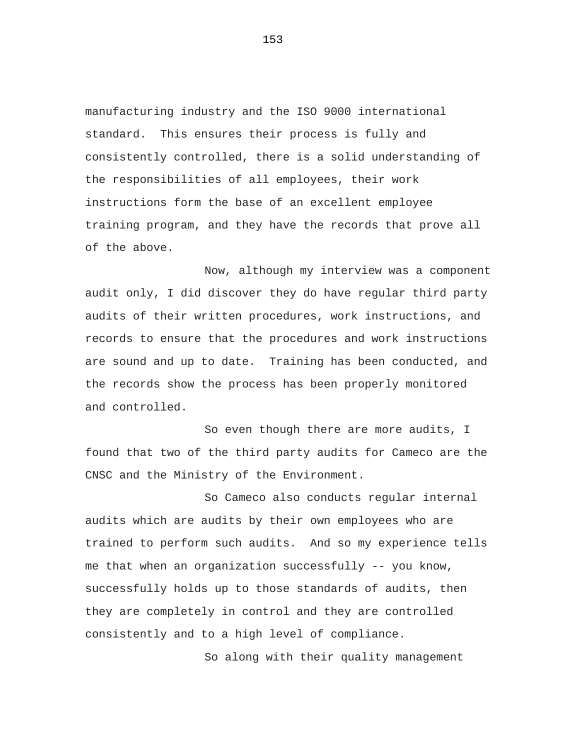manufacturing industry and the ISO 9000 international standard. This ensures their process is fully and consistently controlled, there is a solid understanding of the responsibilities of all employees, their work instructions form the base of an excellent employee training program, and they have the records that prove all of the above.

Now, although my interview was a component audit only, I did discover they do have regular third party audits of their written procedures, work instructions, and records to ensure that the procedures and work instructions are sound and up to date. Training has been conducted, and the records show the process has been properly monitored and controlled.

So even though there are more audits, I found that two of the third party audits for Cameco are the CNSC and the Ministry of the Environment.

So Cameco also conducts regular internal audits which are audits by their own employees who are trained to perform such audits. And so my experience tells me that when an organization successfully -- you know, successfully holds up to those standards of audits, then they are completely in control and they are controlled consistently and to a high level of compliance.

So along with their quality management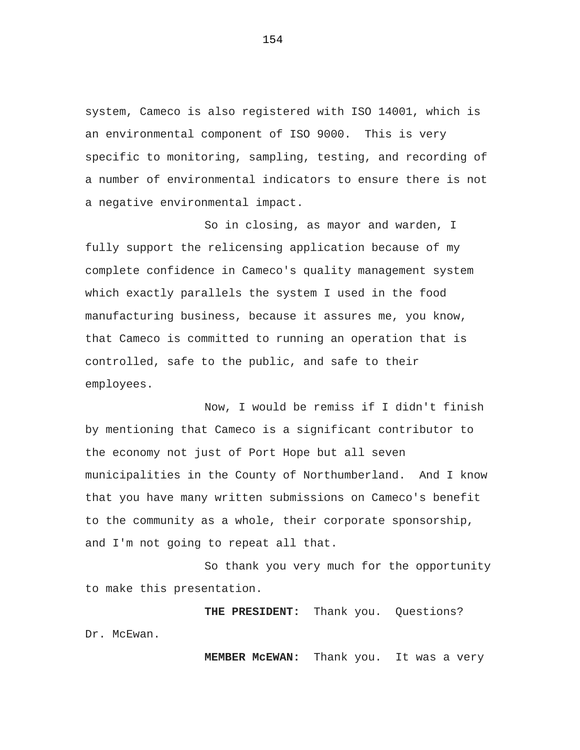system, Cameco is also registered with ISO 14001, which is an environmental component of ISO 9000. This is very specific to monitoring, sampling, testing, and recording of a number of environmental indicators to ensure there is not a negative environmental impact.

So in closing, as mayor and warden, I fully support the relicensing application because of my complete confidence in Cameco's quality management system which exactly parallels the system I used in the food manufacturing business, because it assures me, you know, that Cameco is committed to running an operation that is controlled, safe to the public, and safe to their employees.

Now, I would be remiss if I didn't finish by mentioning that Cameco is a significant contributor to the economy not just of Port Hope but all seven municipalities in the County of Northumberland. And I know that you have many written submissions on Cameco's benefit to the community as a whole, their corporate sponsorship, and I'm not going to repeat all that.

So thank you very much for the opportunity to make this presentation.

**THE PRESIDENT:** Thank you. Questions? Dr. McEwan.

**MEMBER McEWAN:** Thank you. It was a very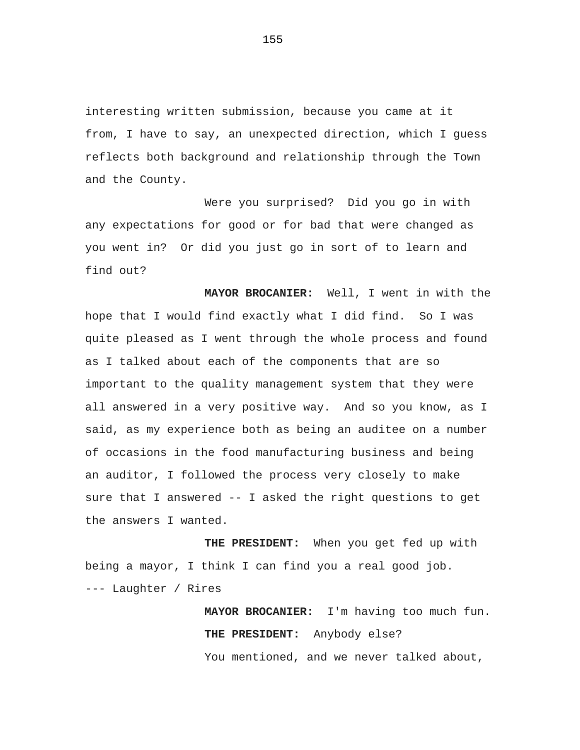interesting written submission, because you came at it from, I have to say, an unexpected direction, which I guess reflects both background and relationship through the Town and the County.

Were you surprised? Did you go in with any expectations for good or for bad that were changed as you went in? Or did you just go in sort of to learn and find out?

**MAYOR BROCANIER:** Well, I went in with the hope that I would find exactly what I did find. So I was quite pleased as I went through the whole process and found as I talked about each of the components that are so important to the quality management system that they were all answered in a very positive way. And so you know, as I said, as my experience both as being an auditee on a number of occasions in the food manufacturing business and being an auditor, I followed the process very closely to make sure that I answered -- I asked the right questions to get the answers I wanted.

**THE PRESIDENT:** When you get fed up with being a mayor, I think I can find you a real good job. --- Laughter / Rires

> **MAYOR BROCANIER:** I'm having too much fun. **THE PRESIDENT:** Anybody else? You mentioned, and we never talked about,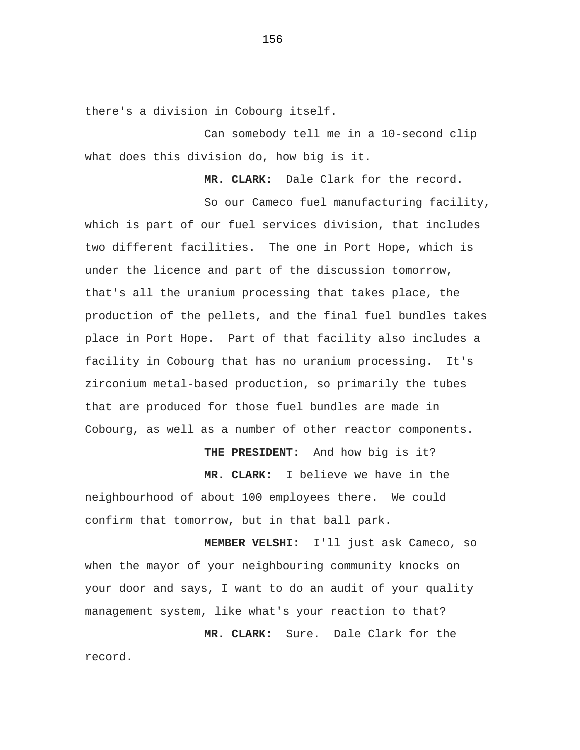there's a division in Cobourg itself.

Can somebody tell me in a 10-second clip what does this division do, how big is it.

**MR. CLARK:** Dale Clark for the record.

So our Cameco fuel manufacturing facility, which is part of our fuel services division, that includes two different facilities. The one in Port Hope, which is under the licence and part of the discussion tomorrow, that's all the uranium processing that takes place, the production of the pellets, and the final fuel bundles takes place in Port Hope. Part of that facility also includes a facility in Cobourg that has no uranium processing. It's zirconium metal-based production, so primarily the tubes that are produced for those fuel bundles are made in Cobourg, as well as a number of other reactor components.

**THE PRESIDENT:** And how big is it?

**MR. CLARK:** I believe we have in the neighbourhood of about 100 employees there. We could confirm that tomorrow, but in that ball park.

**MEMBER VELSHI:** I'll just ask Cameco, so when the mayor of your neighbouring community knocks on your door and says, I want to do an audit of your quality management system, like what's your reaction to that?

**MR. CLARK:** Sure. Dale Clark for the record.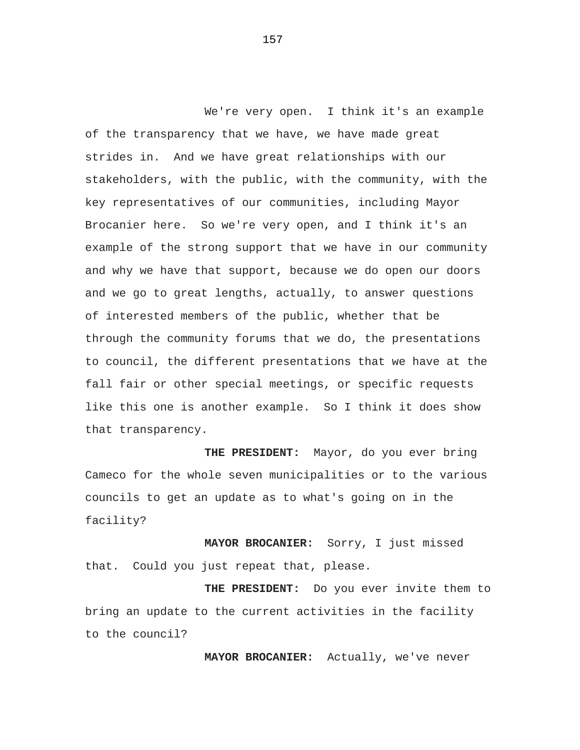We're very open. I think it's an example of the transparency that we have, we have made great strides in. And we have great relationships with our stakeholders, with the public, with the community, with the key representatives of our communities, including Mayor Brocanier here. So we're very open, and I think it's an example of the strong support that we have in our community and why we have that support, because we do open our doors and we go to great lengths, actually, to answer questions of interested members of the public, whether that be through the community forums that we do, the presentations to council, the different presentations that we have at the fall fair or other special meetings, or specific requests like this one is another example. So I think it does show that transparency.

**THE PRESIDENT:** Mayor, do you ever bring Cameco for the whole seven municipalities or to the various councils to get an update as to what's going on in the facility?

**MAYOR BROCANIER:** Sorry, I just missed that. Could you just repeat that, please.

**THE PRESIDENT:** Do you ever invite them to bring an update to the current activities in the facility to the council?

**MAYOR BROCANIER:** Actually, we've never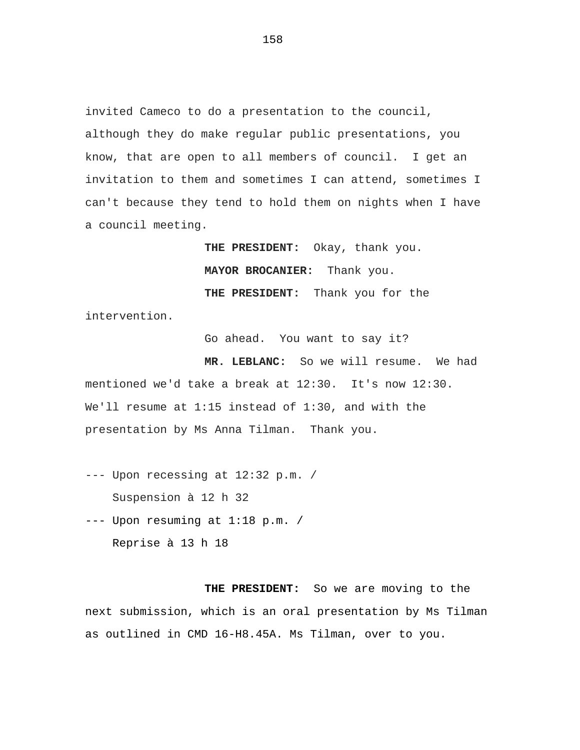invited Cameco to do a presentation to the council, although they do make regular public presentations, you know, that are open to all members of council. I get an invitation to them and sometimes I can attend, sometimes I can't because they tend to hold them on nights when I have a council meeting.

> **THE PRESIDENT:** Okay, thank you. **MAYOR BROCANIER:** Thank you. **THE PRESIDENT:** Thank you for the

intervention.

Go ahead. You want to say it?

**MR. LEBLANC:** So we will resume. We had mentioned we'd take a break at 12:30. It's now 12:30. We'll resume at 1:15 instead of 1:30, and with the presentation by Ms Anna Tilman. Thank you.

--- Upon recessing at 12:32 p.m. / Suspension à 12 h 32

--- Upon resuming at 1:18 p.m. /

Reprise à 13 h 18

**THE PRESIDENT:** So we are moving to the next submission, which is an oral presentation by Ms Tilman as outlined in CMD 16-H8.45A. Ms Tilman, over to you.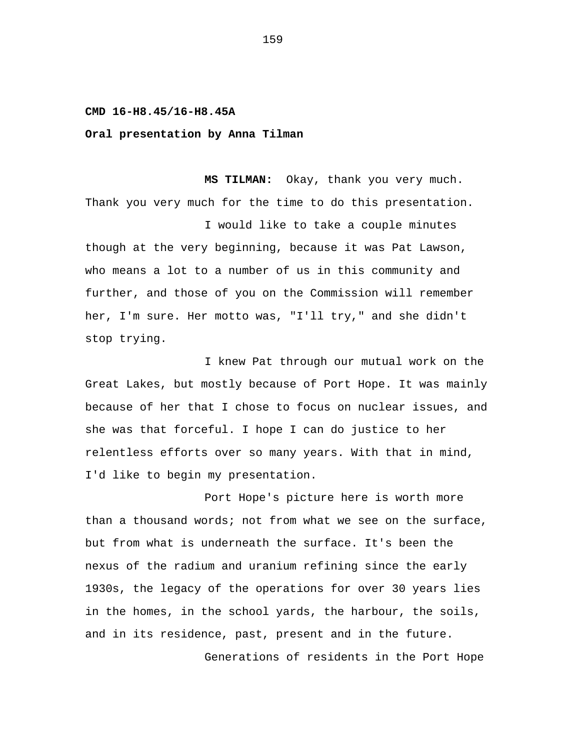## **CMD 16-H8.45/16-H8.45A**

**Oral presentation by Anna Tilman** 

**MS TILMAN:** Okay, thank you very much. Thank you very much for the time to do this presentation. I would like to take a couple minutes

though at the very beginning, because it was Pat Lawson, who means a lot to a number of us in this community and further, and those of you on the Commission will remember her, I'm sure. Her motto was, "I'll try," and she didn't stop trying.

I knew Pat through our mutual work on the Great Lakes, but mostly because of Port Hope. It was mainly because of her that I chose to focus on nuclear issues, and she was that forceful. I hope I can do justice to her relentless efforts over so many years. With that in mind, I'd like to begin my presentation.

Port Hope's picture here is worth more than a thousand words; not from what we see on the surface, but from what is underneath the surface. It's been the nexus of the radium and uranium refining since the early 1930s, the legacy of the operations for over 30 years lies in the homes, in the school yards, the harbour, the soils, and in its residence, past, present and in the future.

Generations of residents in the Port Hope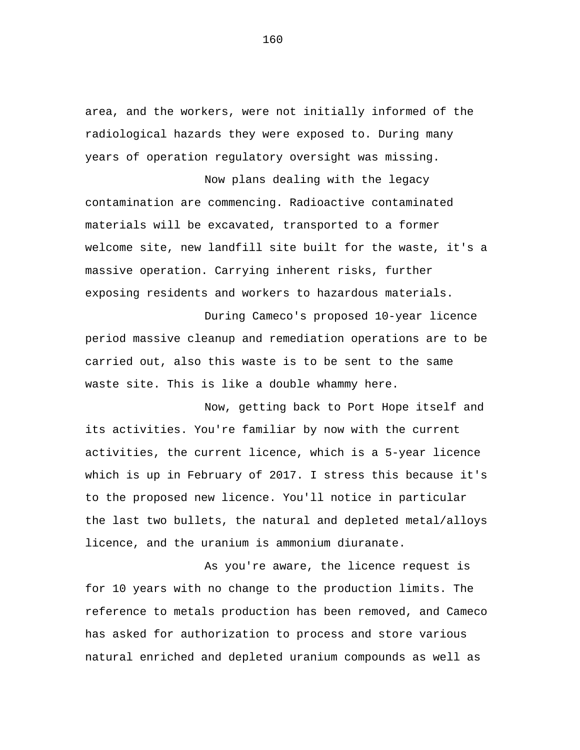area, and the workers, were not initially informed of the radiological hazards they were exposed to. During many years of operation regulatory oversight was missing.

Now plans dealing with the legacy contamination are commencing. Radioactive contaminated materials will be excavated, transported to a former welcome site, new landfill site built for the waste, it's a massive operation. Carrying inherent risks, further exposing residents and workers to hazardous materials.

During Cameco's proposed 10-year licence period massive cleanup and remediation operations are to be carried out, also this waste is to be sent to the same waste site. This is like a double whammy here.

Now, getting back to Port Hope itself and its activities. You're familiar by now with the current activities, the current licence, which is a 5-year licence which is up in February of 2017. I stress this because it's to the proposed new licence. You'll notice in particular the last two bullets, the natural and depleted metal/alloys licence, and the uranium is ammonium diuranate.

As you're aware, the licence request is for 10 years with no change to the production limits. The reference to metals production has been removed, and Cameco has asked for authorization to process and store various natural enriched and depleted uranium compounds as well as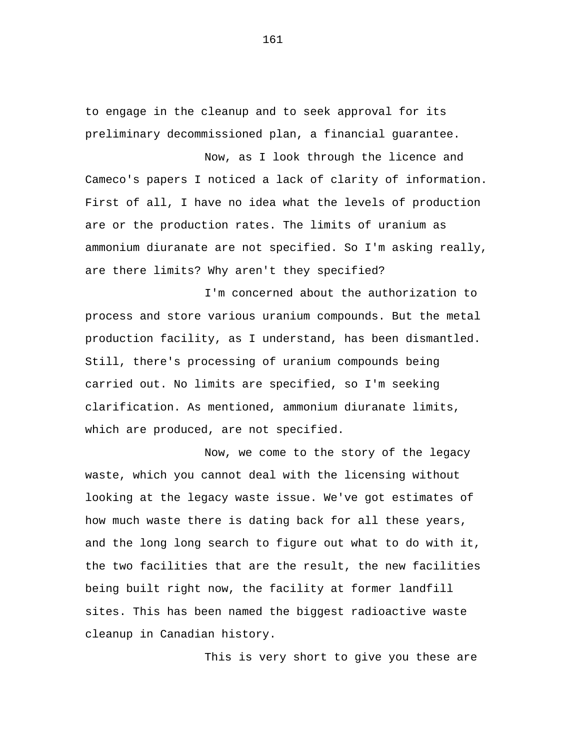to engage in the cleanup and to seek approval for its preliminary decommissioned plan, a financial guarantee.

Now, as I look through the licence and Cameco's papers I noticed a lack of clarity of information. First of all, I have no idea what the levels of production are or the production rates. The limits of uranium as ammonium diuranate are not specified. So I'm asking really, are there limits? Why aren't they specified?

I'm concerned about the authorization to process and store various uranium compounds. But the metal production facility, as I understand, has been dismantled. Still, there's processing of uranium compounds being carried out. No limits are specified, so I'm seeking clarification. As mentioned, ammonium diuranate limits, which are produced, are not specified.

Now, we come to the story of the legacy waste, which you cannot deal with the licensing without looking at the legacy waste issue. We've got estimates of how much waste there is dating back for all these years, and the long long search to figure out what to do with it, the two facilities that are the result, the new facilities being built right now, the facility at former landfill sites. This has been named the biggest radioactive waste cleanup in Canadian history.

This is very short to give you these are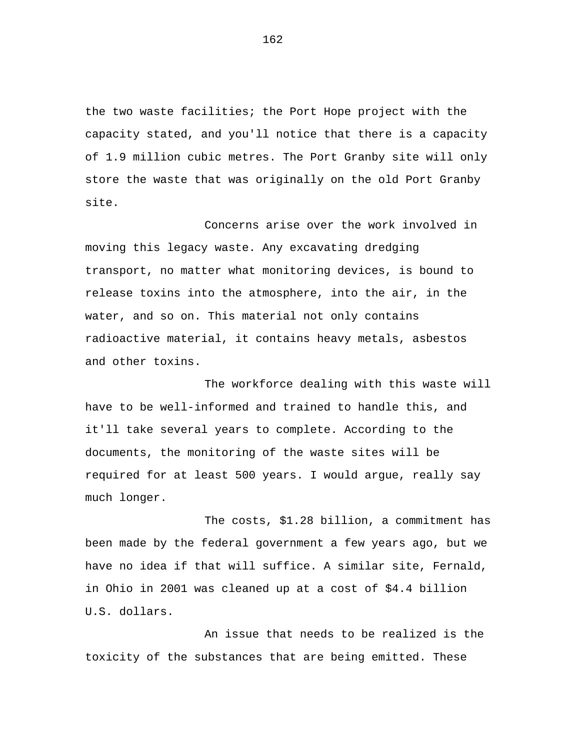the two waste facilities; the Port Hope project with the capacity stated, and you'll notice that there is a capacity of 1.9 million cubic metres. The Port Granby site will only store the waste that was originally on the old Port Granby site.

Concerns arise over the work involved in moving this legacy waste. Any excavating dredging transport, no matter what monitoring devices, is bound to release toxins into the atmosphere, into the air, in the water, and so on. This material not only contains radioactive material, it contains heavy metals, asbestos and other toxins.

The workforce dealing with this waste will have to be well-informed and trained to handle this, and it'll take several years to complete. According to the documents, the monitoring of the waste sites will be required for at least 500 years. I would argue, really say much longer.

The costs, \$1.28 billion, a commitment has been made by the federal government a few years ago, but we have no idea if that will suffice. A similar site, Fernald, in Ohio in 2001 was cleaned up at a cost of \$4.4 billion U.S. dollars.

An issue that needs to be realized is the toxicity of the substances that are being emitted. These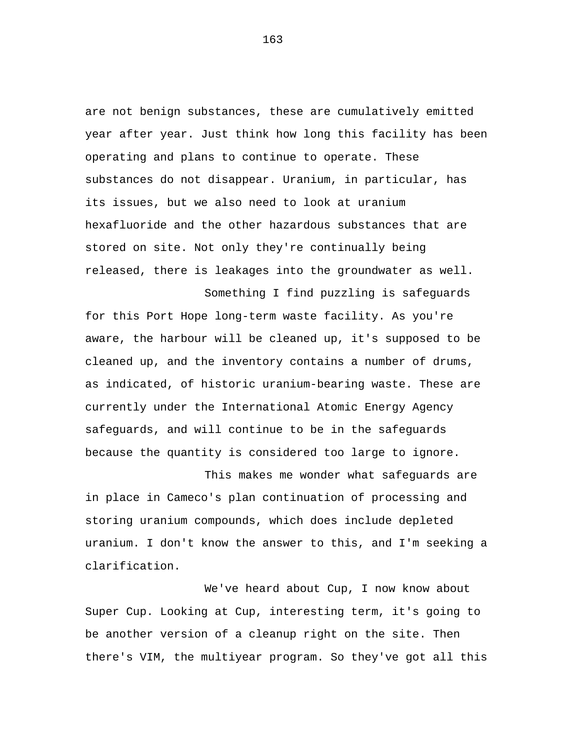are not benign substances, these are cumulatively emitted year after year. Just think how long this facility has been operating and plans to continue to operate. These substances do not disappear. Uranium, in particular, has its issues, but we also need to look at uranium hexafluoride and the other hazardous substances that are stored on site. Not only they're continually being released, there is leakages into the groundwater as well.

Something I find puzzling is safeguards for this Port Hope long-term waste facility. As you're aware, the harbour will be cleaned up, it's supposed to be cleaned up, and the inventory contains a number of drums, as indicated, of historic uranium-bearing waste. These are currently under the International Atomic Energy Agency safeguards, and will continue to be in the safeguards because the quantity is considered too large to ignore.

This makes me wonder what safeguards are in place in Cameco's plan continuation of processing and storing uranium compounds, which does include depleted uranium. I don't know the answer to this, and I'm seeking a clarification.

We've heard about Cup, I now know about Super Cup. Looking at Cup, interesting term, it's going to be another version of a cleanup right on the site. Then there's VIM, the multiyear program. So they've got all this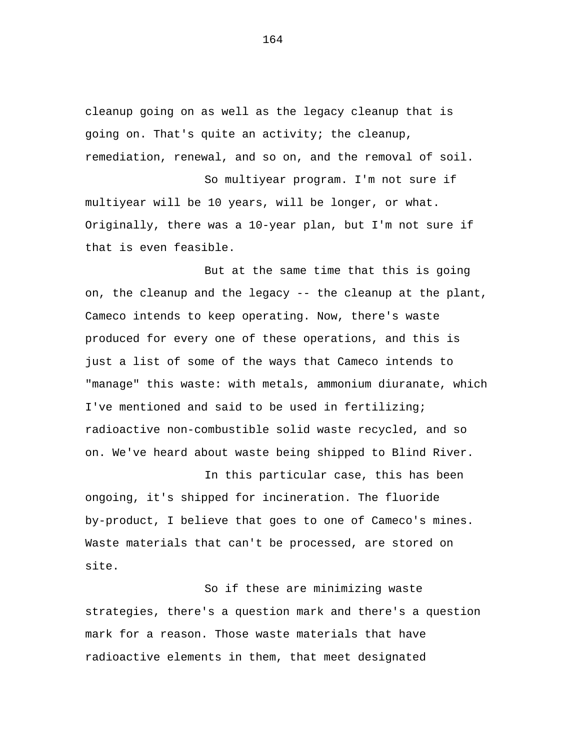cleanup going on as well as the legacy cleanup that is going on. That's quite an activity; the cleanup, remediation, renewal, and so on, and the removal of soil.

So multiyear program. I'm not sure if multiyear will be 10 years, will be longer, or what. Originally, there was a 10-year plan, but I'm not sure if that is even feasible.

But at the same time that this is going on, the cleanup and the legacy -- the cleanup at the plant, Cameco intends to keep operating. Now, there's waste produced for every one of these operations, and this is just a list of some of the ways that Cameco intends to "manage" this waste: with metals, ammonium diuranate, which I've mentioned and said to be used in fertilizing; radioactive non-combustible solid waste recycled, and so on. We've heard about waste being shipped to Blind River.

In this particular case, this has been ongoing, it's shipped for incineration. The fluoride by-product, I believe that goes to one of Cameco's mines. Waste materials that can't be processed, are stored on site.

So if these are minimizing waste strategies, there's a question mark and there's a question mark for a reason. Those waste materials that have radioactive elements in them, that meet designated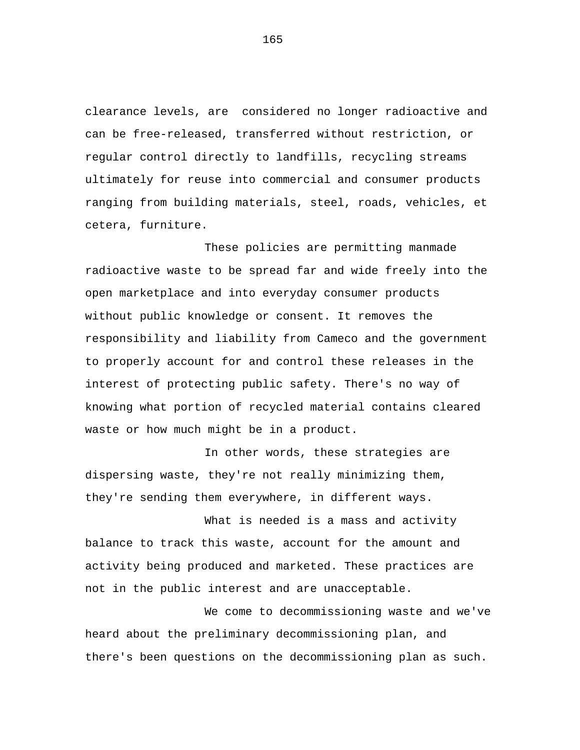clearance levels, are considered no longer radioactive and can be free-released, transferred without restriction, or regular control directly to landfills, recycling streams ultimately for reuse into commercial and consumer products ranging from building materials, steel, roads, vehicles, et cetera, furniture.

These policies are permitting manmade radioactive waste to be spread far and wide freely into the open marketplace and into everyday consumer products without public knowledge or consent. It removes the responsibility and liability from Cameco and the government to properly account for and control these releases in the interest of protecting public safety. There's no way of knowing what portion of recycled material contains cleared waste or how much might be in a product.

In other words, these strategies are dispersing waste, they're not really minimizing them, they're sending them everywhere, in different ways.

What is needed is a mass and activity balance to track this waste, account for the amount and activity being produced and marketed. These practices are not in the public interest and are unacceptable.

We come to decommissioning waste and we've heard about the preliminary decommissioning plan, and there's been questions on the decommissioning plan as such.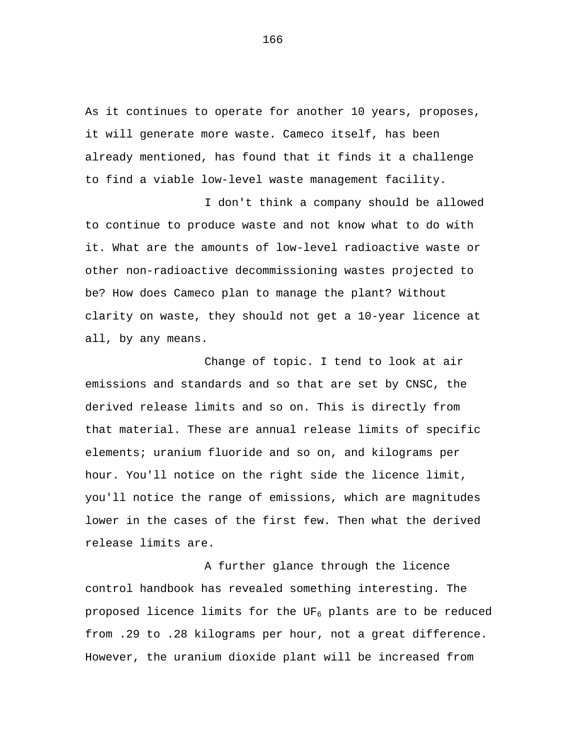As it continues to operate for another 10 years, proposes, it will generate more waste. Cameco itself, has been already mentioned, has found that it finds it a challenge to find a viable low-level waste management facility.

I don't think a company should be allowed to continue to produce waste and not know what to do with it. What are the amounts of low-level radioactive waste or other non-radioactive decommissioning wastes projected to be? How does Cameco plan to manage the plant? Without clarity on waste, they should not get a 10-year licence at all, by any means.

Change of topic. I tend to look at air emissions and standards and so that are set by CNSC, the derived release limits and so on. This is directly from that material. These are annual release limits of specific elements; uranium fluoride and so on, and kilograms per hour. You'll notice on the right side the licence limit, you'll notice the range of emissions, which are magnitudes lower in the cases of the first few. Then what the derived release limits are.

A further glance through the licence control handbook has revealed something interesting. The proposed licence limits for the UF<sub>6</sub> plants are to be reduced from .29 to .28 kilograms per hour, not a great difference. However, the uranium dioxide plant will be increased from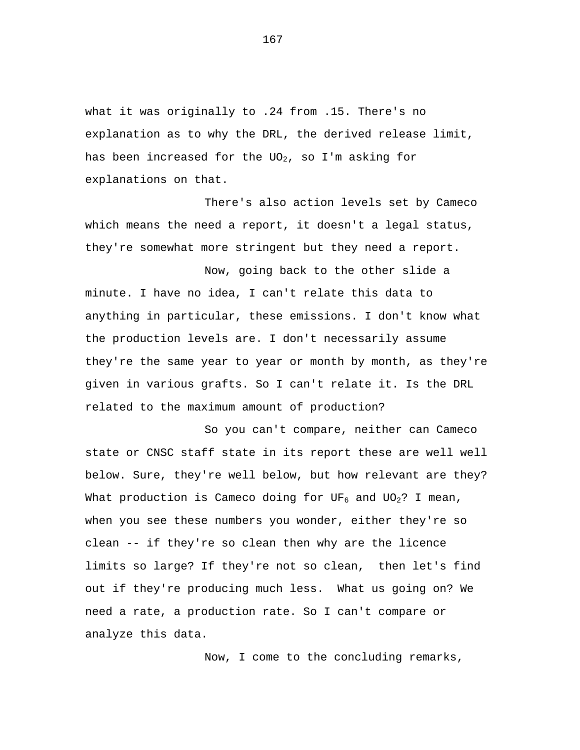what it was originally to .24 from .15. There's no explanation as to why the DRL, the derived release limit, has been increased for the  $UO_2$ , so I'm asking for explanations on that.

There's also action levels set by Cameco which means the need a report, it doesn't a legal status, they're somewhat more stringent but they need a report.

Now, going back to the other slide a minute. I have no idea, I can't relate this data to anything in particular, these emissions. I don't know what the production levels are. I don't necessarily assume they're the same year to year or month by month, as they're given in various grafts. So I can't relate it. Is the DRL related to the maximum amount of production?

So you can't compare, neither can Cameco state or CNSC staff state in its report these are well well below. Sure, they're well below, but how relevant are they? What production is Cameco doing for UF<sub>6</sub> and UO<sub>2</sub>? I mean, when you see these numbers you wonder, either they're so clean -- if they're so clean then why are the licence limits so large? If they're not so clean, then let's find out if they're producing much less. What us going on? We need a rate, a production rate. So I can't compare or analyze this data.

Now, I come to the concluding remarks,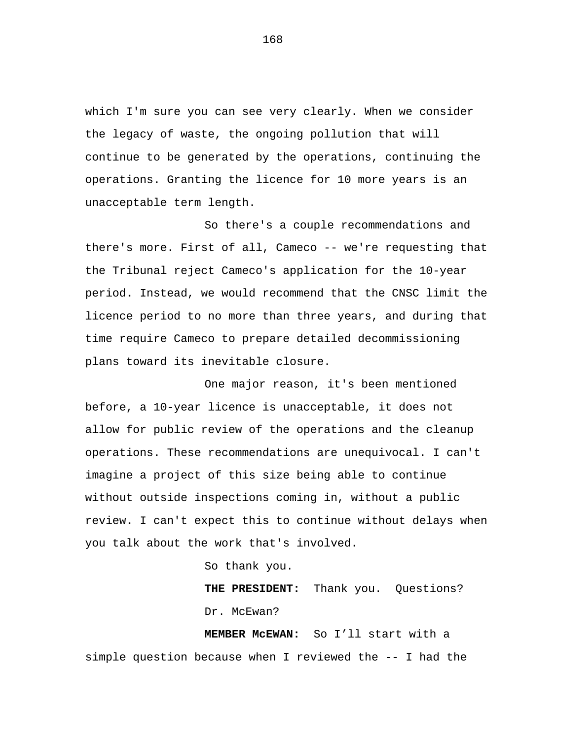which I'm sure you can see very clearly. When we consider the legacy of waste, the ongoing pollution that will continue to be generated by the operations, continuing the operations. Granting the licence for 10 more years is an unacceptable term length.

So there's a couple recommendations and there's more. First of all, Cameco -- we're requesting that the Tribunal reject Cameco's application for the 10-year period. Instead, we would recommend that the CNSC limit the licence period to no more than three years, and during that time require Cameco to prepare detailed decommissioning plans toward its inevitable closure.

One major reason, it's been mentioned before, a 10-year licence is unacceptable, it does not allow for public review of the operations and the cleanup operations. These recommendations are unequivocal. I can't imagine a project of this size being able to continue without outside inspections coming in, without a public review. I can't expect this to continue without delays when you talk about the work that's involved.

So thank you.

**THE PRESIDENT:** Thank you. Questions? Dr. McEwan?

**MEMBER McEWAN:** So I'll start with a simple question because when I reviewed the -- I had the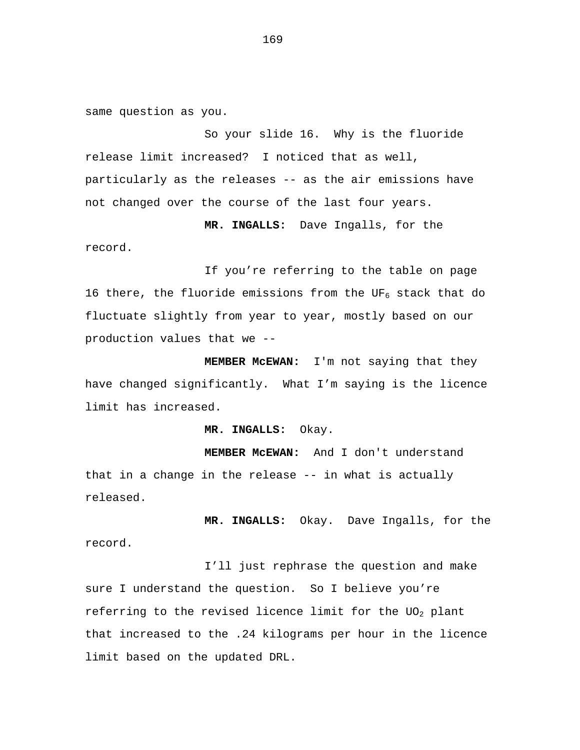same question as you.

So your slide 16. Why is the fluoride release limit increased? I noticed that as well, particularly as the releases -- as the air emissions have not changed over the course of the last four years.

**MR. INGALLS:** Dave Ingalls, for the

record.

If you're referring to the table on page 16 there, the fluoride emissions from the UF<sub>6</sub> stack that do fluctuate slightly from year to year, mostly based on our production values that we --

**MEMBER McEWAN:** I'm not saying that they have changed significantly. What I'm saying is the licence limit has increased.

**MR. INGALLS:** Okay.

**MEMBER McEWAN:** And I don't understand that in a change in the release -- in what is actually released.

**MR. INGALLS:** Okay. Dave Ingalls, for the record.

I'll just rephrase the question and make sure I understand the question. So I believe you're referring to the revised licence limit for the  $UO<sub>2</sub>$  plant that increased to the .24 kilograms per hour in the licence limit based on the updated DRL.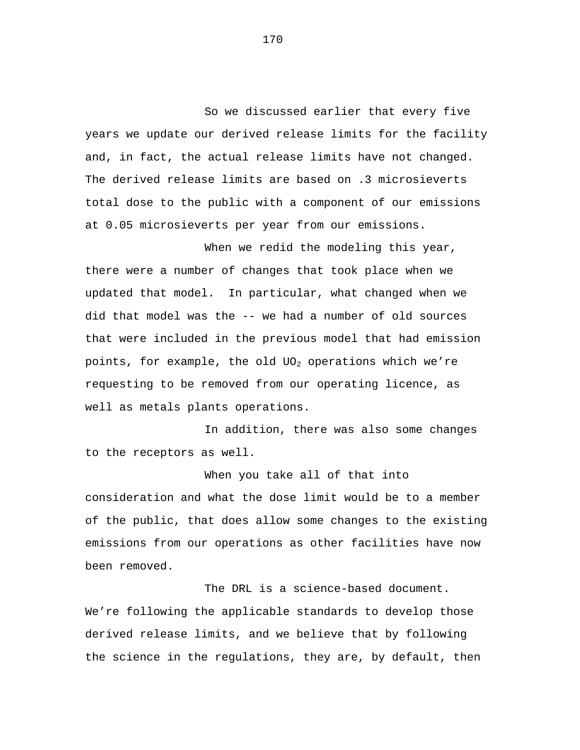So we discussed earlier that every five years we update our derived release limits for the facility and, in fact, the actual release limits have not changed. The derived release limits are based on .3 microsieverts total dose to the public with a component of our emissions at 0.05 microsieverts per year from our emissions.

When we redid the modeling this year, there were a number of changes that took place when we updated that model. In particular, what changed when we did that model was the -- we had a number of old sources that were included in the previous model that had emission points, for example, the old  $UO<sub>2</sub>$  operations which we're requesting to be removed from our operating licence, as well as metals plants operations.

In addition, there was also some changes to the receptors as well.

When you take all of that into consideration and what the dose limit would be to a member of the public, that does allow some changes to the existing emissions from our operations as other facilities have now been removed.

The DRL is a science-based document. We're following the applicable standards to develop those derived release limits, and we believe that by following the science in the regulations, they are, by default, then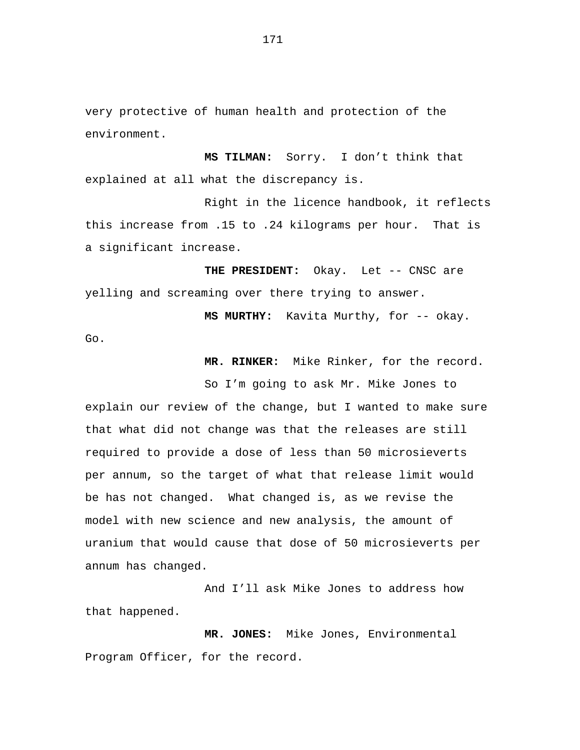very protective of human health and protection of the environment.

**MS TILMAN:** Sorry. I don't think that explained at all what the discrepancy is.

Right in the licence handbook, it reflects this increase from .15 to .24 kilograms per hour. That is a significant increase.

THE PRESIDENT: Okay. Let -- CNSC are yelling and screaming over there trying to answer.

Go.

**MS MURTHY:** Kavita Murthy, for -- okay.

**MR. RINKER:** Mike Rinker, for the record.

So I'm going to ask Mr. Mike Jones to explain our review of the change, but I wanted to make sure that what did not change was that the releases are still required to provide a dose of less than 50 microsieverts per annum, so the target of what that release limit would be has not changed. What changed is, as we revise the model with new science and new analysis, the amount of uranium that would cause that dose of 50 microsieverts per annum has changed.

And I'll ask Mike Jones to address how that happened.

**MR. JONES:** Mike Jones, Environmental Program Officer, for the record.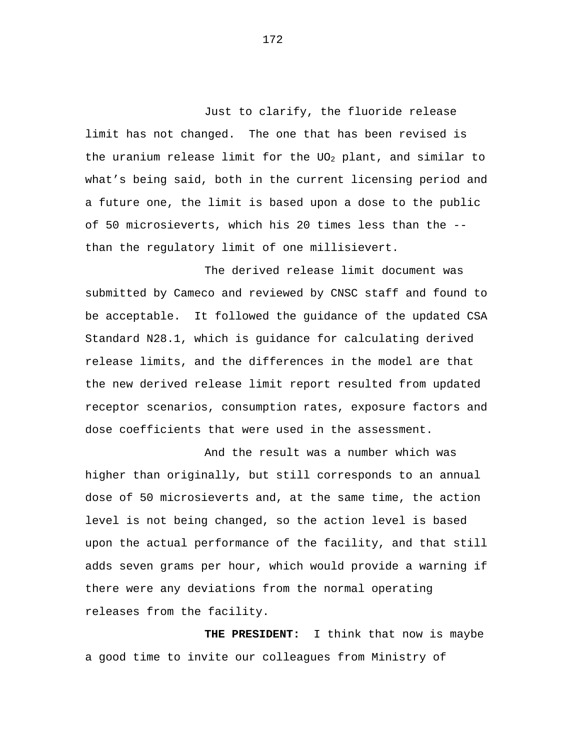Just to clarify, the fluoride release limit has not changed. The one that has been revised is the uranium release limit for the  $UO_2$  plant, and similar to what's being said, both in the current licensing period and a future one, the limit is based upon a dose to the public of 50 microsieverts, which his 20 times less than the - than the regulatory limit of one millisievert.

The derived release limit document was submitted by Cameco and reviewed by CNSC staff and found to be acceptable. It followed the guidance of the updated CSA Standard N28.1, which is guidance for calculating derived release limits, and the differences in the model are that the new derived release limit report resulted from updated receptor scenarios, consumption rates, exposure factors and dose coefficients that were used in the assessment.

And the result was a number which was higher than originally, but still corresponds to an annual dose of 50 microsieverts and, at the same time, the action level is not being changed, so the action level is based upon the actual performance of the facility, and that still adds seven grams per hour, which would provide a warning if there were any deviations from the normal operating releases from the facility.

**THE PRESIDENT:** I think that now is maybe a good time to invite our colleagues from Ministry of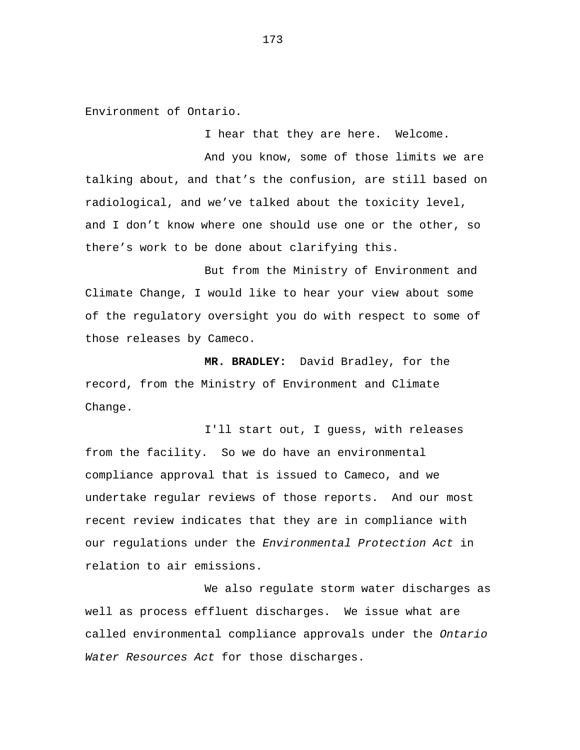Environment of Ontario.

I hear that they are here. Welcome.

And you know, some of those limits we are talking about, and that's the confusion, are still based on radiological, and we've talked about the toxicity level, and I don't know where one should use one or the other, so there's work to be done about clarifying this.

But from the Ministry of Environment and Climate Change, I would like to hear your view about some of the regulatory oversight you do with respect to some of those releases by Cameco.

**MR. BRADLEY:** David Bradley, for the record, from the Ministry of Environment and Climate Change.

I'll start out, I guess, with releases from the facility. So we do have an environmental compliance approval that is issued to Cameco, and we undertake regular reviews of those reports. And our most recent review indicates that they are in compliance with our regulations under the *Environmental Protection Act* in relation to air emissions.

We also regulate storm water discharges as well as process effluent discharges. We issue what are called environmental compliance approvals under the *Ontario Water Resources Act* for those discharges.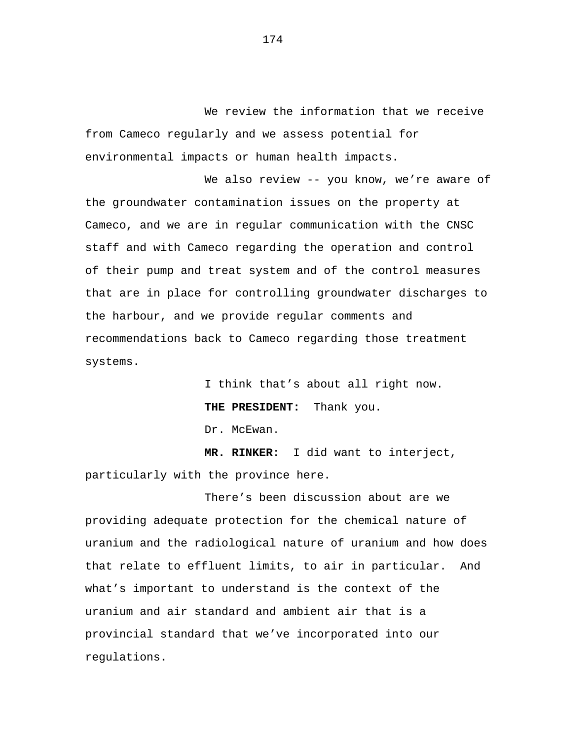We review the information that we receive from Cameco regularly and we assess potential for environmental impacts or human health impacts.

We also review -- you know, we're aware of the groundwater contamination issues on the property at Cameco, and we are in regular communication with the CNSC staff and with Cameco regarding the operation and control of their pump and treat system and of the control measures that are in place for controlling groundwater discharges to the harbour, and we provide regular comments and recommendations back to Cameco regarding those treatment systems.

> I think that's about all right now. **THE PRESIDENT:** Thank you. Dr. McEwan.

**MR. RINKER:** I did want to interject, particularly with the province here.

There's been discussion about are we providing adequate protection for the chemical nature of uranium and the radiological nature of uranium and how does that relate to effluent limits, to air in particular. And what's important to understand is the context of the uranium and air standard and ambient air that is a provincial standard that we've incorporated into our regulations.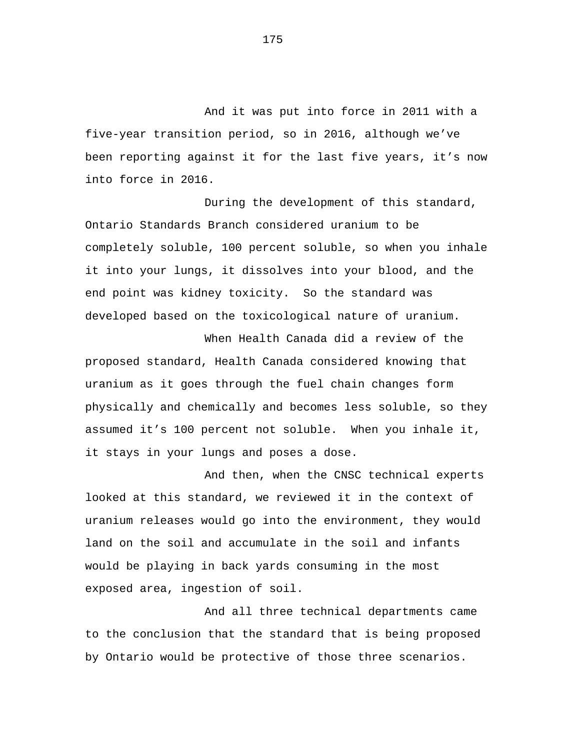And it was put into force in 2011 with a five-year transition period, so in 2016, although we've been reporting against it for the last five years, it's now into force in 2016.

During the development of this standard, Ontario Standards Branch considered uranium to be completely soluble, 100 percent soluble, so when you inhale it into your lungs, it dissolves into your blood, and the end point was kidney toxicity. So the standard was developed based on the toxicological nature of uranium.

When Health Canada did a review of the proposed standard, Health Canada considered knowing that uranium as it goes through the fuel chain changes form physically and chemically and becomes less soluble, so they assumed it's 100 percent not soluble. When you inhale it, it stays in your lungs and poses a dose.

And then, when the CNSC technical experts looked at this standard, we reviewed it in the context of uranium releases would go into the environment, they would land on the soil and accumulate in the soil and infants would be playing in back yards consuming in the most exposed area, ingestion of soil.

And all three technical departments came to the conclusion that the standard that is being proposed by Ontario would be protective of those three scenarios.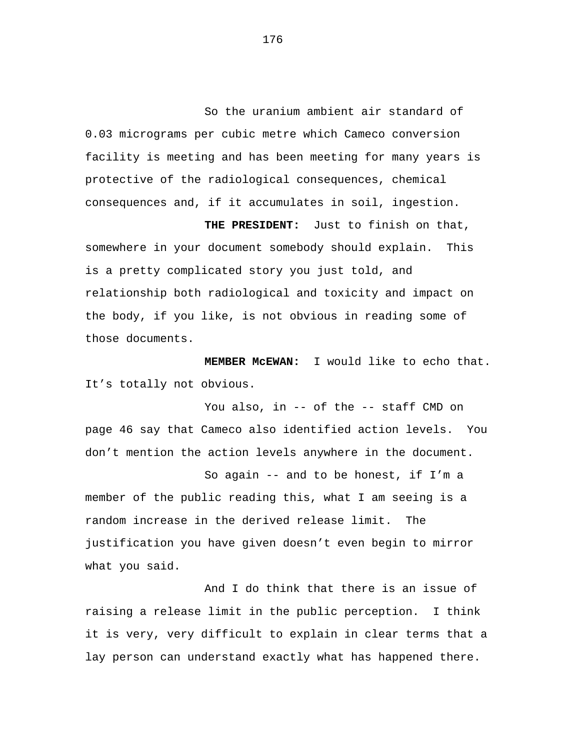So the uranium ambient air standard of 0.03 micrograms per cubic metre which Cameco conversion facility is meeting and has been meeting for many years is protective of the radiological consequences, chemical consequences and, if it accumulates in soil, ingestion.

**THE PRESIDENT:** Just to finish on that, somewhere in your document somebody should explain. This is a pretty complicated story you just told, and relationship both radiological and toxicity and impact on the body, if you like, is not obvious in reading some of those documents.

**MEMBER McEWAN:** I would like to echo that. It's totally not obvious.

You also, in -- of the -- staff CMD on page 46 say that Cameco also identified action levels. You don't mention the action levels anywhere in the document.

So again -- and to be honest, if I'm a member of the public reading this, what I am seeing is a random increase in the derived release limit. The justification you have given doesn't even begin to mirror what you said.

And I do think that there is an issue of raising a release limit in the public perception. I think it is very, very difficult to explain in clear terms that a lay person can understand exactly what has happened there.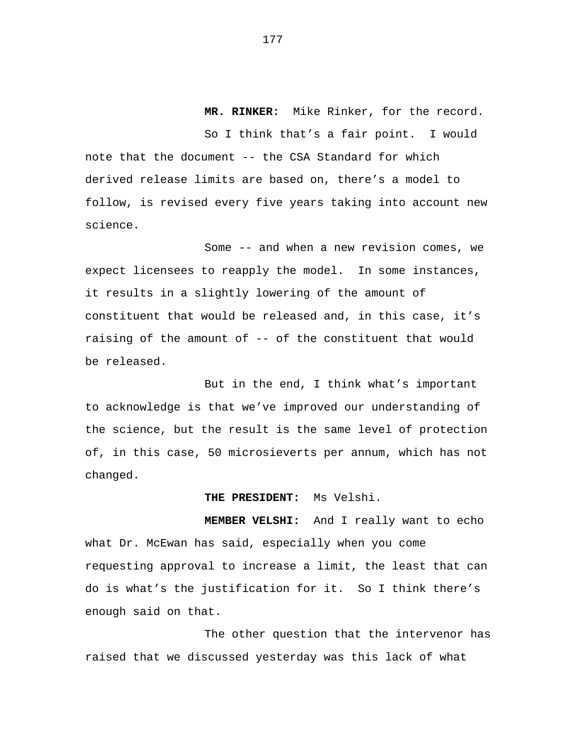**MR. RINKER:** Mike Rinker, for the record.

So I think that's a fair point. I would note that the document -- the CSA Standard for which derived release limits are based on, there's a model to follow, is revised every five years taking into account new science.

Some -- and when a new revision comes, we expect licensees to reapply the model. In some instances, it results in a slightly lowering of the amount of constituent that would be released and, in this case, it's raising of the amount of -- of the constituent that would be released.

But in the end, I think what's important to acknowledge is that we've improved our understanding of the science, but the result is the same level of protection of, in this case, 50 microsieverts per annum, which has not changed.

## **THE PRESIDENT:** Ms Velshi.

**MEMBER VELSHI:** And I really want to echo what Dr. McEwan has said, especially when you come requesting approval to increase a limit, the least that can do is what's the justification for it. So I think there's enough said on that.

The other question that the intervenor has raised that we discussed yesterday was this lack of what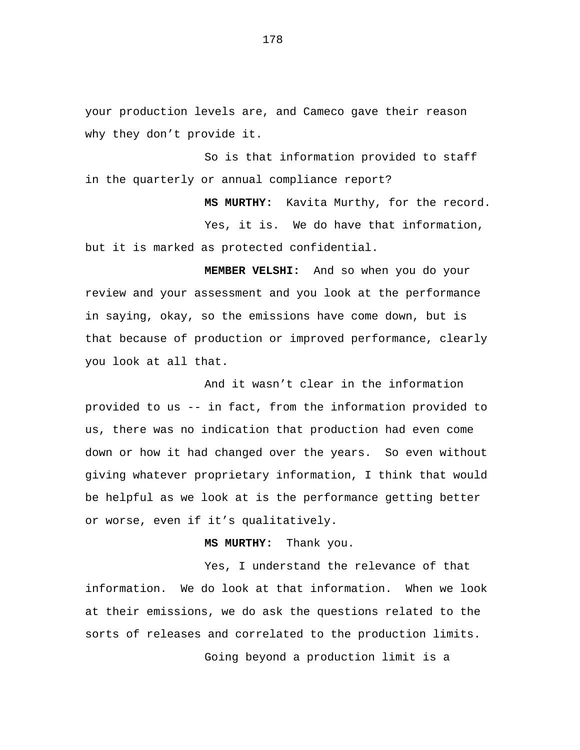your production levels are, and Cameco gave their reason why they don't provide it.

So is that information provided to staff in the quarterly or annual compliance report?

**MS MURTHY:** Kavita Murthy, for the record. Yes, it is. We do have that information, but it is marked as protected confidential.

**MEMBER VELSHI:** And so when you do your review and your assessment and you look at the performance in saying, okay, so the emissions have come down, but is that because of production or improved performance, clearly you look at all that.

And it wasn't clear in the information provided to us -- in fact, from the information provided to us, there was no indication that production had even come down or how it had changed over the years. So even without giving whatever proprietary information, I think that would be helpful as we look at is the performance getting better or worse, even if it's qualitatively.

**MS MURTHY:** Thank you.

Yes, I understand the relevance of that information. We do look at that information. When we look at their emissions, we do ask the questions related to the sorts of releases and correlated to the production limits.

Going beyond a production limit is a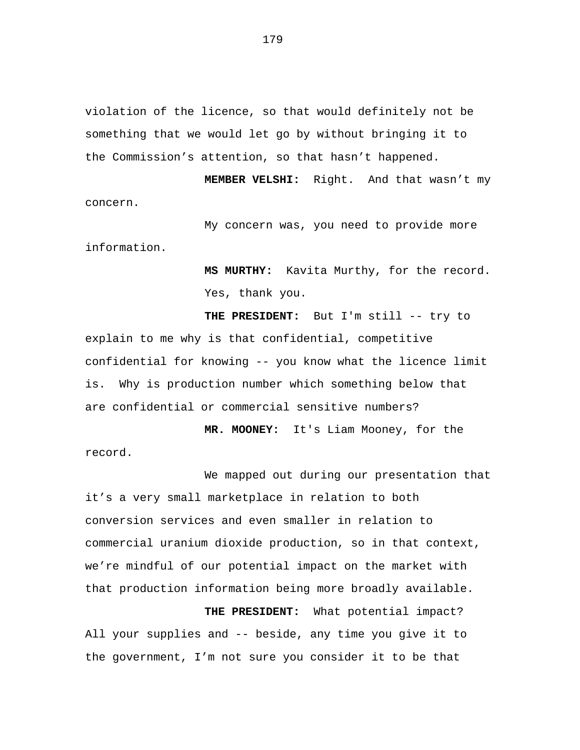violation of the licence, so that would definitely not be something that we would let go by without bringing it to the Commission's attention, so that hasn't happened.

**MEMBER VELSHI:** Right. And that wasn't my concern.

My concern was, you need to provide more information.

> **MS MURTHY:** Kavita Murthy, for the record. Yes, thank you.

**THE PRESIDENT:** But I'm still -- try to explain to me why is that confidential, competitive confidential for knowing -- you know what the licence limit is. Why is production number which something below that are confidential or commercial sensitive numbers?

**MR. MOONEY:** It's Liam Mooney, for the record.

We mapped out during our presentation that it's a very small marketplace in relation to both conversion services and even smaller in relation to commercial uranium dioxide production, so in that context, we're mindful of our potential impact on the market with that production information being more broadly available.

**THE PRESIDENT:** What potential impact? All your supplies and -- beside, any time you give it to the government, I'm not sure you consider it to be that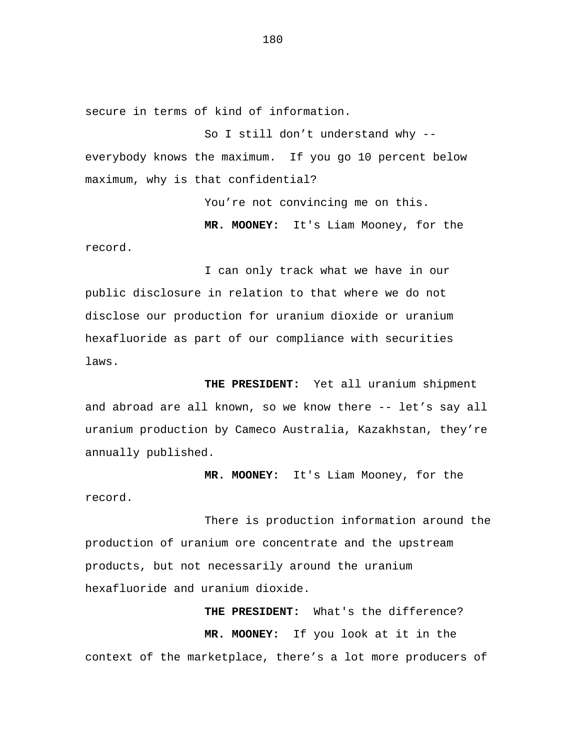secure in terms of kind of information.

So I still don't understand why - everybody knows the maximum. If you go 10 percent below maximum, why is that confidential?

You're not convincing me on this.

**MR. MOONEY:** It's Liam Mooney, for the

record.

I can only track what we have in our public disclosure in relation to that where we do not disclose our production for uranium dioxide or uranium hexafluoride as part of our compliance with securities laws.

**THE PRESIDENT:** Yet all uranium shipment and abroad are all known, so we know there -- let's say all uranium production by Cameco Australia, Kazakhstan, they're annually published.

**MR. MOONEY:** It's Liam Mooney, for the record.

There is production information around the production of uranium ore concentrate and the upstream products, but not necessarily around the uranium hexafluoride and uranium dioxide.

**THE PRESIDENT:** What's the difference? **MR. MOONEY:** If you look at it in the context of the marketplace, there's a lot more producers of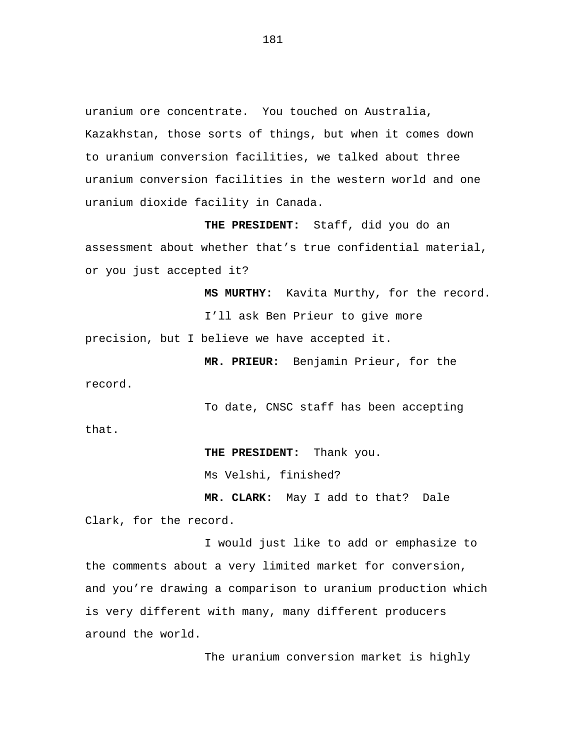uranium ore concentrate. You touched on Australia, Kazakhstan, those sorts of things, but when it comes down to uranium conversion facilities, we talked about three uranium conversion facilities in the western world and one uranium dioxide facility in Canada.

**THE PRESIDENT:** Staff, did you do an assessment about whether that's true confidential material, or you just accepted it?

> **MS MURTHY:** Kavita Murthy, for the record. I'll ask Ben Prieur to give more

precision, but I believe we have accepted it.

record.

**MR. PRIEUR:** Benjamin Prieur, for the

To date, CNSC staff has been accepting that.

**THE PRESIDENT:** Thank you.

Ms Velshi, finished?

**MR. CLARK:** May I add to that? Dale Clark, for the record.

I would just like to add or emphasize to the comments about a very limited market for conversion, and you're drawing a comparison to uranium production which is very different with many, many different producers around the world.

The uranium conversion market is highly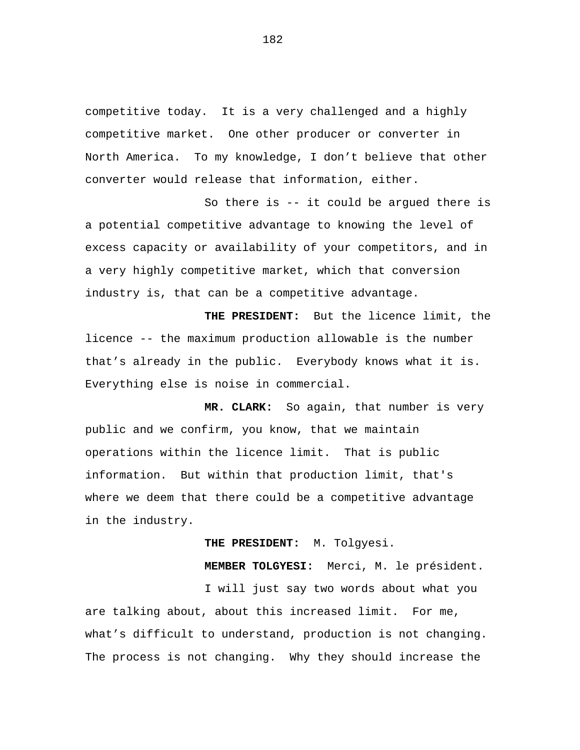competitive today. It is a very challenged and a highly competitive market. One other producer or converter in North America. To my knowledge, I don't believe that other converter would release that information, either.

So there is -- it could be argued there is a potential competitive advantage to knowing the level of excess capacity or availability of your competitors, and in a very highly competitive market, which that conversion industry is, that can be a competitive advantage.

**THE PRESIDENT:** But the licence limit, the licence -- the maximum production allowable is the number that's already in the public. Everybody knows what it is. Everything else is noise in commercial.

**MR. CLARK:** So again, that number is very public and we confirm, you know, that we maintain operations within the licence limit. That is public information. But within that production limit, that's where we deem that there could be a competitive advantage in the industry.

**THE PRESIDENT:** M. Tolgyesi.

**MEMBER TOLGYESI:** Merci, M. le président. I will just say two words about what you are talking about, about this increased limit. For me, what's difficult to understand, production is not changing. The process is not changing. Why they should increase the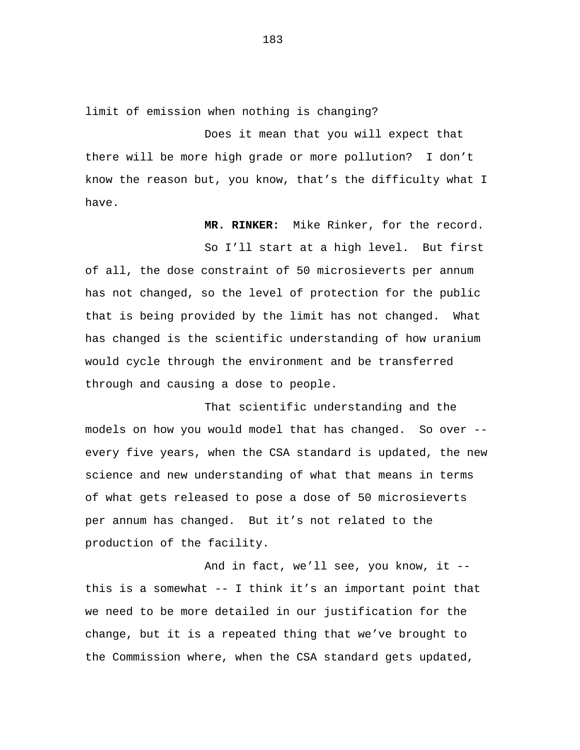limit of emission when nothing is changing?

Does it mean that you will expect that there will be more high grade or more pollution? I don't know the reason but, you know, that's the difficulty what I have.

**MR. RINKER:** Mike Rinker, for the record.

So I'll start at a high level. But first of all, the dose constraint of 50 microsieverts per annum has not changed, so the level of protection for the public that is being provided by the limit has not changed. What has changed is the scientific understanding of how uranium would cycle through the environment and be transferred through and causing a dose to people.

That scientific understanding and the models on how you would model that has changed. So over - every five years, when the CSA standard is updated, the new science and new understanding of what that means in terms of what gets released to pose a dose of 50 microsieverts per annum has changed. But it's not related to the production of the facility.

And in fact, we'll see, you know, it - this is a somewhat -- I think it's an important point that we need to be more detailed in our justification for the change, but it is a repeated thing that we've brought to the Commission where, when the CSA standard gets updated,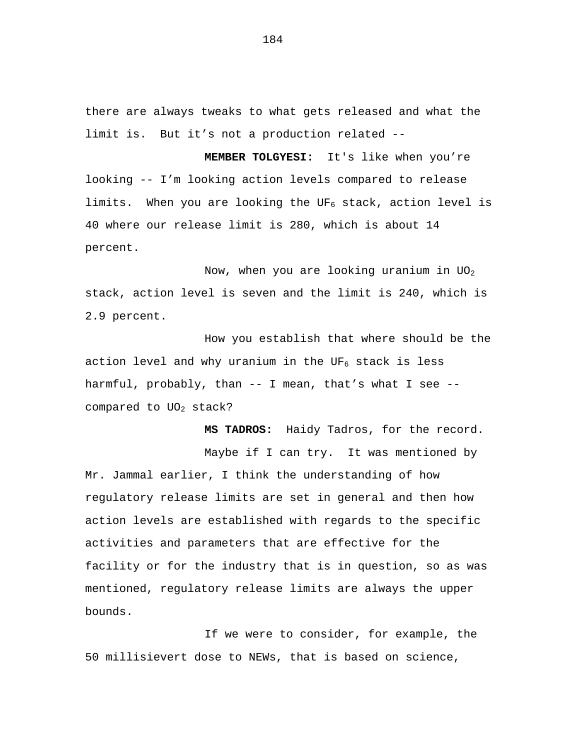there are always tweaks to what gets released and what the limit is. But it's not a production related --

**MEMBER TOLGYESI:** It's like when you're looking -- I'm looking action levels compared to release limits. When you are looking the UF<sub>6</sub> stack, action level is 40 where our release limit is 280, which is about 14 percent.

Now, when you are looking uranium in  $UO<sub>2</sub>$ stack, action level is seven and the limit is 240, which is 2.9 percent.

How you establish that where should be the action level and why uranium in the UF<sub>6</sub> stack is less harmful, probably, than -- I mean, that's what I see - compared to  $UO<sub>2</sub>$  stack?

**MS TADROS:** Haidy Tadros, for the record.

Maybe if I can try. It was mentioned by Mr. Jammal earlier, I think the understanding of how regulatory release limits are set in general and then how action levels are established with regards to the specific activities and parameters that are effective for the facility or for the industry that is in question, so as was mentioned, regulatory release limits are always the upper bounds.

If we were to consider, for example, the 50 millisievert dose to NEWs, that is based on science,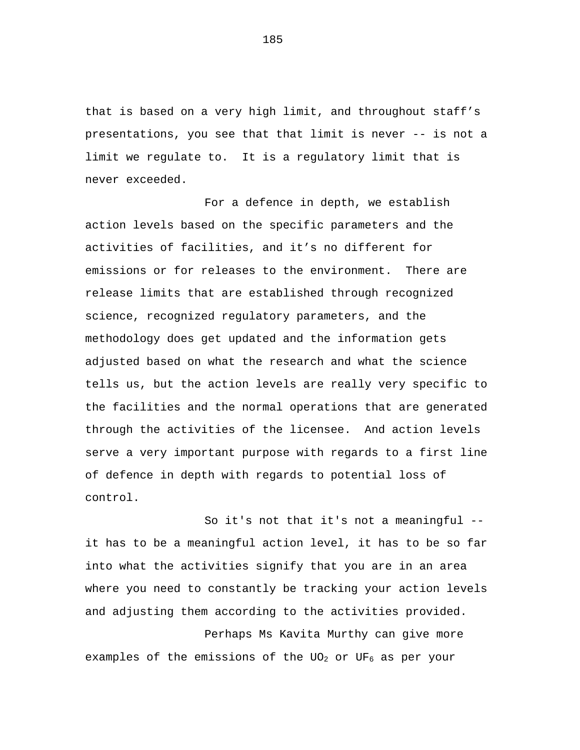that is based on a very high limit, and throughout staff's presentations, you see that that limit is never -- is not a limit we regulate to. It is a regulatory limit that is never exceeded.

For a defence in depth, we establish action levels based on the specific parameters and the activities of facilities, and it's no different for emissions or for releases to the environment. There are release limits that are established through recognized science, recognized regulatory parameters, and the methodology does get updated and the information gets adjusted based on what the research and what the science tells us, but the action levels are really very specific to the facilities and the normal operations that are generated through the activities of the licensee. And action levels serve a very important purpose with regards to a first line of defence in depth with regards to potential loss of control.

So it's not that it's not a meaningful - it has to be a meaningful action level, it has to be so far into what the activities signify that you are in an area where you need to constantly be tracking your action levels and adjusting them according to the activities provided.

Perhaps Ms Kavita Murthy can give more examples of the emissions of the UO<sub>2</sub> or UF<sub>6</sub> as per your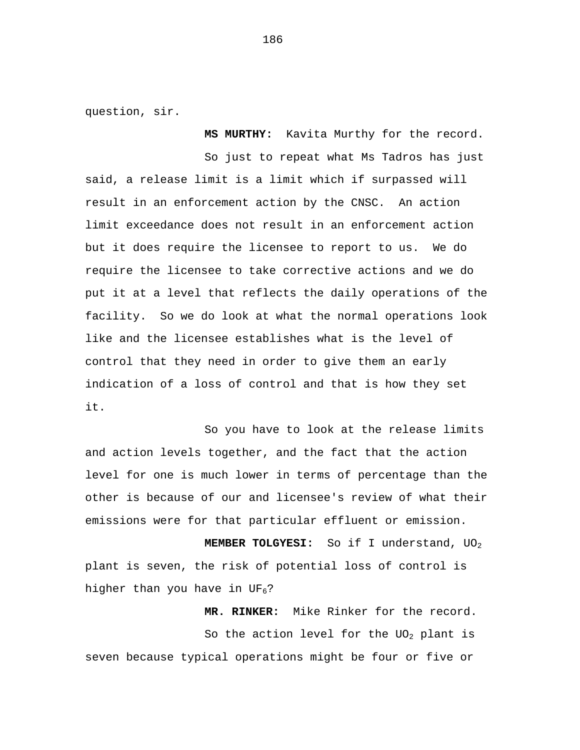question, sir.

**MS MURTHY:** Kavita Murthy for the record.

So just to repeat what Ms Tadros has just said, a release limit is a limit which if surpassed will result in an enforcement action by the CNSC. An action limit exceedance does not result in an enforcement action but it does require the licensee to report to us. We do require the licensee to take corrective actions and we do put it at a level that reflects the daily operations of the facility. So we do look at what the normal operations look like and the licensee establishes what is the level of control that they need in order to give them an early indication of a loss of control and that is how they set it.

So you have to look at the release limits and action levels together, and the fact that the action level for one is much lower in terms of percentage than the other is because of our and licensee's review of what their emissions were for that particular effluent or emission.

**MEMBER TOLGYESI:** So if I understand, UO2 plant is seven, the risk of potential loss of control is higher than you have in UF<sub>6</sub>?

**MR. RINKER:** Mike Rinker for the record. So the action level for the  $UO<sub>2</sub>$  plant is seven because typical operations might be four or five or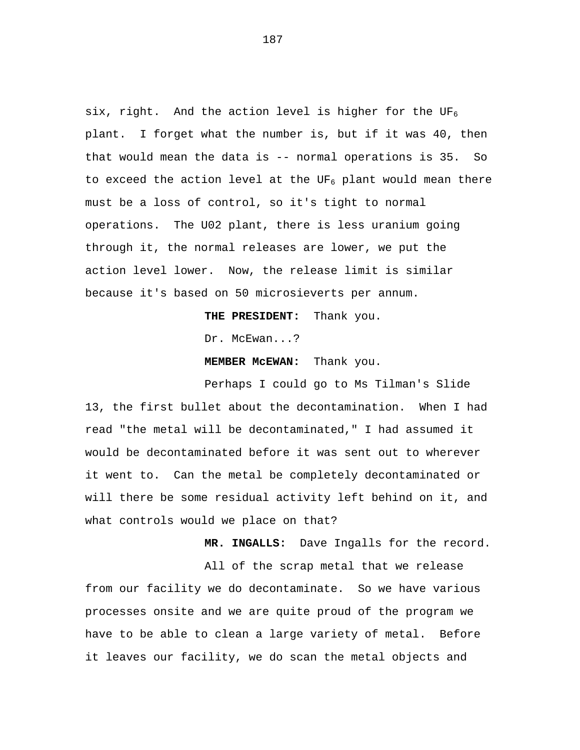six, right. And the action level is higher for the UF<sub>6</sub> plant. I forget what the number is, but if it was 40, then that would mean the data is -- normal operations is 35. So to exceed the action level at the UF<sub>6</sub> plant would mean there must be a loss of control, so it's tight to normal operations. The U02 plant, there is less uranium going through it, the normal releases are lower, we put the action level lower. Now, the release limit is similar because it's based on 50 microsieverts per annum.

**THE PRESIDENT:** Thank you.

Dr. McEwan...?

**MEMBER McEWAN:** Thank you.

Perhaps I could go to Ms Tilman's Slide 13, the first bullet about the decontamination. When I had read "the metal will be decontaminated," I had assumed it would be decontaminated before it was sent out to wherever it went to. Can the metal be completely decontaminated or will there be some residual activity left behind on it, and what controls would we place on that?

**MR. INGALLS:** Dave Ingalls for the record.

All of the scrap metal that we release from our facility we do decontaminate. So we have various processes onsite and we are quite proud of the program we have to be able to clean a large variety of metal. Before it leaves our facility, we do scan the metal objects and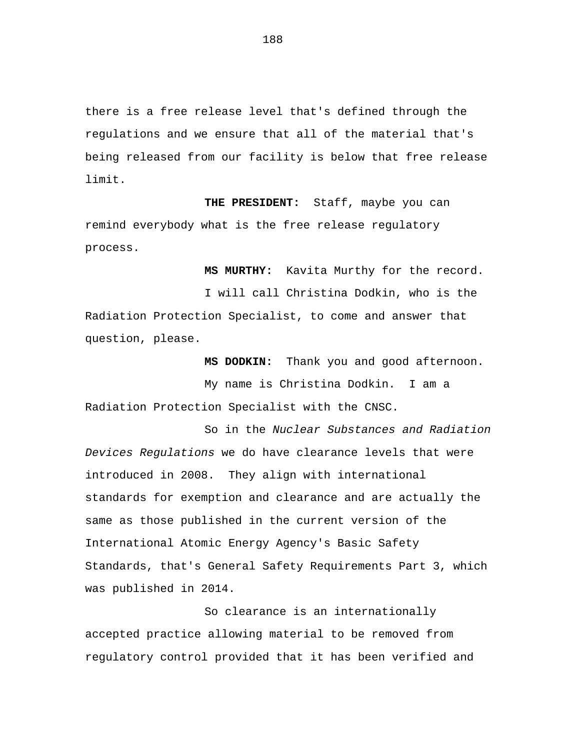there is a free release level that's defined through the regulations and we ensure that all of the material that's being released from our facility is below that free release limit.

**THE PRESIDENT:** Staff, maybe you can remind everybody what is the free release regulatory process.

**MS MURTHY:** Kavita Murthy for the record.

I will call Christina Dodkin, who is the Radiation Protection Specialist, to come and answer that question, please.

**MS DODKIN:** Thank you and good afternoon.

My name is Christina Dodkin. I am a Radiation Protection Specialist with the CNSC.

So in the *Nuclear Substances and Radiation Devices Regulations* we do have clearance levels that were introduced in 2008. They align with international standards for exemption and clearance and are actually the same as those published in the current version of the International Atomic Energy Agency's Basic Safety Standards, that's General Safety Requirements Part 3, which was published in 2014.

So clearance is an internationally accepted practice allowing material to be removed from regulatory control provided that it has been verified and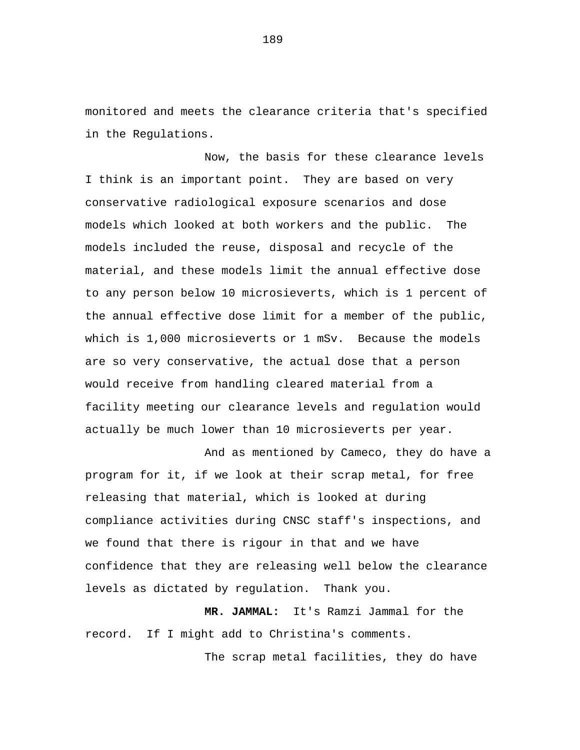monitored and meets the clearance criteria that's specified in the Regulations.

Now, the basis for these clearance levels I think is an important point. They are based on very conservative radiological exposure scenarios and dose models which looked at both workers and the public. The models included the reuse, disposal and recycle of the material, and these models limit the annual effective dose to any person below 10 microsieverts, which is 1 percent of the annual effective dose limit for a member of the public, which is 1,000 microsieverts or 1 mSv. Because the models are so very conservative, the actual dose that a person would receive from handling cleared material from a facility meeting our clearance levels and regulation would actually be much lower than 10 microsieverts per year.

And as mentioned by Cameco, they do have a program for it, if we look at their scrap metal, for free releasing that material, which is looked at during compliance activities during CNSC staff's inspections, and we found that there is rigour in that and we have confidence that they are releasing well below the clearance levels as dictated by regulation. Thank you.

**MR. JAMMAL:** It's Ramzi Jammal for the record. If I might add to Christina's comments.

The scrap metal facilities, they do have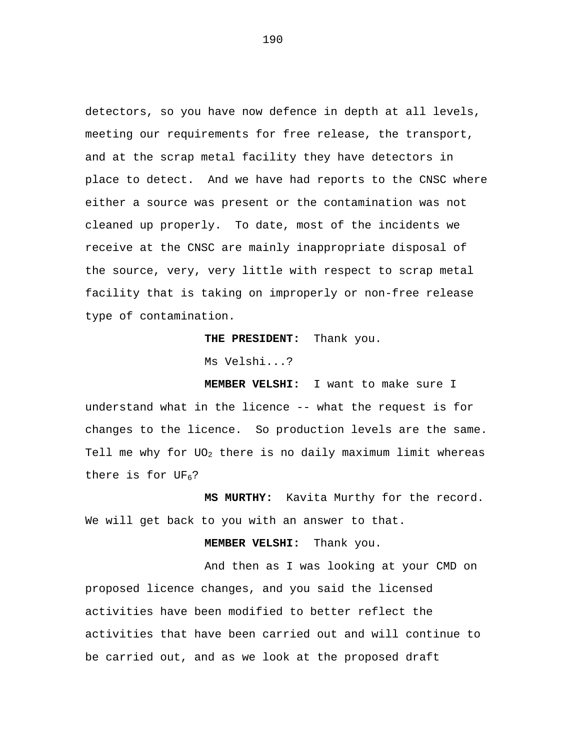detectors, so you have now defence in depth at all levels, meeting our requirements for free release, the transport, and at the scrap metal facility they have detectors in place to detect. And we have had reports to the CNSC where either a source was present or the contamination was not cleaned up properly. To date, most of the incidents we receive at the CNSC are mainly inappropriate disposal of the source, very, very little with respect to scrap metal facility that is taking on improperly or non-free release type of contamination.

**THE PRESIDENT:** Thank you.

Ms Velshi...?

**MEMBER VELSHI:** I want to make sure I understand what in the licence -- what the request is for changes to the licence. So production levels are the same. Tell me why for  $UO_2$  there is no daily maximum limit whereas there is for  $UF<sub>6</sub>$ ?

**MS MURTHY:** Kavita Murthy for the record. We will get back to you with an answer to that.

**MEMBER VELSHI:** Thank you.

And then as I was looking at your CMD on proposed licence changes, and you said the licensed activities have been modified to better reflect the activities that have been carried out and will continue to be carried out, and as we look at the proposed draft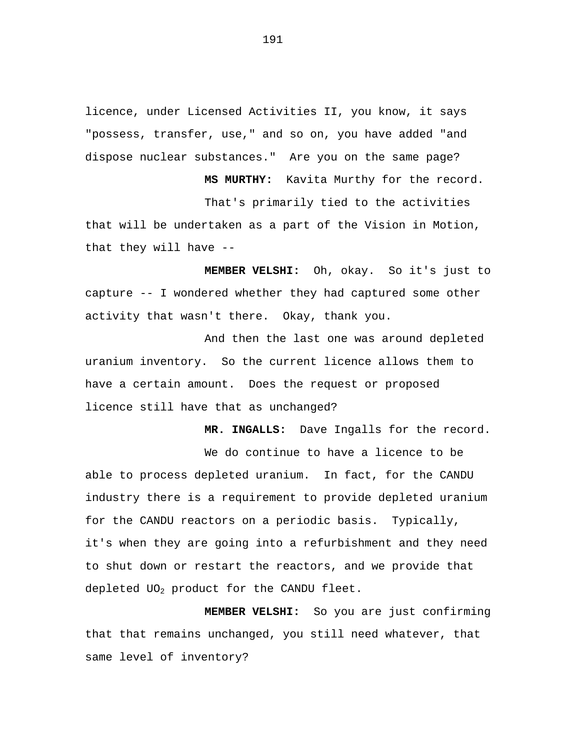licence, under Licensed Activities II, you know, it says "possess, transfer, use," and so on, you have added "and dispose nuclear substances." Are you on the same page?

**MS MURTHY:** Kavita Murthy for the record. That's primarily tied to the activities that will be undertaken as a part of the Vision in Motion, that they will have --

**MEMBER VELSHI:** Oh, okay. So it's just to capture -- I wondered whether they had captured some other activity that wasn't there. Okay, thank you.

And then the last one was around depleted uranium inventory. So the current licence allows them to have a certain amount. Does the request or proposed licence still have that as unchanged?

**MR. INGALLS:** Dave Ingalls for the record. We do continue to have a licence to be able to process depleted uranium. In fact, for the CANDU industry there is a requirement to provide depleted uranium for the CANDU reactors on a periodic basis. Typically, it's when they are going into a refurbishment and they need to shut down or restart the reactors, and we provide that depleted UO<sub>2</sub> product for the CANDU fleet.

**MEMBER VELSHI:** So you are just confirming that that remains unchanged, you still need whatever, that same level of inventory?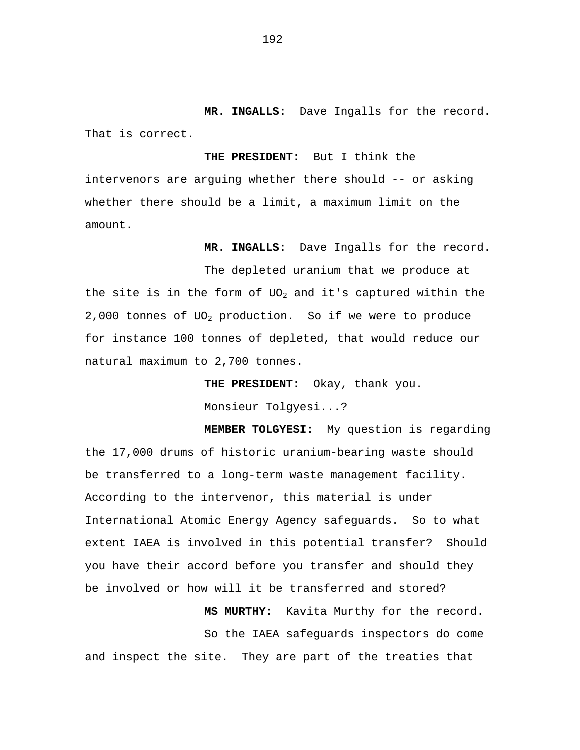**MR. INGALLS:** Dave Ingalls for the record. That is correct.

## **THE PRESIDENT:** But I think the

intervenors are arguing whether there should -- or asking whether there should be a limit, a maximum limit on the amount.

**MR. INGALLS:** Dave Ingalls for the record.

The depleted uranium that we produce at the site is in the form of  $UO<sub>2</sub>$  and it's captured within the 2,000 tonnes of UO2 production. So if we were to produce for instance 100 tonnes of depleted, that would reduce our natural maximum to 2,700 tonnes.

> **THE PRESIDENT:** Okay, thank you. Monsieur Tolgyesi...?

**MEMBER TOLGYESI:** My question is regarding the 17,000 drums of historic uranium-bearing waste should be transferred to a long-term waste management facility. According to the intervenor, this material is under International Atomic Energy Agency safeguards. So to what extent IAEA is involved in this potential transfer? Should you have their accord before you transfer and should they be involved or how will it be transferred and stored?

**MS MURTHY:** Kavita Murthy for the record. So the IAEA safeguards inspectors do come and inspect the site. They are part of the treaties that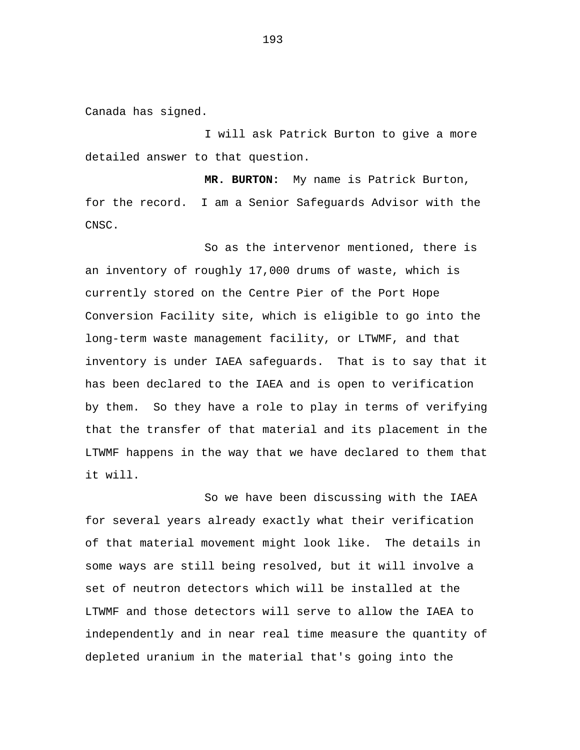Canada has signed.

I will ask Patrick Burton to give a more detailed answer to that question.

**MR. BURTON:** My name is Patrick Burton, for the record. I am a Senior Safeguards Advisor with the CNSC.

So as the intervenor mentioned, there is an inventory of roughly 17,000 drums of waste, which is currently stored on the Centre Pier of the Port Hope Conversion Facility site, which is eligible to go into the long-term waste management facility, or LTWMF, and that inventory is under IAEA safeguards. That is to say that it has been declared to the IAEA and is open to verification by them. So they have a role to play in terms of verifying that the transfer of that material and its placement in the LTWMF happens in the way that we have declared to them that it will.

So we have been discussing with the IAEA for several years already exactly what their verification of that material movement might look like. The details in some ways are still being resolved, but it will involve a set of neutron detectors which will be installed at the LTWMF and those detectors will serve to allow the IAEA to independently and in near real time measure the quantity of depleted uranium in the material that's going into the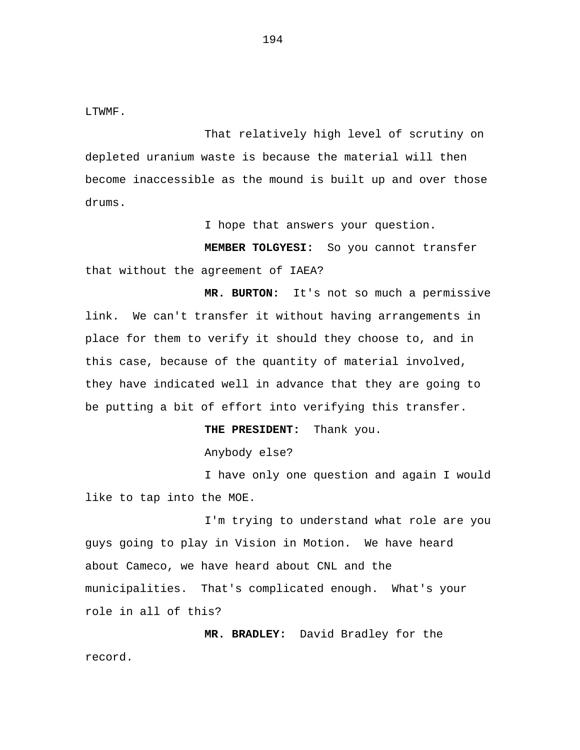LTWMF.

That relatively high level of scrutiny on depleted uranium waste is because the material will then become inaccessible as the mound is built up and over those drums.

I hope that answers your question.

**MEMBER TOLGYESI:** So you cannot transfer that without the agreement of IAEA?

**MR. BURTON:** It's not so much a permissive link. We can't transfer it without having arrangements in place for them to verify it should they choose to, and in this case, because of the quantity of material involved, they have indicated well in advance that they are going to be putting a bit of effort into verifying this transfer.

**THE PRESIDENT:** Thank you.

Anybody else?

I have only one question and again I would like to tap into the MOE.

I'm trying to understand what role are you guys going to play in Vision in Motion. We have heard about Cameco, we have heard about CNL and the municipalities. That's complicated enough. What's your role in all of this?

**MR. BRADLEY:** David Bradley for the record.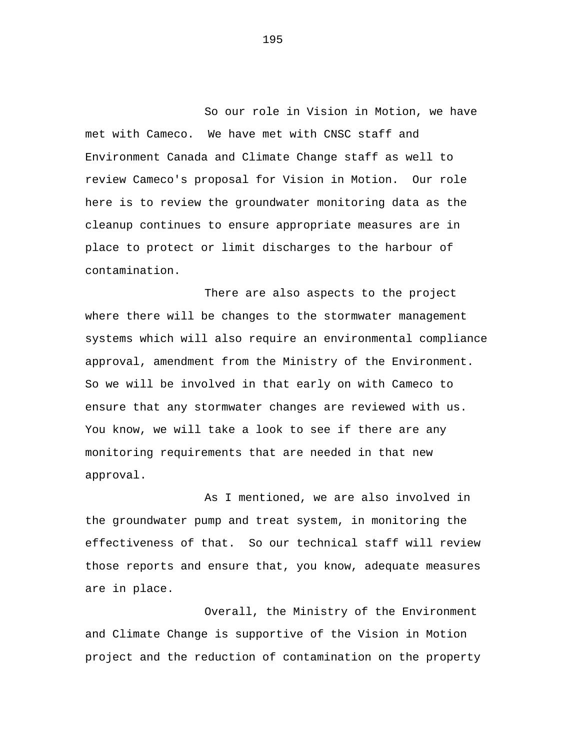So our role in Vision in Motion, we have met with Cameco. We have met with CNSC staff and Environment Canada and Climate Change staff as well to review Cameco's proposal for Vision in Motion. Our role here is to review the groundwater monitoring data as the cleanup continues to ensure appropriate measures are in place to protect or limit discharges to the harbour of contamination.

There are also aspects to the project where there will be changes to the stormwater management systems which will also require an environmental compliance approval, amendment from the Ministry of the Environment. So we will be involved in that early on with Cameco to ensure that any stormwater changes are reviewed with us. You know, we will take a look to see if there are any monitoring requirements that are needed in that new approval.

As I mentioned, we are also involved in the groundwater pump and treat system, in monitoring the effectiveness of that. So our technical staff will review those reports and ensure that, you know, adequate measures are in place.

Overall, the Ministry of the Environment and Climate Change is supportive of the Vision in Motion project and the reduction of contamination on the property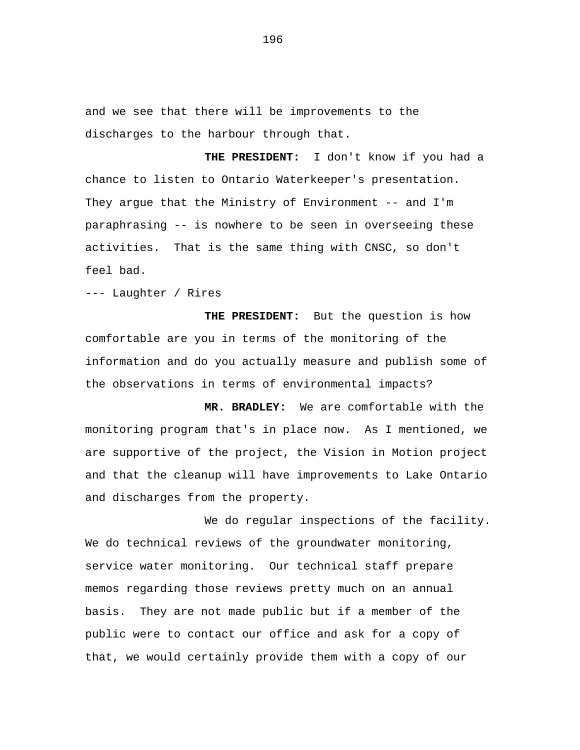and we see that there will be improvements to the discharges to the harbour through that.

**THE PRESIDENT:** I don't know if you had a chance to listen to Ontario Waterkeeper's presentation. They argue that the Ministry of Environment -- and I'm paraphrasing -- is nowhere to be seen in overseeing these activities. That is the same thing with CNSC, so don't feel bad.

--- Laughter / Rires

**THE PRESIDENT:** But the question is how comfortable are you in terms of the monitoring of the information and do you actually measure and publish some of the observations in terms of environmental impacts?

**MR. BRADLEY:** We are comfortable with the monitoring program that's in place now. As I mentioned, we are supportive of the project, the Vision in Motion project and that the cleanup will have improvements to Lake Ontario and discharges from the property.

We do regular inspections of the facility. We do technical reviews of the groundwater monitoring, service water monitoring. Our technical staff prepare memos regarding those reviews pretty much on an annual basis. They are not made public but if a member of the public were to contact our office and ask for a copy of that, we would certainly provide them with a copy of our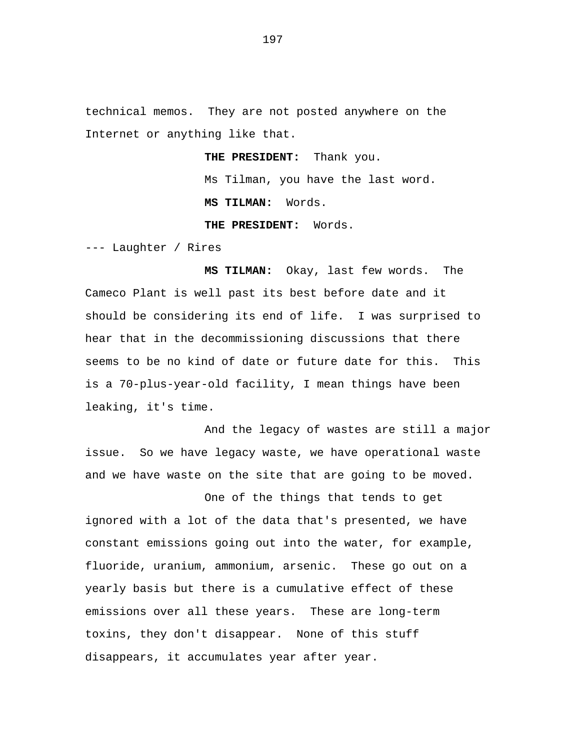technical memos. They are not posted anywhere on the Internet or anything like that.

**THE PRESIDENT:** Thank you.

Ms Tilman, you have the last word. **MS TILMAN:** Words.

**THE PRESIDENT:** Words.

--- Laughter / Rires

**MS TILMAN:** Okay, last few words. The Cameco Plant is well past its best before date and it should be considering its end of life. I was surprised to hear that in the decommissioning discussions that there seems to be no kind of date or future date for this. This is a 70-plus-year-old facility, I mean things have been leaking, it's time.

And the legacy of wastes are still a major issue. So we have legacy waste, we have operational waste and we have waste on the site that are going to be moved.

One of the things that tends to get ignored with a lot of the data that's presented, we have constant emissions going out into the water, for example, fluoride, uranium, ammonium, arsenic. These go out on a yearly basis but there is a cumulative effect of these emissions over all these years. These are long-term toxins, they don't disappear. None of this stuff disappears, it accumulates year after year.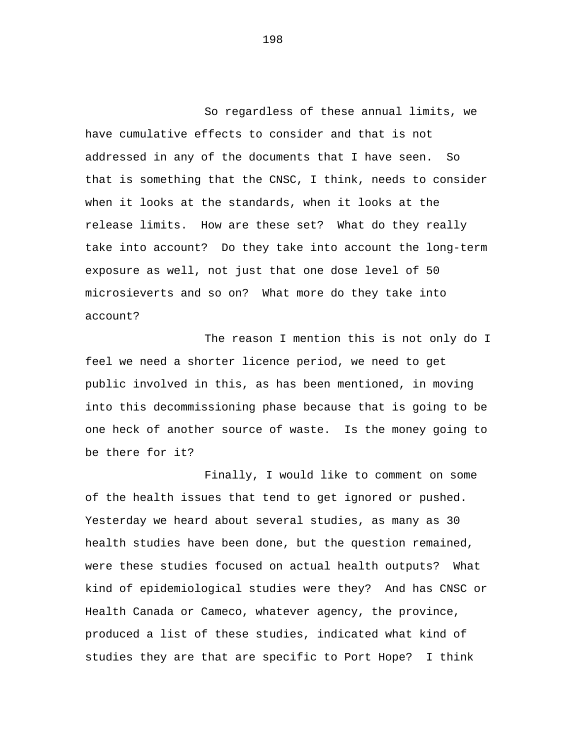So regardless of these annual limits, we have cumulative effects to consider and that is not addressed in any of the documents that I have seen. So that is something that the CNSC, I think, needs to consider when it looks at the standards, when it looks at the release limits. How are these set? What do they really take into account? Do they take into account the long-term exposure as well, not just that one dose level of 50 microsieverts and so on? What more do they take into account?

The reason I mention this is not only do I feel we need a shorter licence period, we need to get public involved in this, as has been mentioned, in moving into this decommissioning phase because that is going to be one heck of another source of waste. Is the money going to be there for it?

Finally, I would like to comment on some of the health issues that tend to get ignored or pushed. Yesterday we heard about several studies, as many as 30 health studies have been done, but the question remained, were these studies focused on actual health outputs? What kind of epidemiological studies were they? And has CNSC or Health Canada or Cameco, whatever agency, the province, produced a list of these studies, indicated what kind of studies they are that are specific to Port Hope? I think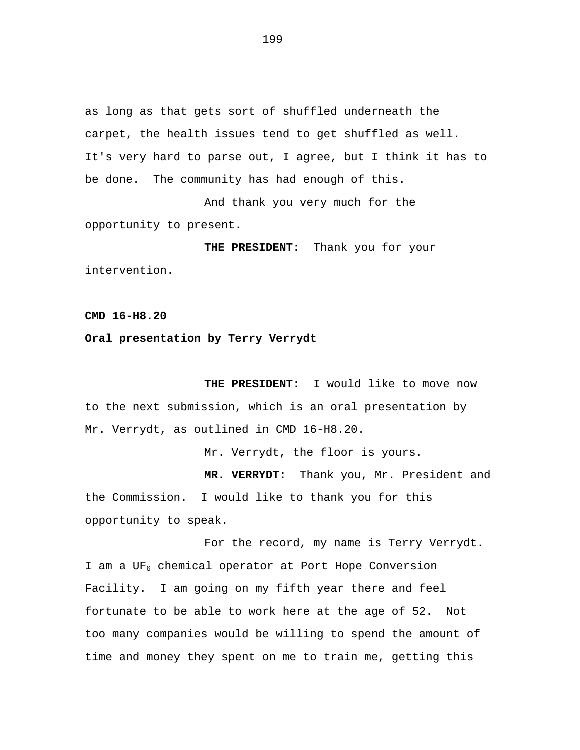as long as that gets sort of shuffled underneath the carpet, the health issues tend to get shuffled as well. It's very hard to parse out, I agree, but I think it has to be done. The community has had enough of this.

And thank you very much for the opportunity to present.

**THE PRESIDENT:** Thank you for your intervention.

**CMD 16-H8.20** 

## **Oral presentation by Terry Verrydt**

**THE PRESIDENT:** I would like to move now to the next submission, which is an oral presentation by Mr. Verrydt, as outlined in CMD 16-H8.20.

Mr. Verrydt, the floor is yours.

**MR. VERRYDT:** Thank you, Mr. President and the Commission. I would like to thank you for this opportunity to speak.

For the record, my name is Terry Verrydt. I am a UF<sub>6</sub> chemical operator at Port Hope Conversion Facility. I am going on my fifth year there and feel fortunate to be able to work here at the age of 52. Not too many companies would be willing to spend the amount of time and money they spent on me to train me, getting this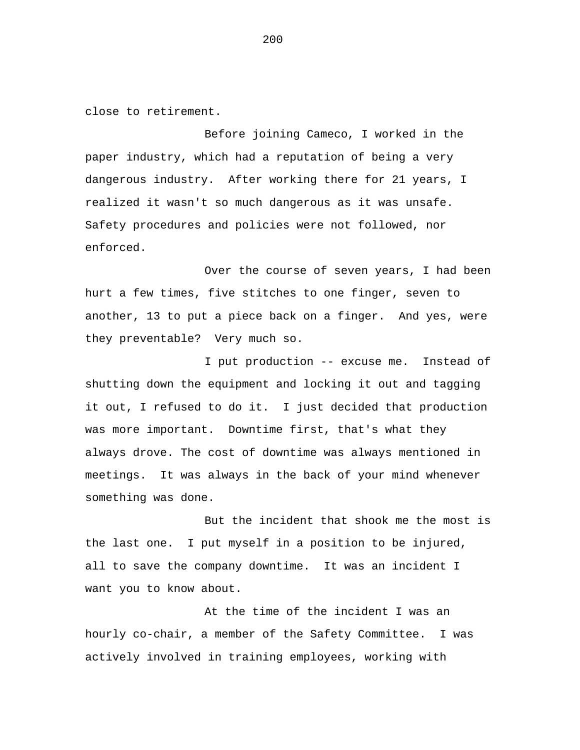close to retirement.

Before joining Cameco, I worked in the paper industry, which had a reputation of being a very dangerous industry. After working there for 21 years, I realized it wasn't so much dangerous as it was unsafe. Safety procedures and policies were not followed, nor enforced.

Over the course of seven years, I had been hurt a few times, five stitches to one finger, seven to another, 13 to put a piece back on a finger. And yes, were they preventable? Very much so.

I put production -- excuse me. Instead of shutting down the equipment and locking it out and tagging it out, I refused to do it. I just decided that production was more important. Downtime first, that's what they always drove. The cost of downtime was always mentioned in meetings. It was always in the back of your mind whenever something was done.

But the incident that shook me the most is the last one. I put myself in a position to be injured, all to save the company downtime. It was an incident I want you to know about.

At the time of the incident I was an hourly co-chair, a member of the Safety Committee. I was actively involved in training employees, working with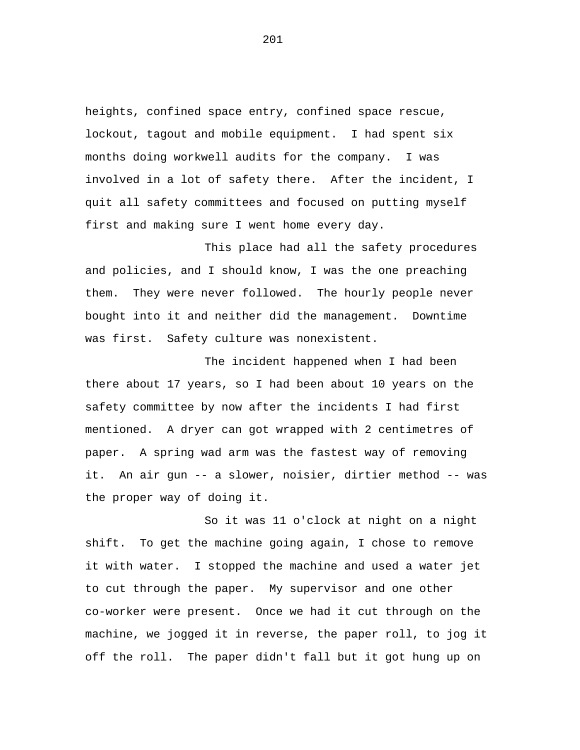heights, confined space entry, confined space rescue, lockout, tagout and mobile equipment. I had spent six months doing workwell audits for the company. I was involved in a lot of safety there. After the incident, I quit all safety committees and focused on putting myself first and making sure I went home every day.

This place had all the safety procedures and policies, and I should know, I was the one preaching them. They were never followed. The hourly people never bought into it and neither did the management. Downtime was first. Safety culture was nonexistent.

The incident happened when I had been there about 17 years, so I had been about 10 years on the safety committee by now after the incidents I had first mentioned. A dryer can got wrapped with 2 centimetres of paper. A spring wad arm was the fastest way of removing it. An air gun -- a slower, noisier, dirtier method -- was the proper way of doing it.

So it was 11 o'clock at night on a night shift. To get the machine going again, I chose to remove it with water. I stopped the machine and used a water jet to cut through the paper. My supervisor and one other co-worker were present. Once we had it cut through on the machine, we jogged it in reverse, the paper roll, to jog it off the roll. The paper didn't fall but it got hung up on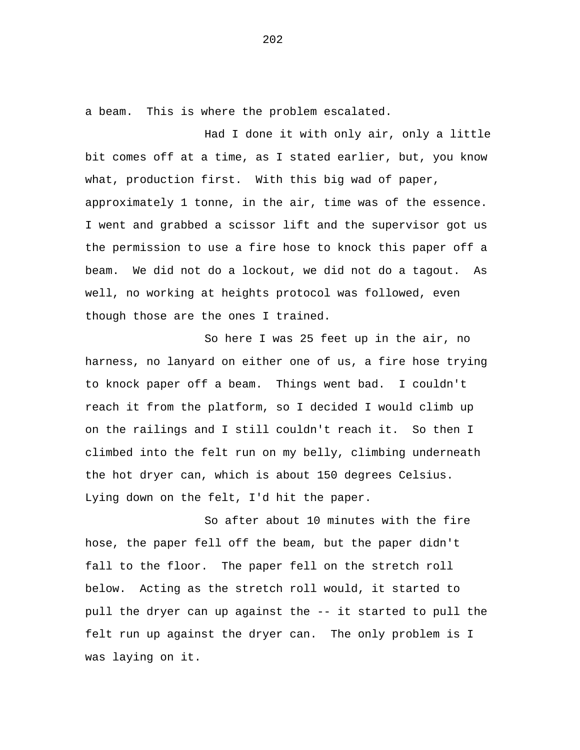a beam. This is where the problem escalated.

Had I done it with only air, only a little bit comes off at a time, as I stated earlier, but, you know what, production first. With this big wad of paper, approximately 1 tonne, in the air, time was of the essence. I went and grabbed a scissor lift and the supervisor got us the permission to use a fire hose to knock this paper off a beam. We did not do a lockout, we did not do a tagout. As well, no working at heights protocol was followed, even though those are the ones I trained.

So here I was 25 feet up in the air, no harness, no lanyard on either one of us, a fire hose trying to knock paper off a beam. Things went bad. I couldn't reach it from the platform, so I decided I would climb up on the railings and I still couldn't reach it. So then I climbed into the felt run on my belly, climbing underneath the hot dryer can, which is about 150 degrees Celsius. Lying down on the felt, I'd hit the paper.

So after about 10 minutes with the fire hose, the paper fell off the beam, but the paper didn't fall to the floor. The paper fell on the stretch roll below. Acting as the stretch roll would, it started to pull the dryer can up against the -- it started to pull the felt run up against the dryer can. The only problem is I was laying on it.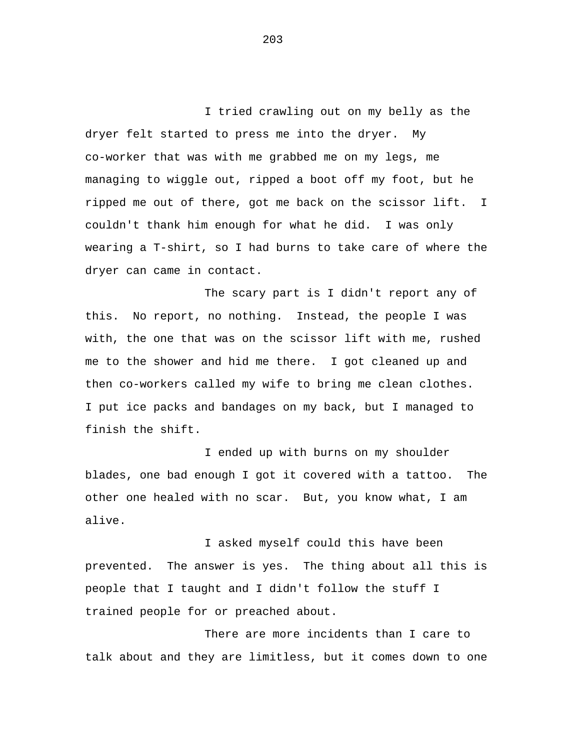I tried crawling out on my belly as the dryer felt started to press me into the dryer. My co-worker that was with me grabbed me on my legs, me managing to wiggle out, ripped a boot off my foot, but he ripped me out of there, got me back on the scissor lift. I couldn't thank him enough for what he did. I was only wearing a T-shirt, so I had burns to take care of where the dryer can came in contact.

The scary part is I didn't report any of this. No report, no nothing. Instead, the people I was with, the one that was on the scissor lift with me, rushed me to the shower and hid me there. I got cleaned up and then co-workers called my wife to bring me clean clothes. I put ice packs and bandages on my back, but I managed to finish the shift.

I ended up with burns on my shoulder blades, one bad enough I got it covered with a tattoo. The other one healed with no scar. But, you know what, I am alive.

I asked myself could this have been prevented. The answer is yes. The thing about all this is people that I taught and I didn't follow the stuff I trained people for or preached about.

There are more incidents than I care to talk about and they are limitless, but it comes down to one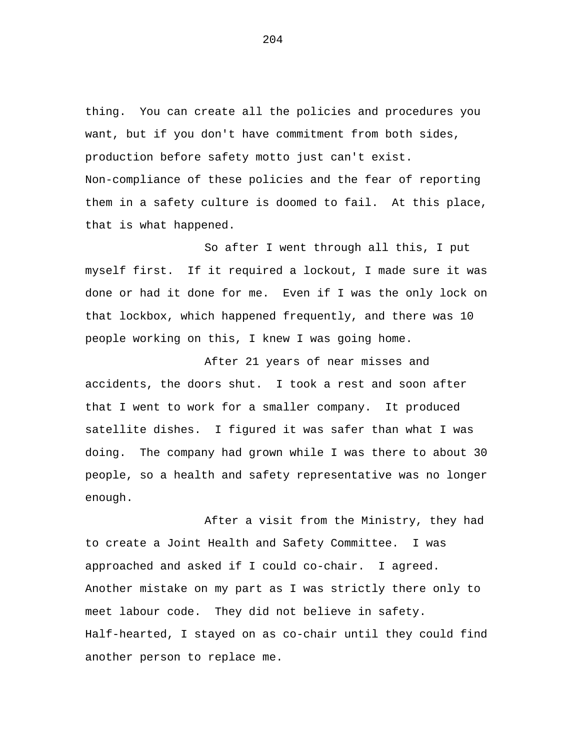thing. You can create all the policies and procedures you want, but if you don't have commitment from both sides, production before safety motto just can't exist. Non-compliance of these policies and the fear of reporting them in a safety culture is doomed to fail. At this place, that is what happened.

So after I went through all this, I put myself first. If it required a lockout, I made sure it was done or had it done for me. Even if I was the only lock on that lockbox, which happened frequently, and there was 10 people working on this, I knew I was going home.

After 21 years of near misses and accidents, the doors shut. I took a rest and soon after that I went to work for a smaller company. It produced satellite dishes. I figured it was safer than what I was doing. The company had grown while I was there to about 30 people, so a health and safety representative was no longer enough.

After a visit from the Ministry, they had to create a Joint Health and Safety Committee. I was approached and asked if I could co-chair. I agreed. Another mistake on my part as I was strictly there only to meet labour code. They did not believe in safety. Half-hearted, I stayed on as co-chair until they could find another person to replace me.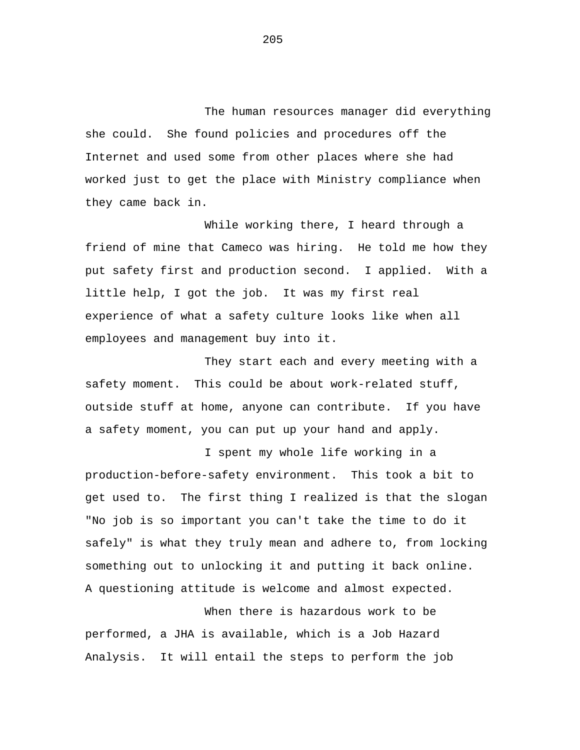The human resources manager did everything she could. She found policies and procedures off the Internet and used some from other places where she had worked just to get the place with Ministry compliance when they came back in.

While working there, I heard through a friend of mine that Cameco was hiring. He told me how they put safety first and production second. I applied. With a little help, I got the job. It was my first real experience of what a safety culture looks like when all employees and management buy into it.

They start each and every meeting with a safety moment. This could be about work-related stuff, outside stuff at home, anyone can contribute. If you have a safety moment, you can put up your hand and apply.

I spent my whole life working in a production-before-safety environment. This took a bit to get used to. The first thing I realized is that the slogan "No job is so important you can't take the time to do it safely" is what they truly mean and adhere to, from locking something out to unlocking it and putting it back online. A questioning attitude is welcome and almost expected.

When there is hazardous work to be performed, a JHA is available, which is a Job Hazard Analysis. It will entail the steps to perform the job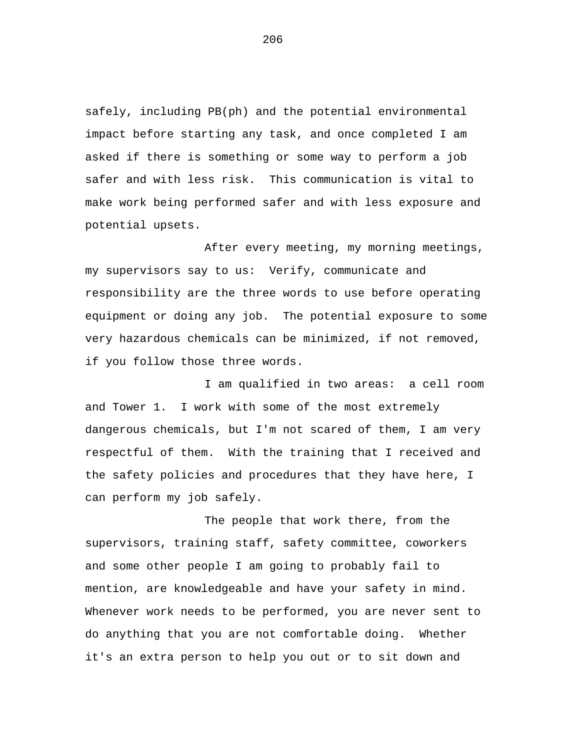safely, including PB(ph) and the potential environmental impact before starting any task, and once completed I am asked if there is something or some way to perform a job safer and with less risk. This communication is vital to make work being performed safer and with less exposure and potential upsets.

After every meeting, my morning meetings, my supervisors say to us: Verify, communicate and responsibility are the three words to use before operating equipment or doing any job. The potential exposure to some very hazardous chemicals can be minimized, if not removed, if you follow those three words.

I am qualified in two areas: a cell room and Tower 1. I work with some of the most extremely dangerous chemicals, but I'm not scared of them, I am very respectful of them. With the training that I received and the safety policies and procedures that they have here, I can perform my job safely.

The people that work there, from the supervisors, training staff, safety committee, coworkers and some other people I am going to probably fail to mention, are knowledgeable and have your safety in mind. Whenever work needs to be performed, you are never sent to do anything that you are not comfortable doing. Whether it's an extra person to help you out or to sit down and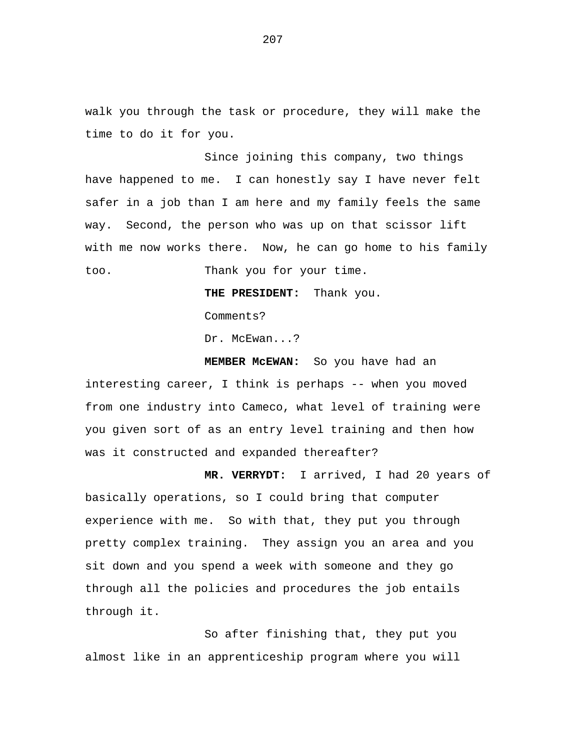walk you through the task or procedure, they will make the time to do it for you.

Since joining this company, two things have happened to me. I can honestly say I have never felt safer in a job than I am here and my family feels the same way. Second, the person who was up on that scissor lift with me now works there. Now, he can go home to his family too. Thank you for your time.

**THE PRESIDENT:** Thank you.

Comments?

Dr. McEwan...?

**MEMBER McEWAN:** So you have had an interesting career, I think is perhaps -- when you moved from one industry into Cameco, what level of training were you given sort of as an entry level training and then how was it constructed and expanded thereafter?

**MR. VERRYDT:** I arrived, I had 20 years of basically operations, so I could bring that computer experience with me. So with that, they put you through pretty complex training. They assign you an area and you sit down and you spend a week with someone and they go through all the policies and procedures the job entails through it.

So after finishing that, they put you almost like in an apprenticeship program where you will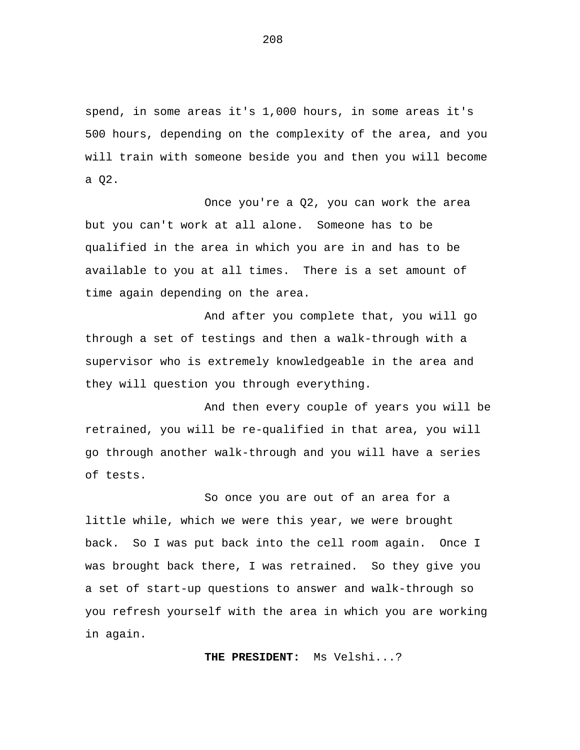spend, in some areas it's 1,000 hours, in some areas it's 500 hours, depending on the complexity of the area, and you will train with someone beside you and then you will become a Q2.

Once you're a Q2, you can work the area but you can't work at all alone. Someone has to be qualified in the area in which you are in and has to be available to you at all times. There is a set amount of time again depending on the area.

And after you complete that, you will go through a set of testings and then a walk-through with a supervisor who is extremely knowledgeable in the area and they will question you through everything.

And then every couple of years you will be retrained, you will be re-qualified in that area, you will go through another walk-through and you will have a series of tests.

So once you are out of an area for a little while, which we were this year, we were brought back. So I was put back into the cell room again. Once I was brought back there, I was retrained. So they give you a set of start-up questions to answer and walk-through so you refresh yourself with the area in which you are working in again.

**THE PRESIDENT:** Ms Velshi...?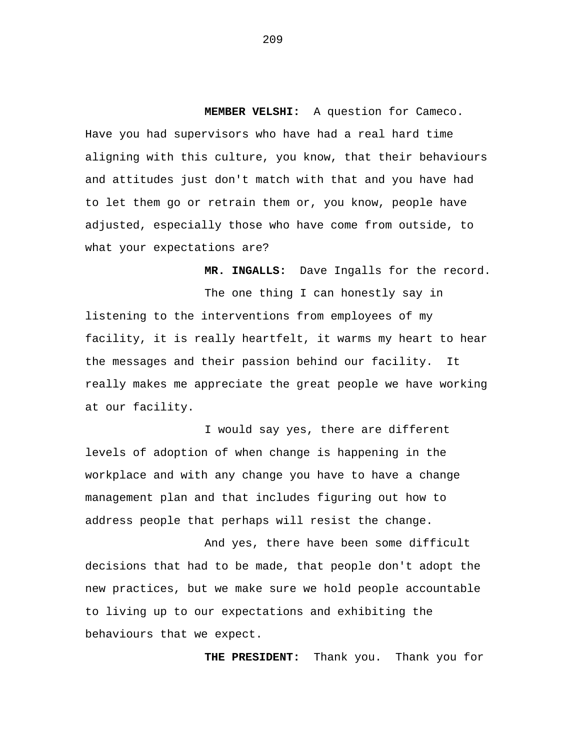**MEMBER VELSHI:** A question for Cameco. Have you had supervisors who have had a real hard time aligning with this culture, you know, that their behaviours and attitudes just don't match with that and you have had to let them go or retrain them or, you know, people have adjusted, especially those who have come from outside, to what your expectations are?

**MR. INGALLS:** Dave Ingalls for the record.

The one thing I can honestly say in listening to the interventions from employees of my facility, it is really heartfelt, it warms my heart to hear the messages and their passion behind our facility. It really makes me appreciate the great people we have working at our facility.

I would say yes, there are different levels of adoption of when change is happening in the workplace and with any change you have to have a change management plan and that includes figuring out how to address people that perhaps will resist the change.

And yes, there have been some difficult decisions that had to be made, that people don't adopt the new practices, but we make sure we hold people accountable to living up to our expectations and exhibiting the behaviours that we expect.

**THE PRESIDENT:** Thank you. Thank you for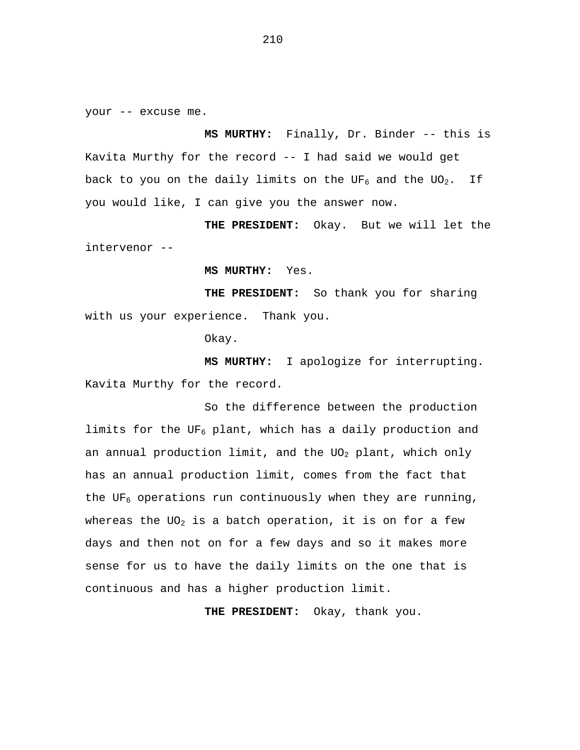your -- excuse me.

**MS MURTHY:** Finally, Dr. Binder -- this is Kavita Murthy for the record -- I had said we would get back to you on the daily limits on the UF<sub>6</sub> and the UO<sub>2</sub>. If you would like, I can give you the answer now.

**THE PRESIDENT:** Okay. But we will let the intervenor --

**MS MURTHY:** Yes.

**THE PRESIDENT:** So thank you for sharing with us your experience. Thank you.

Okay.

**MS MURTHY:** I apologize for interrupting. Kavita Murthy for the record.

So the difference between the production limits for the UF<sub>6</sub> plant, which has a daily production and an annual production limit, and the  $UO<sub>2</sub>$  plant, which only has an annual production limit, comes from the fact that the UF<sub>6</sub> operations run continuously when they are running, whereas the UO<sub>2</sub> is a batch operation, it is on for a few days and then not on for a few days and so it makes more sense for us to have the daily limits on the one that is continuous and has a higher production limit.

**THE PRESIDENT:** Okay, thank you.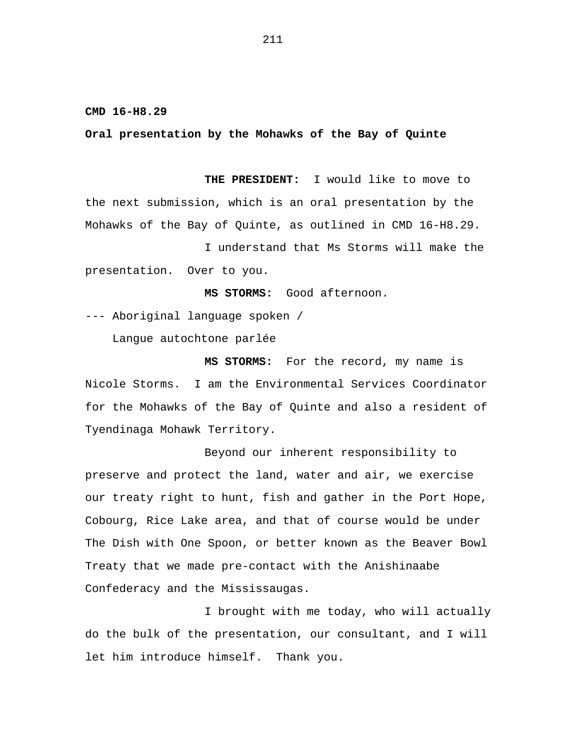**CMD 16-H8.29** 

**Oral presentation by the Mohawks of the Bay of Quinte** 

**THE PRESIDENT:** I would like to move to the next submission, which is an oral presentation by the Mohawks of the Bay of Quinte, as outlined in CMD 16-H8.29.

I understand that Ms Storms will make the presentation. Over to you.

**MS STORMS:** Good afternoon.

--- Aboriginal language spoken /

Langue autochtone parlée

**MS STORMS:** For the record, my name is Nicole Storms. I am the Environmental Services Coordinator for the Mohawks of the Bay of Quinte and also a resident of Tyendinaga Mohawk Territory.

Beyond our inherent responsibility to preserve and protect the land, water and air, we exercise our treaty right to hunt, fish and gather in the Port Hope, Cobourg, Rice Lake area, and that of course would be under The Dish with One Spoon, or better known as the Beaver Bowl Treaty that we made pre-contact with the Anishinaabe Confederacy and the Mississaugas.

I brought with me today, who will actually do the bulk of the presentation, our consultant, and I will let him introduce himself. Thank you.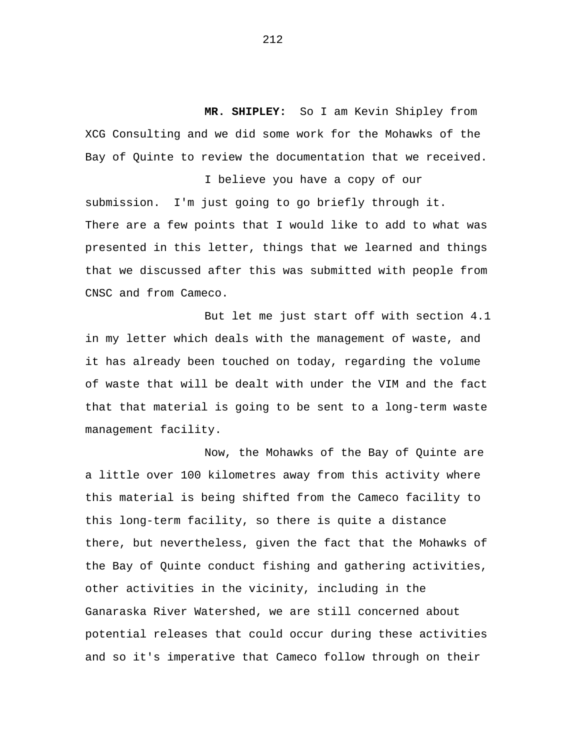**MR. SHIPLEY:** So I am Kevin Shipley from XCG Consulting and we did some work for the Mohawks of the Bay of Quinte to review the documentation that we received.

I believe you have a copy of our submission. I'm just going to go briefly through it. There are a few points that I would like to add to what was presented in this letter, things that we learned and things that we discussed after this was submitted with people from CNSC and from Cameco.

But let me just start off with section 4.1 in my letter which deals with the management of waste, and it has already been touched on today, regarding the volume of waste that will be dealt with under the VIM and the fact that that material is going to be sent to a long-term waste management facility.

Now, the Mohawks of the Bay of Quinte are a little over 100 kilometres away from this activity where this material is being shifted from the Cameco facility to this long-term facility, so there is quite a distance there, but nevertheless, given the fact that the Mohawks of the Bay of Quinte conduct fishing and gathering activities, other activities in the vicinity, including in the Ganaraska River Watershed, we are still concerned about potential releases that could occur during these activities and so it's imperative that Cameco follow through on their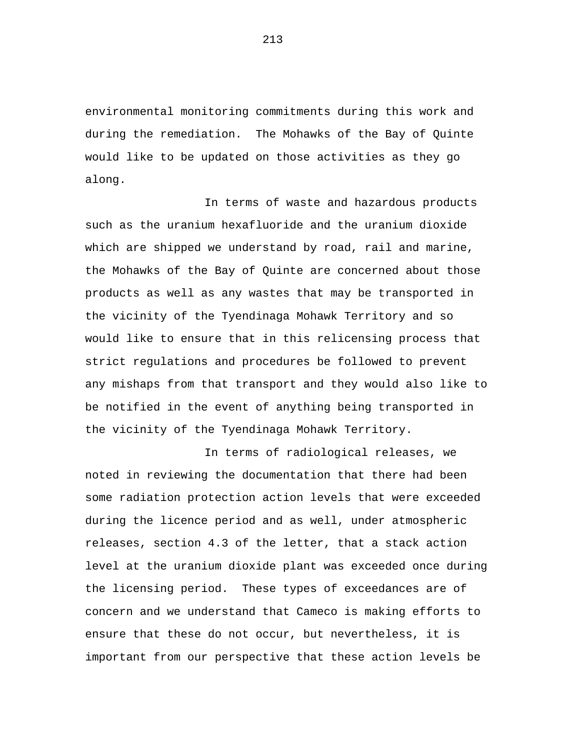environmental monitoring commitments during this work and during the remediation. The Mohawks of the Bay of Quinte would like to be updated on those activities as they go along.

In terms of waste and hazardous products such as the uranium hexafluoride and the uranium dioxide which are shipped we understand by road, rail and marine, the Mohawks of the Bay of Quinte are concerned about those products as well as any wastes that may be transported in the vicinity of the Tyendinaga Mohawk Territory and so would like to ensure that in this relicensing process that strict regulations and procedures be followed to prevent any mishaps from that transport and they would also like to be notified in the event of anything being transported in the vicinity of the Tyendinaga Mohawk Territory.

In terms of radiological releases, we noted in reviewing the documentation that there had been some radiation protection action levels that were exceeded during the licence period and as well, under atmospheric releases, section 4.3 of the letter, that a stack action level at the uranium dioxide plant was exceeded once during the licensing period. These types of exceedances are of concern and we understand that Cameco is making efforts to ensure that these do not occur, but nevertheless, it is important from our perspective that these action levels be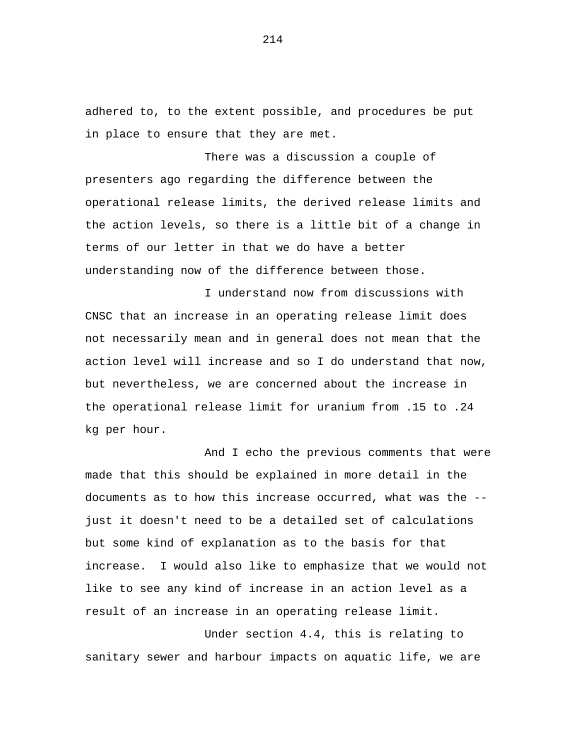adhered to, to the extent possible, and procedures be put in place to ensure that they are met.

There was a discussion a couple of presenters ago regarding the difference between the operational release limits, the derived release limits and the action levels, so there is a little bit of a change in terms of our letter in that we do have a better understanding now of the difference between those.

I understand now from discussions with CNSC that an increase in an operating release limit does not necessarily mean and in general does not mean that the action level will increase and so I do understand that now, but nevertheless, we are concerned about the increase in the operational release limit for uranium from .15 to .24 kg per hour.

And I echo the previous comments that were made that this should be explained in more detail in the documents as to how this increase occurred, what was the - just it doesn't need to be a detailed set of calculations but some kind of explanation as to the basis for that increase. I would also like to emphasize that we would not like to see any kind of increase in an action level as a result of an increase in an operating release limit.

Under section 4.4, this is relating to sanitary sewer and harbour impacts on aquatic life, we are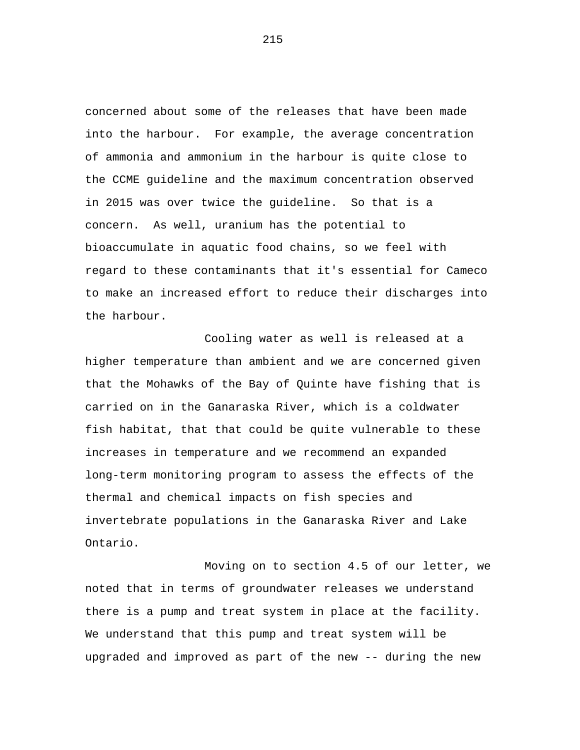concerned about some of the releases that have been made into the harbour. For example, the average concentration of ammonia and ammonium in the harbour is quite close to the CCME guideline and the maximum concentration observed in 2015 was over twice the guideline. So that is a concern. As well, uranium has the potential to bioaccumulate in aquatic food chains, so we feel with regard to these contaminants that it's essential for Cameco to make an increased effort to reduce their discharges into the harbour.

Cooling water as well is released at a higher temperature than ambient and we are concerned given that the Mohawks of the Bay of Quinte have fishing that is carried on in the Ganaraska River, which is a coldwater fish habitat, that that could be quite vulnerable to these increases in temperature and we recommend an expanded long-term monitoring program to assess the effects of the thermal and chemical impacts on fish species and invertebrate populations in the Ganaraska River and Lake Ontario.

Moving on to section 4.5 of our letter, we noted that in terms of groundwater releases we understand there is a pump and treat system in place at the facility. We understand that this pump and treat system will be upgraded and improved as part of the new -- during the new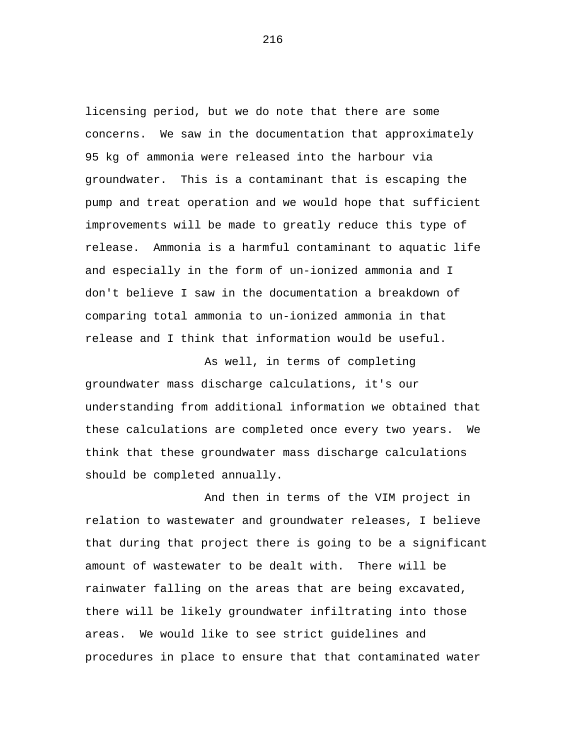licensing period, but we do note that there are some concerns. We saw in the documentation that approximately 95 kg of ammonia were released into the harbour via groundwater. This is a contaminant that is escaping the pump and treat operation and we would hope that sufficient improvements will be made to greatly reduce this type of release. Ammonia is a harmful contaminant to aquatic life and especially in the form of un-ionized ammonia and I don't believe I saw in the documentation a breakdown of comparing total ammonia to un-ionized ammonia in that release and I think that information would be useful.

As well, in terms of completing groundwater mass discharge calculations, it's our understanding from additional information we obtained that these calculations are completed once every two years. We think that these groundwater mass discharge calculations should be completed annually.

And then in terms of the VIM project in relation to wastewater and groundwater releases, I believe that during that project there is going to be a significant amount of wastewater to be dealt with. There will be rainwater falling on the areas that are being excavated, there will be likely groundwater infiltrating into those areas. We would like to see strict guidelines and procedures in place to ensure that that contaminated water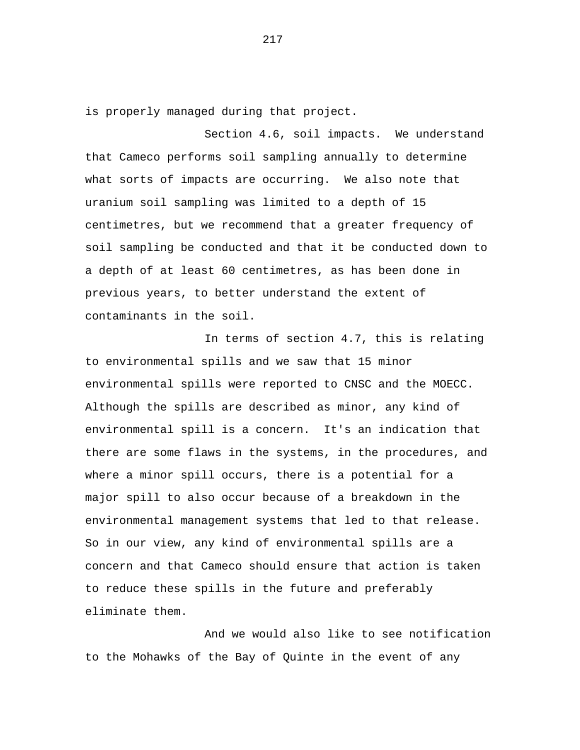is properly managed during that project.

Section 4.6, soil impacts. We understand that Cameco performs soil sampling annually to determine what sorts of impacts are occurring. We also note that uranium soil sampling was limited to a depth of 15 centimetres, but we recommend that a greater frequency of soil sampling be conducted and that it be conducted down to a depth of at least 60 centimetres, as has been done in previous years, to better understand the extent of contaminants in the soil.

In terms of section 4.7, this is relating to environmental spills and we saw that 15 minor environmental spills were reported to CNSC and the MOECC. Although the spills are described as minor, any kind of environmental spill is a concern. It's an indication that there are some flaws in the systems, in the procedures, and where a minor spill occurs, there is a potential for a major spill to also occur because of a breakdown in the environmental management systems that led to that release. So in our view, any kind of environmental spills are a concern and that Cameco should ensure that action is taken to reduce these spills in the future and preferably eliminate them.

And we would also like to see notification to the Mohawks of the Bay of Quinte in the event of any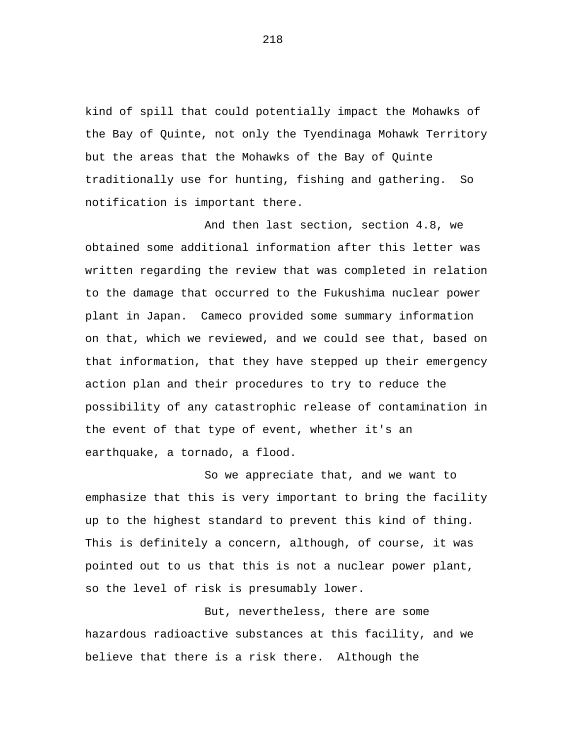kind of spill that could potentially impact the Mohawks of the Bay of Quinte, not only the Tyendinaga Mohawk Territory but the areas that the Mohawks of the Bay of Quinte traditionally use for hunting, fishing and gathering. So notification is important there.

And then last section, section 4.8, we obtained some additional information after this letter was written regarding the review that was completed in relation to the damage that occurred to the Fukushima nuclear power plant in Japan. Cameco provided some summary information on that, which we reviewed, and we could see that, based on that information, that they have stepped up their emergency action plan and their procedures to try to reduce the possibility of any catastrophic release of contamination in the event of that type of event, whether it's an earthquake, a tornado, a flood.

So we appreciate that, and we want to emphasize that this is very important to bring the facility up to the highest standard to prevent this kind of thing. This is definitely a concern, although, of course, it was pointed out to us that this is not a nuclear power plant, so the level of risk is presumably lower.

But, nevertheless, there are some hazardous radioactive substances at this facility, and we believe that there is a risk there. Although the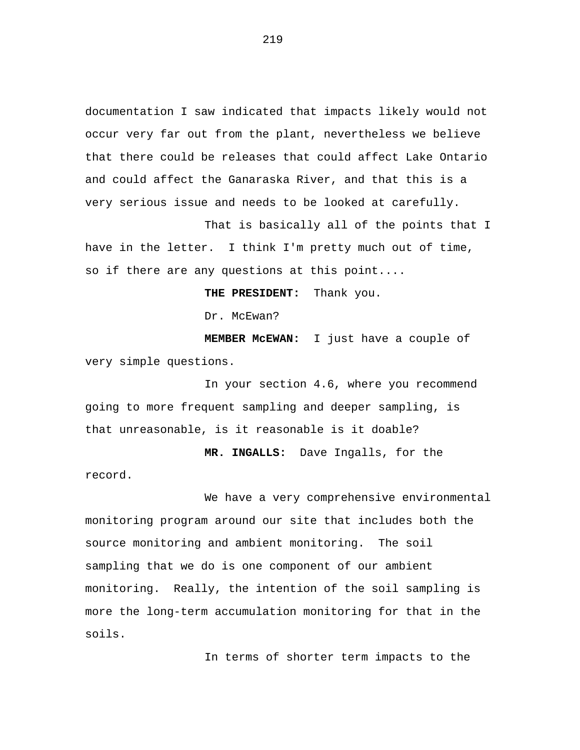documentation I saw indicated that impacts likely would not occur very far out from the plant, nevertheless we believe that there could be releases that could affect Lake Ontario and could affect the Ganaraska River, and that this is a very serious issue and needs to be looked at carefully.

That is basically all of the points that I have in the letter. I think I'm pretty much out of time, so if there are any questions at this point....

**THE PRESIDENT:** Thank you.

Dr. McEwan?

**MEMBER McEWAN:** I just have a couple of very simple questions.

In your section 4.6, where you recommend going to more frequent sampling and deeper sampling, is that unreasonable, is it reasonable is it doable?

**MR. INGALLS:** Dave Ingalls, for the record.

We have a very comprehensive environmental monitoring program around our site that includes both the source monitoring and ambient monitoring. The soil sampling that we do is one component of our ambient monitoring. Really, the intention of the soil sampling is more the long-term accumulation monitoring for that in the soils.

In terms of shorter term impacts to the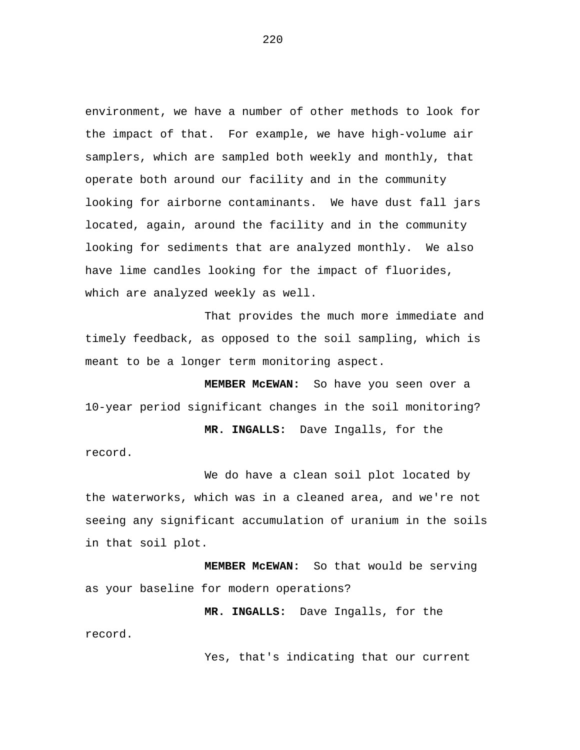environment, we have a number of other methods to look for the impact of that. For example, we have high-volume air samplers, which are sampled both weekly and monthly, that operate both around our facility and in the community looking for airborne contaminants. We have dust fall jars located, again, around the facility and in the community looking for sediments that are analyzed monthly. We also have lime candles looking for the impact of fluorides, which are analyzed weekly as well.

That provides the much more immediate and timely feedback, as opposed to the soil sampling, which is meant to be a longer term monitoring aspect.

**MEMBER McEWAN:** So have you seen over a 10-year period significant changes in the soil monitoring?

**MR. INGALLS:** Dave Ingalls, for the record.

We do have a clean soil plot located by the waterworks, which was in a cleaned area, and we're not seeing any significant accumulation of uranium in the soils in that soil plot.

**MEMBER McEWAN:** So that would be serving as your baseline for modern operations?

**MR. INGALLS:** Dave Ingalls, for the record.

Yes, that's indicating that our current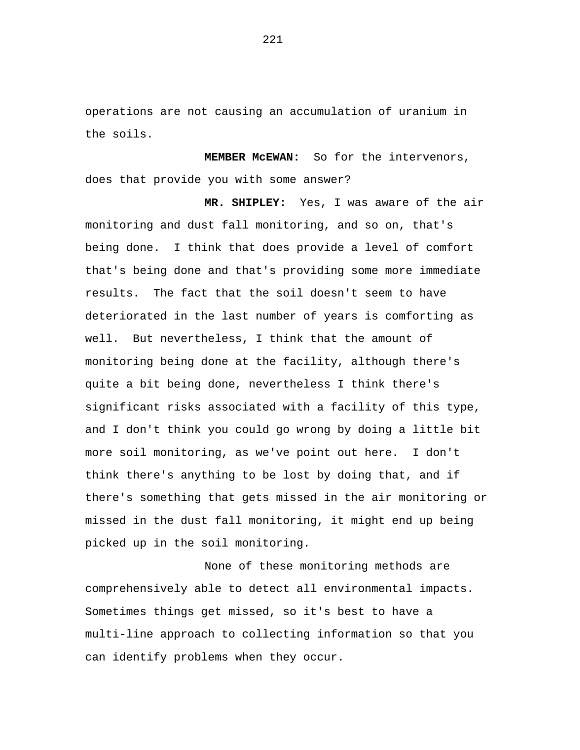operations are not causing an accumulation of uranium in the soils.

**MEMBER McEWAN:** So for the intervenors, does that provide you with some answer?

**MR. SHIPLEY:** Yes, I was aware of the air monitoring and dust fall monitoring, and so on, that's being done. I think that does provide a level of comfort that's being done and that's providing some more immediate results. The fact that the soil doesn't seem to have deteriorated in the last number of years is comforting as well. But nevertheless, I think that the amount of monitoring being done at the facility, although there's quite a bit being done, nevertheless I think there's significant risks associated with a facility of this type, and I don't think you could go wrong by doing a little bit more soil monitoring, as we've point out here. I don't think there's anything to be lost by doing that, and if there's something that gets missed in the air monitoring or missed in the dust fall monitoring, it might end up being picked up in the soil monitoring.

None of these monitoring methods are comprehensively able to detect all environmental impacts. Sometimes things get missed, so it's best to have a multi-line approach to collecting information so that you can identify problems when they occur.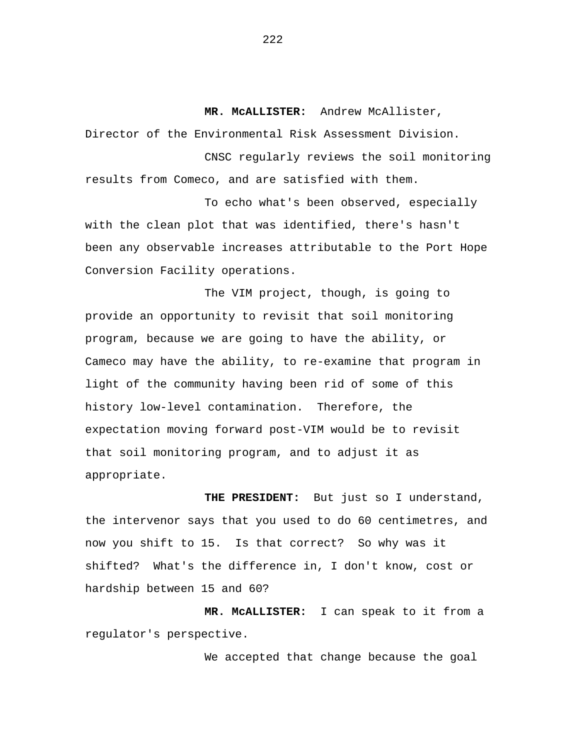**MR. McALLISTER:** Andrew McAllister,

Director of the Environmental Risk Assessment Division.

CNSC regularly reviews the soil monitoring results from Comeco, and are satisfied with them.

To echo what's been observed, especially with the clean plot that was identified, there's hasn't been any observable increases attributable to the Port Hope Conversion Facility operations.

The VIM project, though, is going to provide an opportunity to revisit that soil monitoring program, because we are going to have the ability, or Cameco may have the ability, to re-examine that program in light of the community having been rid of some of this history low-level contamination. Therefore, the expectation moving forward post-VIM would be to revisit that soil monitoring program, and to adjust it as appropriate.

**THE PRESIDENT:** But just so I understand, the intervenor says that you used to do 60 centimetres, and now you shift to 15. Is that correct? So why was it shifted? What's the difference in, I don't know, cost or hardship between 15 and 60?

**MR. McALLISTER:** I can speak to it from a regulator's perspective.

We accepted that change because the goal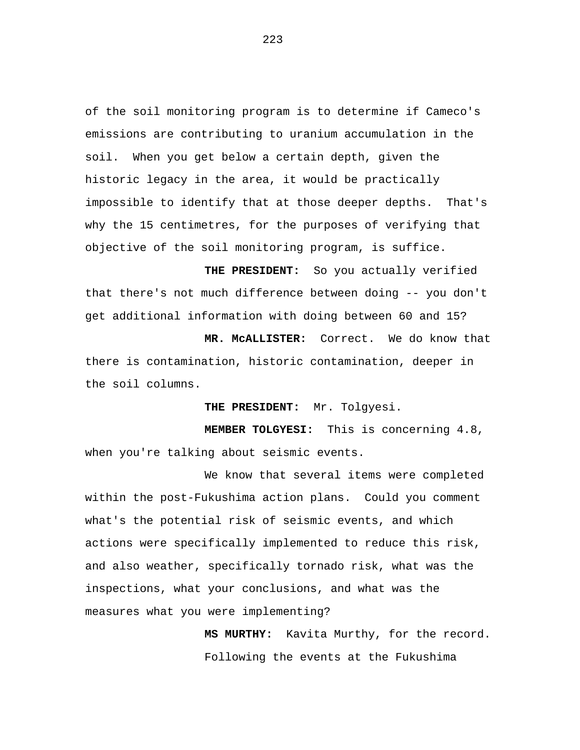of the soil monitoring program is to determine if Cameco's emissions are contributing to uranium accumulation in the soil. When you get below a certain depth, given the historic legacy in the area, it would be practically impossible to identify that at those deeper depths. That's why the 15 centimetres, for the purposes of verifying that objective of the soil monitoring program, is suffice.

**THE PRESIDENT:** So you actually verified that there's not much difference between doing -- you don't get additional information with doing between 60 and 15?

**MR. McALLISTER:** Correct. We do know that there is contamination, historic contamination, deeper in the soil columns.

**THE PRESIDENT:** Mr. Tolgyesi.

**MEMBER TOLGYESI:** This is concerning 4.8, when you're talking about seismic events.

We know that several items were completed within the post-Fukushima action plans. Could you comment what's the potential risk of seismic events, and which actions were specifically implemented to reduce this risk, and also weather, specifically tornado risk, what was the inspections, what your conclusions, and what was the measures what you were implementing?

> **MS MURTHY:** Kavita Murthy, for the record. Following the events at the Fukushima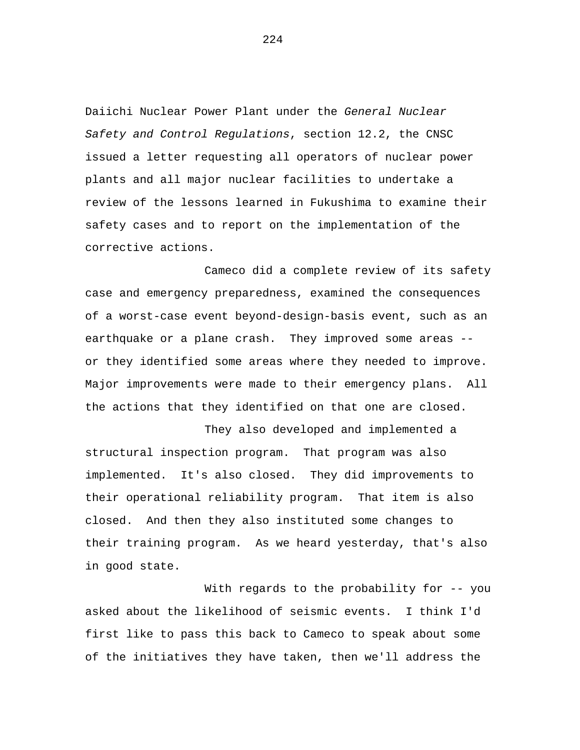Daiichi Nuclear Power Plant under the *General Nuclear Safety and Control Regulations*, section 12.2, the CNSC issued a letter requesting all operators of nuclear power plants and all major nuclear facilities to undertake a review of the lessons learned in Fukushima to examine their safety cases and to report on the implementation of the corrective actions.

Cameco did a complete review of its safety case and emergency preparedness, examined the consequences of a worst-case event beyond-design-basis event, such as an earthquake or a plane crash. They improved some areas - or they identified some areas where they needed to improve. Major improvements were made to their emergency plans. All the actions that they identified on that one are closed.

They also developed and implemented a structural inspection program. That program was also implemented. It's also closed. They did improvements to their operational reliability program. That item is also closed. And then they also instituted some changes to their training program. As we heard yesterday, that's also in good state.

With regards to the probability for -- you asked about the likelihood of seismic events. I think I'd first like to pass this back to Cameco to speak about some of the initiatives they have taken, then we'll address the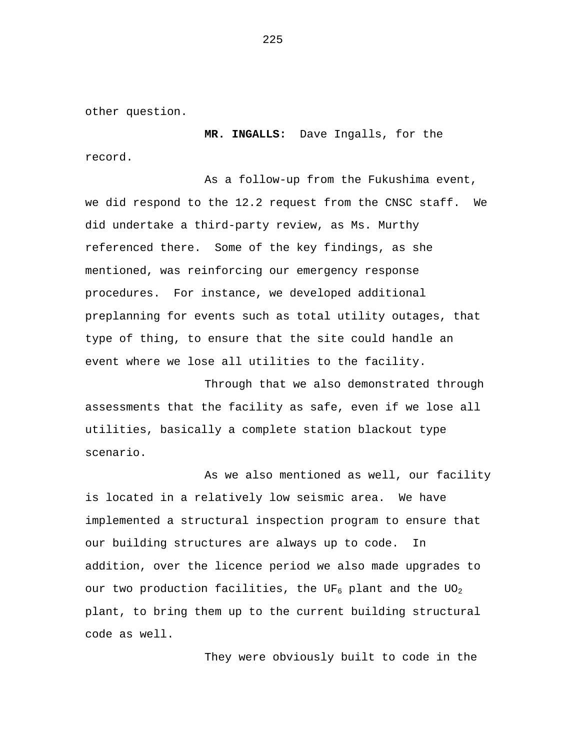other question.

record.

**MR. INGALLS:** Dave Ingalls, for the

As a follow-up from the Fukushima event, we did respond to the 12.2 request from the CNSC staff. We did undertake a third-party review, as Ms. Murthy referenced there. Some of the key findings, as she mentioned, was reinforcing our emergency response procedures. For instance, we developed additional preplanning for events such as total utility outages, that type of thing, to ensure that the site could handle an event where we lose all utilities to the facility.

Through that we also demonstrated through assessments that the facility as safe, even if we lose all utilities, basically a complete station blackout type scenario.

As we also mentioned as well, our facility is located in a relatively low seismic area. We have implemented a structural inspection program to ensure that our building structures are always up to code. In addition, over the licence period we also made upgrades to our two production facilities, the UF<sub>6</sub> plant and the UO<sub>2</sub> plant, to bring them up to the current building structural code as well.

They were obviously built to code in the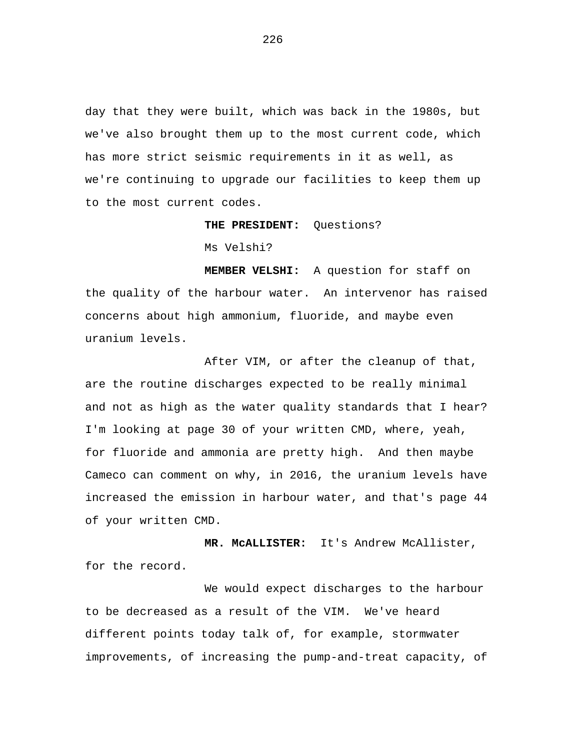day that they were built, which was back in the 1980s, but we've also brought them up to the most current code, which has more strict seismic requirements in it as well, as we're continuing to upgrade our facilities to keep them up to the most current codes.

**THE PRESIDENT:** Questions?

Ms Velshi?

**MEMBER VELSHI:** A question for staff on the quality of the harbour water. An intervenor has raised concerns about high ammonium, fluoride, and maybe even uranium levels.

After VIM, or after the cleanup of that, are the routine discharges expected to be really minimal and not as high as the water quality standards that I hear? I'm looking at page 30 of your written CMD, where, yeah, for fluoride and ammonia are pretty high. And then maybe Cameco can comment on why, in 2016, the uranium levels have increased the emission in harbour water, and that's page 44 of your written CMD.

**MR. McALLISTER:** It's Andrew McAllister, for the record.

We would expect discharges to the harbour to be decreased as a result of the VIM. We've heard different points today talk of, for example, stormwater improvements, of increasing the pump-and-treat capacity, of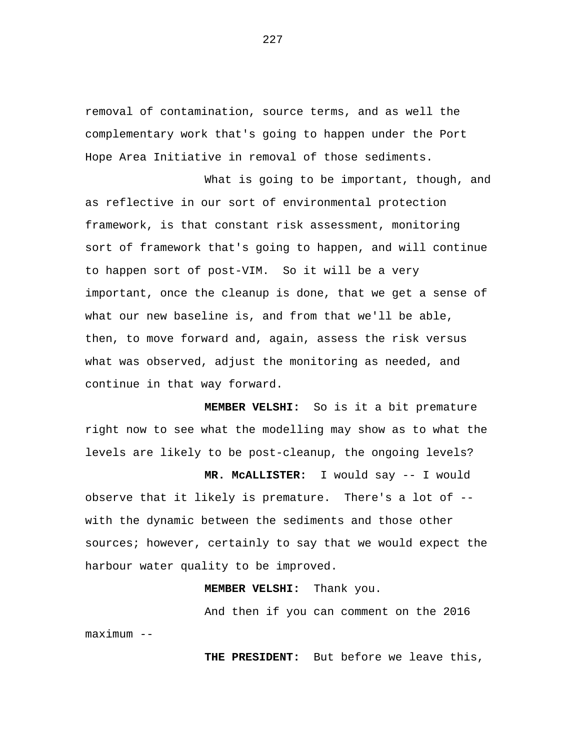removal of contamination, source terms, and as well the complementary work that's going to happen under the Port Hope Area Initiative in removal of those sediments.

What is going to be important, though, and as reflective in our sort of environmental protection framework, is that constant risk assessment, monitoring sort of framework that's going to happen, and will continue to happen sort of post-VIM. So it will be a very important, once the cleanup is done, that we get a sense of what our new baseline is, and from that we'll be able, then, to move forward and, again, assess the risk versus what was observed, adjust the monitoring as needed, and continue in that way forward.

**MEMBER VELSHI:** So is it a bit premature right now to see what the modelling may show as to what the levels are likely to be post-cleanup, the ongoing levels?

**MR. McALLISTER:** I would say -- I would observe that it likely is premature. There's a lot of - with the dynamic between the sediments and those other sources; however, certainly to say that we would expect the harbour water quality to be improved.

## **MEMBER VELSHI:** Thank you.

And then if you can comment on the 2016 maximum --

**THE PRESIDENT:** But before we leave this,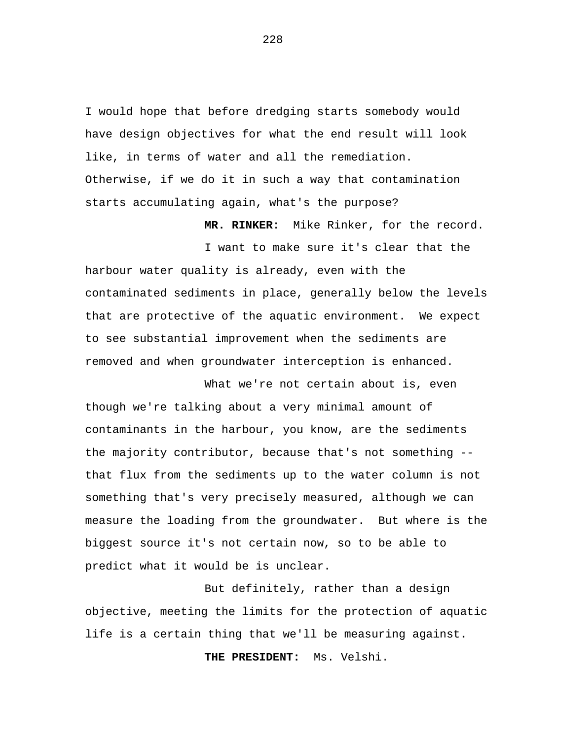I would hope that before dredging starts somebody would have design objectives for what the end result will look like, in terms of water and all the remediation. Otherwise, if we do it in such a way that contamination starts accumulating again, what's the purpose?

**MR. RINKER:** Mike Rinker, for the record.

I want to make sure it's clear that the harbour water quality is already, even with the contaminated sediments in place, generally below the levels that are protective of the aquatic environment. We expect to see substantial improvement when the sediments are removed and when groundwater interception is enhanced.

What we're not certain about is, even though we're talking about a very minimal amount of contaminants in the harbour, you know, are the sediments the majority contributor, because that's not something - that flux from the sediments up to the water column is not something that's very precisely measured, although we can measure the loading from the groundwater. But where is the biggest source it's not certain now, so to be able to predict what it would be is unclear.

But definitely, rather than a design objective, meeting the limits for the protection of aquatic life is a certain thing that we'll be measuring against.

**THE PRESIDENT:** Ms. Velshi.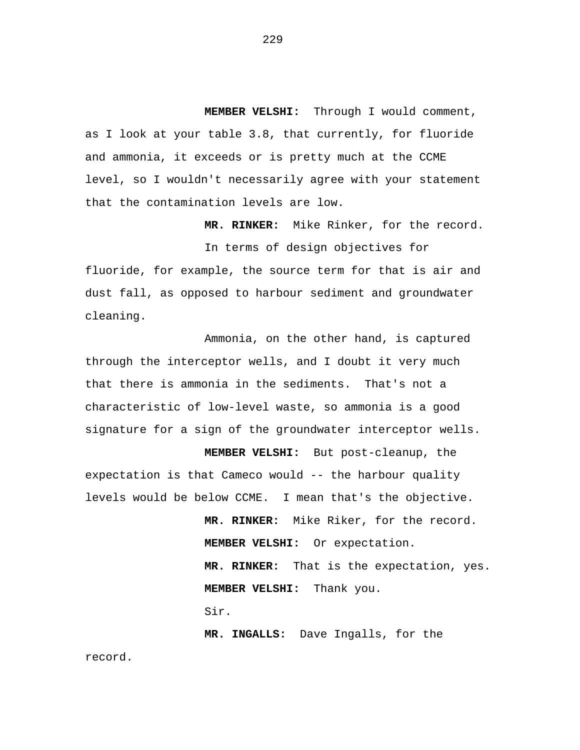**MEMBER VELSHI:** Through I would comment, as I look at your table 3.8, that currently, for fluoride and ammonia, it exceeds or is pretty much at the CCME level, so I wouldn't necessarily agree with your statement that the contamination levels are low.

**MR. RINKER:** Mike Rinker, for the record. In terms of design objectives for fluoride, for example, the source term for that is air and dust fall, as opposed to harbour sediment and groundwater cleaning.

Ammonia, on the other hand, is captured through the interceptor wells, and I doubt it very much that there is ammonia in the sediments. That's not a characteristic of low-level waste, so ammonia is a good signature for a sign of the groundwater interceptor wells.

**MEMBER VELSHI:** But post-cleanup, the expectation is that Cameco would -- the harbour quality levels would be below CCME. I mean that's the objective.

> **MR. RINKER:** Mike Riker, for the record. **MEMBER VELSHI:** Or expectation. **MR. RINKER:** That is the expectation, yes. **MEMBER VELSHI:** Thank you. Sir.

**MR. INGALLS:** Dave Ingalls, for the record.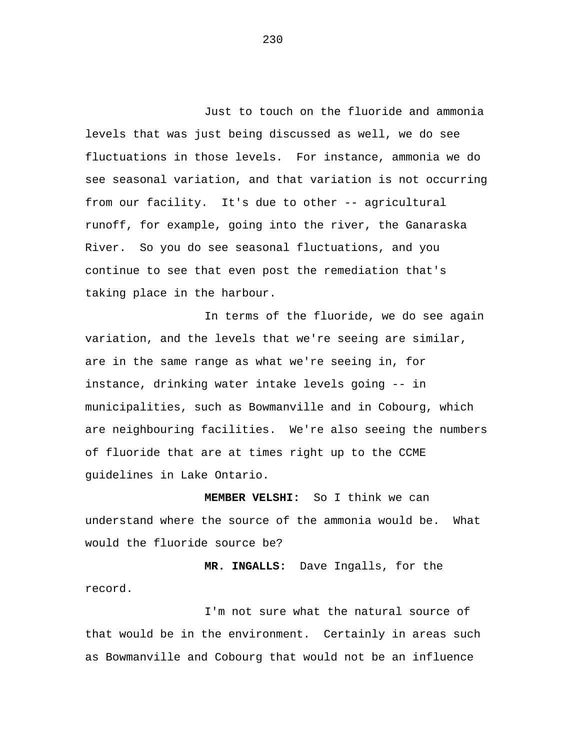Just to touch on the fluoride and ammonia levels that was just being discussed as well, we do see fluctuations in those levels. For instance, ammonia we do see seasonal variation, and that variation is not occurring from our facility. It's due to other -- agricultural runoff, for example, going into the river, the Ganaraska River. So you do see seasonal fluctuations, and you continue to see that even post the remediation that's taking place in the harbour.

In terms of the fluoride, we do see again variation, and the levels that we're seeing are similar, are in the same range as what we're seeing in, for instance, drinking water intake levels going -- in municipalities, such as Bowmanville and in Cobourg, which are neighbouring facilities. We're also seeing the numbers of fluoride that are at times right up to the CCME guidelines in Lake Ontario.

**MEMBER VELSHI:** So I think we can understand where the source of the ammonia would be. What would the fluoride source be?

**MR. INGALLS:** Dave Ingalls, for the record.

I'm not sure what the natural source of that would be in the environment. Certainly in areas such as Bowmanville and Cobourg that would not be an influence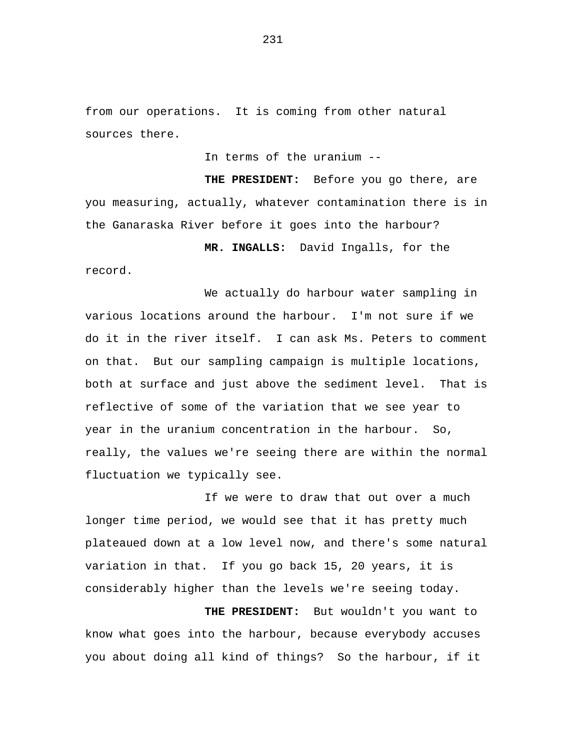from our operations. It is coming from other natural sources there.

In terms of the uranium --

**THE PRESIDENT:** Before you go there, are you measuring, actually, whatever contamination there is in the Ganaraska River before it goes into the harbour?

**MR. INGALLS:** David Ingalls, for the

record.

We actually do harbour water sampling in various locations around the harbour. I'm not sure if we do it in the river itself. I can ask Ms. Peters to comment on that. But our sampling campaign is multiple locations, both at surface and just above the sediment level. That is reflective of some of the variation that we see year to year in the uranium concentration in the harbour. So, really, the values we're seeing there are within the normal fluctuation we typically see.

If we were to draw that out over a much longer time period, we would see that it has pretty much plateaued down at a low level now, and there's some natural variation in that. If you go back 15, 20 years, it is considerably higher than the levels we're seeing today.

**THE PRESIDENT:** But wouldn't you want to know what goes into the harbour, because everybody accuses you about doing all kind of things? So the harbour, if it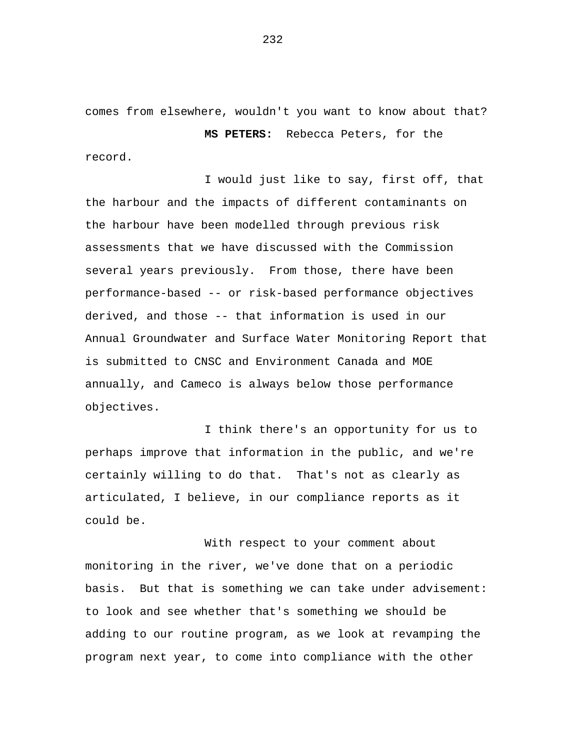comes from elsewhere, wouldn't you want to know about that?

**MS PETERS:** Rebecca Peters, for the record.

I would just like to say, first off, that the harbour and the impacts of different contaminants on the harbour have been modelled through previous risk assessments that we have discussed with the Commission several years previously. From those, there have been performance-based -- or risk-based performance objectives derived, and those -- that information is used in our Annual Groundwater and Surface Water Monitoring Report that is submitted to CNSC and Environment Canada and MOE annually, and Cameco is always below those performance objectives.

I think there's an opportunity for us to perhaps improve that information in the public, and we're certainly willing to do that. That's not as clearly as articulated, I believe, in our compliance reports as it could be.

With respect to your comment about monitoring in the river, we've done that on a periodic basis. But that is something we can take under advisement: to look and see whether that's something we should be adding to our routine program, as we look at revamping the program next year, to come into compliance with the other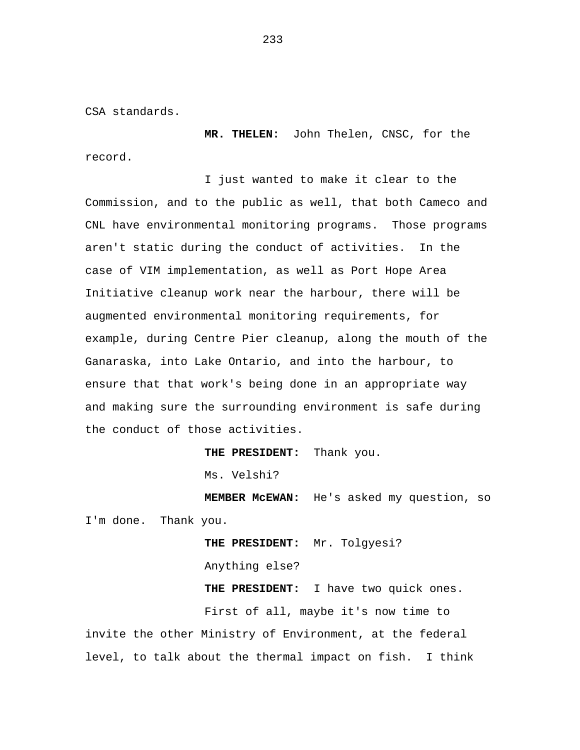CSA standards.

**MR. THELEN:** John Thelen, CNSC, for the record.

I just wanted to make it clear to the Commission, and to the public as well, that both Cameco and CNL have environmental monitoring programs. Those programs aren't static during the conduct of activities. In the case of VIM implementation, as well as Port Hope Area Initiative cleanup work near the harbour, there will be augmented environmental monitoring requirements, for example, during Centre Pier cleanup, along the mouth of the Ganaraska, into Lake Ontario, and into the harbour, to ensure that that work's being done in an appropriate way and making sure the surrounding environment is safe during the conduct of those activities.

**THE PRESIDENT:** Thank you.

Ms. Velshi?

**MEMBER McEWAN:** He's asked my question, so I'm done. Thank you.

> **THE PRESIDENT:** Mr. Tolgyesi? Anything else? **THE PRESIDENT:** I have two quick ones.

First of all, maybe it's now time to invite the other Ministry of Environment, at the federal level, to talk about the thermal impact on fish. I think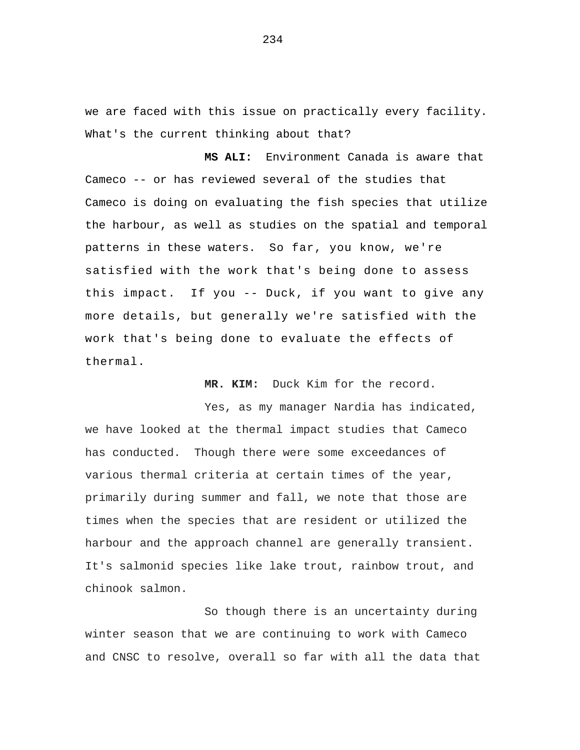we are faced with this issue on practically every facility. What's the current thinking about that?

 patterns in these waters. So far, you know, we're **MS ALI:** Environment Canada is aware that Cameco -- or has reviewed several of the studies that Cameco is doing on evaluating the fish species that utilize the harbour, as well as studies on the spatial and temporal satisfied with the work that's being done to assess this impact. If you -- Duck, if you want to give any more details, but generally we're satisfied with the work that's being done to evaluate the effects of thermal.

**MR. KIM:** Duck Kim for the record.

Yes, as my manager Nardia has indicated, we have looked at the thermal impact studies that Cameco has conducted. Though there were some exceedances of various thermal criteria at certain times of the year, primarily during summer and fall, we note that those are times when the species that are resident or utilized the harbour and the approach channel are generally transient. It's salmonid species like lake trout, rainbow trout, and chinook salmon.

So though there is an uncertainty during winter season that we are continuing to work with Cameco and CNSC to resolve, overall so far with all the data that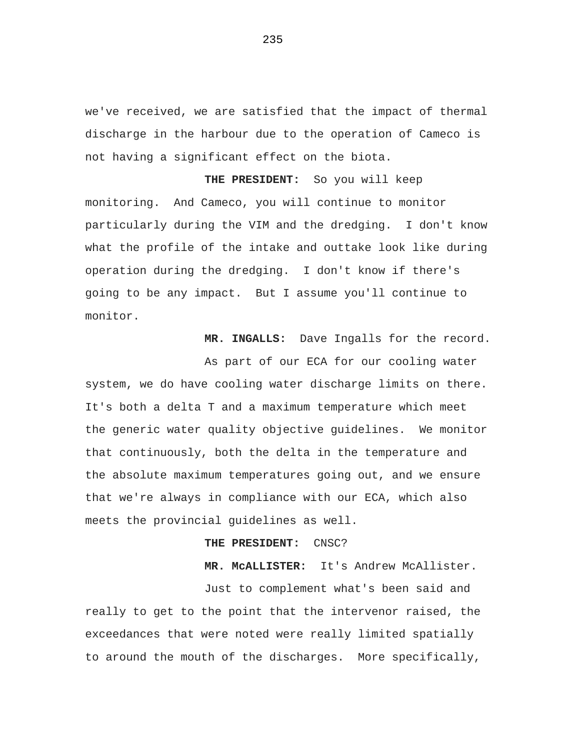we've received, we are satisfied that the impact of thermal discharge in the harbour due to the operation of Cameco is not having a significant effect on the biota.

**THE PRESIDENT:** So you will keep monitoring. And Cameco, you will continue to monitor particularly during the VIM and the dredging. I don't know what the profile of the intake and outtake look like during operation during the dredging. I don't know if there's going to be any impact. But I assume you'll continue to monitor.

**MR. INGALLS:** Dave Ingalls for the record.

As part of our ECA for our cooling water system, we do have cooling water discharge limits on there. It's both a delta T and a maximum temperature which meet the generic water quality objective guidelines. We monitor that continuously, both the delta in the temperature and the absolute maximum temperatures going out, and we ensure that we're always in compliance with our ECA, which also meets the provincial guidelines as well.

## **THE PRESIDENT:** CNSC?

**MR. McALLISTER:** It's Andrew McAllister.

Just to complement what's been said and really to get to the point that the intervenor raised, the exceedances that were noted were really limited spatially to around the mouth of the discharges. More specifically,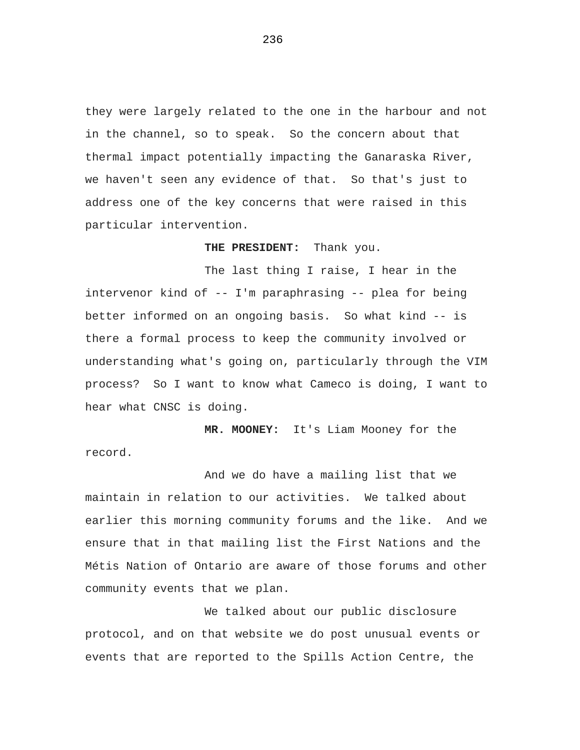they were largely related to the one in the harbour and not in the channel, so to speak. So the concern about that thermal impact potentially impacting the Ganaraska River, we haven't seen any evidence of that. So that's just to address one of the key concerns that were raised in this particular intervention.

**THE PRESIDENT:** Thank you.

The last thing I raise, I hear in the intervenor kind of -- I'm paraphrasing -- plea for being better informed on an ongoing basis. So what kind -- is there a formal process to keep the community involved or understanding what's going on, particularly through the VIM process? So I want to know what Cameco is doing, I want to hear what CNSC is doing.

**MR. MOONEY:** It's Liam Mooney for the record.

And we do have a mailing list that we maintain in relation to our activities. We talked about earlier this morning community forums and the like. And we ensure that in that mailing list the First Nations and the Métis Nation of Ontario are aware of those forums and other community events that we plan.

We talked about our public disclosure protocol, and on that website we do post unusual events or events that are reported to the Spills Action Centre, the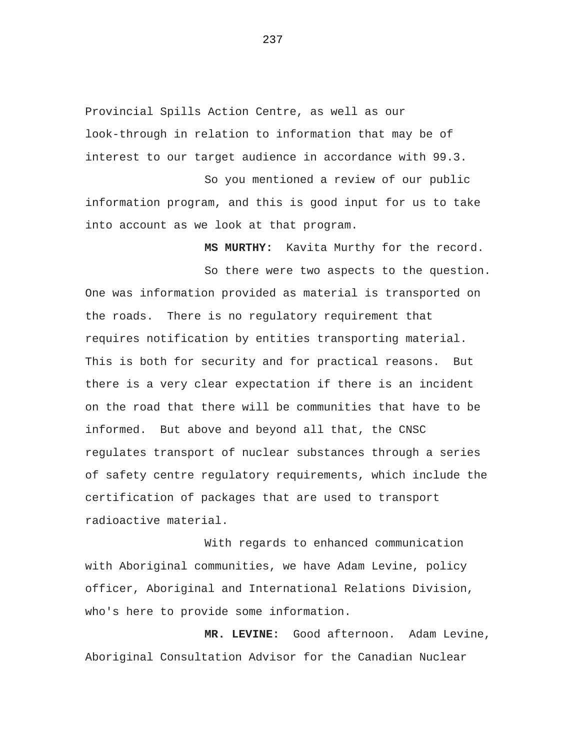Provincial Spills Action Centre, as well as our look-through in relation to information that may be of interest to our target audience in accordance with 99.3.

So you mentioned a review of our public information program, and this is good input for us to take into account as we look at that program.

**MS MURTHY:** Kavita Murthy for the record.

So there were two aspects to the question. One was information provided as material is transported on the roads. There is no regulatory requirement that requires notification by entities transporting material. This is both for security and for practical reasons. But there is a very clear expectation if there is an incident on the road that there will be communities that have to be informed. But above and beyond all that, the CNSC regulates transport of nuclear substances through a series of safety centre regulatory requirements, which include the certification of packages that are used to transport radioactive material.

With regards to enhanced communication with Aboriginal communities, we have Adam Levine, policy officer, Aboriginal and International Relations Division, who's here to provide some information.

**MR. LEVINE:** Good afternoon. Adam Levine, Aboriginal Consultation Advisor for the Canadian Nuclear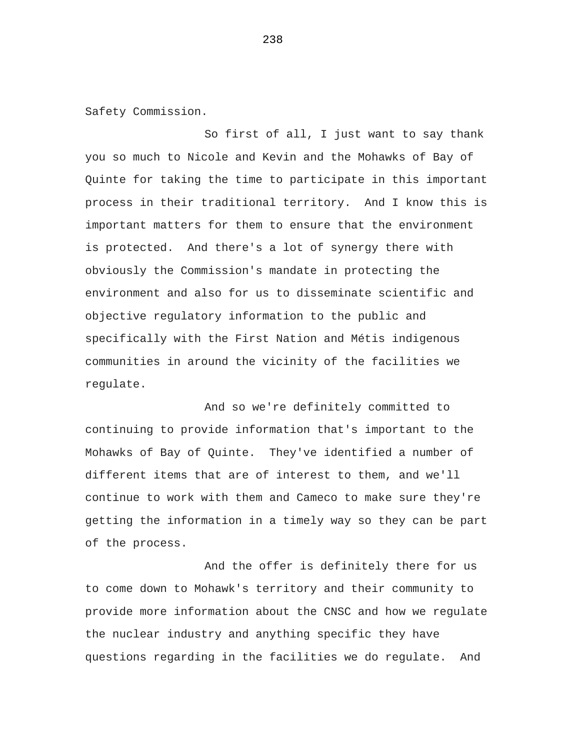Safety Commission.

So first of all, I just want to say thank you so much to Nicole and Kevin and the Mohawks of Bay of Quinte for taking the time to participate in this important process in their traditional territory. And I know this is important matters for them to ensure that the environment is protected. And there's a lot of synergy there with obviously the Commission's mandate in protecting the environment and also for us to disseminate scientific and objective regulatory information to the public and specifically with the First Nation and Métis indigenous communities in around the vicinity of the facilities we regulate.

And so we're definitely committed to continuing to provide information that's important to the Mohawks of Bay of Quinte. They've identified a number of different items that are of interest to them, and we'll continue to work with them and Cameco to make sure they're getting the information in a timely way so they can be part of the process.

And the offer is definitely there for us to come down to Mohawk's territory and their community to provide more information about the CNSC and how we regulate the nuclear industry and anything specific they have questions regarding in the facilities we do regulate. And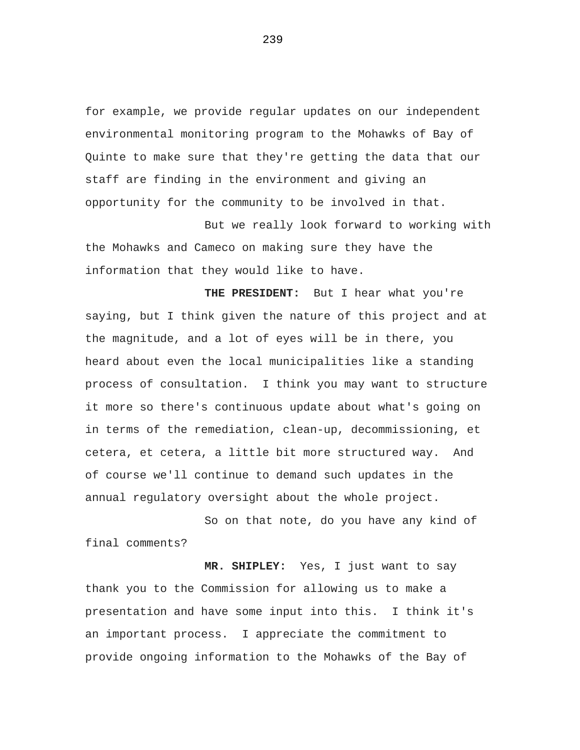for example, we provide regular updates on our independent environmental monitoring program to the Mohawks of Bay of Quinte to make sure that they're getting the data that our staff are finding in the environment and giving an opportunity for the community to be involved in that.

But we really look forward to working with the Mohawks and Cameco on making sure they have the information that they would like to have.

**THE PRESIDENT:** But I hear what you're saying, but I think given the nature of this project and at the magnitude, and a lot of eyes will be in there, you heard about even the local municipalities like a standing process of consultation. I think you may want to structure it more so there's continuous update about what's going on in terms of the remediation, clean-up, decommissioning, et cetera, et cetera, a little bit more structured way. And of course we'll continue to demand such updates in the annual regulatory oversight about the whole project.

So on that note, do you have any kind of final comments?

**MR. SHIPLEY:** Yes, I just want to say thank you to the Commission for allowing us to make a presentation and have some input into this. I think it's an important process. I appreciate the commitment to provide ongoing information to the Mohawks of the Bay of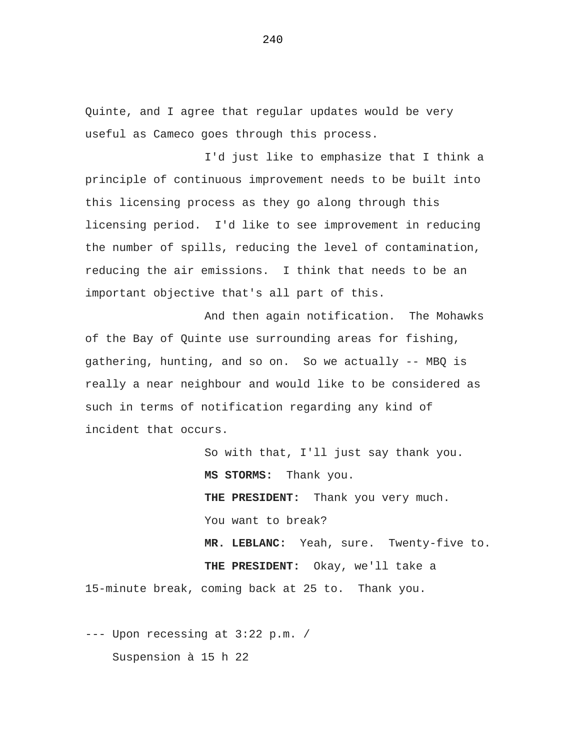Quinte, and I agree that regular updates would be very useful as Cameco goes through this process.

I'd just like to emphasize that I think a principle of continuous improvement needs to be built into this licensing process as they go along through this licensing period. I'd like to see improvement in reducing the number of spills, reducing the level of contamination, reducing the air emissions. I think that needs to be an important objective that's all part of this.

And then again notification. The Mohawks of the Bay of Quinte use surrounding areas for fishing, gathering, hunting, and so on. So we actually -- MBQ is really a near neighbour and would like to be considered as such in terms of notification regarding any kind of incident that occurs.

So with that, I'll just say thank you. **MS STORMS:** Thank you. **THE PRESIDENT:** Thank you very much. You want to break? **MR. LEBLANC:** Yeah, sure. Twenty-five to. **THE PRESIDENT:** Okay, we'll take a 15-minute break, coming back at 25 to. Thank you.

--- Upon recessing at 3:22 p.m. / Suspension à 15 h 22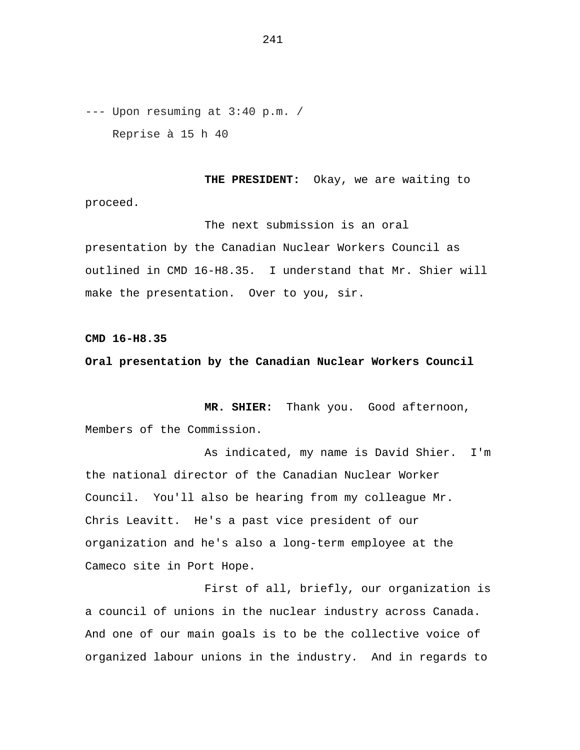--- Upon resuming at 3:40 p.m. / Reprise à 15 h 40

**THE PRESIDENT:** Okay, we are waiting to proceed.

The next submission is an oral presentation by the Canadian Nuclear Workers Council as outlined in CMD 16-H8.35. I understand that Mr. Shier will make the presentation. Over to you, sir.

**CMD 16-H8.35** 

## **Oral presentation by the Canadian Nuclear Workers Council**

**MR. SHIER:** Thank you. Good afternoon, Members of the Commission.

As indicated, my name is David Shier. I'm the national director of the Canadian Nuclear Worker Council. You'll also be hearing from my colleague Mr. Chris Leavitt. He's a past vice president of our organization and he's also a long-term employee at the Cameco site in Port Hope.

First of all, briefly, our organization is a council of unions in the nuclear industry across Canada. And one of our main goals is to be the collective voice of organized labour unions in the industry. And in regards to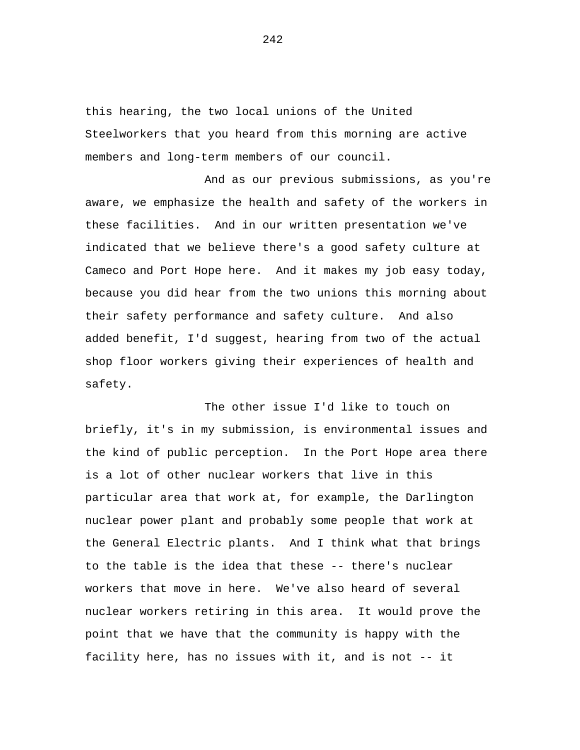this hearing, the two local unions of the United Steelworkers that you heard from this morning are active members and long-term members of our council.

And as our previous submissions, as you're aware, we emphasize the health and safety of the workers in these facilities. And in our written presentation we've indicated that we believe there's a good safety culture at Cameco and Port Hope here. And it makes my job easy today, because you did hear from the two unions this morning about their safety performance and safety culture. And also added benefit, I'd suggest, hearing from two of the actual shop floor workers giving their experiences of health and safety.

The other issue I'd like to touch on briefly, it's in my submission, is environmental issues and the kind of public perception. In the Port Hope area there is a lot of other nuclear workers that live in this particular area that work at, for example, the Darlington nuclear power plant and probably some people that work at the General Electric plants. And I think what that brings to the table is the idea that these -- there's nuclear workers that move in here. We've also heard of several nuclear workers retiring in this area. It would prove the point that we have that the community is happy with the facility here, has no issues with it, and is not -- it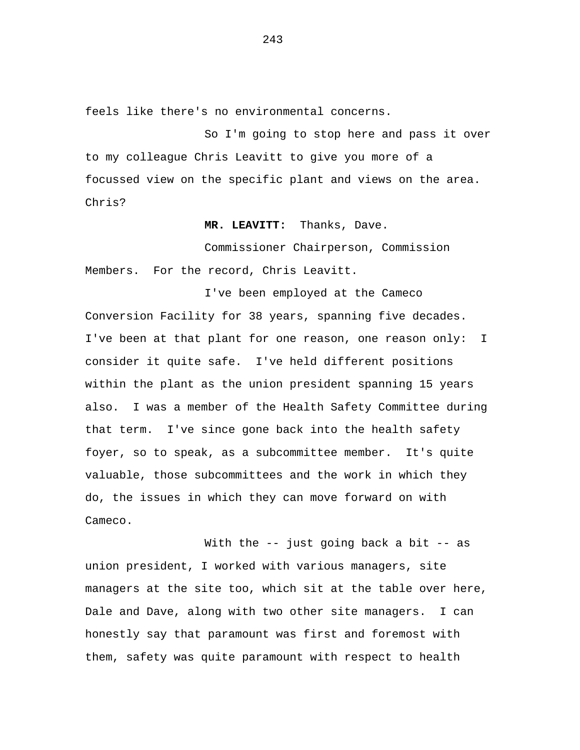feels like there's no environmental concerns.

So I'm going to stop here and pass it over to my colleague Chris Leavitt to give you more of a focussed view on the specific plant and views on the area. Chris?

**MR. LEAVITT:** Thanks, Dave.

Commissioner Chairperson, Commission Members. For the record, Chris Leavitt.

I've been employed at the Cameco Conversion Facility for 38 years, spanning five decades. I've been at that plant for one reason, one reason only: I consider it quite safe. I've held different positions within the plant as the union president spanning 15 years also. I was a member of the Health Safety Committee during that term. I've since gone back into the health safety foyer, so to speak, as a subcommittee member. It's quite valuable, those subcommittees and the work in which they do, the issues in which they can move forward on with Cameco.

With the -- just going back a bit -- as union president, I worked with various managers, site managers at the site too, which sit at the table over here, Dale and Dave, along with two other site managers. I can honestly say that paramount was first and foremost with them, safety was quite paramount with respect to health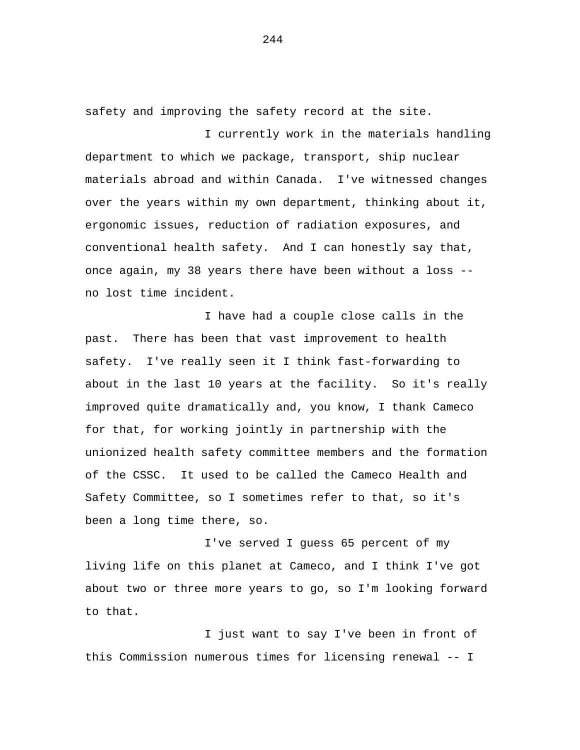safety and improving the safety record at the site.

I currently work in the materials handling department to which we package, transport, ship nuclear materials abroad and within Canada. I've witnessed changes over the years within my own department, thinking about it, ergonomic issues, reduction of radiation exposures, and conventional health safety. And I can honestly say that, once again, my 38 years there have been without a loss - no lost time incident.

I have had a couple close calls in the past. There has been that vast improvement to health safety. I've really seen it I think fast-forwarding to about in the last 10 years at the facility. So it's really improved quite dramatically and, you know, I thank Cameco for that, for working jointly in partnership with the unionized health safety committee members and the formation of the CSSC. It used to be called the Cameco Health and Safety Committee, so I sometimes refer to that, so it's been a long time there, so.

I've served I guess 65 percent of my living life on this planet at Cameco, and I think I've got about two or three more years to go, so I'm looking forward to that.

I just want to say I've been in front of this Commission numerous times for licensing renewal -- I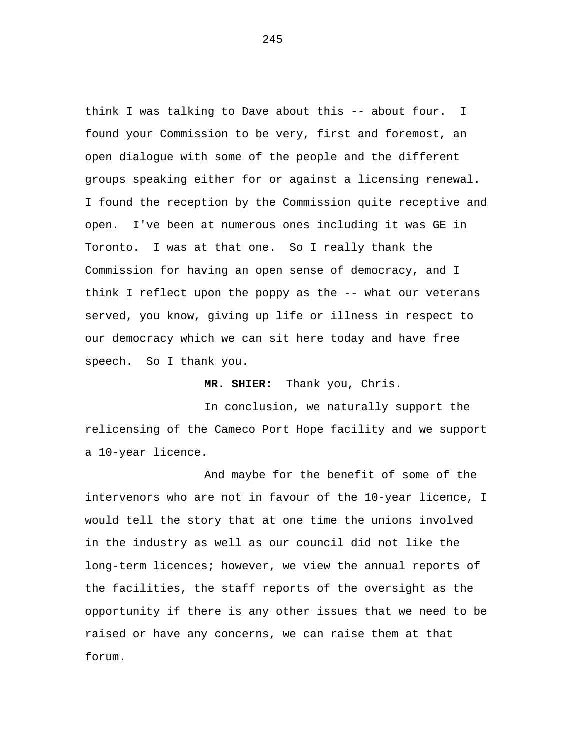think I was talking to Dave about this -- about four. I found your Commission to be very, first and foremost, an open dialogue with some of the people and the different groups speaking either for or against a licensing renewal. I found the reception by the Commission quite receptive and open. I've been at numerous ones including it was GE in Toronto. I was at that one. So I really thank the Commission for having an open sense of democracy, and I think I reflect upon the poppy as the -- what our veterans served, you know, giving up life or illness in respect to our democracy which we can sit here today and have free speech. So I thank you.

**MR. SHIER:** Thank you, Chris.

In conclusion, we naturally support the relicensing of the Cameco Port Hope facility and we support a 10-year licence.

And maybe for the benefit of some of the intervenors who are not in favour of the 10-year licence, I would tell the story that at one time the unions involved in the industry as well as our council did not like the long-term licences; however, we view the annual reports of the facilities, the staff reports of the oversight as the opportunity if there is any other issues that we need to be raised or have any concerns, we can raise them at that forum.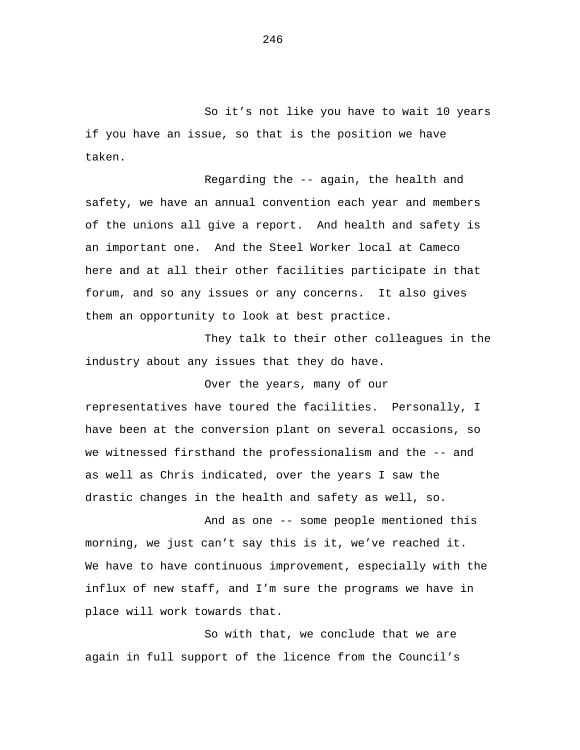So it's not like you have to wait 10 years if you have an issue, so that is the position we have taken.

Regarding the -- again, the health and safety, we have an annual convention each year and members of the unions all give a report. And health and safety is an important one. And the Steel Worker local at Cameco here and at all their other facilities participate in that forum, and so any issues or any concerns. It also gives them an opportunity to look at best practice.

They talk to their other colleagues in the industry about any issues that they do have.

Over the years, many of our representatives have toured the facilities. Personally, I have been at the conversion plant on several occasions, so we witnessed firsthand the professionalism and the -- and as well as Chris indicated, over the years I saw the drastic changes in the health and safety as well, so.

And as one -- some people mentioned this morning, we just can't say this is it, we've reached it. We have to have continuous improvement, especially with the influx of new staff, and I'm sure the programs we have in place will work towards that.

So with that, we conclude that we are again in full support of the licence from the Council's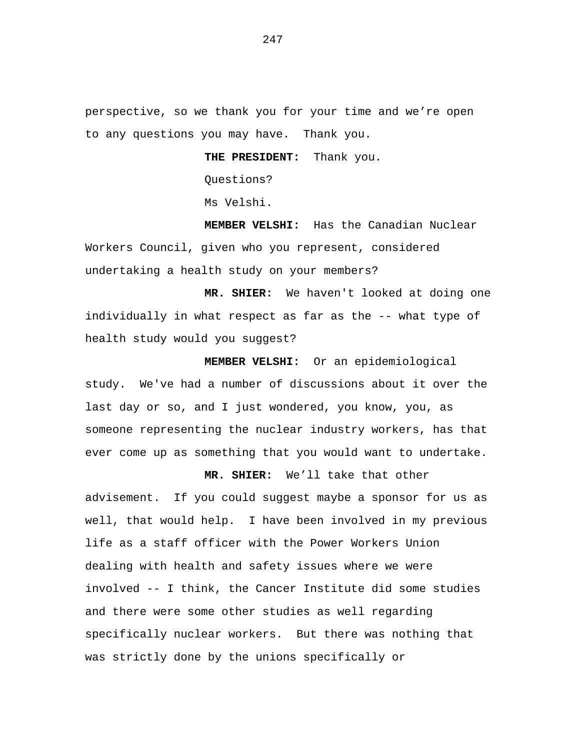perspective, so we thank you for your time and we're open to any questions you may have. Thank you.

**THE PRESIDENT:** Thank you.

Questions?

Ms Velshi.

**MEMBER VELSHI:** Has the Canadian Nuclear Workers Council, given who you represent, considered undertaking a health study on your members?

**MR. SHIER:** We haven't looked at doing one individually in what respect as far as the -- what type of health study would you suggest?

**MEMBER VELSHI:** Or an epidemiological study. We've had a number of discussions about it over the last day or so, and I just wondered, you know, you, as someone representing the nuclear industry workers, has that ever come up as something that you would want to undertake.

**MR. SHIER:** We'll take that other advisement. If you could suggest maybe a sponsor for us as well, that would help. I have been involved in my previous life as a staff officer with the Power Workers Union dealing with health and safety issues where we were involved -- I think, the Cancer Institute did some studies and there were some other studies as well regarding specifically nuclear workers. But there was nothing that was strictly done by the unions specifically or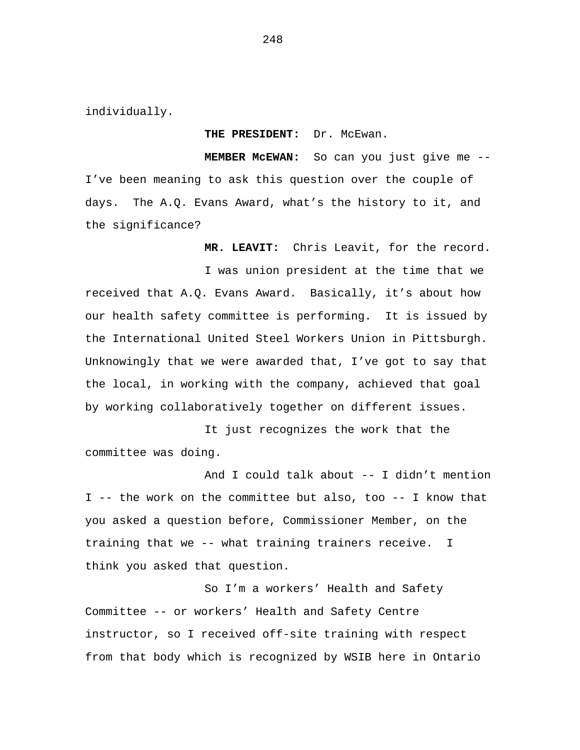individually.

THE PRESIDENT: Dr. McEwan.

**MEMBER McEWAN:** So can you just give me -- I've been meaning to ask this question over the couple of days. The A.Q. Evans Award, what's the history to it, and the significance?

**MR. LEAVIT:** Chris Leavit, for the record. I was union president at the time that we received that A.Q. Evans Award. Basically, it's about how our health safety committee is performing. It is issued by the International United Steel Workers Union in Pittsburgh. Unknowingly that we were awarded that, I've got to say that the local, in working with the company, achieved that goal by working collaboratively together on different issues.

It just recognizes the work that the committee was doing.

And I could talk about -- I didn't mention I -- the work on the committee but also, too -- I know that you asked a question before, Commissioner Member, on the training that we -- what training trainers receive. I think you asked that question.

So I'm a workers' Health and Safety Committee -- or workers' Health and Safety Centre instructor, so I received off-site training with respect from that body which is recognized by WSIB here in Ontario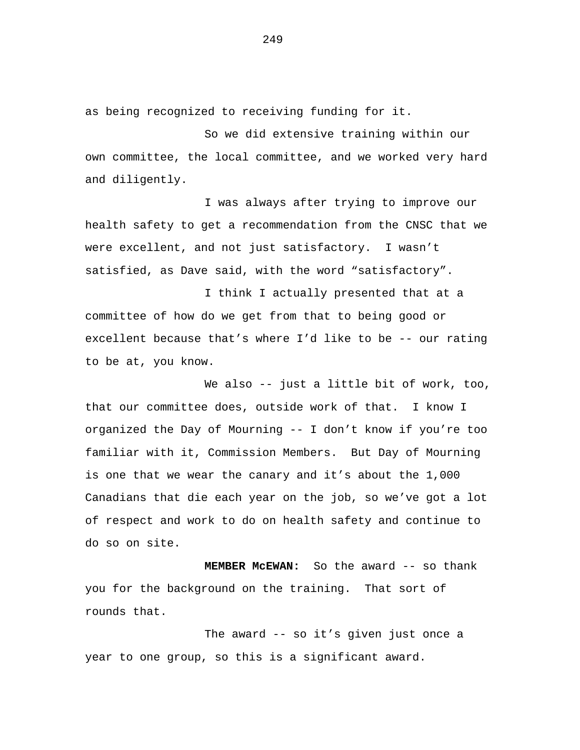as being recognized to receiving funding for it.

So we did extensive training within our own committee, the local committee, and we worked very hard and diligently.

I was always after trying to improve our health safety to get a recommendation from the CNSC that we were excellent, and not just satisfactory. I wasn't satisfied, as Dave said, with the word "satisfactory".

I think I actually presented that at a committee of how do we get from that to being good or excellent because that's where I'd like to be -- our rating to be at, you know.

We also -- just a little bit of work, too, that our committee does, outside work of that. I know I organized the Day of Mourning -- I don't know if you're too familiar with it, Commission Members. But Day of Mourning is one that we wear the canary and it's about the 1,000 Canadians that die each year on the job, so we've got a lot of respect and work to do on health safety and continue to do so on site.

**MEMBER McEWAN:** So the award -- so thank you for the background on the training. That sort of rounds that.

The award -- so it's given just once a year to one group, so this is a significant award.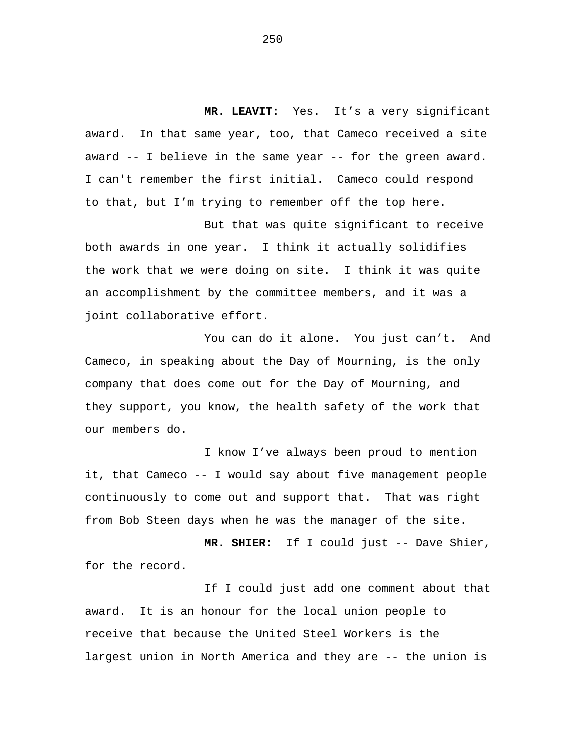**MR. LEAVIT:** Yes. It's a very significant award. In that same year, too, that Cameco received a site award -- I believe in the same year -- for the green award. I can't remember the first initial. Cameco could respond to that, but I'm trying to remember off the top here.

But that was quite significant to receive both awards in one year. I think it actually solidifies the work that we were doing on site. I think it was quite an accomplishment by the committee members, and it was a joint collaborative effort.

You can do it alone. You just can't. And Cameco, in speaking about the Day of Mourning, is the only company that does come out for the Day of Mourning, and they support, you know, the health safety of the work that our members do.

I know I've always been proud to mention it, that Cameco -- I would say about five management people continuously to come out and support that. That was right from Bob Steen days when he was the manager of the site.

**MR. SHIER:** If I could just -- Dave Shier, for the record.

If I could just add one comment about that award. It is an honour for the local union people to receive that because the United Steel Workers is the largest union in North America and they are -- the union is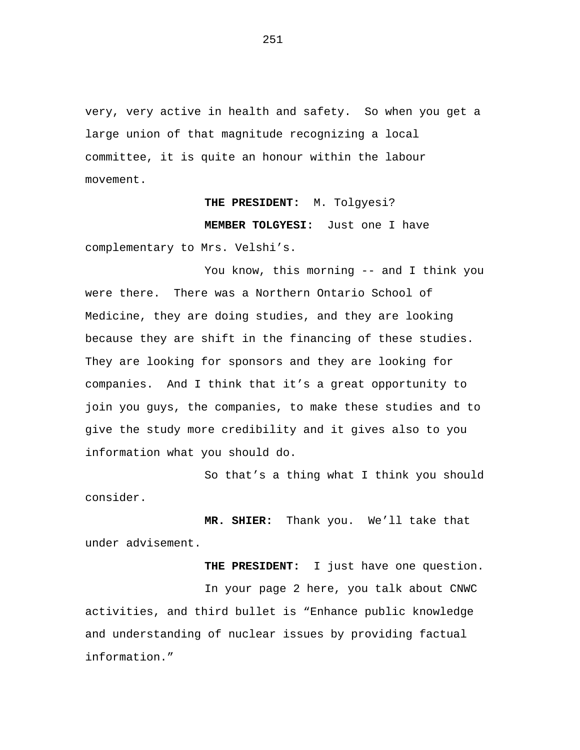very, very active in health and safety. So when you get a large union of that magnitude recognizing a local committee, it is quite an honour within the labour movement.

## **THE PRESIDENT:** M. Tolgyesi?

## **MEMBER TOLGYESI:** Just one I have

complementary to Mrs. Velshi's.

You know, this morning -- and I think you were there. There was a Northern Ontario School of Medicine, they are doing studies, and they are looking because they are shift in the financing of these studies. They are looking for sponsors and they are looking for companies. And I think that it's a great opportunity to join you guys, the companies, to make these studies and to give the study more credibility and it gives also to you information what you should do.

So that's a thing what I think you should consider.

**MR. SHIER:** Thank you. We'll take that under advisement.

**THE PRESIDENT:** I just have one question. In your page 2 here, you talk about CNWC activities, and third bullet is "Enhance public knowledge and understanding of nuclear issues by providing factual information."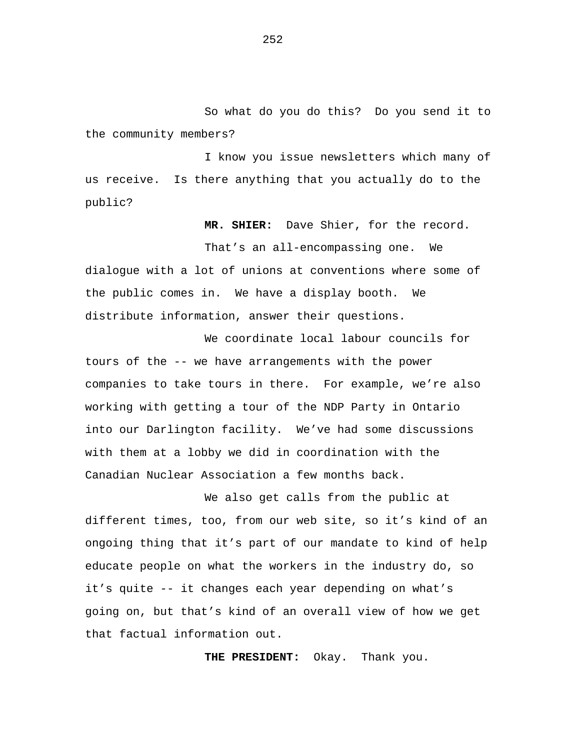So what do you do this? Do you send it to the community members?

I know you issue newsletters which many of us receive. Is there anything that you actually do to the public?

**MR. SHIER:** Dave Shier, for the record.

That's an all-encompassing one. We dialogue with a lot of unions at conventions where some of the public comes in. We have a display booth. We distribute information, answer their questions.

We coordinate local labour councils for tours of the -- we have arrangements with the power companies to take tours in there. For example, we're also working with getting a tour of the NDP Party in Ontario into our Darlington facility. We've had some discussions with them at a lobby we did in coordination with the Canadian Nuclear Association a few months back.

We also get calls from the public at different times, too, from our web site, so it's kind of an ongoing thing that it's part of our mandate to kind of help educate people on what the workers in the industry do, so it's quite -- it changes each year depending on what's going on, but that's kind of an overall view of how we get that factual information out.

**THE PRESIDENT:** Okay. Thank you.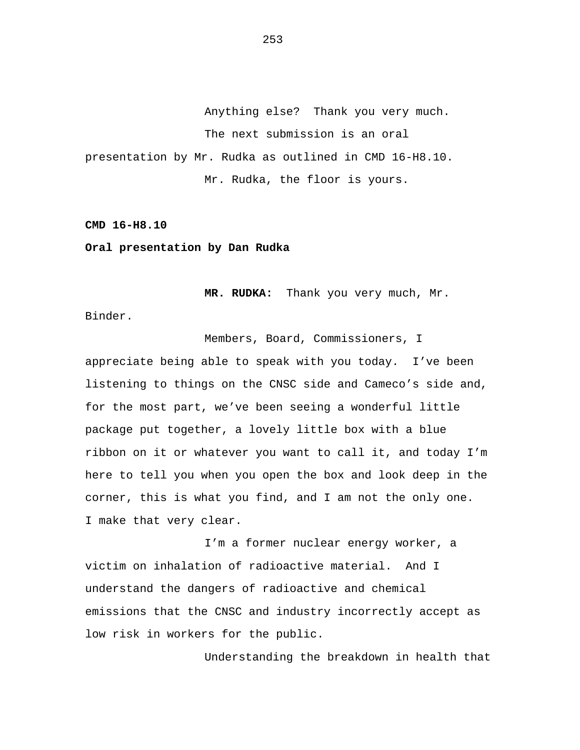Anything else? Thank you very much. The next submission is an oral presentation by Mr. Rudka as outlined in CMD 16-H8.10. Mr. Rudka, the floor is yours.

**CMD 16-H8.10** 

**Oral presentation by Dan Rudka** 

**MR. RUDKA:** Thank you very much, Mr.

Binder.

Members, Board, Commissioners, I appreciate being able to speak with you today. I've been listening to things on the CNSC side and Cameco's side and, for the most part, we've been seeing a wonderful little package put together, a lovely little box with a blue ribbon on it or whatever you want to call it, and today I'm here to tell you when you open the box and look deep in the corner, this is what you find, and I am not the only one. I make that very clear.

I'm a former nuclear energy worker, a victim on inhalation of radioactive material. And I understand the dangers of radioactive and chemical emissions that the CNSC and industry incorrectly accept as low risk in workers for the public.

Understanding the breakdown in health that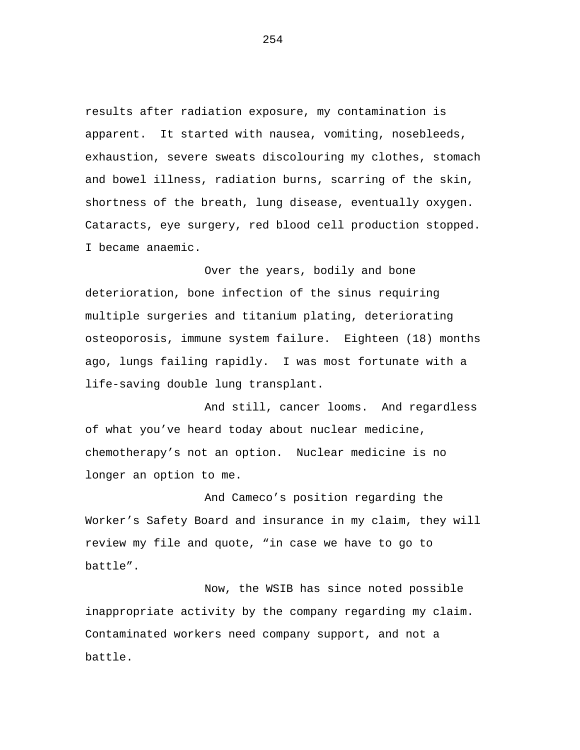results after radiation exposure, my contamination is apparent. It started with nausea, vomiting, nosebleeds, exhaustion, severe sweats discolouring my clothes, stomach and bowel illness, radiation burns, scarring of the skin, shortness of the breath, lung disease, eventually oxygen. Cataracts, eye surgery, red blood cell production stopped. I became anaemic.

Over the years, bodily and bone deterioration, bone infection of the sinus requiring multiple surgeries and titanium plating, deteriorating osteoporosis, immune system failure. Eighteen (18) months ago, lungs failing rapidly. I was most fortunate with a life-saving double lung transplant.

And still, cancer looms. And regardless of what you've heard today about nuclear medicine, chemotherapy's not an option. Nuclear medicine is no longer an option to me.

And Cameco's position regarding the Worker's Safety Board and insurance in my claim, they will review my file and quote, "in case we have to go to battle".

Now, the WSIB has since noted possible inappropriate activity by the company regarding my claim. Contaminated workers need company support, and not a battle.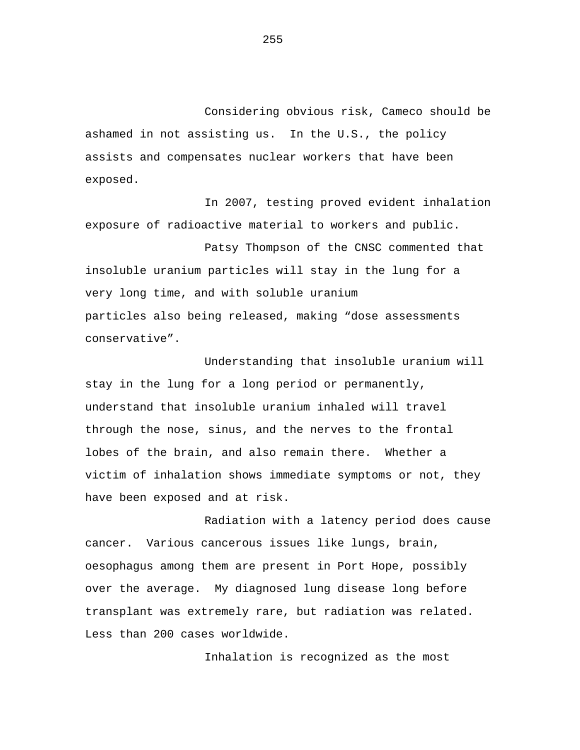Considering obvious risk, Cameco should be ashamed in not assisting us. In the U.S., the policy assists and compensates nuclear workers that have been exposed.

In 2007, testing proved evident inhalation exposure of radioactive material to workers and public.

Patsy Thompson of the CNSC commented that insoluble uranium particles will stay in the lung for a very long time, and with soluble uranium particles also being released, making "dose assessments conservative".

Understanding that insoluble uranium will stay in the lung for a long period or permanently, understand that insoluble uranium inhaled will travel through the nose, sinus, and the nerves to the frontal lobes of the brain, and also remain there. Whether a victim of inhalation shows immediate symptoms or not, they have been exposed and at risk.

Radiation with a latency period does cause cancer. Various cancerous issues like lungs, brain, oesophagus among them are present in Port Hope, possibly over the average. My diagnosed lung disease long before transplant was extremely rare, but radiation was related. Less than 200 cases worldwide.

Inhalation is recognized as the most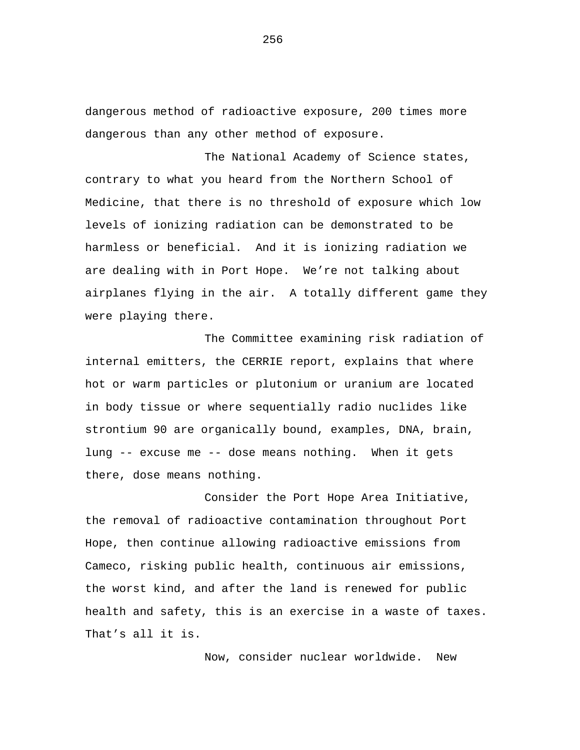dangerous method of radioactive exposure, 200 times more dangerous than any other method of exposure.

The National Academy of Science states, contrary to what you heard from the Northern School of Medicine, that there is no threshold of exposure which low levels of ionizing radiation can be demonstrated to be harmless or beneficial. And it is ionizing radiation we are dealing with in Port Hope. We're not talking about airplanes flying in the air. A totally different game they were playing there.

The Committee examining risk radiation of internal emitters, the CERRIE report, explains that where hot or warm particles or plutonium or uranium are located in body tissue or where sequentially radio nuclides like strontium 90 are organically bound, examples, DNA, brain, lung -- excuse me -- dose means nothing. When it gets there, dose means nothing.

Consider the Port Hope Area Initiative, the removal of radioactive contamination throughout Port Hope, then continue allowing radioactive emissions from Cameco, risking public health, continuous air emissions, the worst kind, and after the land is renewed for public health and safety, this is an exercise in a waste of taxes. That's all it is.

Now, consider nuclear worldwide. New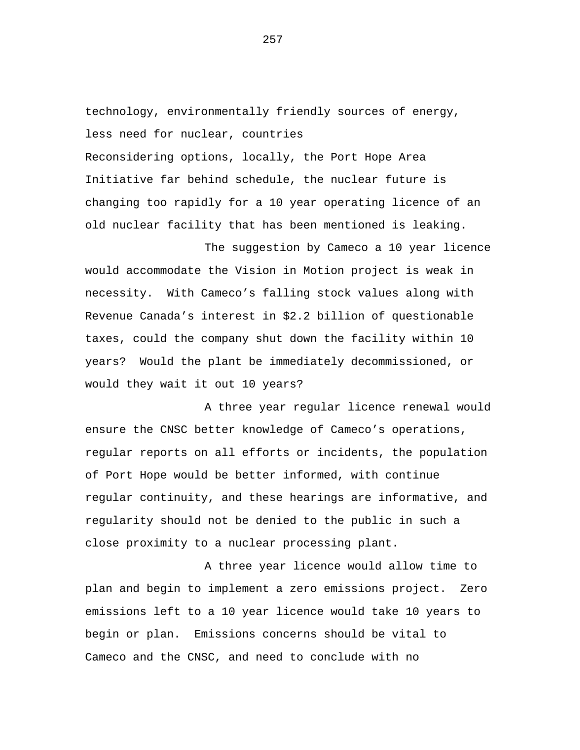technology, environmentally friendly sources of energy, less need for nuclear, countries

Reconsidering options, locally, the Port Hope Area Initiative far behind schedule, the nuclear future is changing too rapidly for a 10 year operating licence of an old nuclear facility that has been mentioned is leaking.

The suggestion by Cameco a 10 year licence would accommodate the Vision in Motion project is weak in necessity. With Cameco's falling stock values along with Revenue Canada's interest in \$2.2 billion of questionable taxes, could the company shut down the facility within 10 years? Would the plant be immediately decommissioned, or would they wait it out 10 years?

A three year regular licence renewal would ensure the CNSC better knowledge of Cameco's operations, regular reports on all efforts or incidents, the population of Port Hope would be better informed, with continue regular continuity, and these hearings are informative, and regularity should not be denied to the public in such a close proximity to a nuclear processing plant.

A three year licence would allow time to plan and begin to implement a zero emissions project. Zero emissions left to a 10 year licence would take 10 years to begin or plan. Emissions concerns should be vital to Cameco and the CNSC, and need to conclude with no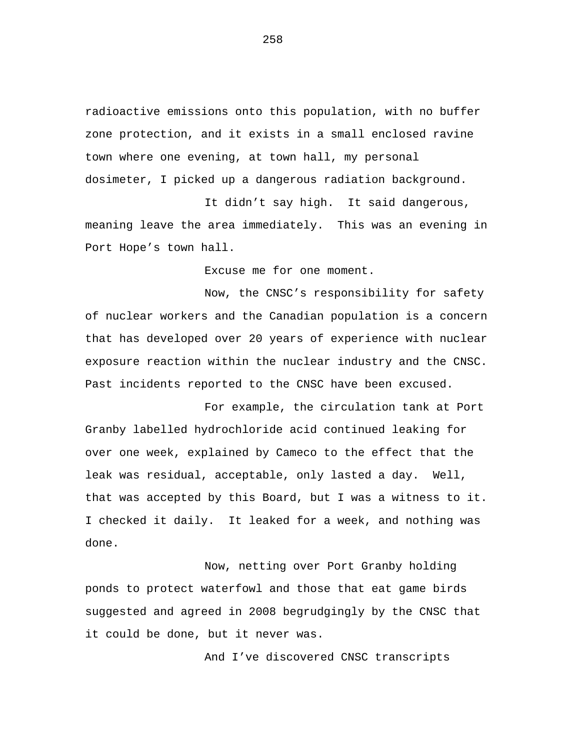radioactive emissions onto this population, with no buffer zone protection, and it exists in a small enclosed ravine town where one evening, at town hall, my personal dosimeter, I picked up a dangerous radiation background.

It didn't say high. It said dangerous, meaning leave the area immediately. This was an evening in Port Hope's town hall.

Excuse me for one moment.

Now, the CNSC's responsibility for safety of nuclear workers and the Canadian population is a concern that has developed over 20 years of experience with nuclear exposure reaction within the nuclear industry and the CNSC. Past incidents reported to the CNSC have been excused.

For example, the circulation tank at Port Granby labelled hydrochloride acid continued leaking for over one week, explained by Cameco to the effect that the leak was residual, acceptable, only lasted a day. Well, that was accepted by this Board, but I was a witness to it. I checked it daily. It leaked for a week, and nothing was done.

Now, netting over Port Granby holding ponds to protect waterfowl and those that eat game birds suggested and agreed in 2008 begrudgingly by the CNSC that it could be done, but it never was.

And I've discovered CNSC transcripts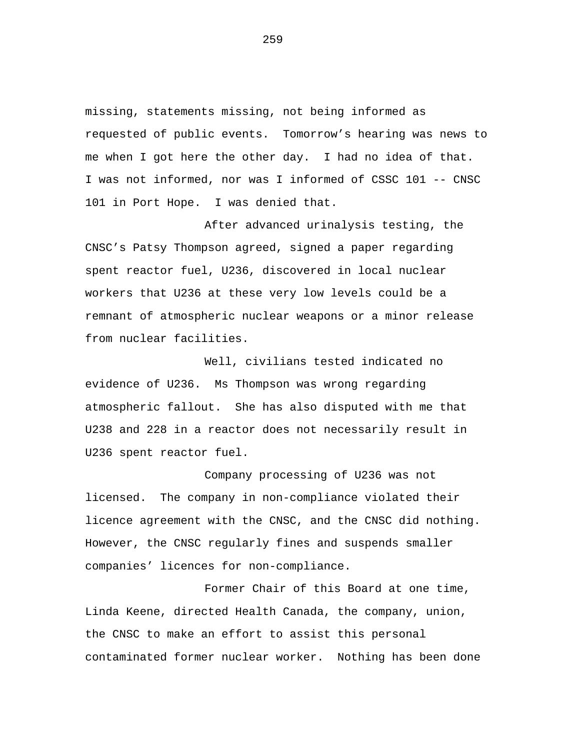missing, statements missing, not being informed as requested of public events. Tomorrow's hearing was news to me when I got here the other day. I had no idea of that. I was not informed, nor was I informed of CSSC 101 -- CNSC 101 in Port Hope. I was denied that.

After advanced urinalysis testing, the CNSC's Patsy Thompson agreed, signed a paper regarding spent reactor fuel, U236, discovered in local nuclear workers that U236 at these very low levels could be a remnant of atmospheric nuclear weapons or a minor release from nuclear facilities.

Well, civilians tested indicated no evidence of U236. Ms Thompson was wrong regarding atmospheric fallout. She has also disputed with me that U238 and 228 in a reactor does not necessarily result in U236 spent reactor fuel.

Company processing of U236 was not licensed. The company in non-compliance violated their licence agreement with the CNSC, and the CNSC did nothing. However, the CNSC regularly fines and suspends smaller companies' licences for non-compliance.

Former Chair of this Board at one time, Linda Keene, directed Health Canada, the company, union, the CNSC to make an effort to assist this personal contaminated former nuclear worker. Nothing has been done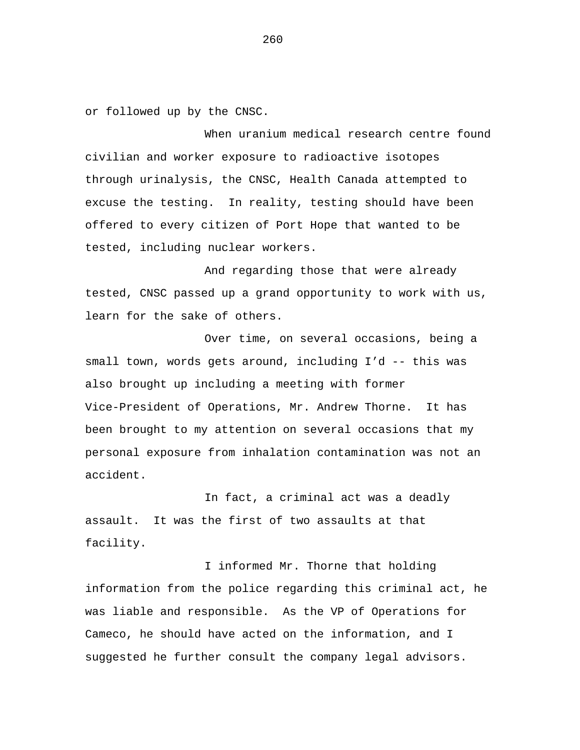or followed up by the CNSC.

When uranium medical research centre found civilian and worker exposure to radioactive isotopes through urinalysis, the CNSC, Health Canada attempted to excuse the testing. In reality, testing should have been offered to every citizen of Port Hope that wanted to be tested, including nuclear workers.

And regarding those that were already tested, CNSC passed up a grand opportunity to work with us, learn for the sake of others.

Over time, on several occasions, being a small town, words gets around, including I'd -- this was also brought up including a meeting with former Vice-President of Operations, Mr. Andrew Thorne. It has been brought to my attention on several occasions that my personal exposure from inhalation contamination was not an accident.

In fact, a criminal act was a deadly assault. It was the first of two assaults at that facility.

I informed Mr. Thorne that holding information from the police regarding this criminal act, he was liable and responsible. As the VP of Operations for Cameco, he should have acted on the information, and I suggested he further consult the company legal advisors.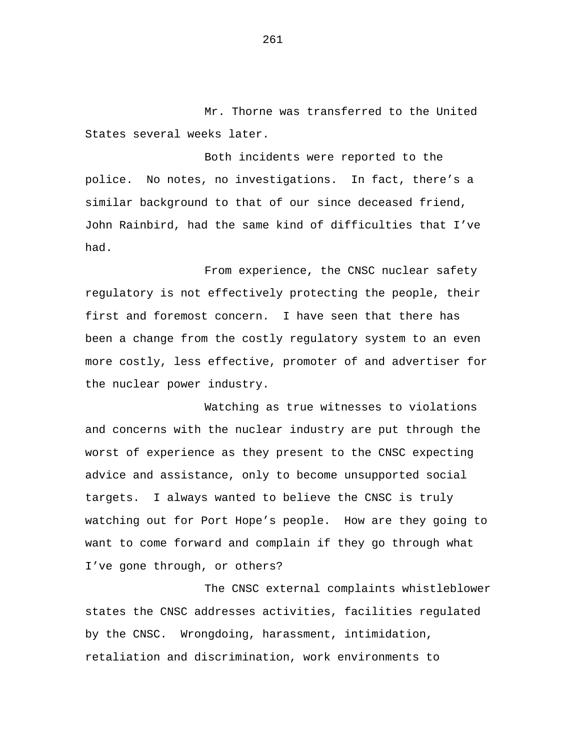Mr. Thorne was transferred to the United States several weeks later.

Both incidents were reported to the police. No notes, no investigations. In fact, there's a similar background to that of our since deceased friend, John Rainbird, had the same kind of difficulties that I've had.

From experience, the CNSC nuclear safety regulatory is not effectively protecting the people, their first and foremost concern. I have seen that there has been a change from the costly regulatory system to an even more costly, less effective, promoter of and advertiser for the nuclear power industry.

Watching as true witnesses to violations and concerns with the nuclear industry are put through the worst of experience as they present to the CNSC expecting advice and assistance, only to become unsupported social targets. I always wanted to believe the CNSC is truly watching out for Port Hope's people. How are they going to want to come forward and complain if they go through what I've gone through, or others?

The CNSC external complaints whistleblower states the CNSC addresses activities, facilities regulated by the CNSC. Wrongdoing, harassment, intimidation, retaliation and discrimination, work environments to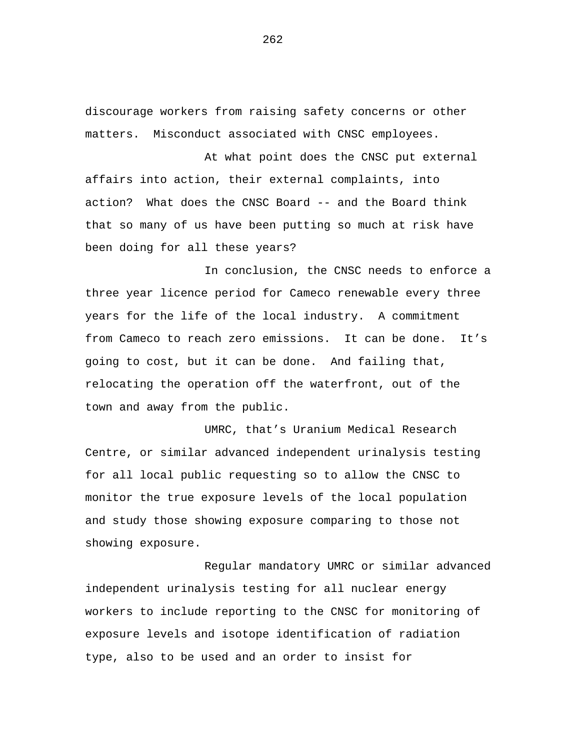discourage workers from raising safety concerns or other matters. Misconduct associated with CNSC employees.

At what point does the CNSC put external affairs into action, their external complaints, into action? What does the CNSC Board -- and the Board think that so many of us have been putting so much at risk have been doing for all these years?

In conclusion, the CNSC needs to enforce a three year licence period for Cameco renewable every three years for the life of the local industry. A commitment from Cameco to reach zero emissions. It can be done. It's going to cost, but it can be done. And failing that, relocating the operation off the waterfront, out of the town and away from the public.

UMRC, that's Uranium Medical Research Centre, or similar advanced independent urinalysis testing for all local public requesting so to allow the CNSC to monitor the true exposure levels of the local population and study those showing exposure comparing to those not showing exposure.

Regular mandatory UMRC or similar advanced independent urinalysis testing for all nuclear energy workers to include reporting to the CNSC for monitoring of exposure levels and isotope identification of radiation type, also to be used and an order to insist for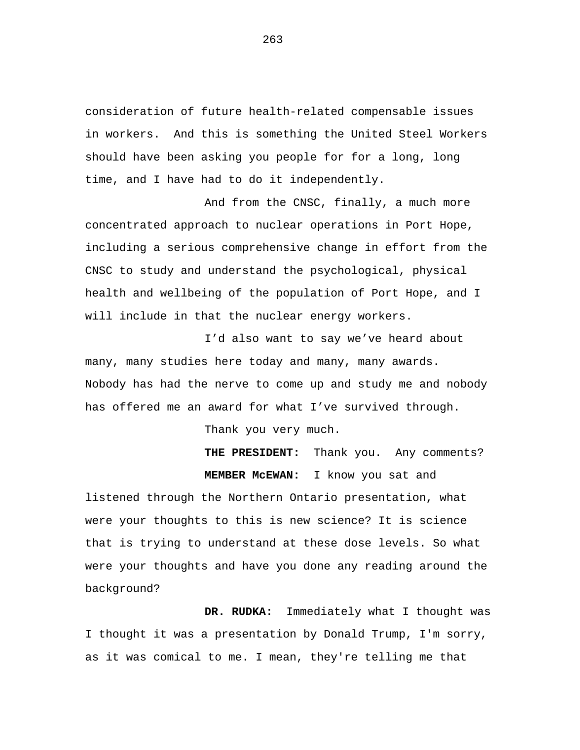consideration of future health-related compensable issues in workers. And this is something the United Steel Workers should have been asking you people for for a long, long time, and I have had to do it independently.

And from the CNSC, finally, a much more concentrated approach to nuclear operations in Port Hope, including a serious comprehensive change in effort from the CNSC to study and understand the psychological, physical health and wellbeing of the population of Port Hope, and I will include in that the nuclear energy workers.

I'd also want to say we've heard about many, many studies here today and many, many awards. Nobody has had the nerve to come up and study me and nobody has offered me an award for what I've survived through.

Thank you very much.

**THE PRESIDENT:** Thank you. Any comments?  **MEMBER McEWAN:** I know you sat and

listened through the Northern Ontario presentation, what were your thoughts to this is new science? It is science that is trying to understand at these dose levels. So what were your thoughts and have you done any reading around the background?

 **DR. RUDKA:** Immediately what I thought was I thought it was a presentation by Donald Trump, I'm sorry, as it was comical to me. I mean, they're telling me that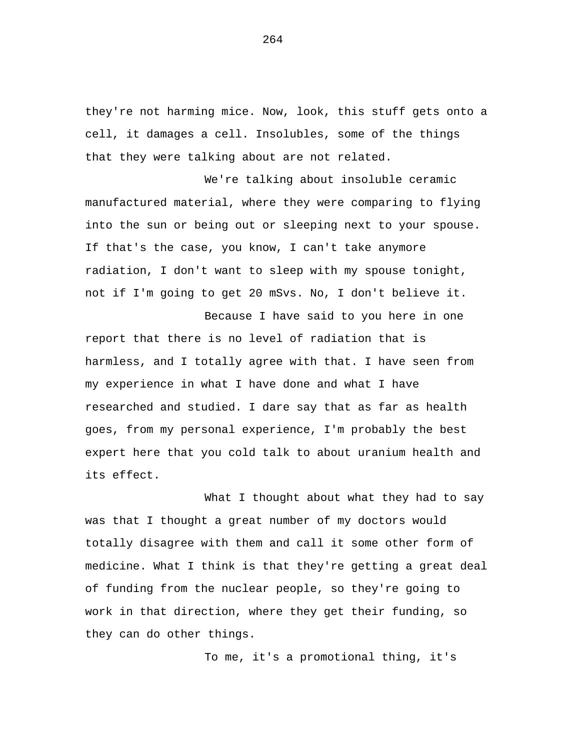they're not harming mice. Now, look, this stuff gets onto a cell, it damages a cell. Insolubles, some of the things that they were talking about are not related.

We're talking about insoluble ceramic manufactured material, where they were comparing to flying into the sun or being out or sleeping next to your spouse. If that's the case, you know, I can't take anymore radiation, I don't want to sleep with my spouse tonight, not if I'm going to get 20 mSvs. No, I don't believe it.

Because I have said to you here in one report that there is no level of radiation that is harmless, and I totally agree with that. I have seen from my experience in what I have done and what I have researched and studied. I dare say that as far as health goes, from my personal experience, I'm probably the best expert here that you cold talk to about uranium health and its effect.

What I thought about what they had to say was that I thought a great number of my doctors would totally disagree with them and call it some other form of medicine. What I think is that they're getting a great deal of funding from the nuclear people, so they're going to work in that direction, where they get their funding, so they can do other things.

To me, it's a promotional thing, it's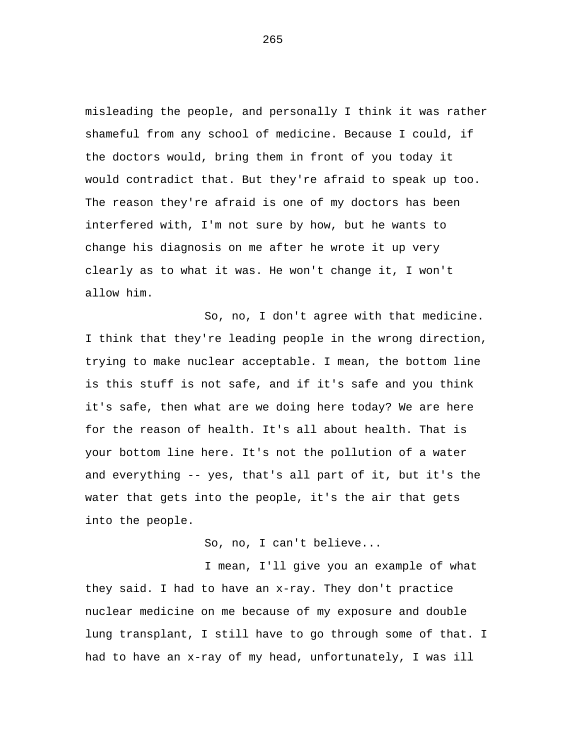misleading the people, and personally I think it was rather shameful from any school of medicine. Because I could, if the doctors would, bring them in front of you today it would contradict that. But they're afraid to speak up too. The reason they're afraid is one of my doctors has been interfered with, I'm not sure by how, but he wants to change his diagnosis on me after he wrote it up very clearly as to what it was. He won't change it, I won't allow him.

So, no, I don't agree with that medicine. I think that they're leading people in the wrong direction, trying to make nuclear acceptable. I mean, the bottom line is this stuff is not safe, and if it's safe and you think it's safe, then what are we doing here today? We are here for the reason of health. It's all about health. That is your bottom line here. It's not the pollution of a water and everything -- yes, that's all part of it, but it's the water that gets into the people, it's the air that gets into the people.

So, no, I can't believe...

I mean, I'll give you an example of what they said. I had to have an x-ray. They don't practice nuclear medicine on me because of my exposure and double lung transplant, I still have to go through some of that. I had to have an x-ray of my head, unfortunately, I was ill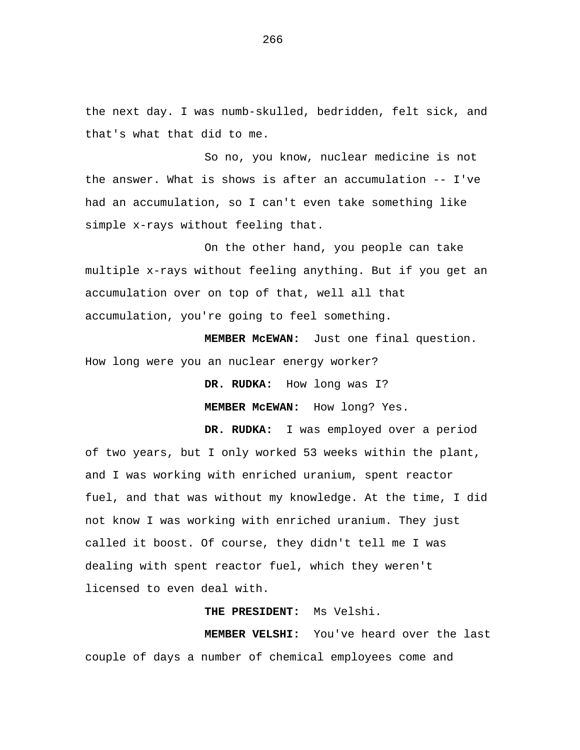the next day. I was numb-skulled, bedridden, felt sick, and that's what that did to me.

So no, you know, nuclear medicine is not the answer. What is shows is after an accumulation -- I've had an accumulation, so I can't even take something like simple x-rays without feeling that.

On the other hand, you people can take multiple x-rays without feeling anything. But if you get an accumulation over on top of that, well all that accumulation, you're going to feel something.

 **MEMBER McEWAN:** Just one final question. How long were you an nuclear energy worker?

 **DR. RUDKA:** How long was I?

**MEMBER McEWAN:** How long? Yes.

**DR. RUDKA:** I was employed over a period of two years, but I only worked 53 weeks within the plant, and I was working with enriched uranium, spent reactor fuel, and that was without my knowledge. At the time, I did not know I was working with enriched uranium. They just called it boost. Of course, they didn't tell me I was dealing with spent reactor fuel, which they weren't licensed to even deal with.

 **THE PRESIDENT:** Ms Velshi.

 **MEMBER VELSHI:** You've heard over the last couple of days a number of chemical employees come and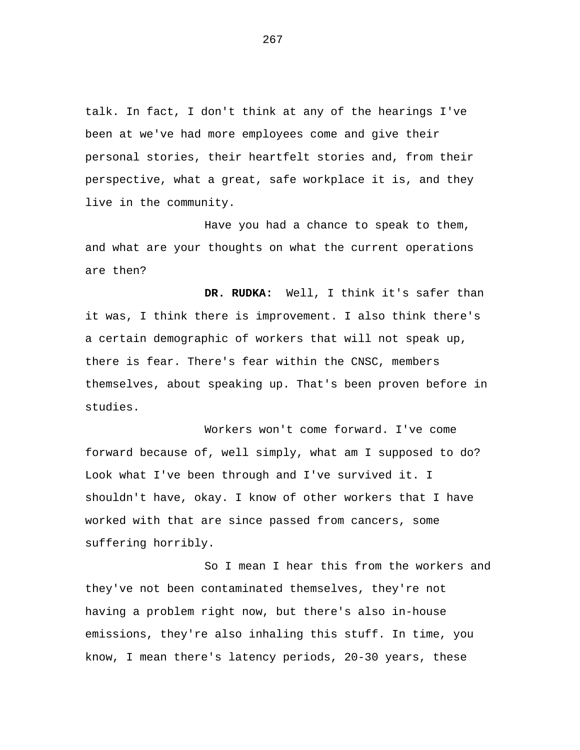talk. In fact, I don't think at any of the hearings I've been at we've had more employees come and give their personal stories, their heartfelt stories and, from their perspective, what a great, safe workplace it is, and they live in the community.

Have you had a chance to speak to them, and what are your thoughts on what the current operations are then?

 **DR. RUDKA:** Well, I think it's safer than it was, I think there is improvement. I also think there's a certain demographic of workers that will not speak up, there is fear. There's fear within the CNSC, members themselves, about speaking up. That's been proven before in studies.

Workers won't come forward. I've come forward because of, well simply, what am I supposed to do? Look what I've been through and I've survived it. I shouldn't have, okay. I know of other workers that I have worked with that are since passed from cancers, some suffering horribly.

So I mean I hear this from the workers and they've not been contaminated themselves, they're not having a problem right now, but there's also in-house emissions, they're also inhaling this stuff. In time, you know, I mean there's latency periods, 20-30 years, these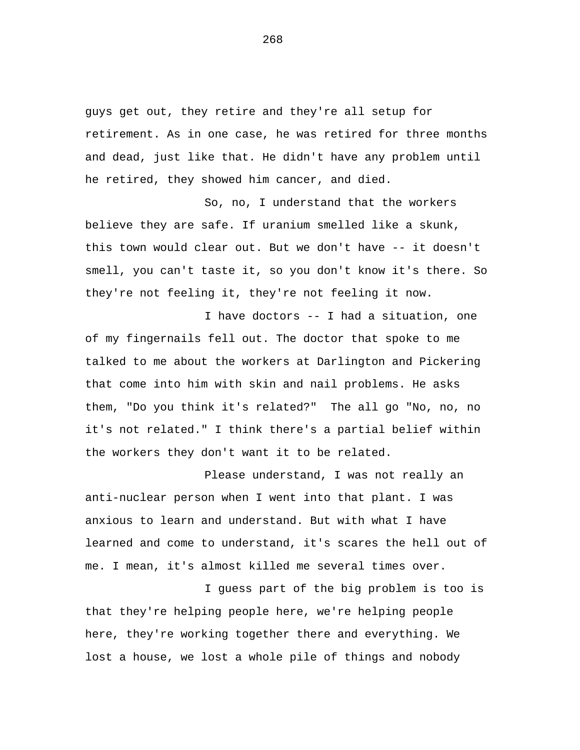guys get out, they retire and they're all setup for retirement. As in one case, he was retired for three months and dead, just like that. He didn't have any problem until he retired, they showed him cancer, and died.

So, no, I understand that the workers believe they are safe. If uranium smelled like a skunk, this town would clear out. But we don't have -- it doesn't smell, you can't taste it, so you don't know it's there. So they're not feeling it, they're not feeling it now.

I have doctors -- I had a situation, one of my fingernails fell out. The doctor that spoke to me talked to me about the workers at Darlington and Pickering that come into him with skin and nail problems. He asks them, "Do you think it's related?" The all go "No, no, no it's not related." I think there's a partial belief within the workers they don't want it to be related.

Please understand, I was not really an anti-nuclear person when I went into that plant. I was anxious to learn and understand. But with what I have learned and come to understand, it's scares the hell out of me. I mean, it's almost killed me several times over.

I guess part of the big problem is too is that they're helping people here, we're helping people here, they're working together there and everything. We lost a house, we lost a whole pile of things and nobody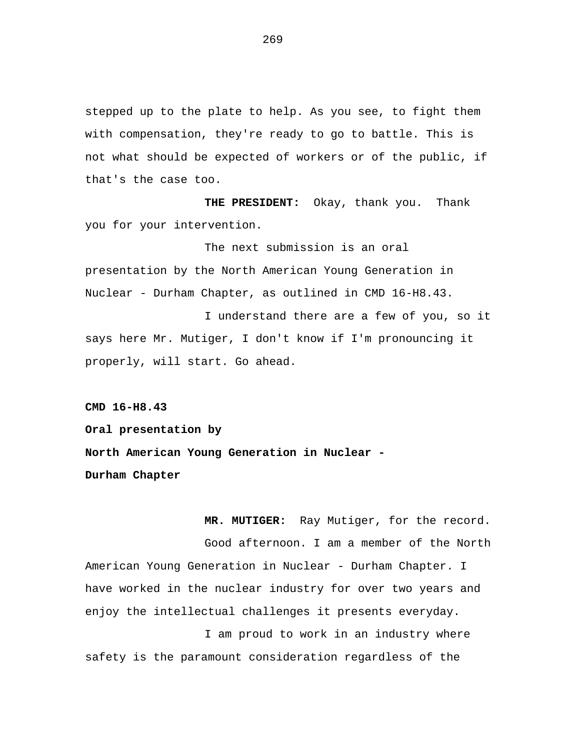stepped up to the plate to help. As you see, to fight them with compensation, they're ready to go to battle. This is not what should be expected of workers or of the public, if that's the case too.

 **THE PRESIDENT:** Okay, thank you. Thank you for your intervention.

The next submission is an oral presentation by the North American Young Generation in Nuclear - Durham Chapter, as outlined in CMD 16-H8.43.

I understand there are a few of you, so it says here Mr. Mutiger, I don't know if I'm pronouncing it properly, will start. Go ahead.

**CMD 16-H8.43** 

**Oral presentation by North American Young Generation in Nuclear - Durham Chapter** 

 **MR. MUTIGER:** Ray Mutiger, for the record. Good afternoon. I am a member of the North American Young Generation in Nuclear - Durham Chapter. I have worked in the nuclear industry for over two years and enjoy the intellectual challenges it presents everyday.

I am proud to work in an industry where safety is the paramount consideration regardless of the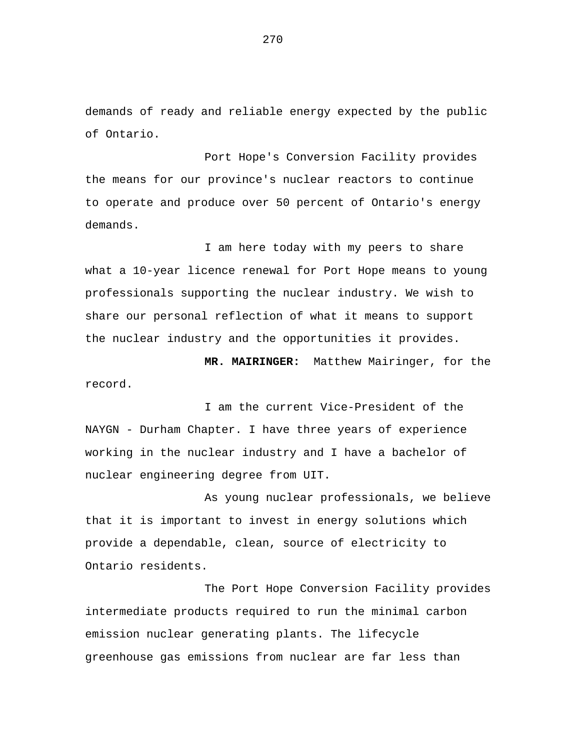demands of ready and reliable energy expected by the public of Ontario.

Port Hope's Conversion Facility provides the means for our province's nuclear reactors to continue to operate and produce over 50 percent of Ontario's energy demands.

I am here today with my peers to share what a 10-year licence renewal for Port Hope means to young professionals supporting the nuclear industry. We wish to share our personal reflection of what it means to support the nuclear industry and the opportunities it provides.

 **MR. MAIRINGER:** Matthew Mairinger, for the record.

I am the current Vice-President of the NAYGN - Durham Chapter. I have three years of experience working in the nuclear industry and I have a bachelor of nuclear engineering degree from UIT.

As young nuclear professionals, we believe that it is important to invest in energy solutions which provide a dependable, clean, source of electricity to Ontario residents.

The Port Hope Conversion Facility provides intermediate products required to run the minimal carbon emission nuclear generating plants. The lifecycle greenhouse gas emissions from nuclear are far less than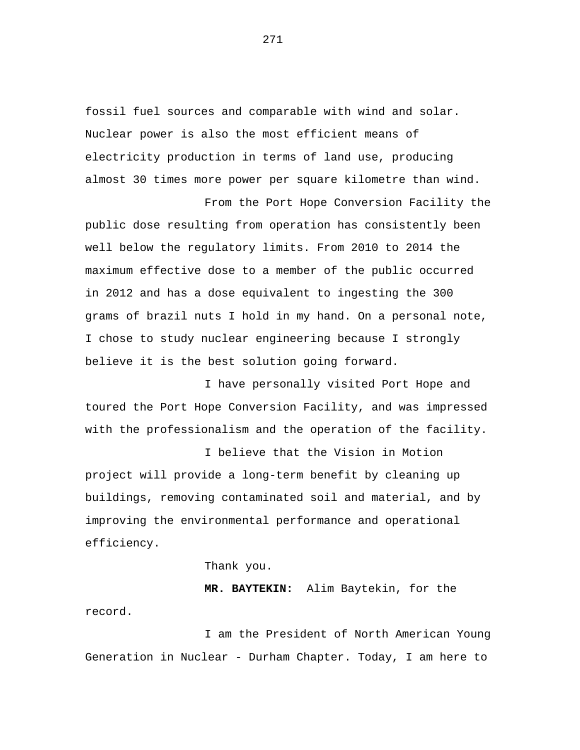fossil fuel sources and comparable with wind and solar. Nuclear power is also the most efficient means of electricity production in terms of land use, producing almost 30 times more power per square kilometre than wind.

From the Port Hope Conversion Facility the public dose resulting from operation has consistently been well below the regulatory limits. From 2010 to 2014 the maximum effective dose to a member of the public occurred in 2012 and has a dose equivalent to ingesting the 300 grams of brazil nuts I hold in my hand. On a personal note, I chose to study nuclear engineering because I strongly believe it is the best solution going forward.

I have personally visited Port Hope and toured the Port Hope Conversion Facility, and was impressed with the professionalism and the operation of the facility.

I believe that the Vision in Motion project will provide a long-term benefit by cleaning up buildings, removing contaminated soil and material, and by improving the environmental performance and operational efficiency.

Thank you.

 **MR. BAYTEKIN:** Alim Baytekin, for the record.

I am the President of North American Young Generation in Nuclear - Durham Chapter. Today, I am here to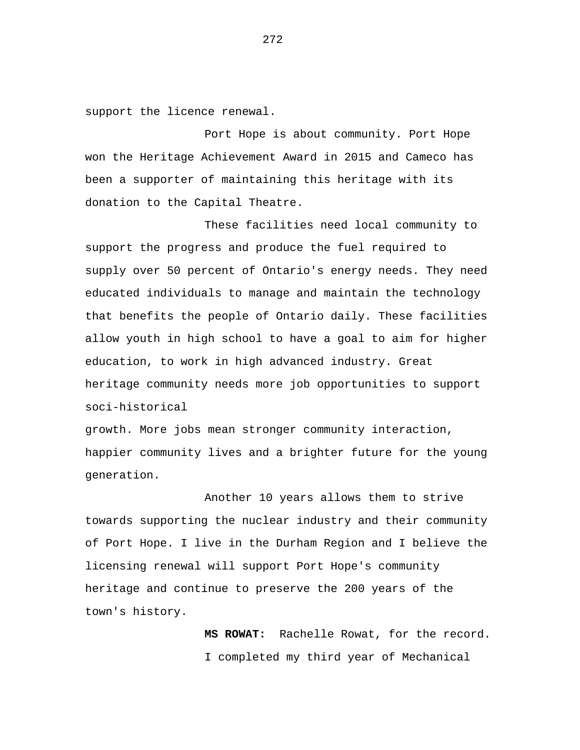support the licence renewal.

Port Hope is about community. Port Hope won the Heritage Achievement Award in 2015 and Cameco has been a supporter of maintaining this heritage with its donation to the Capital Theatre.

These facilities need local community to support the progress and produce the fuel required to supply over 50 percent of Ontario's energy needs. They need educated individuals to manage and maintain the technology that benefits the people of Ontario daily. These facilities allow youth in high school to have a goal to aim for higher education, to work in high advanced industry. Great heritage community needs more job opportunities to support soci-historical

growth. More jobs mean stronger community interaction, happier community lives and a brighter future for the young generation.

Another 10 years allows them to strive towards supporting the nuclear industry and their community of Port Hope. I live in the Durham Region and I believe the licensing renewal will support Port Hope's community heritage and continue to preserve the 200 years of the town's history.

> **MS ROWAT:** Rachelle Rowat, for the record. I completed my third year of Mechanical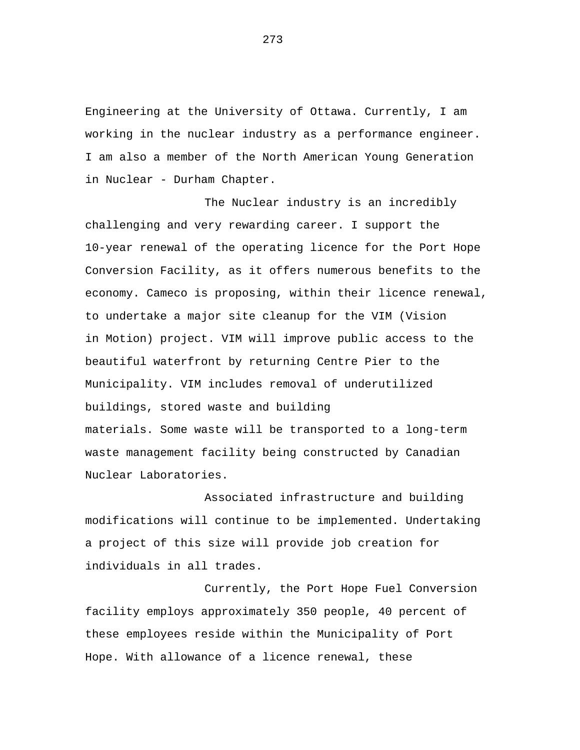Engineering at the University of Ottawa. Currently, I am working in the nuclear industry as a performance engineer. I am also a member of the North American Young Generation in Nuclear - Durham Chapter.

The Nuclear industry is an incredibly challenging and very rewarding career. I support the 10-year renewal of the operating licence for the Port Hope Conversion Facility, as it offers numerous benefits to the economy. Cameco is proposing, within their licence renewal, to undertake a major site cleanup for the VIM (Vision in Motion) project. VIM will improve public access to the beautiful waterfront by returning Centre Pier to the Municipality. VIM includes removal of underutilized buildings, stored waste and building materials. Some waste will be transported to a long-term waste management facility being constructed by Canadian Nuclear Laboratories.

Associated infrastructure and building modifications will continue to be implemented. Undertaking a project of this size will provide job creation for individuals in all trades.

Currently, the Port Hope Fuel Conversion facility employs approximately 350 people, 40 percent of these employees reside within the Municipality of Port Hope. With allowance of a licence renewal, these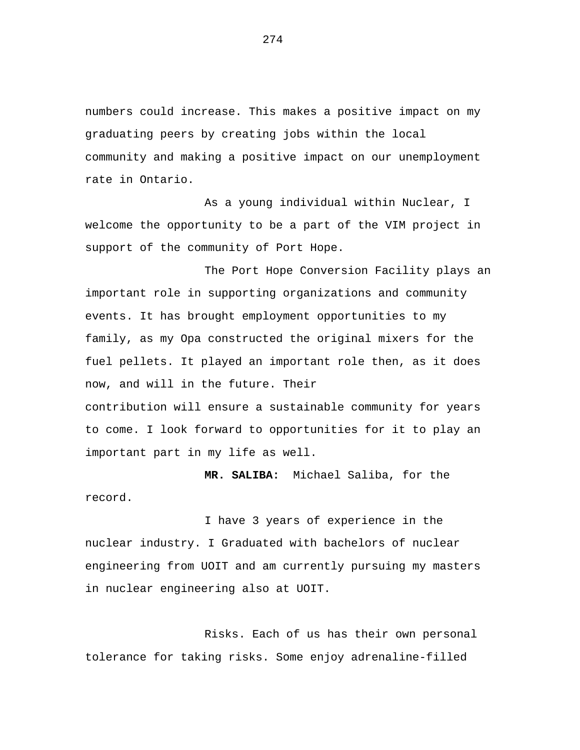numbers could increase. This makes a positive impact on my graduating peers by creating jobs within the local community and making a positive impact on our unemployment rate in Ontario.

As a young individual within Nuclear, I welcome the opportunity to be a part of the VIM project in support of the community of Port Hope.

The Port Hope Conversion Facility plays an important role in supporting organizations and community events. It has brought employment opportunities to my family, as my Opa constructed the original mixers for the fuel pellets. It played an important role then, as it does now, and will in the future. Their contribution will ensure a sustainable community for years to come. I look forward to opportunities for it to play an

important part in my life as well.

**MR. SALIBA:** Michael Saliba, for the record.

I have 3 years of experience in the nuclear industry. I Graduated with bachelors of nuclear engineering from UOIT and am currently pursuing my masters in nuclear engineering also at UOIT.

Risks. Each of us has their own personal tolerance for taking risks. Some enjoy adrenaline-filled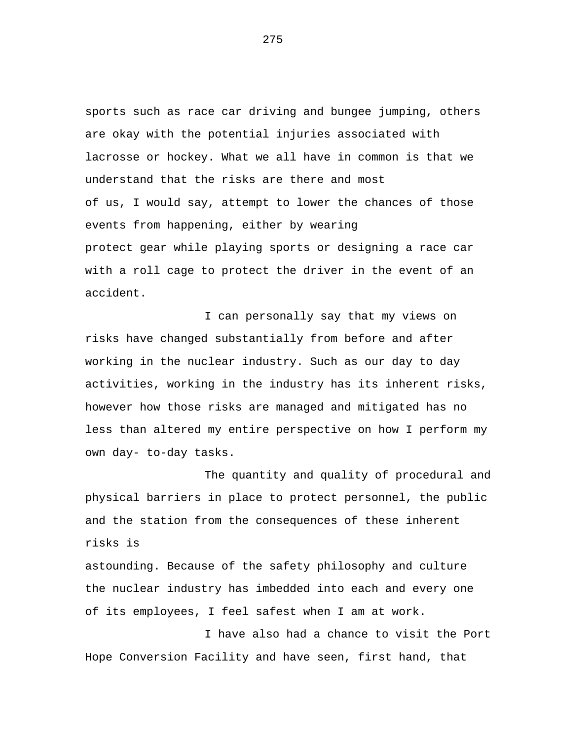sports such as race car driving and bungee jumping, others are okay with the potential injuries associated with lacrosse or hockey. What we all have in common is that we understand that the risks are there and most of us, I would say, attempt to lower the chances of those events from happening, either by wearing protect gear while playing sports or designing a race car with a roll cage to protect the driver in the event of an accident.

I can personally say that my views on risks have changed substantially from before and after working in the nuclear industry. Such as our day to day activities, working in the industry has its inherent risks, however how those risks are managed and mitigated has no less than altered my entire perspective on how I perform my own day- to-day tasks.

The quantity and quality of procedural and physical barriers in place to protect personnel, the public and the station from the consequences of these inherent risks is

astounding. Because of the safety philosophy and culture the nuclear industry has imbedded into each and every one of its employees, I feel safest when I am at work.

I have also had a chance to visit the Port Hope Conversion Facility and have seen, first hand, that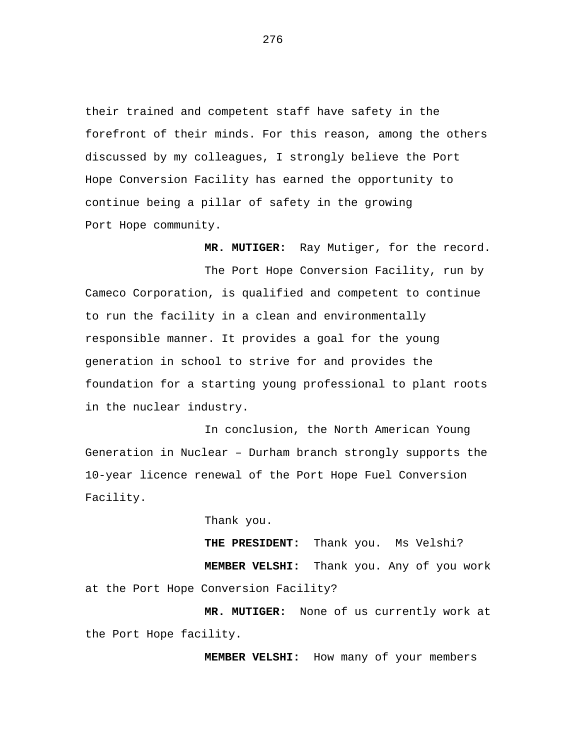their trained and competent staff have safety in the forefront of their minds. For this reason, among the others discussed by my colleagues, I strongly believe the Port Hope Conversion Facility has earned the opportunity to continue being a pillar of safety in the growing Port Hope community.

 **MR. MUTIGER:** Ray Mutiger, for the record. The Port Hope Conversion Facility, run by Cameco Corporation, is qualified and competent to continue to run the facility in a clean and environmentally responsible manner. It provides a goal for the young generation in school to strive for and provides the foundation for a starting young professional to plant roots in the nuclear industry.

In conclusion, the North American Young Generation in Nuclear – Durham branch strongly supports the 10-year licence renewal of the Port Hope Fuel Conversion Facility.

Thank you.

 **THE PRESIDENT:** Thank you. Ms Velshi?  **MEMBER VELSHI:** Thank you. Any of you work at the Port Hope Conversion Facility?

 **MR. MUTIGER:** None of us currently work at the Port Hope facility.

 **MEMBER VELSHI:** How many of your members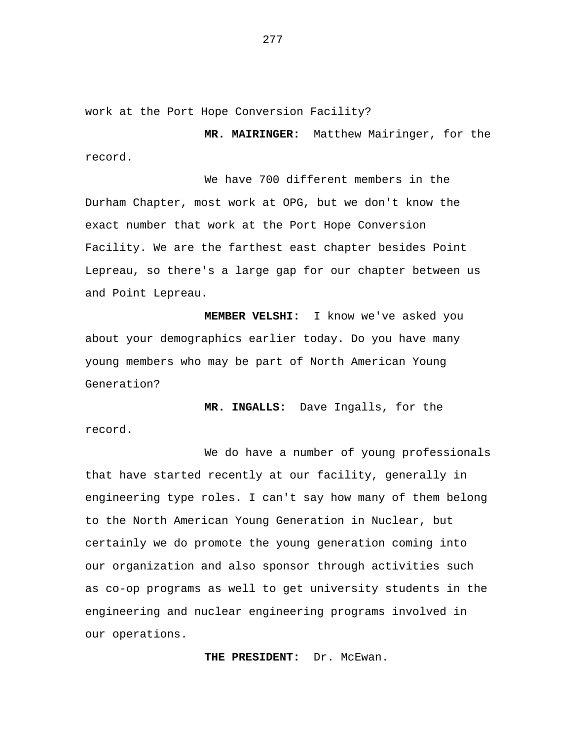work at the Port Hope Conversion Facility?

 **MR. MAIRINGER:** Matthew Mairinger, for the record.

We have 700 different members in the Durham Chapter, most work at OPG, but we don't know the exact number that work at the Port Hope Conversion Facility. We are the farthest east chapter besides Point Lepreau, so there's a large gap for our chapter between us and Point Lepreau.

 **MEMBER VELSHI:** I know we've asked you about your demographics earlier today. Do you have many young members who may be part of North American Young Generation?

 **MR. INGALLS:** Dave Ingalls, for the record.

We do have a number of young professionals that have started recently at our facility, generally in engineering type roles. I can't say how many of them belong to the North American Young Generation in Nuclear, but certainly we do promote the young generation coming into our organization and also sponsor through activities such as co-op programs as well to get university students in the engineering and nuclear engineering programs involved in our operations.

THE PRESIDENT: Dr. McEwan.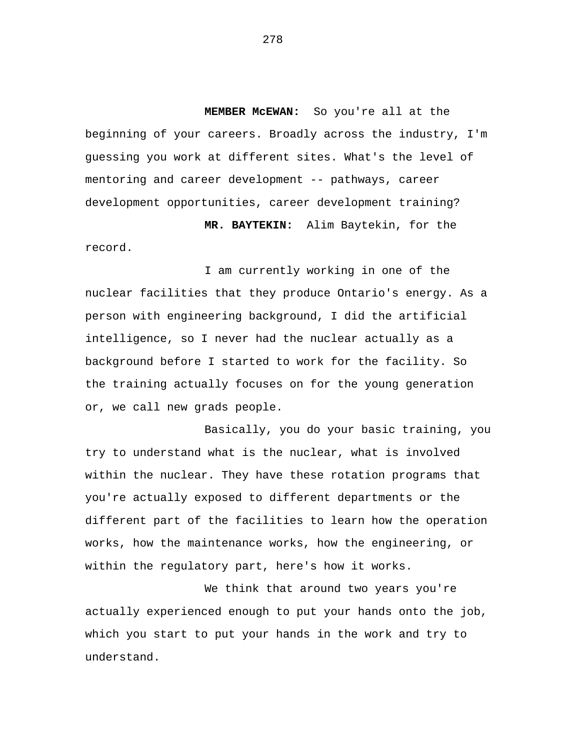**MEMBER McEWAN:** So you're all at the beginning of your careers. Broadly across the industry, I'm guessing you work at different sites. What's the level of mentoring and career development -- pathways, career development opportunities, career development training?

**MR. BAYTEKIN:** Alim Baytekin, for the

record.

I am currently working in one of the nuclear facilities that they produce Ontario's energy. As a person with engineering background, I did the artificial intelligence, so I never had the nuclear actually as a background before I started to work for the facility. So the training actually focuses on for the young generation or, we call new grads people.

Basically, you do your basic training, you try to understand what is the nuclear, what is involved within the nuclear. They have these rotation programs that you're actually exposed to different departments or the different part of the facilities to learn how the operation works, how the maintenance works, how the engineering, or within the regulatory part, here's how it works.

We think that around two years you're actually experienced enough to put your hands onto the job, which you start to put your hands in the work and try to understand.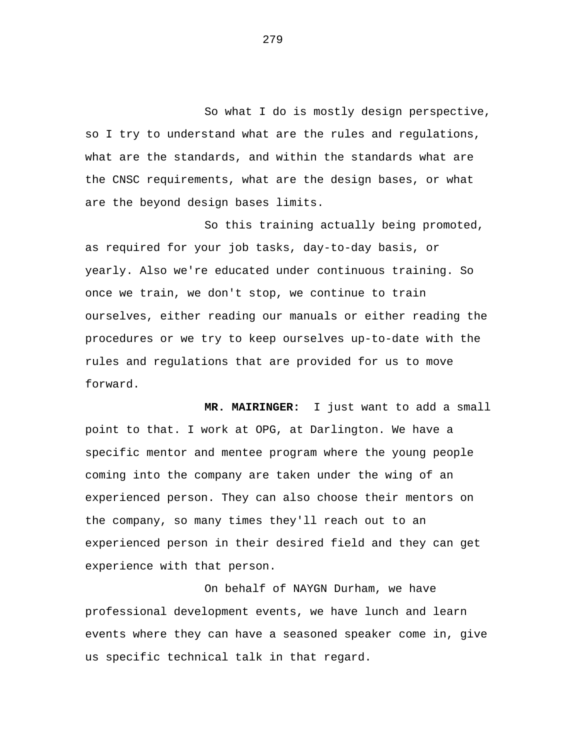So what I do is mostly design perspective, so I try to understand what are the rules and regulations, what are the standards, and within the standards what are the CNSC requirements, what are the design bases, or what are the beyond design bases limits.

So this training actually being promoted, as required for your job tasks, day-to-day basis, or yearly. Also we're educated under continuous training. So once we train, we don't stop, we continue to train ourselves, either reading our manuals or either reading the procedures or we try to keep ourselves up-to-date with the rules and regulations that are provided for us to move forward.

 **MR. MAIRINGER:** I just want to add a small point to that. I work at OPG, at Darlington. We have a specific mentor and mentee program where the young people coming into the company are taken under the wing of an experienced person. They can also choose their mentors on the company, so many times they'll reach out to an experienced person in their desired field and they can get experience with that person.

On behalf of NAYGN Durham, we have professional development events, we have lunch and learn events where they can have a seasoned speaker come in, give us specific technical talk in that regard.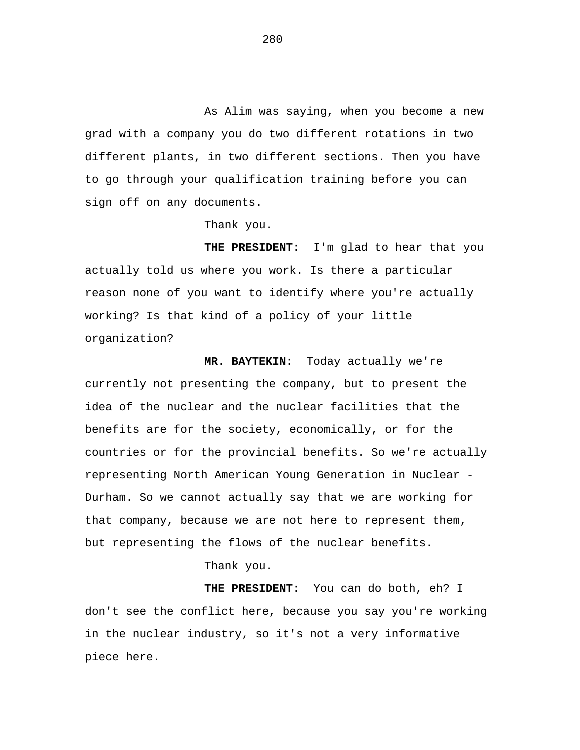As Alim was saying, when you become a new grad with a company you do two different rotations in two different plants, in two different sections. Then you have to go through your qualification training before you can sign off on any documents.

Thank you.

 **THE PRESIDENT:** I'm glad to hear that you actually told us where you work. Is there a particular reason none of you want to identify where you're actually working? Is that kind of a policy of your little organization?

 **MR. BAYTEKIN:** Today actually we're currently not presenting the company, but to present the idea of the nuclear and the nuclear facilities that the benefits are for the society, economically, or for the countries or for the provincial benefits. So we're actually representing North American Young Generation in Nuclear - Durham. So we cannot actually say that we are working for that company, because we are not here to represent them, but representing the flows of the nuclear benefits.

Thank you.

 **THE PRESIDENT:** You can do both, eh? I don't see the conflict here, because you say you're working in the nuclear industry, so it's not a very informative piece here.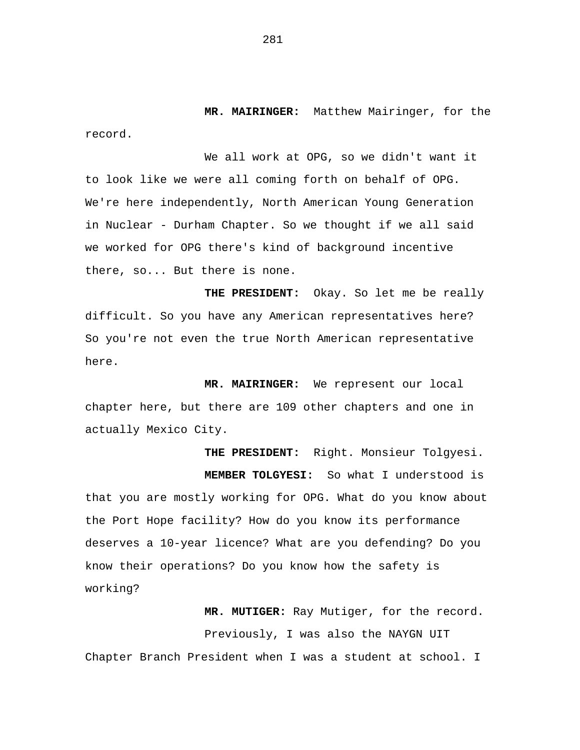**MR. MAIRINGER:** Matthew Mairinger, for the record.

We all work at OPG, so we didn't want it to look like we were all coming forth on behalf of OPG. We're here independently, North American Young Generation in Nuclear - Durham Chapter. So we thought if we all said we worked for OPG there's kind of background incentive there, so... But there is none.

 **THE PRESIDENT:** Okay. So let me be really difficult. So you have any American representatives here? So you're not even the true North American representative here.

 **MR. MAIRINGER:** We represent our local chapter here, but there are 109 other chapters and one in actually Mexico City.

 **THE PRESIDENT:** Right. Monsieur Tolgyesi.  **MEMBER TOLGYESI:** So what I understood is that you are mostly working for OPG. What do you know about the Port Hope facility? How do you know its performance deserves a 10-year licence? What are you defending? Do you know their operations? Do you know how the safety is working?

 **MR. MUTIGER:** Ray Mutiger, for the record. Previously, I was also the NAYGN UIT Chapter Branch President when I was a student at school. I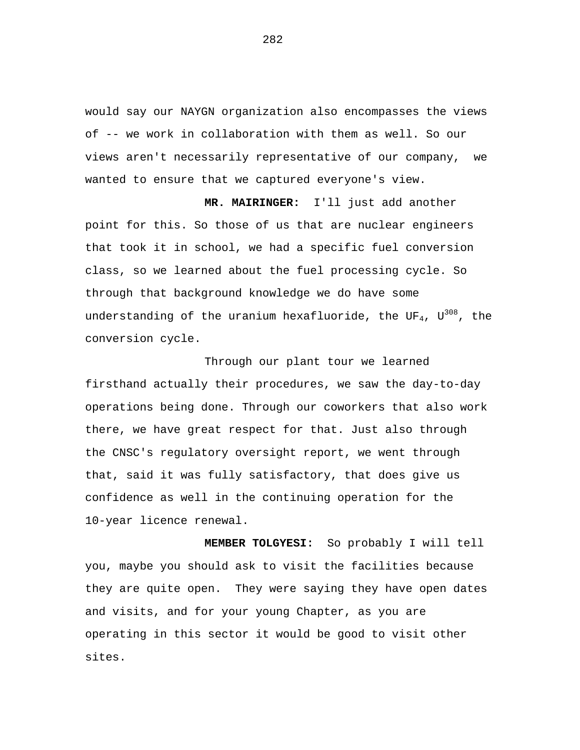would say our NAYGN organization also encompasses the views of -- we work in collaboration with them as well. So our views aren't necessarily representative of our company, we wanted to ensure that we captured everyone's view.

 **MR. MAIRINGER:** I'll just add another point for this. So those of us that are nuclear engineers that took it in school, we had a specific fuel conversion class, so we learned about the fuel processing cycle. So through that background knowledge we do have some understanding of the uranium hexafluoride, the UF<sub>4</sub>, U<sup>308</sup>, the conversion cycle.

Through our plant tour we learned firsthand actually their procedures, we saw the day-to-day operations being done. Through our coworkers that also work there, we have great respect for that. Just also through the CNSC's regulatory oversight report, we went through that, said it was fully satisfactory, that does give us confidence as well in the continuing operation for the 10-year licence renewal.

**MEMBER TOLGYESI:** So probably I will tell you, maybe you should ask to visit the facilities because they are quite open. They were saying they have open dates and visits, and for your young Chapter, as you are operating in this sector it would be good to visit other sites.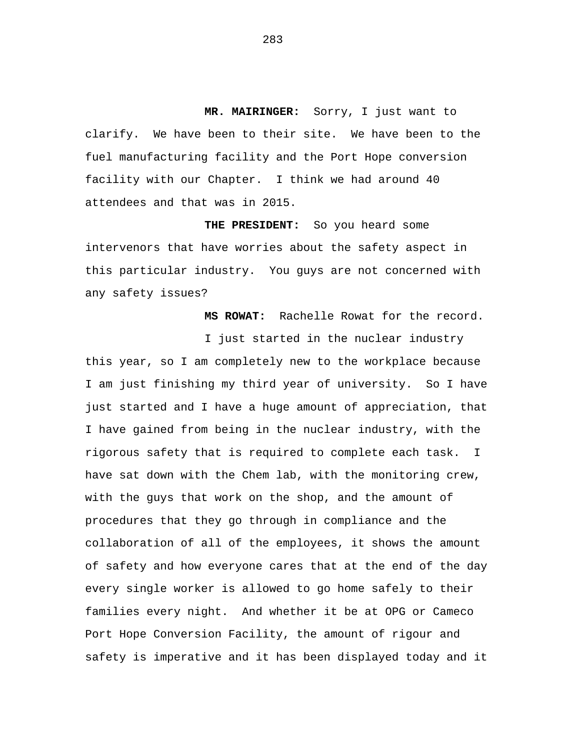**MR. MAIRINGER:** Sorry, I just want to clarify. We have been to their site. We have been to the fuel manufacturing facility and the Port Hope conversion facility with our Chapter. I think we had around 40 attendees and that was in 2015.

**THE PRESIDENT:** So you heard some intervenors that have worries about the safety aspect in this particular industry. You guys are not concerned with any safety issues?

**MS ROWAT:** Rachelle Rowat for the record.

I just started in the nuclear industry this year, so I am completely new to the workplace because I am just finishing my third year of university. So I have just started and I have a huge amount of appreciation, that I have gained from being in the nuclear industry, with the rigorous safety that is required to complete each task. I have sat down with the Chem lab, with the monitoring crew, with the guys that work on the shop, and the amount of procedures that they go through in compliance and the collaboration of all of the employees, it shows the amount of safety and how everyone cares that at the end of the day every single worker is allowed to go home safely to their families every night. And whether it be at OPG or Cameco Port Hope Conversion Facility, the amount of rigour and safety is imperative and it has been displayed today and it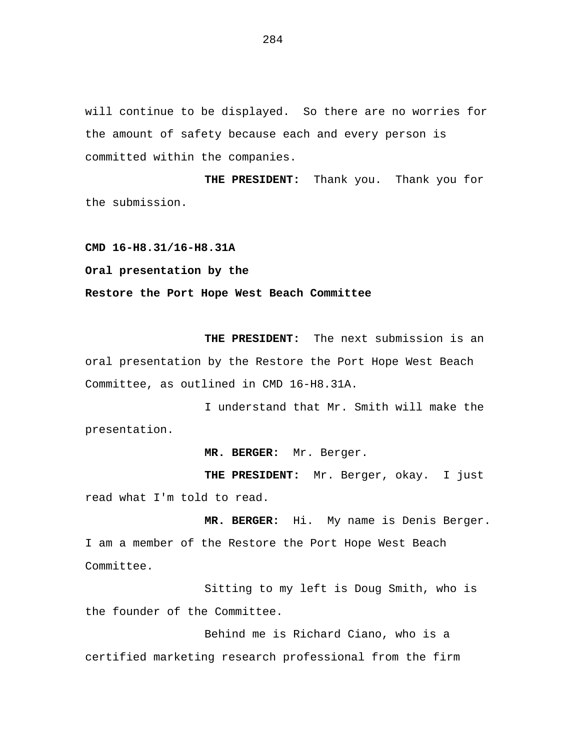will continue to be displayed. So there are no worries for the amount of safety because each and every person is committed within the companies.

**THE PRESIDENT:** Thank you. Thank you for the submission.

**CMD 16-H8.31/16-H8.31A** 

**Oral presentation by the** 

## **Restore the Port Hope West Beach Committee**

**THE PRESIDENT:** The next submission is an oral presentation by the Restore the Port Hope West Beach Committee, as outlined in CMD 16-H8.31A.

I understand that Mr. Smith will make the presentation.

**MR. BERGER:** Mr. Berger.

**THE PRESIDENT:** Mr. Berger, okay. I just read what I'm told to read.

**MR. BERGER:** Hi. My name is Denis Berger. I am a member of the Restore the Port Hope West Beach Committee.

Sitting to my left is Doug Smith, who is the founder of the Committee.

Behind me is Richard Ciano, who is a certified marketing research professional from the firm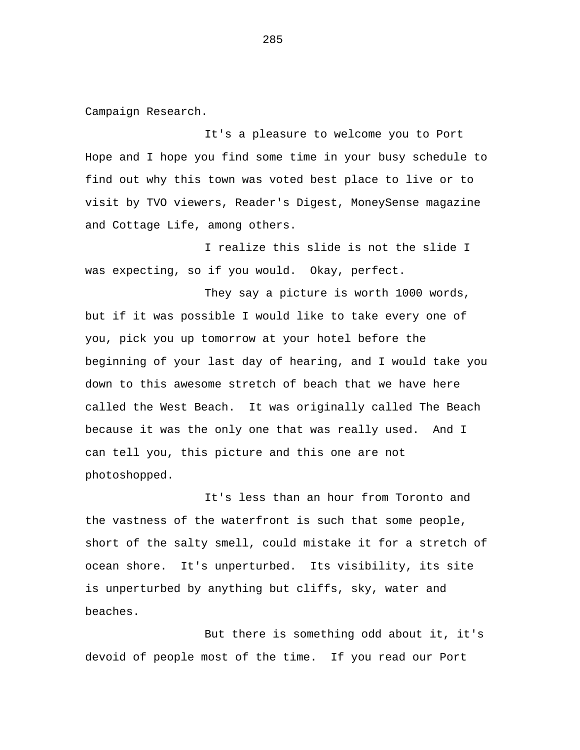Campaign Research.

It's a pleasure to welcome you to Port Hope and I hope you find some time in your busy schedule to find out why this town was voted best place to live or to visit by TVO viewers, Reader's Digest, MoneySense magazine and Cottage Life, among others.

I realize this slide is not the slide I was expecting, so if you would. Okay, perfect.

They say a picture is worth 1000 words, but if it was possible I would like to take every one of you, pick you up tomorrow at your hotel before the beginning of your last day of hearing, and I would take you down to this awesome stretch of beach that we have here called the West Beach. It was originally called The Beach because it was the only one that was really used. And I can tell you, this picture and this one are not photoshopped.

It's less than an hour from Toronto and the vastness of the waterfront is such that some people, short of the salty smell, could mistake it for a stretch of ocean shore. It's unperturbed. Its visibility, its site is unperturbed by anything but cliffs, sky, water and beaches.

But there is something odd about it, it's devoid of people most of the time. If you read our Port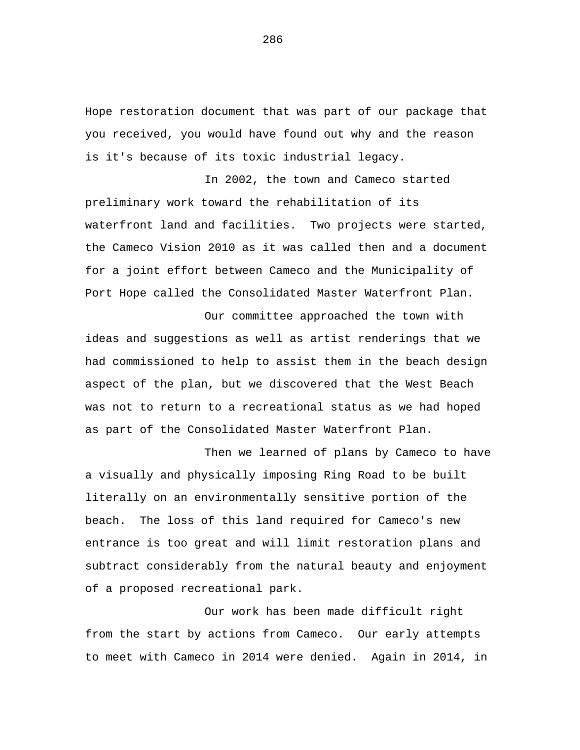Hope restoration document that was part of our package that you received, you would have found out why and the reason is it's because of its toxic industrial legacy.

In 2002, the town and Cameco started preliminary work toward the rehabilitation of its waterfront land and facilities. Two projects were started, the Cameco Vision 2010 as it was called then and a document for a joint effort between Cameco and the Municipality of Port Hope called the Consolidated Master Waterfront Plan.

Our committee approached the town with ideas and suggestions as well as artist renderings that we had commissioned to help to assist them in the beach design aspect of the plan, but we discovered that the West Beach was not to return to a recreational status as we had hoped as part of the Consolidated Master Waterfront Plan.

Then we learned of plans by Cameco to have a visually and physically imposing Ring Road to be built literally on an environmentally sensitive portion of the beach. The loss of this land required for Cameco's new entrance is too great and will limit restoration plans and subtract considerably from the natural beauty and enjoyment of a proposed recreational park.

Our work has been made difficult right from the start by actions from Cameco. Our early attempts to meet with Cameco in 2014 were denied. Again in 2014, in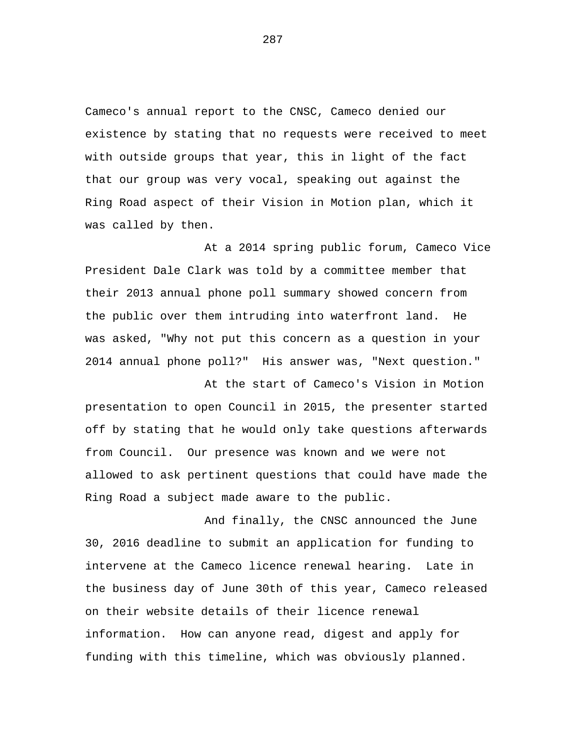Cameco's annual report to the CNSC, Cameco denied our existence by stating that no requests were received to meet with outside groups that year, this in light of the fact that our group was very vocal, speaking out against the Ring Road aspect of their Vision in Motion plan, which it was called by then.

At a 2014 spring public forum, Cameco Vice President Dale Clark was told by a committee member that their 2013 annual phone poll summary showed concern from the public over them intruding into waterfront land. He was asked, "Why not put this concern as a question in your 2014 annual phone poll?" His answer was, "Next question."

At the start of Cameco's Vision in Motion presentation to open Council in 2015, the presenter started off by stating that he would only take questions afterwards from Council. Our presence was known and we were not allowed to ask pertinent questions that could have made the Ring Road a subject made aware to the public.

And finally, the CNSC announced the June 30, 2016 deadline to submit an application for funding to intervene at the Cameco licence renewal hearing. Late in the business day of June 30th of this year, Cameco released on their website details of their licence renewal information. How can anyone read, digest and apply for funding with this timeline, which was obviously planned.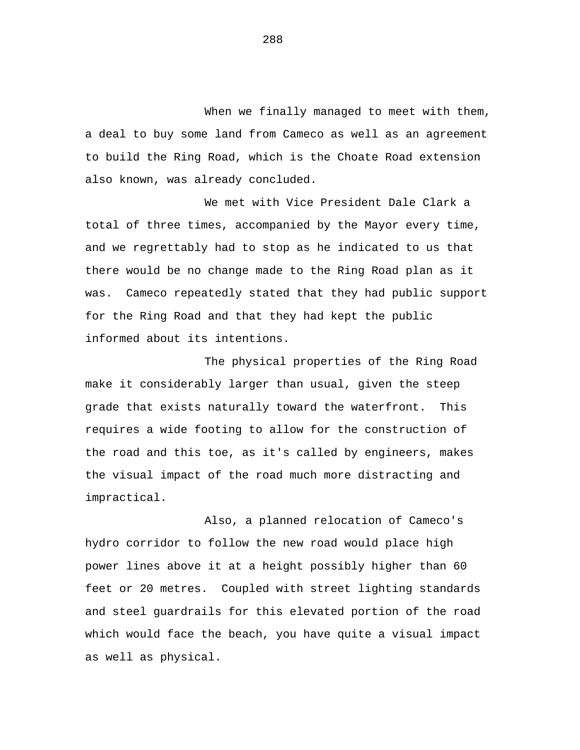When we finally managed to meet with them, a deal to buy some land from Cameco as well as an agreement to build the Ring Road, which is the Choate Road extension also known, was already concluded.

We met with Vice President Dale Clark a total of three times, accompanied by the Mayor every time, and we regrettably had to stop as he indicated to us that there would be no change made to the Ring Road plan as it was. Cameco repeatedly stated that they had public support for the Ring Road and that they had kept the public informed about its intentions.

The physical properties of the Ring Road make it considerably larger than usual, given the steep grade that exists naturally toward the waterfront. This requires a wide footing to allow for the construction of the road and this toe, as it's called by engineers, makes the visual impact of the road much more distracting and impractical.

Also, a planned relocation of Cameco's hydro corridor to follow the new road would place high power lines above it at a height possibly higher than 60 feet or 20 metres. Coupled with street lighting standards and steel guardrails for this elevated portion of the road which would face the beach, you have quite a visual impact as well as physical.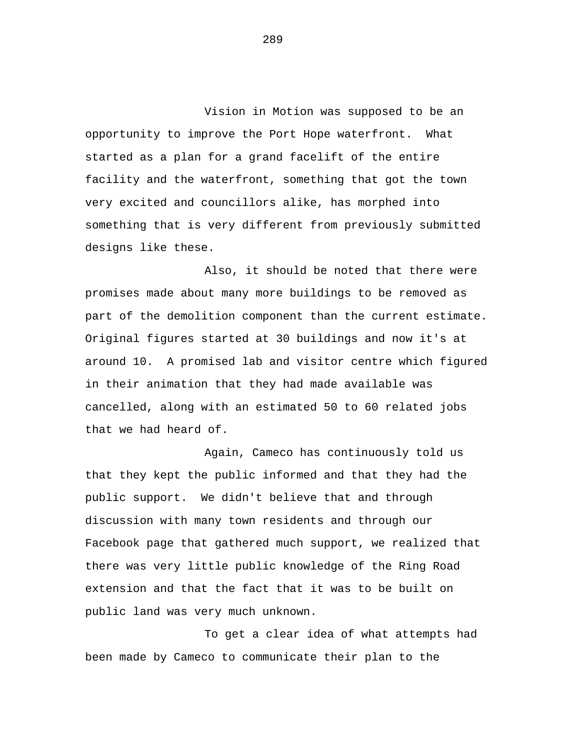Vision in Motion was supposed to be an opportunity to improve the Port Hope waterfront. What started as a plan for a grand facelift of the entire facility and the waterfront, something that got the town very excited and councillors alike, has morphed into something that is very different from previously submitted designs like these.

Also, it should be noted that there were promises made about many more buildings to be removed as part of the demolition component than the current estimate. Original figures started at 30 buildings and now it's at around 10. A promised lab and visitor centre which figured in their animation that they had made available was cancelled, along with an estimated 50 to 60 related jobs that we had heard of.

Again, Cameco has continuously told us that they kept the public informed and that they had the public support. We didn't believe that and through discussion with many town residents and through our Facebook page that gathered much support, we realized that there was very little public knowledge of the Ring Road extension and that the fact that it was to be built on public land was very much unknown.

To get a clear idea of what attempts had been made by Cameco to communicate their plan to the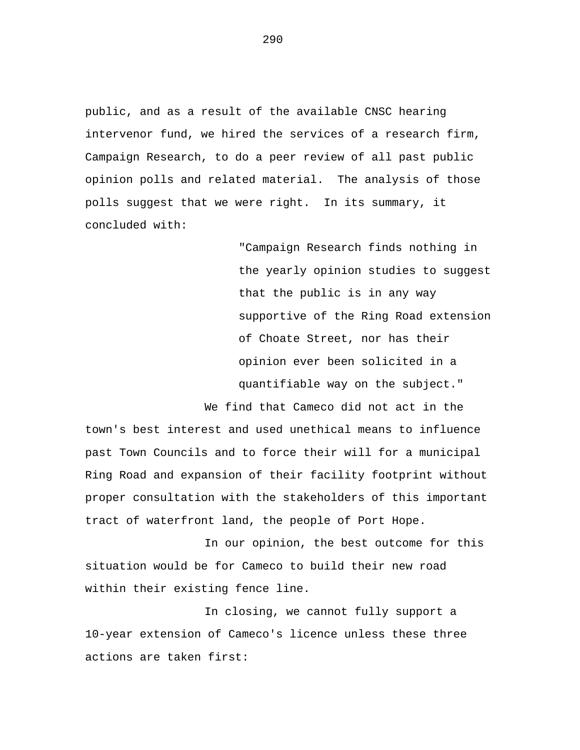public, and as a result of the available CNSC hearing intervenor fund, we hired the services of a research firm, Campaign Research, to do a peer review of all past public opinion polls and related material. The analysis of those polls suggest that we were right. In its summary, it concluded with:

> "Campaign Research finds nothing in the yearly opinion studies to suggest that the public is in any way supportive of the Ring Road extension of Choate Street, nor has their opinion ever been solicited in a quantifiable way on the subject."

We find that Cameco did not act in the town's best interest and used unethical means to influence past Town Councils and to force their will for a municipal Ring Road and expansion of their facility footprint without proper consultation with the stakeholders of this important tract of waterfront land, the people of Port Hope.

In our opinion, the best outcome for this situation would be for Cameco to build their new road within their existing fence line.

In closing, we cannot fully support a 10-year extension of Cameco's licence unless these three actions are taken first: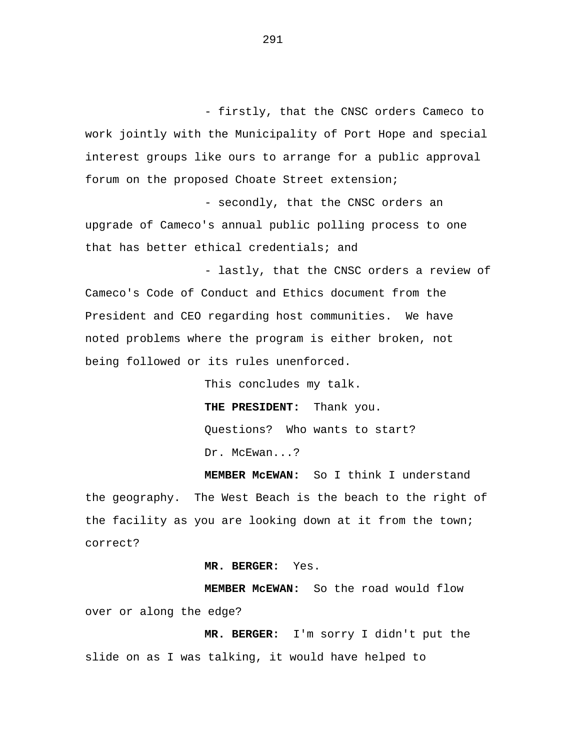- firstly, that the CNSC orders Cameco to work jointly with the Municipality of Port Hope and special interest groups like ours to arrange for a public approval forum on the proposed Choate Street extension;

- secondly, that the CNSC orders an upgrade of Cameco's annual public polling process to one that has better ethical credentials; and

- lastly, that the CNSC orders a review of Cameco's Code of Conduct and Ethics document from the President and CEO regarding host communities. We have noted problems where the program is either broken, not being followed or its rules unenforced.

This concludes my talk.

**THE PRESIDENT:** Thank you. Questions? Who wants to start? Dr. McEwan...?

**MEMBER McEWAN:** So I think I understand the geography. The West Beach is the beach to the right of the facility as you are looking down at it from the town; correct?

**MR. BERGER:** Yes.

**MEMBER McEWAN:** So the road would flow over or along the edge?

**MR. BERGER:** I'm sorry I didn't put the slide on as I was talking, it would have helped to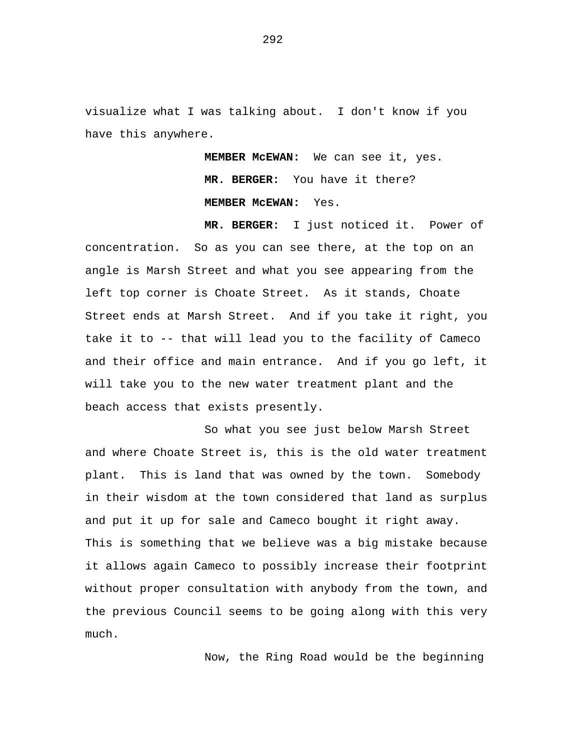visualize what I was talking about. I don't know if you have this anywhere.

> **MEMBER McEWAN:** We can see it, yes. **MR. BERGER:** You have it there? **MEMBER McEWAN:** Yes.

**MR. BERGER:** I just noticed it. Power of concentration. So as you can see there, at the top on an angle is Marsh Street and what you see appearing from the left top corner is Choate Street. As it stands, Choate Street ends at Marsh Street. And if you take it right, you take it to -- that will lead you to the facility of Cameco and their office and main entrance. And if you go left, it will take you to the new water treatment plant and the beach access that exists presently.

So what you see just below Marsh Street and where Choate Street is, this is the old water treatment plant. This is land that was owned by the town. Somebody in their wisdom at the town considered that land as surplus and put it up for sale and Cameco bought it right away. This is something that we believe was a big mistake because it allows again Cameco to possibly increase their footprint without proper consultation with anybody from the town, and the previous Council seems to be going along with this very much.

Now, the Ring Road would be the beginning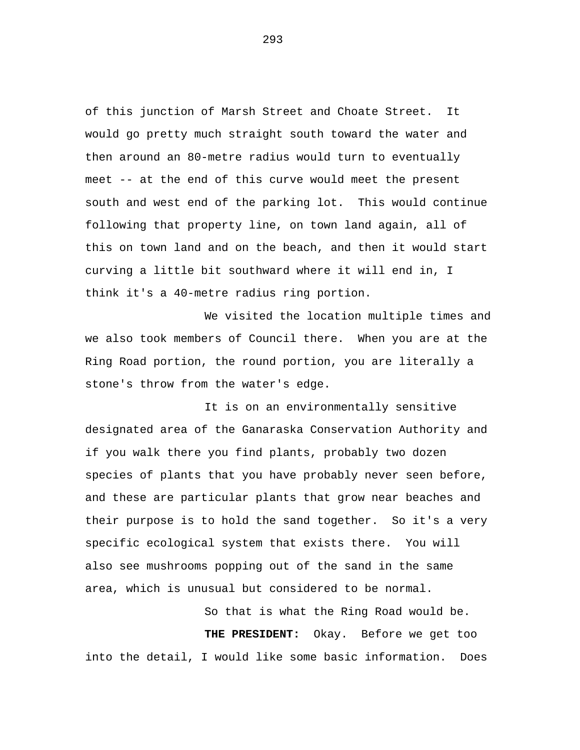of this junction of Marsh Street and Choate Street. It would go pretty much straight south toward the water and then around an 80-metre radius would turn to eventually meet -- at the end of this curve would meet the present south and west end of the parking lot. This would continue following that property line, on town land again, all of this on town land and on the beach, and then it would start curving a little bit southward where it will end in, I think it's a 40-metre radius ring portion.

We visited the location multiple times and we also took members of Council there. When you are at the Ring Road portion, the round portion, you are literally a stone's throw from the water's edge.

It is on an environmentally sensitive designated area of the Ganaraska Conservation Authority and if you walk there you find plants, probably two dozen species of plants that you have probably never seen before, and these are particular plants that grow near beaches and their purpose is to hold the sand together. So it's a very specific ecological system that exists there. You will also see mushrooms popping out of the sand in the same area, which is unusual but considered to be normal.

So that is what the Ring Road would be. **THE PRESIDENT:** Okay. Before we get too into the detail, I would like some basic information. Does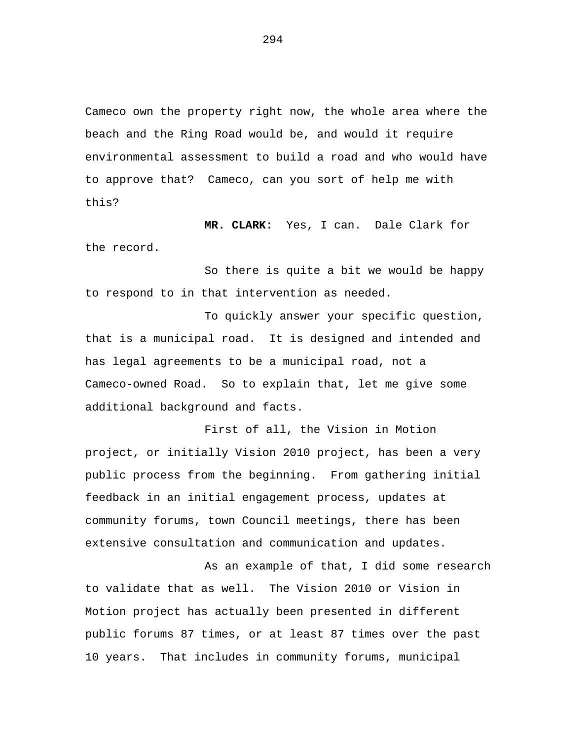Cameco own the property right now, the whole area where the beach and the Ring Road would be, and would it require environmental assessment to build a road and who would have to approve that? Cameco, can you sort of help me with this?

**MR. CLARK:** Yes, I can. Dale Clark for the record.

So there is quite a bit we would be happy to respond to in that intervention as needed.

To quickly answer your specific question, that is a municipal road. It is designed and intended and has legal agreements to be a municipal road, not a Cameco-owned Road. So to explain that, let me give some additional background and facts.

First of all, the Vision in Motion project, or initially Vision 2010 project, has been a very public process from the beginning. From gathering initial feedback in an initial engagement process, updates at community forums, town Council meetings, there has been extensive consultation and communication and updates.

As an example of that, I did some research to validate that as well. The Vision 2010 or Vision in Motion project has actually been presented in different public forums 87 times, or at least 87 times over the past 10 years. That includes in community forums, municipal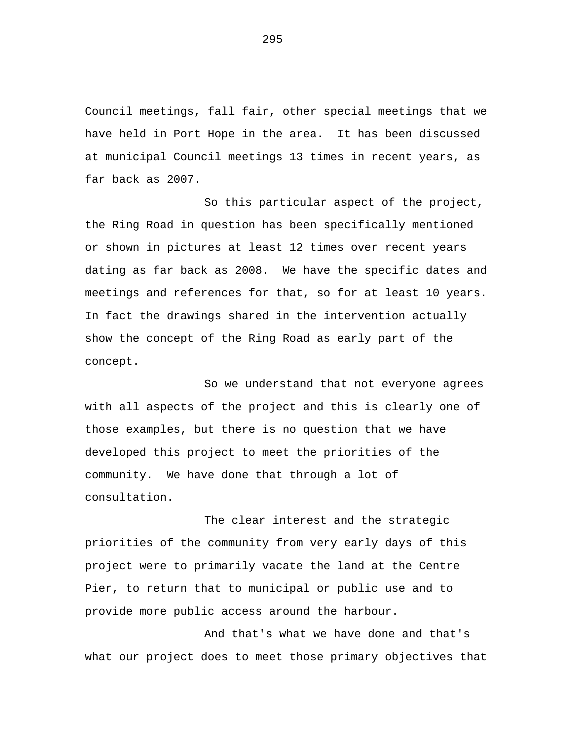Council meetings, fall fair, other special meetings that we have held in Port Hope in the area. It has been discussed at municipal Council meetings 13 times in recent years, as far back as 2007.

So this particular aspect of the project, the Ring Road in question has been specifically mentioned or shown in pictures at least 12 times over recent years dating as far back as 2008. We have the specific dates and meetings and references for that, so for at least 10 years. In fact the drawings shared in the intervention actually show the concept of the Ring Road as early part of the concept.

So we understand that not everyone agrees with all aspects of the project and this is clearly one of those examples, but there is no question that we have developed this project to meet the priorities of the community. We have done that through a lot of consultation.

The clear interest and the strategic priorities of the community from very early days of this project were to primarily vacate the land at the Centre Pier, to return that to municipal or public use and to provide more public access around the harbour.

And that's what we have done and that's what our project does to meet those primary objectives that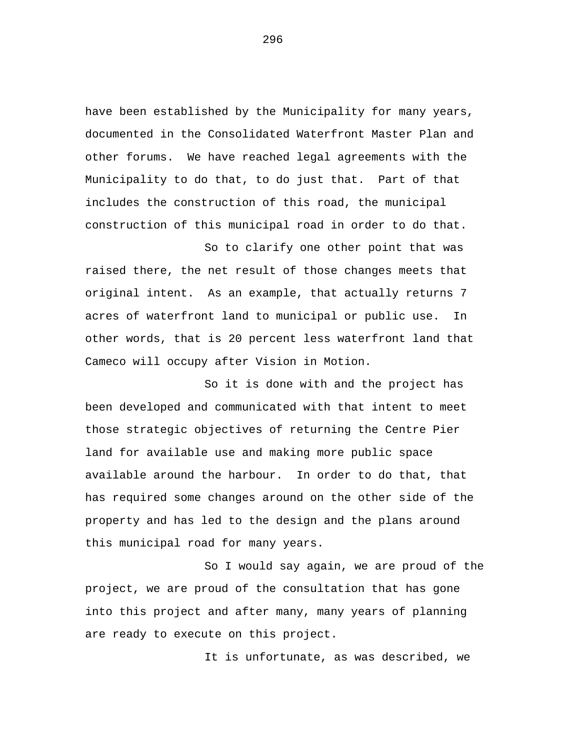have been established by the Municipality for many years, documented in the Consolidated Waterfront Master Plan and other forums. We have reached legal agreements with the Municipality to do that, to do just that. Part of that includes the construction of this road, the municipal construction of this municipal road in order to do that.

So to clarify one other point that was raised there, the net result of those changes meets that original intent. As an example, that actually returns 7 acres of waterfront land to municipal or public use. In other words, that is 20 percent less waterfront land that Cameco will occupy after Vision in Motion.

So it is done with and the project has been developed and communicated with that intent to meet those strategic objectives of returning the Centre Pier land for available use and making more public space available around the harbour. In order to do that, that has required some changes around on the other side of the property and has led to the design and the plans around this municipal road for many years.

So I would say again, we are proud of the project, we are proud of the consultation that has gone into this project and after many, many years of planning are ready to execute on this project.

It is unfortunate, as was described, we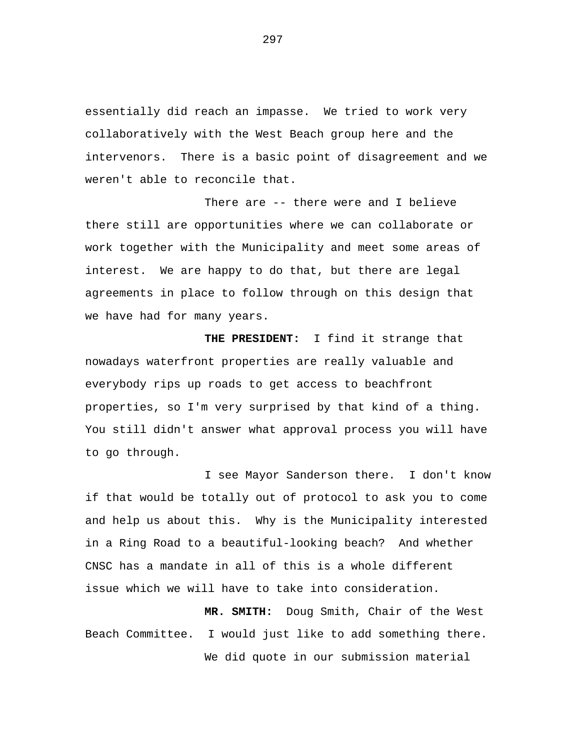essentially did reach an impasse. We tried to work very collaboratively with the West Beach group here and the intervenors. There is a basic point of disagreement and we weren't able to reconcile that.

There are -- there were and I believe there still are opportunities where we can collaborate or work together with the Municipality and meet some areas of interest. We are happy to do that, but there are legal agreements in place to follow through on this design that we have had for many years.

**THE PRESIDENT:** I find it strange that nowadays waterfront properties are really valuable and everybody rips up roads to get access to beachfront properties, so I'm very surprised by that kind of a thing. You still didn't answer what approval process you will have to go through.

I see Mayor Sanderson there. I don't know if that would be totally out of protocol to ask you to come and help us about this. Why is the Municipality interested in a Ring Road to a beautiful-looking beach? And whether CNSC has a mandate in all of this is a whole different issue which we will have to take into consideration.

**MR. SMITH:** Doug Smith, Chair of the West Beach Committee. I would just like to add something there. We did quote in our submission material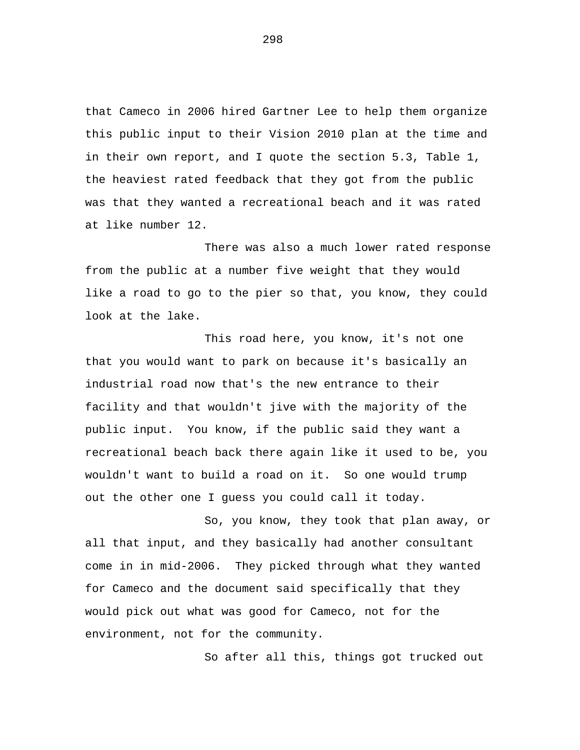that Cameco in 2006 hired Gartner Lee to help them organize this public input to their Vision 2010 plan at the time and in their own report, and I quote the section 5.3, Table 1, the heaviest rated feedback that they got from the public was that they wanted a recreational beach and it was rated at like number 12.

There was also a much lower rated response from the public at a number five weight that they would like a road to go to the pier so that, you know, they could look at the lake.

This road here, you know, it's not one that you would want to park on because it's basically an industrial road now that's the new entrance to their facility and that wouldn't jive with the majority of the public input. You know, if the public said they want a recreational beach back there again like it used to be, you wouldn't want to build a road on it. So one would trump out the other one I guess you could call it today.

So, you know, they took that plan away, or all that input, and they basically had another consultant come in in mid-2006. They picked through what they wanted for Cameco and the document said specifically that they would pick out what was good for Cameco, not for the environment, not for the community.

So after all this, things got trucked out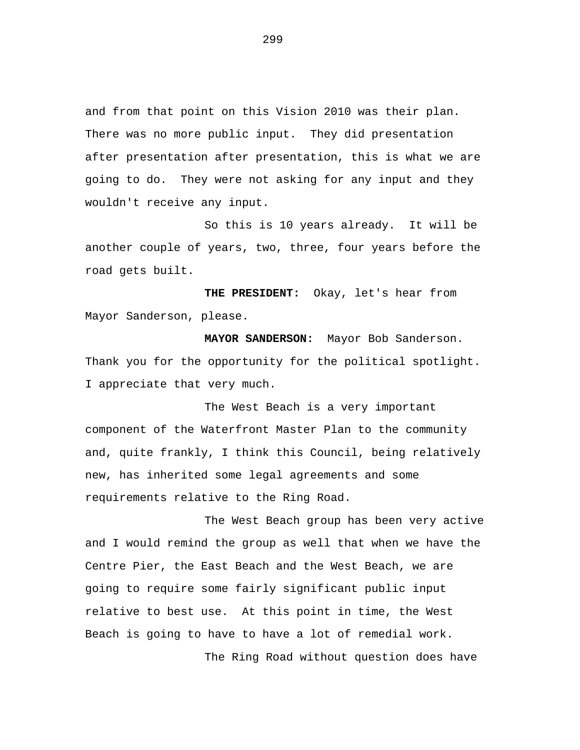and from that point on this Vision 2010 was their plan. There was no more public input. They did presentation after presentation after presentation, this is what we are going to do. They were not asking for any input and they wouldn't receive any input.

So this is 10 years already. It will be another couple of years, two, three, four years before the road gets built.

**THE PRESIDENT:** Okay, let's hear from Mayor Sanderson, please.

**MAYOR SANDERSON:** Mayor Bob Sanderson. Thank you for the opportunity for the political spotlight. I appreciate that very much.

The West Beach is a very important component of the Waterfront Master Plan to the community and, quite frankly, I think this Council, being relatively new, has inherited some legal agreements and some requirements relative to the Ring Road.

The West Beach group has been very active and I would remind the group as well that when we have the Centre Pier, the East Beach and the West Beach, we are going to require some fairly significant public input relative to best use. At this point in time, the West Beach is going to have to have a lot of remedial work.

The Ring Road without question does have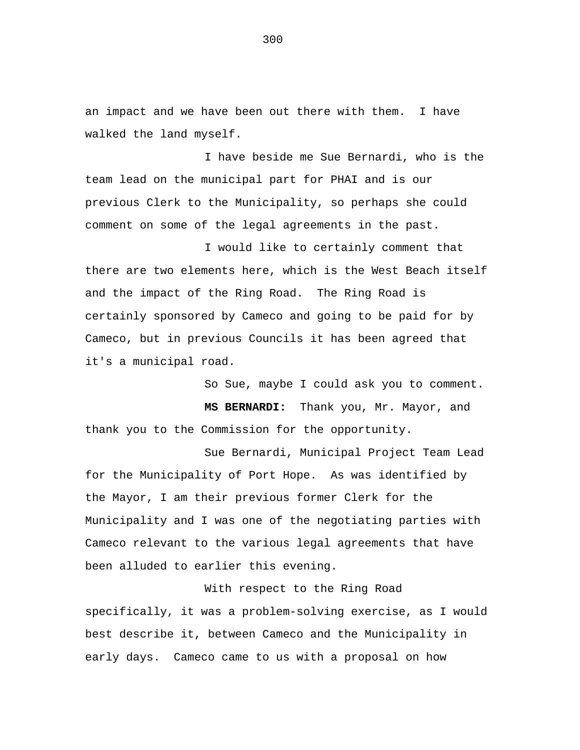an impact and we have been out there with them. I have walked the land myself.

I have beside me Sue Bernardi, who is the team lead on the municipal part for PHAI and is our previous Clerk to the Municipality, so perhaps she could comment on some of the legal agreements in the past.

I would like to certainly comment that there are two elements here, which is the West Beach itself and the impact of the Ring Road. The Ring Road is certainly sponsored by Cameco and going to be paid for by Cameco, but in previous Councils it has been agreed that it's a municipal road.

So Sue, maybe I could ask you to comment. **MS BERNARDI:** Thank you, Mr. Mayor, and thank you to the Commission for the opportunity.

Sue Bernardi, Municipal Project Team Lead for the Municipality of Port Hope. As was identified by the Mayor, I am their previous former Clerk for the Municipality and I was one of the negotiating parties with Cameco relevant to the various legal agreements that have been alluded to earlier this evening.

With respect to the Ring Road specifically, it was a problem-solving exercise, as I would best describe it, between Cameco and the Municipality in early days. Cameco came to us with a proposal on how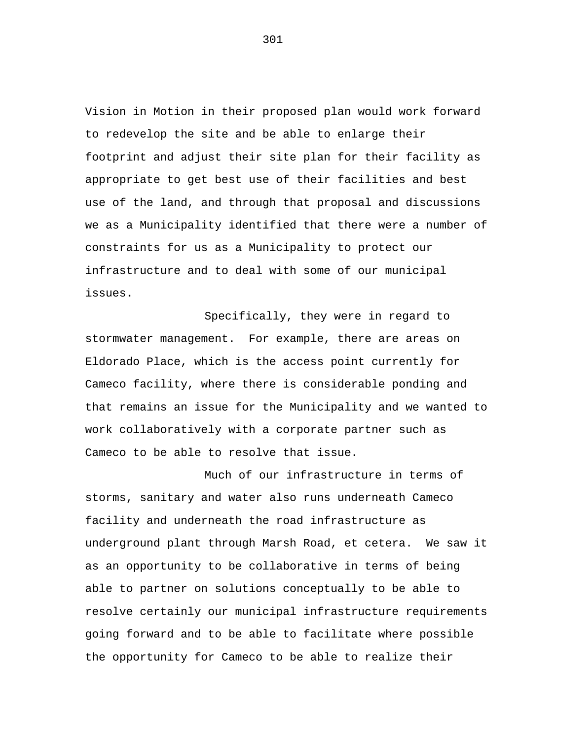Vision in Motion in their proposed plan would work forward to redevelop the site and be able to enlarge their footprint and adjust their site plan for their facility as appropriate to get best use of their facilities and best use of the land, and through that proposal and discussions we as a Municipality identified that there were a number of constraints for us as a Municipality to protect our infrastructure and to deal with some of our municipal issues.

Specifically, they were in regard to stormwater management. For example, there are areas on Eldorado Place, which is the access point currently for Cameco facility, where there is considerable ponding and that remains an issue for the Municipality and we wanted to work collaboratively with a corporate partner such as Cameco to be able to resolve that issue.

Much of our infrastructure in terms of storms, sanitary and water also runs underneath Cameco facility and underneath the road infrastructure as underground plant through Marsh Road, et cetera. We saw it as an opportunity to be collaborative in terms of being able to partner on solutions conceptually to be able to resolve certainly our municipal infrastructure requirements going forward and to be able to facilitate where possible the opportunity for Cameco to be able to realize their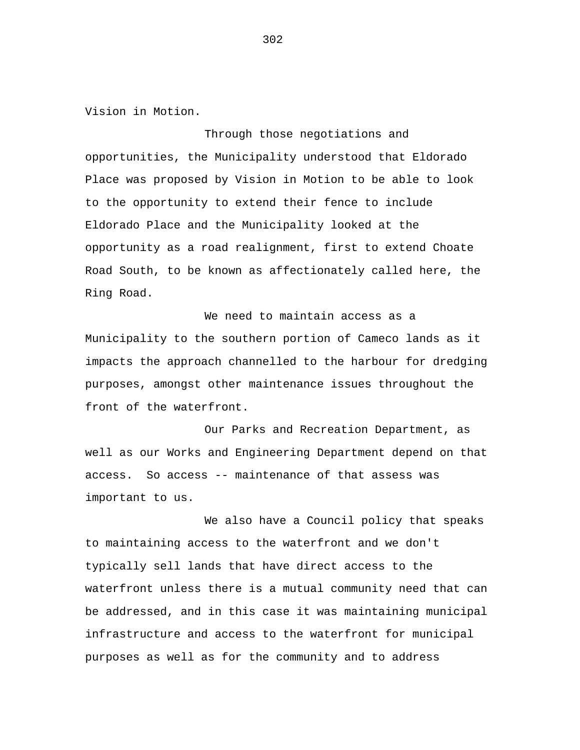Vision in Motion.

Through those negotiations and opportunities, the Municipality understood that Eldorado Place was proposed by Vision in Motion to be able to look to the opportunity to extend their fence to include Eldorado Place and the Municipality looked at the opportunity as a road realignment, first to extend Choate Road South, to be known as affectionately called here, the Ring Road.

We need to maintain access as a Municipality to the southern portion of Cameco lands as it impacts the approach channelled to the harbour for dredging purposes, amongst other maintenance issues throughout the front of the waterfront.

Our Parks and Recreation Department, as well as our Works and Engineering Department depend on that access. So access -- maintenance of that assess was important to us.

We also have a Council policy that speaks to maintaining access to the waterfront and we don't typically sell lands that have direct access to the waterfront unless there is a mutual community need that can be addressed, and in this case it was maintaining municipal infrastructure and access to the waterfront for municipal purposes as well as for the community and to address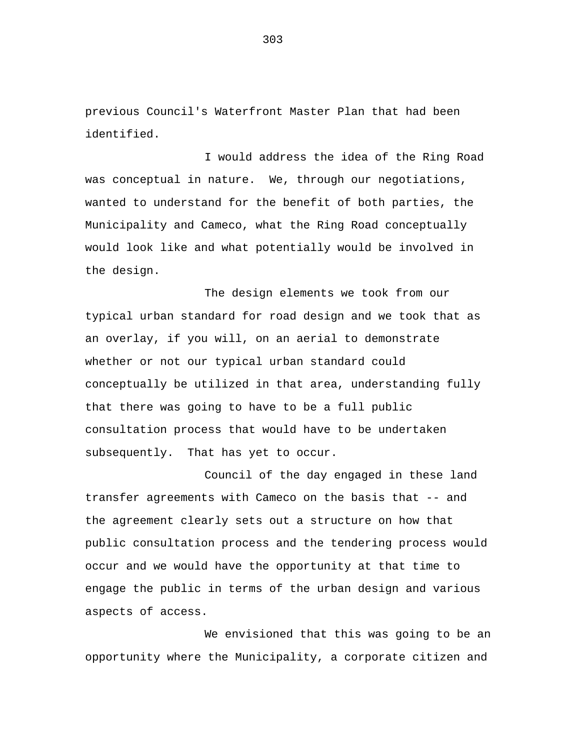previous Council's Waterfront Master Plan that had been identified.

I would address the idea of the Ring Road was conceptual in nature. We, through our negotiations, wanted to understand for the benefit of both parties, the Municipality and Cameco, what the Ring Road conceptually would look like and what potentially would be involved in the design.

The design elements we took from our typical urban standard for road design and we took that as an overlay, if you will, on an aerial to demonstrate whether or not our typical urban standard could conceptually be utilized in that area, understanding fully that there was going to have to be a full public consultation process that would have to be undertaken subsequently. That has yet to occur.

Council of the day engaged in these land transfer agreements with Cameco on the basis that -- and the agreement clearly sets out a structure on how that public consultation process and the tendering process would occur and we would have the opportunity at that time to engage the public in terms of the urban design and various aspects of access.

We envisioned that this was going to be an opportunity where the Municipality, a corporate citizen and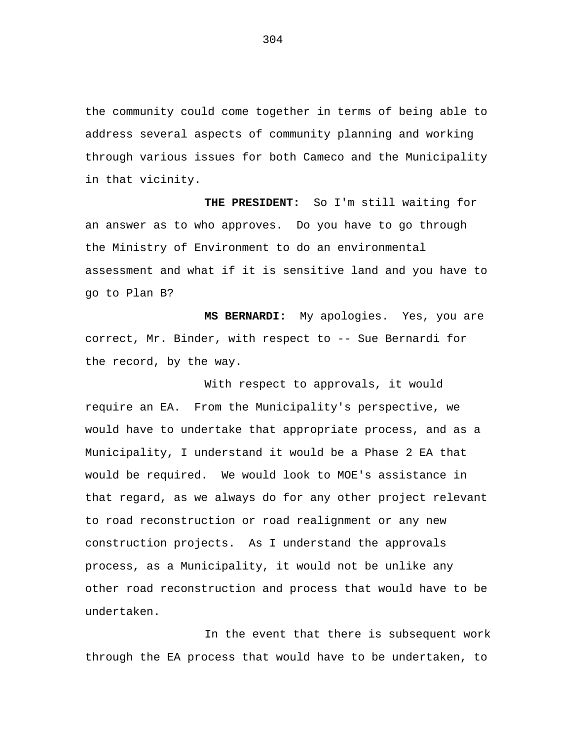the community could come together in terms of being able to address several aspects of community planning and working through various issues for both Cameco and the Municipality in that vicinity.

**THE PRESIDENT:** So I'm still waiting for an answer as to who approves. Do you have to go through the Ministry of Environment to do an environmental assessment and what if it is sensitive land and you have to go to Plan B?

**MS BERNARDI:** My apologies. Yes, you are correct, Mr. Binder, with respect to -- Sue Bernardi for the record, by the way.

With respect to approvals, it would require an EA. From the Municipality's perspective, we would have to undertake that appropriate process, and as a Municipality, I understand it would be a Phase 2 EA that would be required. We would look to MOE's assistance in that regard, as we always do for any other project relevant to road reconstruction or road realignment or any new construction projects. As I understand the approvals process, as a Municipality, it would not be unlike any other road reconstruction and process that would have to be undertaken.

In the event that there is subsequent work through the EA process that would have to be undertaken, to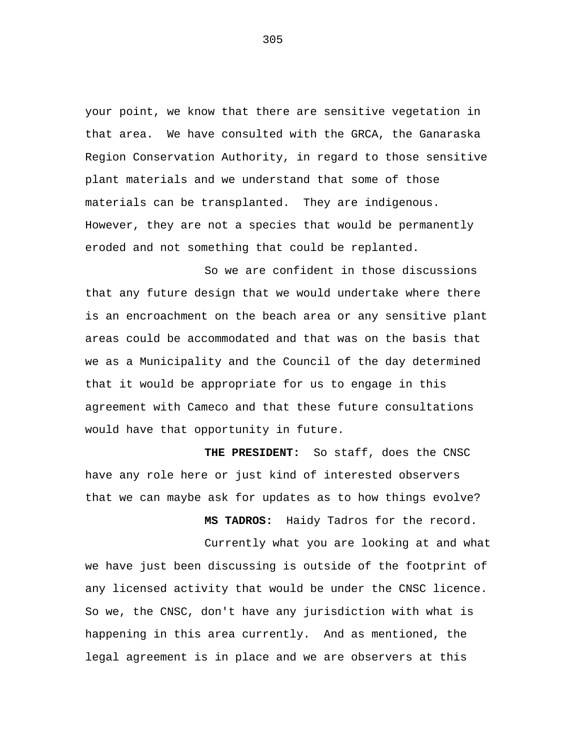your point, we know that there are sensitive vegetation in that area. We have consulted with the GRCA, the Ganaraska Region Conservation Authority, in regard to those sensitive plant materials and we understand that some of those materials can be transplanted. They are indigenous. However, they are not a species that would be permanently eroded and not something that could be replanted.

So we are confident in those discussions that any future design that we would undertake where there is an encroachment on the beach area or any sensitive plant areas could be accommodated and that was on the basis that we as a Municipality and the Council of the day determined that it would be appropriate for us to engage in this agreement with Cameco and that these future consultations would have that opportunity in future.

**THE PRESIDENT:** So staff, does the CNSC have any role here or just kind of interested observers that we can maybe ask for updates as to how things evolve?

**MS TADROS:** Haidy Tadros for the record.

Currently what you are looking at and what we have just been discussing is outside of the footprint of any licensed activity that would be under the CNSC licence. So we, the CNSC, don't have any jurisdiction with what is happening in this area currently. And as mentioned, the legal agreement is in place and we are observers at this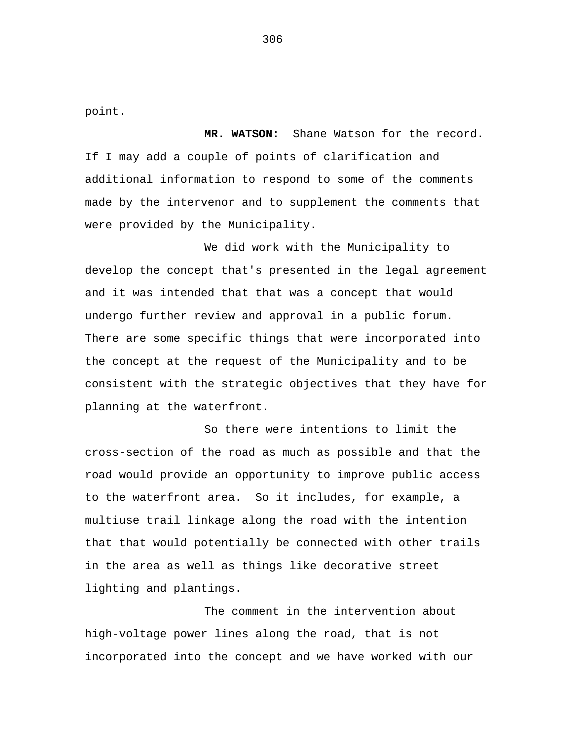point.

**MR. WATSON:** Shane Watson for the record. If I may add a couple of points of clarification and additional information to respond to some of the comments made by the intervenor and to supplement the comments that were provided by the Municipality.

We did work with the Municipality to develop the concept that's presented in the legal agreement and it was intended that that was a concept that would undergo further review and approval in a public forum. There are some specific things that were incorporated into the concept at the request of the Municipality and to be consistent with the strategic objectives that they have for planning at the waterfront.

So there were intentions to limit the cross-section of the road as much as possible and that the road would provide an opportunity to improve public access to the waterfront area. So it includes, for example, a multiuse trail linkage along the road with the intention that that would potentially be connected with other trails in the area as well as things like decorative street lighting and plantings.

The comment in the intervention about high-voltage power lines along the road, that is not incorporated into the concept and we have worked with our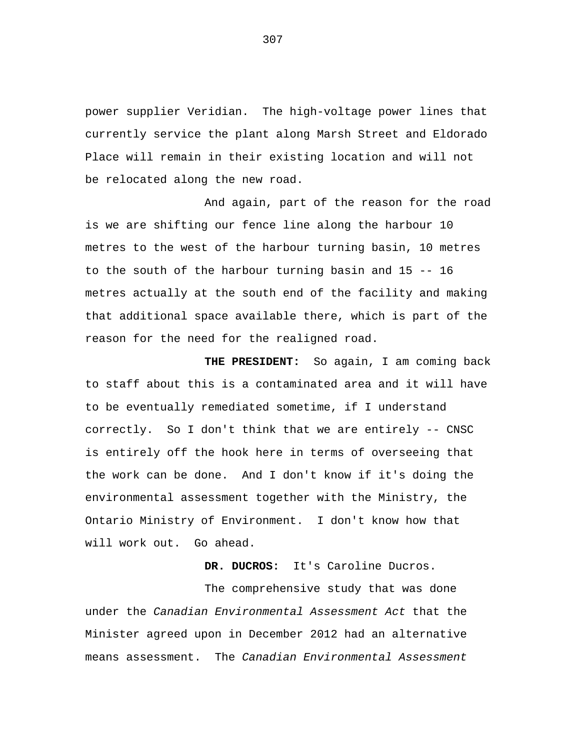power supplier Veridian. The high-voltage power lines that currently service the plant along Marsh Street and Eldorado Place will remain in their existing location and will not be relocated along the new road.

And again, part of the reason for the road is we are shifting our fence line along the harbour 10 metres to the west of the harbour turning basin, 10 metres to the south of the harbour turning basin and 15 -- 16 metres actually at the south end of the facility and making that additional space available there, which is part of the reason for the need for the realigned road.

**THE PRESIDENT:** So again, I am coming back to staff about this is a contaminated area and it will have to be eventually remediated sometime, if I understand correctly. So I don't think that we are entirely -- CNSC is entirely off the hook here in terms of overseeing that the work can be done. And I don't know if it's doing the environmental assessment together with the Ministry, the Ontario Ministry of Environment. I don't know how that will work out. Go ahead.

**DR. DUCROS:** It's Caroline Ducros.

The comprehensive study that was done under the *Canadian Environmental Assessment Act* that the Minister agreed upon in December 2012 had an alternative means assessment. The *Canadian Environmental Assessment*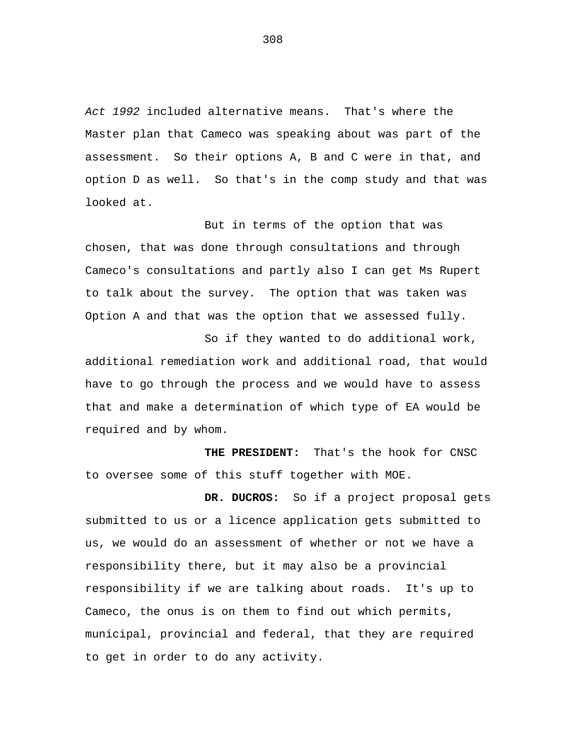*Act 1992* included alternative means. That's where the Master plan that Cameco was speaking about was part of the assessment. So their options A, B and C were in that, and option D as well. So that's in the comp study and that was looked at.

But in terms of the option that was chosen, that was done through consultations and through Cameco's consultations and partly also I can get Ms Rupert to talk about the survey. The option that was taken was Option A and that was the option that we assessed fully.

So if they wanted to do additional work, additional remediation work and additional road, that would have to go through the process and we would have to assess that and make a determination of which type of EA would be required and by whom.

**THE PRESIDENT:** That's the hook for CNSC to oversee some of this stuff together with MOE.

**DR. DUCROS:** So if a project proposal gets submitted to us or a licence application gets submitted to us, we would do an assessment of whether or not we have a responsibility there, but it may also be a provincial responsibility if we are talking about roads. It's up to Cameco, the onus is on them to find out which permits, municipal, provincial and federal, that they are required to get in order to do any activity.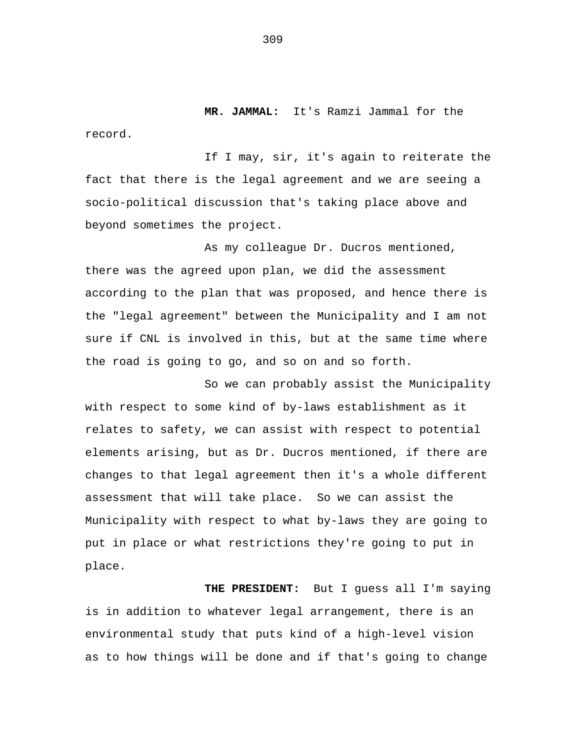**MR. JAMMAL:** It's Ramzi Jammal for the record.

If I may, sir, it's again to reiterate the fact that there is the legal agreement and we are seeing a socio-political discussion that's taking place above and beyond sometimes the project.

As my colleague Dr. Ducros mentioned, there was the agreed upon plan, we did the assessment according to the plan that was proposed, and hence there is the "legal agreement" between the Municipality and I am not sure if CNL is involved in this, but at the same time where the road is going to go, and so on and so forth.

So we can probably assist the Municipality with respect to some kind of by-laws establishment as it relates to safety, we can assist with respect to potential elements arising, but as Dr. Ducros mentioned, if there are changes to that legal agreement then it's a whole different assessment that will take place. So we can assist the Municipality with respect to what by-laws they are going to put in place or what restrictions they're going to put in place.

**THE PRESIDENT:** But I guess all I'm saying is in addition to whatever legal arrangement, there is an environmental study that puts kind of a high-level vision as to how things will be done and if that's going to change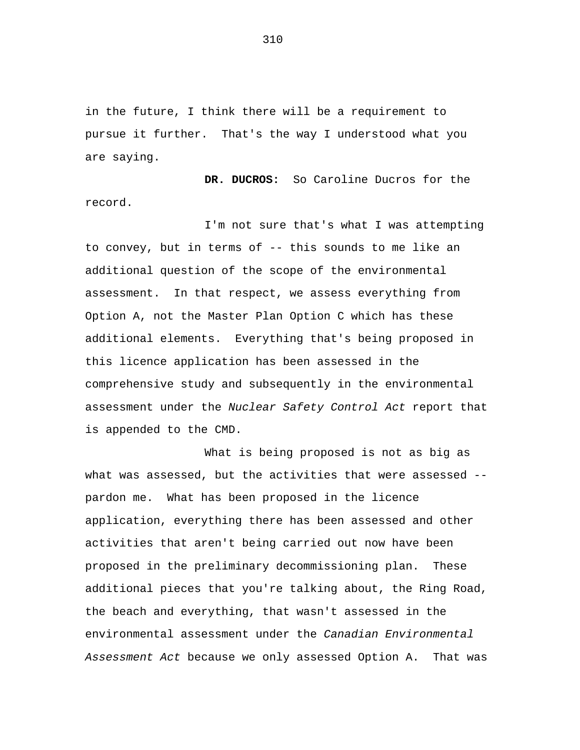in the future, I think there will be a requirement to pursue it further. That's the way I understood what you are saying.

**DR. DUCROS:** So Caroline Ducros for the record.

I'm not sure that's what I was attempting to convey, but in terms of -- this sounds to me like an additional question of the scope of the environmental assessment. In that respect, we assess everything from Option A, not the Master Plan Option C which has these additional elements. Everything that's being proposed in this licence application has been assessed in the comprehensive study and subsequently in the environmental assessment under the *Nuclear Safety Control Act* report that is appended to the CMD.

What is being proposed is not as big as what was assessed, but the activities that were assessed - pardon me. What has been proposed in the licence application, everything there has been assessed and other activities that aren't being carried out now have been proposed in the preliminary decommissioning plan. These additional pieces that you're talking about, the Ring Road, the beach and everything, that wasn't assessed in the environmental assessment under the *Canadian Environmental Assessment Act* because we only assessed Option A. That was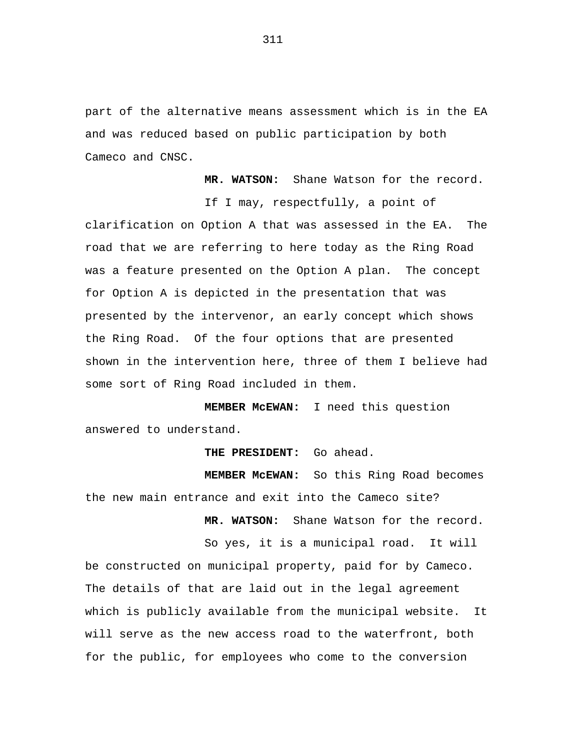part of the alternative means assessment which is in the EA and was reduced based on public participation by both Cameco and CNSC.

**MR. WATSON:** Shane Watson for the record.

If I may, respectfully, a point of clarification on Option A that was assessed in the EA. The road that we are referring to here today as the Ring Road was a feature presented on the Option A plan. The concept for Option A is depicted in the presentation that was presented by the intervenor, an early concept which shows the Ring Road. Of the four options that are presented shown in the intervention here, three of them I believe had some sort of Ring Road included in them.

**MEMBER McEWAN:** I need this question answered to understand.

## **THE PRESIDENT:** Go ahead.

**MEMBER McEWAN:** So this Ring Road becomes the new main entrance and exit into the Cameco site?

**MR. WATSON:** Shane Watson for the record.

So yes, it is a municipal road. It will be constructed on municipal property, paid for by Cameco. The details of that are laid out in the legal agreement which is publicly available from the municipal website. It will serve as the new access road to the waterfront, both for the public, for employees who come to the conversion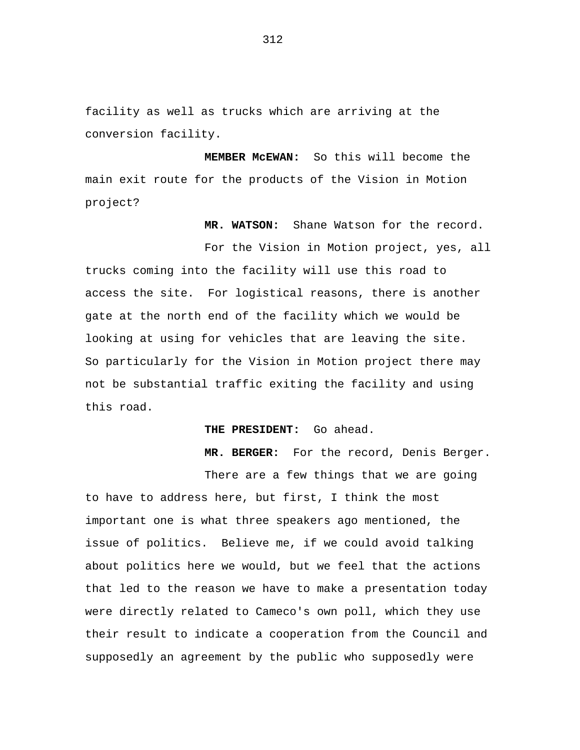facility as well as trucks which are arriving at the conversion facility.

**MEMBER McEWAN:** So this will become the main exit route for the products of the Vision in Motion project?

**MR. WATSON:** Shane Watson for the record.

For the Vision in Motion project, yes, all trucks coming into the facility will use this road to access the site. For logistical reasons, there is another gate at the north end of the facility which we would be looking at using for vehicles that are leaving the site. So particularly for the Vision in Motion project there may not be substantial traffic exiting the facility and using this road.

**THE PRESIDENT:** Go ahead.

**MR. BERGER:** For the record, Denis Berger.

There are a few things that we are going to have to address here, but first, I think the most important one is what three speakers ago mentioned, the issue of politics. Believe me, if we could avoid talking about politics here we would, but we feel that the actions that led to the reason we have to make a presentation today were directly related to Cameco's own poll, which they use their result to indicate a cooperation from the Council and supposedly an agreement by the public who supposedly were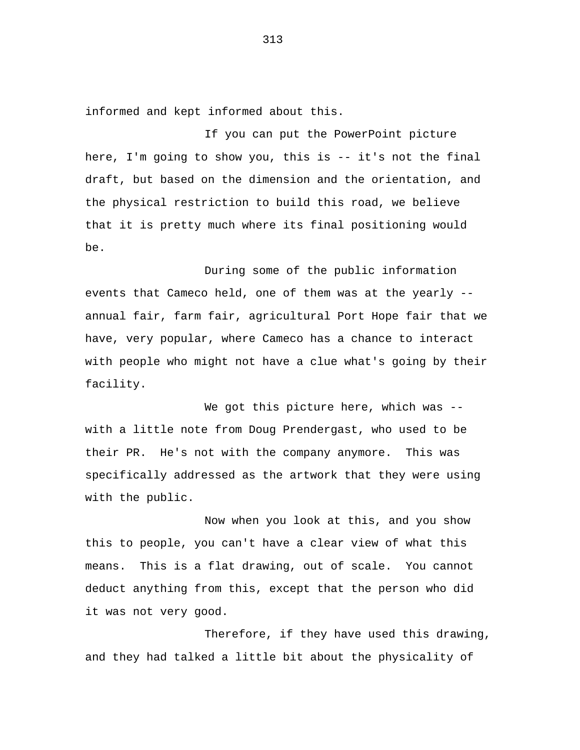informed and kept informed about this.

If you can put the PowerPoint picture here, I'm going to show you, this is -- it's not the final draft, but based on the dimension and the orientation, and the physical restriction to build this road, we believe that it is pretty much where its final positioning would be.

During some of the public information events that Cameco held, one of them was at the yearly - annual fair, farm fair, agricultural Port Hope fair that we have, very popular, where Cameco has a chance to interact with people who might not have a clue what's going by their facility.

We got this picture here, which was -with a little note from Doug Prendergast, who used to be their PR. He's not with the company anymore. This was specifically addressed as the artwork that they were using with the public.

Now when you look at this, and you show this to people, you can't have a clear view of what this means. This is a flat drawing, out of scale. You cannot deduct anything from this, except that the person who did it was not very good.

Therefore, if they have used this drawing, and they had talked a little bit about the physicality of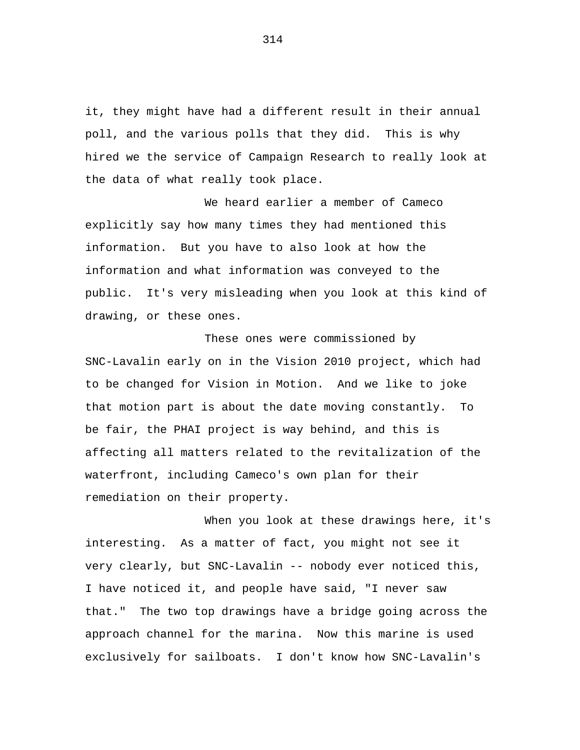it, they might have had a different result in their annual poll, and the various polls that they did. This is why hired we the service of Campaign Research to really look at the data of what really took place.

We heard earlier a member of Cameco explicitly say how many times they had mentioned this information. But you have to also look at how the information and what information was conveyed to the public. It's very misleading when you look at this kind of drawing, or these ones.

These ones were commissioned by SNC-Lavalin early on in the Vision 2010 project, which had to be changed for Vision in Motion. And we like to joke that motion part is about the date moving constantly. To be fair, the PHAI project is way behind, and this is affecting all matters related to the revitalization of the waterfront, including Cameco's own plan for their remediation on their property.

When you look at these drawings here, it's interesting. As a matter of fact, you might not see it very clearly, but SNC-Lavalin -- nobody ever noticed this, I have noticed it, and people have said, "I never saw that." The two top drawings have a bridge going across the approach channel for the marina. Now this marine is used exclusively for sailboats. I don't know how SNC-Lavalin's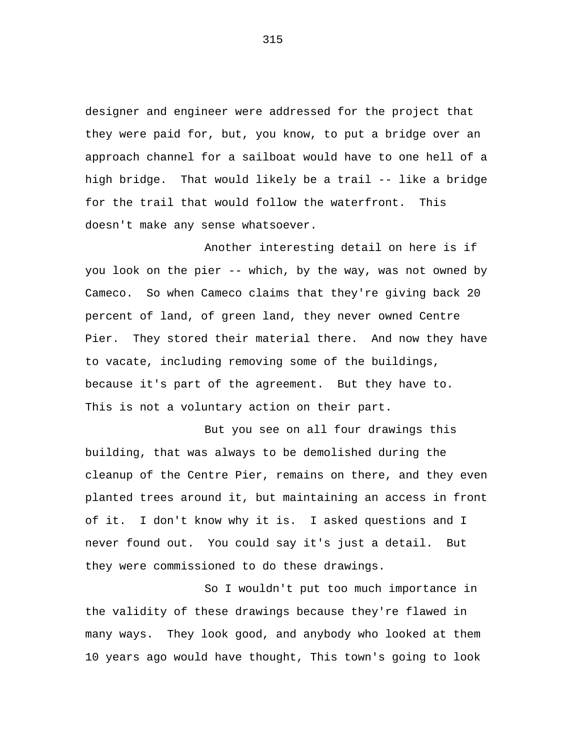designer and engineer were addressed for the project that they were paid for, but, you know, to put a bridge over an approach channel for a sailboat would have to one hell of a high bridge. That would likely be a trail -- like a bridge for the trail that would follow the waterfront. This doesn't make any sense whatsoever.

Another interesting detail on here is if you look on the pier -- which, by the way, was not owned by Cameco. So when Cameco claims that they're giving back 20 percent of land, of green land, they never owned Centre Pier. They stored their material there. And now they have to vacate, including removing some of the buildings, because it's part of the agreement. But they have to. This is not a voluntary action on their part.

But you see on all four drawings this building, that was always to be demolished during the cleanup of the Centre Pier, remains on there, and they even planted trees around it, but maintaining an access in front of it. I don't know why it is. I asked questions and I never found out. You could say it's just a detail. But they were commissioned to do these drawings.

So I wouldn't put too much importance in the validity of these drawings because they're flawed in many ways. They look good, and anybody who looked at them 10 years ago would have thought, This town's going to look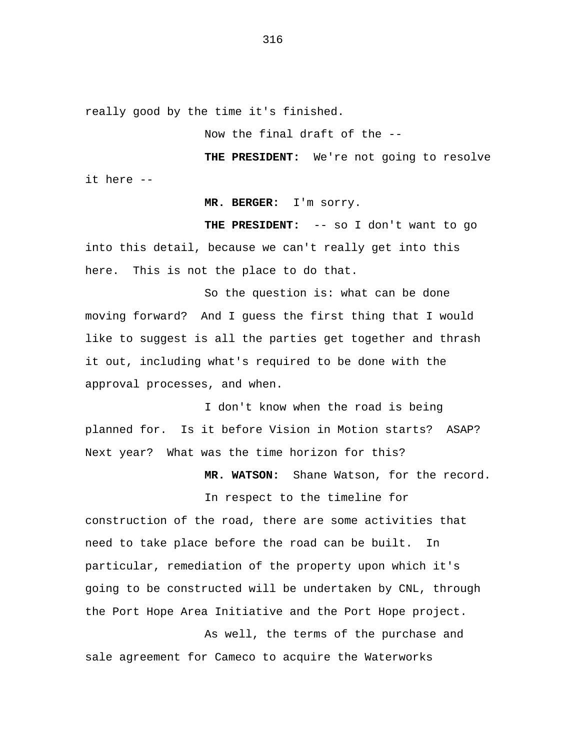really good by the time it's finished.

Now the final draft of the --

**THE PRESIDENT:** We're not going to resolve it here --

**MR. BERGER:** I'm sorry.

**THE PRESIDENT:** -- so I don't want to go into this detail, because we can't really get into this here. This is not the place to do that.

So the question is: what can be done moving forward? And I guess the first thing that I would like to suggest is all the parties get together and thrash it out, including what's required to be done with the approval processes, and when.

I don't know when the road is being planned for. Is it before Vision in Motion starts? ASAP? Next year? What was the time horizon for this?

**MR. WATSON:** Shane Watson, for the record.

In respect to the timeline for construction of the road, there are some activities that need to take place before the road can be built. In particular, remediation of the property upon which it's going to be constructed will be undertaken by CNL, through the Port Hope Area Initiative and the Port Hope project.

As well, the terms of the purchase and sale agreement for Cameco to acquire the Waterworks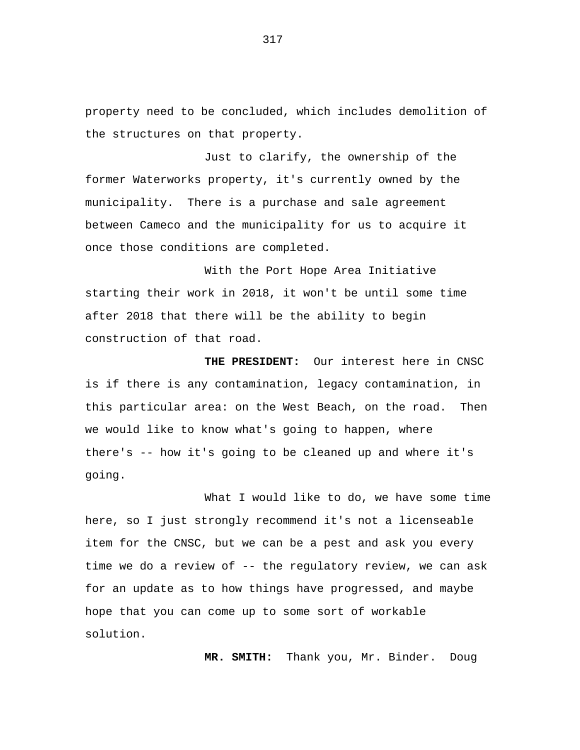property need to be concluded, which includes demolition of the structures on that property.

Just to clarify, the ownership of the former Waterworks property, it's currently owned by the municipality. There is a purchase and sale agreement between Cameco and the municipality for us to acquire it once those conditions are completed.

With the Port Hope Area Initiative starting their work in 2018, it won't be until some time after 2018 that there will be the ability to begin construction of that road.

**THE PRESIDENT:** Our interest here in CNSC is if there is any contamination, legacy contamination, in this particular area: on the West Beach, on the road. Then we would like to know what's going to happen, where there's -- how it's going to be cleaned up and where it's going.

What I would like to do, we have some time here, so I just strongly recommend it's not a licenseable item for the CNSC, but we can be a pest and ask you every time we do a review of -- the regulatory review, we can ask for an update as to how things have progressed, and maybe hope that you can come up to some sort of workable solution.

**MR. SMITH:** Thank you, Mr. Binder. Doug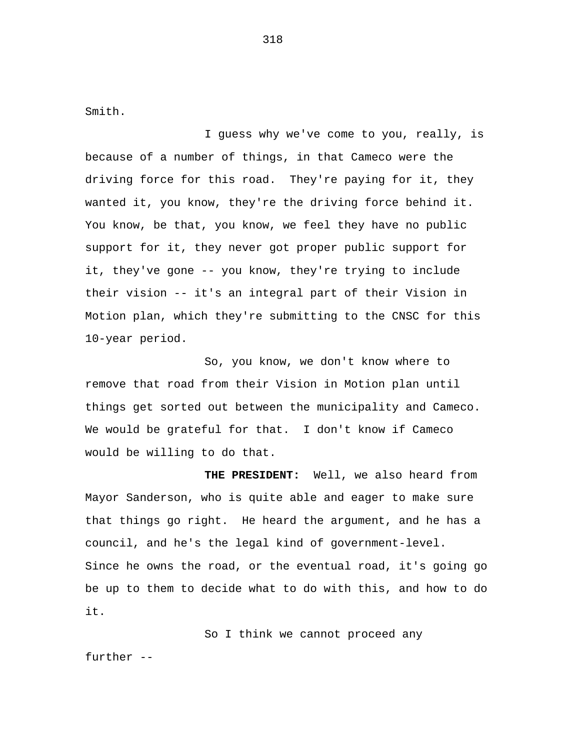Smith.

I guess why we've come to you, really, is because of a number of things, in that Cameco were the driving force for this road. They're paying for it, they wanted it, you know, they're the driving force behind it. You know, be that, you know, we feel they have no public support for it, they never got proper public support for it, they've gone -- you know, they're trying to include their vision -- it's an integral part of their Vision in Motion plan, which they're submitting to the CNSC for this 10-year period.

So, you know, we don't know where to remove that road from their Vision in Motion plan until things get sorted out between the municipality and Cameco. We would be grateful for that. I don't know if Cameco would be willing to do that.

**THE PRESIDENT:** Well, we also heard from Mayor Sanderson, who is quite able and eager to make sure that things go right. He heard the argument, and he has a council, and he's the legal kind of government-level. Since he owns the road, or the eventual road, it's going go be up to them to decide what to do with this, and how to do it.

So I think we cannot proceed any further --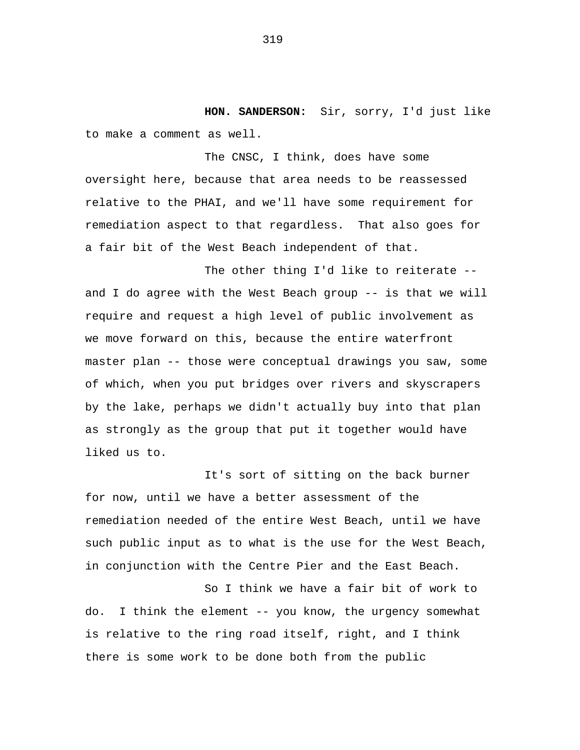**HON. SANDERSON:** Sir, sorry, I'd just like to make a comment as well.

The CNSC, I think, does have some oversight here, because that area needs to be reassessed relative to the PHAI, and we'll have some requirement for remediation aspect to that regardless. That also goes for a fair bit of the West Beach independent of that.

The other thing I'd like to reiterate - and I do agree with the West Beach group -- is that we will require and request a high level of public involvement as we move forward on this, because the entire waterfront master plan -- those were conceptual drawings you saw, some of which, when you put bridges over rivers and skyscrapers by the lake, perhaps we didn't actually buy into that plan as strongly as the group that put it together would have liked us to.

It's sort of sitting on the back burner for now, until we have a better assessment of the remediation needed of the entire West Beach, until we have such public input as to what is the use for the West Beach, in conjunction with the Centre Pier and the East Beach.

So I think we have a fair bit of work to do. I think the element -- you know, the urgency somewhat is relative to the ring road itself, right, and I think there is some work to be done both from the public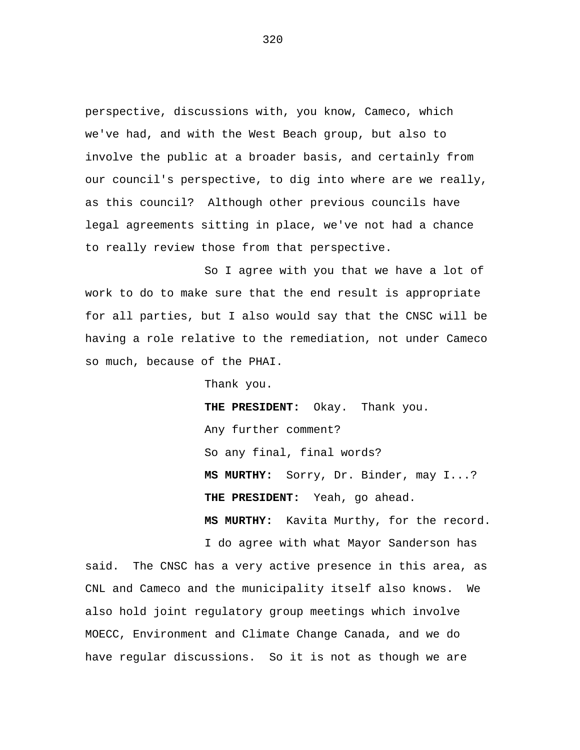perspective, discussions with, you know, Cameco, which we've had, and with the West Beach group, but also to involve the public at a broader basis, and certainly from our council's perspective, to dig into where are we really, as this council? Although other previous councils have legal agreements sitting in place, we've not had a chance to really review those from that perspective.

So I agree with you that we have a lot of work to do to make sure that the end result is appropriate for all parties, but I also would say that the CNSC will be having a role relative to the remediation, not under Cameco so much, because of the PHAI.

Thank you.

**THE PRESIDENT:** Okay. Thank you. Any further comment? So any final, final words? **MS MURTHY:** Sorry, Dr. Binder, may I...? **THE PRESIDENT:** Yeah, go ahead. **MS MURTHY:** Kavita Murthy, for the record.

I do agree with what Mayor Sanderson has said. The CNSC has a very active presence in this area, as CNL and Cameco and the municipality itself also knows. We also hold joint regulatory group meetings which involve MOECC, Environment and Climate Change Canada, and we do have regular discussions. So it is not as though we are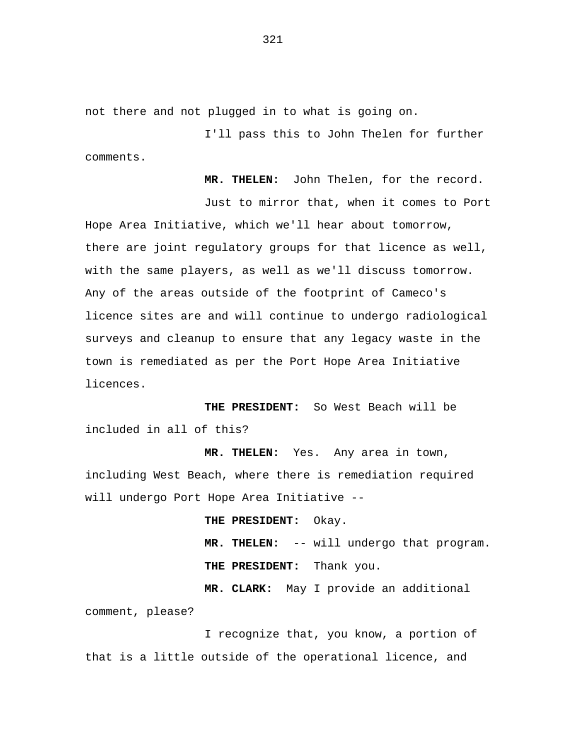not there and not plugged in to what is going on.

I'll pass this to John Thelen for further comments.

**MR. THELEN:** John Thelen, for the record.

Just to mirror that, when it comes to Port Hope Area Initiative, which we'll hear about tomorrow, there are joint regulatory groups for that licence as well, with the same players, as well as we'll discuss tomorrow. Any of the areas outside of the footprint of Cameco's licence sites are and will continue to undergo radiological surveys and cleanup to ensure that any legacy waste in the town is remediated as per the Port Hope Area Initiative licences.

**THE PRESIDENT:** So West Beach will be included in all of this?

**MR. THELEN:** Yes. Any area in town, including West Beach, where there is remediation required will undergo Port Hope Area Initiative --

> **THE PRESIDENT:** Okay. **MR. THELEN:** -- will undergo that program. **THE PRESIDENT:** Thank you.

**MR. CLARK:** May I provide an additional comment, please?

I recognize that, you know, a portion of that is a little outside of the operational licence, and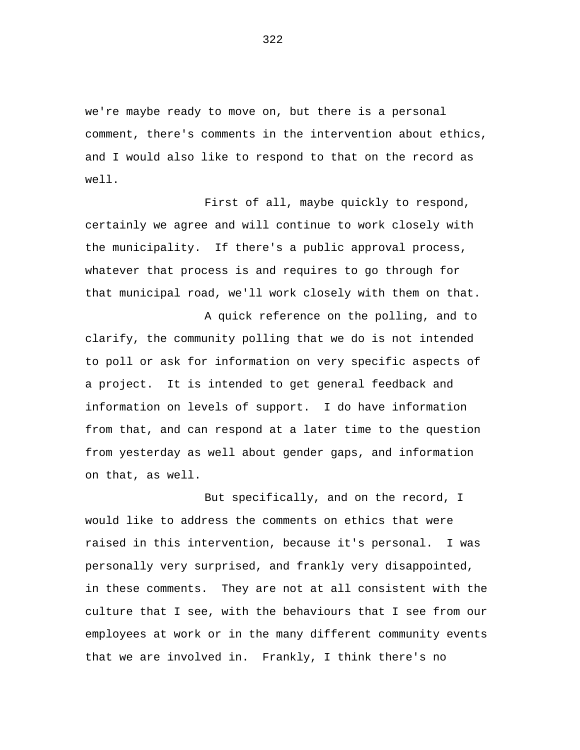we're maybe ready to move on, but there is a personal comment, there's comments in the intervention about ethics, and I would also like to respond to that on the record as well.

First of all, maybe quickly to respond, certainly we agree and will continue to work closely with the municipality. If there's a public approval process, whatever that process is and requires to go through for that municipal road, we'll work closely with them on that.

A quick reference on the polling, and to clarify, the community polling that we do is not intended to poll or ask for information on very specific aspects of a project. It is intended to get general feedback and information on levels of support. I do have information from that, and can respond at a later time to the question from yesterday as well about gender gaps, and information on that, as well.

But specifically, and on the record, I would like to address the comments on ethics that were raised in this intervention, because it's personal. I was personally very surprised, and frankly very disappointed, in these comments. They are not at all consistent with the culture that I see, with the behaviours that I see from our employees at work or in the many different community events that we are involved in. Frankly, I think there's no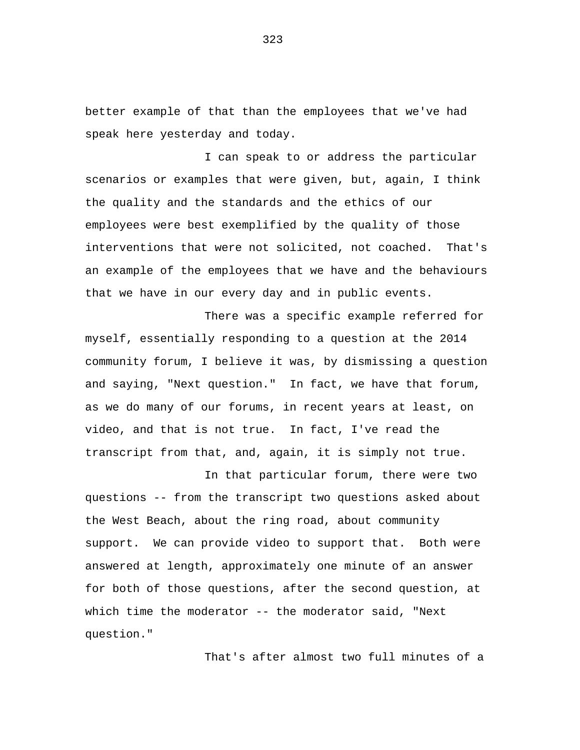better example of that than the employees that we've had speak here yesterday and today.

I can speak to or address the particular scenarios or examples that were given, but, again, I think the quality and the standards and the ethics of our employees were best exemplified by the quality of those interventions that were not solicited, not coached. That's an example of the employees that we have and the behaviours that we have in our every day and in public events.

There was a specific example referred for myself, essentially responding to a question at the 2014 community forum, I believe it was, by dismissing a question and saying, "Next question." In fact, we have that forum, as we do many of our forums, in recent years at least, on video, and that is not true. In fact, I've read the transcript from that, and, again, it is simply not true.

In that particular forum, there were two questions -- from the transcript two questions asked about the West Beach, about the ring road, about community support. We can provide video to support that. Both were answered at length, approximately one minute of an answer for both of those questions, after the second question, at which time the moderator -- the moderator said, "Next question."

That's after almost two full minutes of a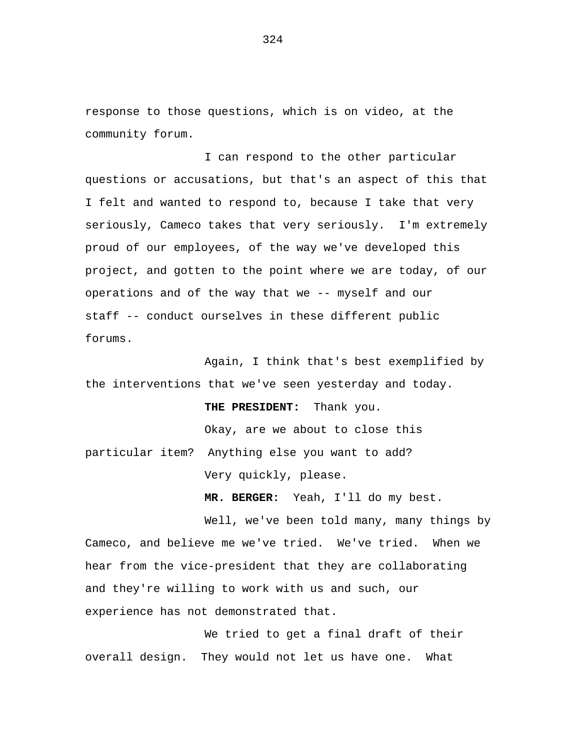response to those questions, which is on video, at the community forum.

I can respond to the other particular questions or accusations, but that's an aspect of this that I felt and wanted to respond to, because I take that very seriously, Cameco takes that very seriously. I'm extremely proud of our employees, of the way we've developed this project, and gotten to the point where we are today, of our operations and of the way that we -- myself and our staff -- conduct ourselves in these different public forums.

Again, I think that's best exemplified by the interventions that we've seen yesterday and today.

**THE PRESIDENT:** Thank you. Okay, are we about to close this particular item? Anything else you want to add? Very quickly, please.

**MR. BERGER:** Yeah, I'll do my best.

Well, we've been told many, many things by Cameco, and believe me we've tried. We've tried. When we hear from the vice-president that they are collaborating and they're willing to work with us and such, our experience has not demonstrated that.

We tried to get a final draft of their overall design. They would not let us have one. What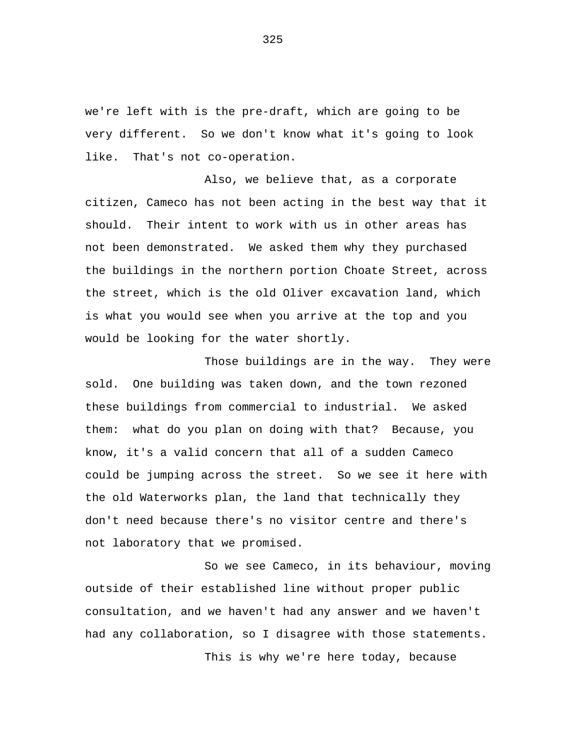we're left with is the pre-draft, which are going to be very different. So we don't know what it's going to look like. That's not co-operation.

Also, we believe that, as a corporate citizen, Cameco has not been acting in the best way that it should. Their intent to work with us in other areas has not been demonstrated. We asked them why they purchased the buildings in the northern portion Choate Street, across the street, which is the old Oliver excavation land, which is what you would see when you arrive at the top and you would be looking for the water shortly.

Those buildings are in the way. They were sold. One building was taken down, and the town rezoned these buildings from commercial to industrial. We asked them: what do you plan on doing with that? Because, you know, it's a valid concern that all of a sudden Cameco could be jumping across the street. So we see it here with the old Waterworks plan, the land that technically they don't need because there's no visitor centre and there's not laboratory that we promised.

So we see Cameco, in its behaviour, moving outside of their established line without proper public consultation, and we haven't had any answer and we haven't had any collaboration, so I disagree with those statements. This is why we're here today, because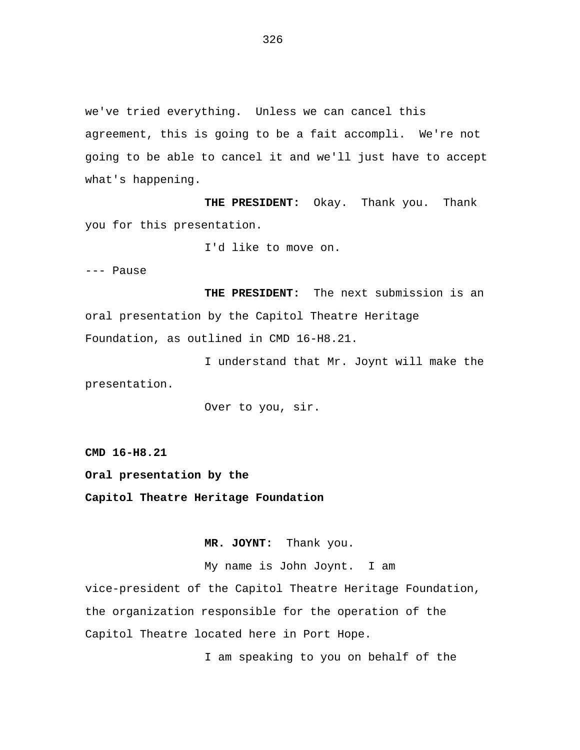we've tried everything. Unless we can cancel this agreement, this is going to be a fait accompli. We're not going to be able to cancel it and we'll just have to accept what's happening.

**THE PRESIDENT:** Okay. Thank you. Thank you for this presentation.

I'd like to move on.

--- Pause

**THE PRESIDENT:** The next submission is an oral presentation by the Capitol Theatre Heritage Foundation, as outlined in CMD 16-H8.21.

I understand that Mr. Joynt will make the presentation.

Over to you, sir.

**CMD 16-H8.21** 

**Oral presentation by the** 

**Capitol Theatre Heritage Foundation** 

**MR. JOYNT:** Thank you.

My name is John Joynt. I am vice-president of the Capitol Theatre Heritage Foundation, the organization responsible for the operation of the Capitol Theatre located here in Port Hope.

I am speaking to you on behalf of the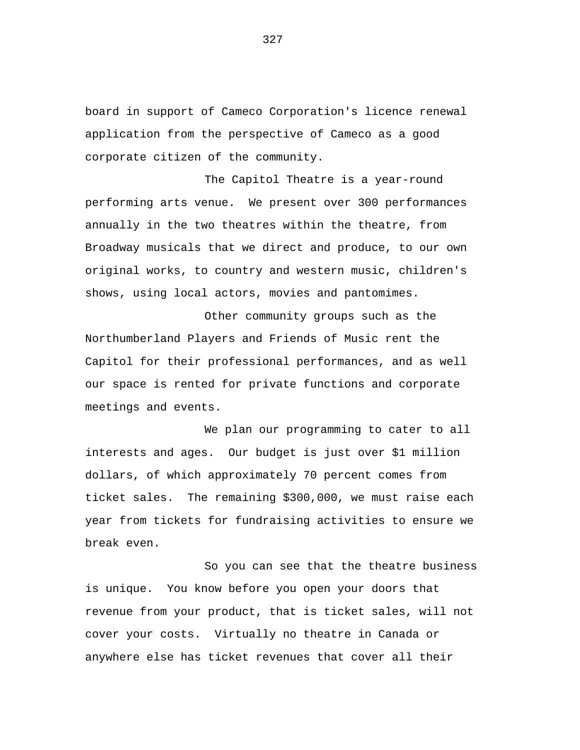board in support of Cameco Corporation's licence renewal application from the perspective of Cameco as a good corporate citizen of the community.

The Capitol Theatre is a year-round performing arts venue. We present over 300 performances annually in the two theatres within the theatre, from Broadway musicals that we direct and produce, to our own original works, to country and western music, children's shows, using local actors, movies and pantomimes.

Other community groups such as the Northumberland Players and Friends of Music rent the Capitol for their professional performances, and as well our space is rented for private functions and corporate meetings and events.

We plan our programming to cater to all interests and ages. Our budget is just over \$1 million dollars, of which approximately 70 percent comes from ticket sales. The remaining \$300,000, we must raise each year from tickets for fundraising activities to ensure we break even.

So you can see that the theatre business is unique. You know before you open your doors that revenue from your product, that is ticket sales, will not cover your costs. Virtually no theatre in Canada or anywhere else has ticket revenues that cover all their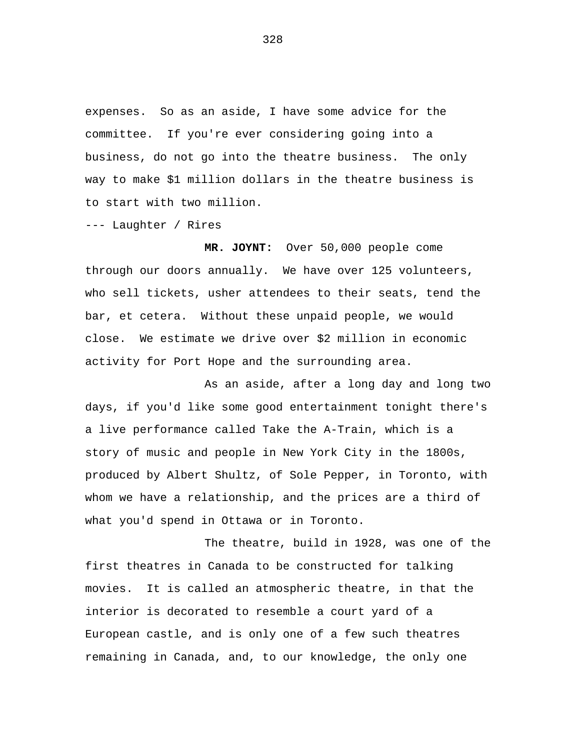expenses. So as an aside, I have some advice for the committee. If you're ever considering going into a business, do not go into the theatre business. The only way to make \$1 million dollars in the theatre business is to start with two million.

--- Laughter / Rires

**MR. JOYNT:** Over 50,000 people come through our doors annually. We have over 125 volunteers, who sell tickets, usher attendees to their seats, tend the bar, et cetera. Without these unpaid people, we would close. We estimate we drive over \$2 million in economic activity for Port Hope and the surrounding area.

As an aside, after a long day and long two days, if you'd like some good entertainment tonight there's a live performance called Take the A-Train, which is a story of music and people in New York City in the 1800s, produced by Albert Shultz, of Sole Pepper, in Toronto, with whom we have a relationship, and the prices are a third of what you'd spend in Ottawa or in Toronto.

The theatre, build in 1928, was one of the first theatres in Canada to be constructed for talking movies. It is called an atmospheric theatre, in that the interior is decorated to resemble a court yard of a European castle, and is only one of a few such theatres remaining in Canada, and, to our knowledge, the only one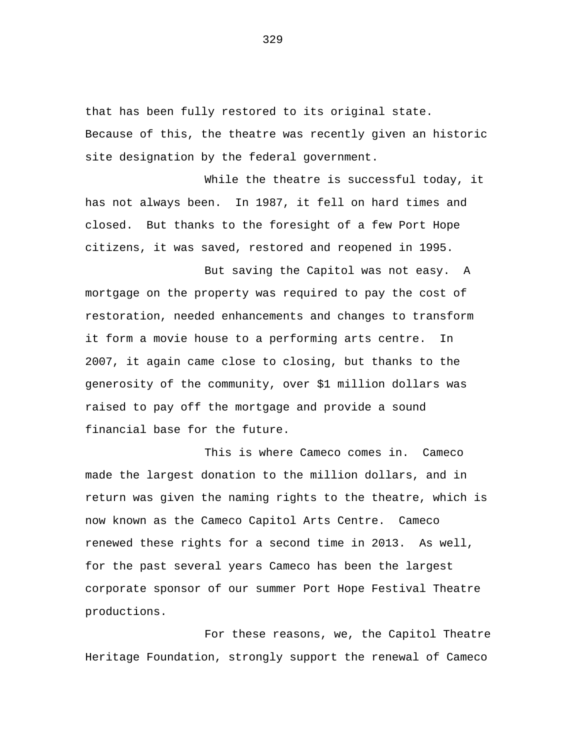that has been fully restored to its original state. Because of this, the theatre was recently given an historic site designation by the federal government.

While the theatre is successful today, it has not always been. In 1987, it fell on hard times and closed. But thanks to the foresight of a few Port Hope citizens, it was saved, restored and reopened in 1995.

But saving the Capitol was not easy. A mortgage on the property was required to pay the cost of restoration, needed enhancements and changes to transform it form a movie house to a performing arts centre. In 2007, it again came close to closing, but thanks to the generosity of the community, over \$1 million dollars was raised to pay off the mortgage and provide a sound financial base for the future.

This is where Cameco comes in. Cameco made the largest donation to the million dollars, and in return was given the naming rights to the theatre, which is now known as the Cameco Capitol Arts Centre. Cameco renewed these rights for a second time in 2013. As well, for the past several years Cameco has been the largest corporate sponsor of our summer Port Hope Festival Theatre productions.

For these reasons, we, the Capitol Theatre Heritage Foundation, strongly support the renewal of Cameco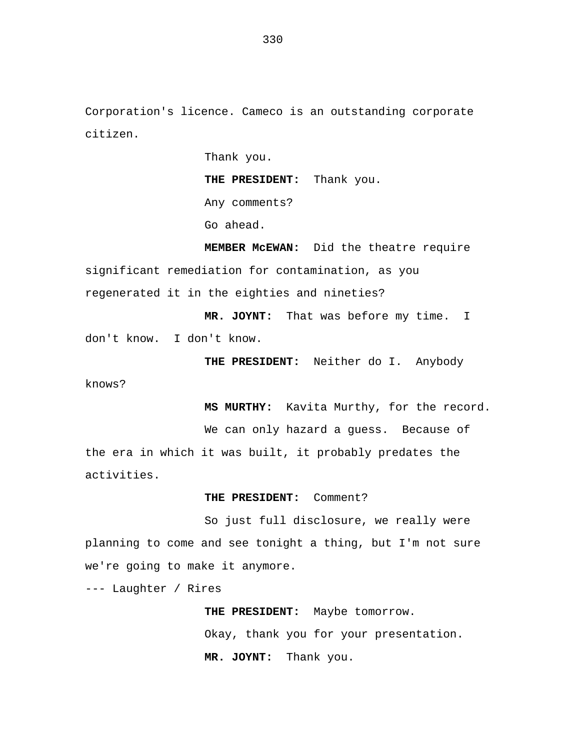Corporation's licence. Cameco is an outstanding corporate citizen.

Thank you.

**THE PRESIDENT:** Thank you. Any comments? Go ahead.

**MEMBER McEWAN:** Did the theatre require significant remediation for contamination, as you regenerated it in the eighties and nineties?

**MR. JOYNT:** That was before my time. I don't know. I don't know.

**THE PRESIDENT:** Neither do I. Anybody

**MS MURTHY:** Kavita Murthy, for the record.

We can only hazard a guess. Because of

the era in which it was built, it probably predates the activities.

**THE PRESIDENT:** Comment?

So just full disclosure, we really were planning to come and see tonight a thing, but I'm not sure we're going to make it anymore.

--- Laughter / Rires

knows?

**THE PRESIDENT:** Maybe tomorrow. Okay, thank you for your presentation. **MR. JOYNT:** Thank you.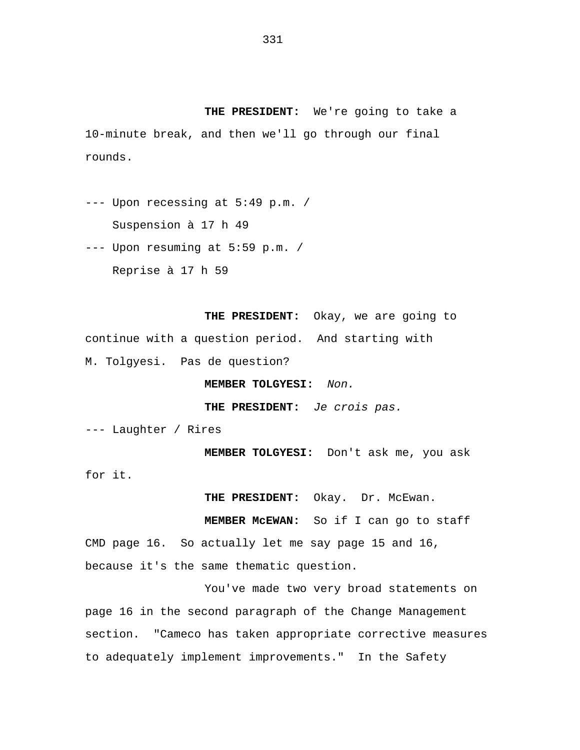**THE PRESIDENT:** We're going to take a 10-minute break, and then we'll go through our final rounds.

--- Upon recessing at 5:49 p.m. / Suspension à 17 h 49

--- Upon resuming at 5:59 p.m. / Reprise à 17 h 59

**THE PRESIDENT:** Okay, we are going to continue with a question period. And starting with M. Tolgyesi. Pas de question?

**MEMBER TOLGYESI:** *Non.*

**THE PRESIDENT:** *Je crois pas.*

--- Laughter / Rires

**MEMBER TOLGYESI:** Don't ask me, you ask for it.

THE PRESIDENT: Okay. Dr. McEwan.

**MEMBER McEWAN:** So if I can go to staff CMD page 16. So actually let me say page 15 and 16, because it's the same thematic question.

You've made two very broad statements on page 16 in the second paragraph of the Change Management section. "Cameco has taken appropriate corrective measures to adequately implement improvements." In the Safety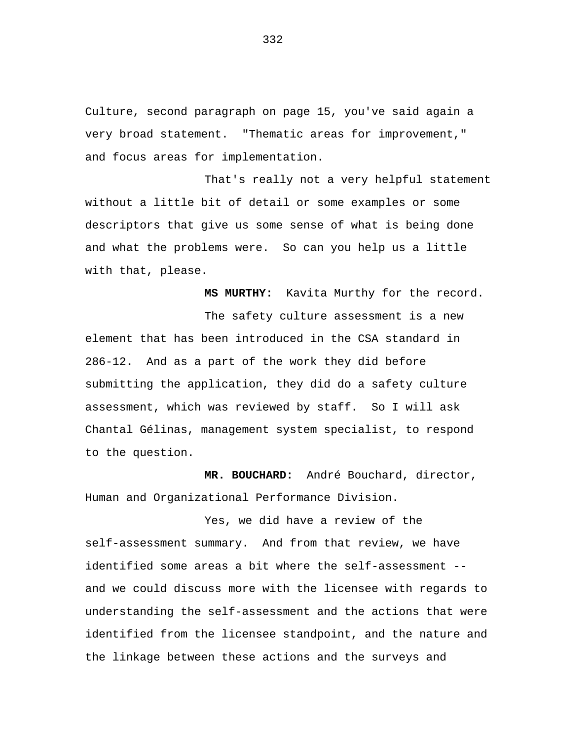Culture, second paragraph on page 15, you've said again a very broad statement. "Thematic areas for improvement," and focus areas for implementation.

That's really not a very helpful statement without a little bit of detail or some examples or some descriptors that give us some sense of what is being done and what the problems were. So can you help us a little with that, please.

**MS MURTHY:** Kavita Murthy for the record.

The safety culture assessment is a new element that has been introduced in the CSA standard in 286-12. And as a part of the work they did before submitting the application, they did do a safety culture assessment, which was reviewed by staff. So I will ask Chantal Gélinas, management system specialist, to respond to the question.

**MR. BOUCHARD:** André Bouchard, director, Human and Organizational Performance Division.

Yes, we did have a review of the self-assessment summary. And from that review, we have identified some areas a bit where the self-assessment - and we could discuss more with the licensee with regards to understanding the self-assessment and the actions that were identified from the licensee standpoint, and the nature and the linkage between these actions and the surveys and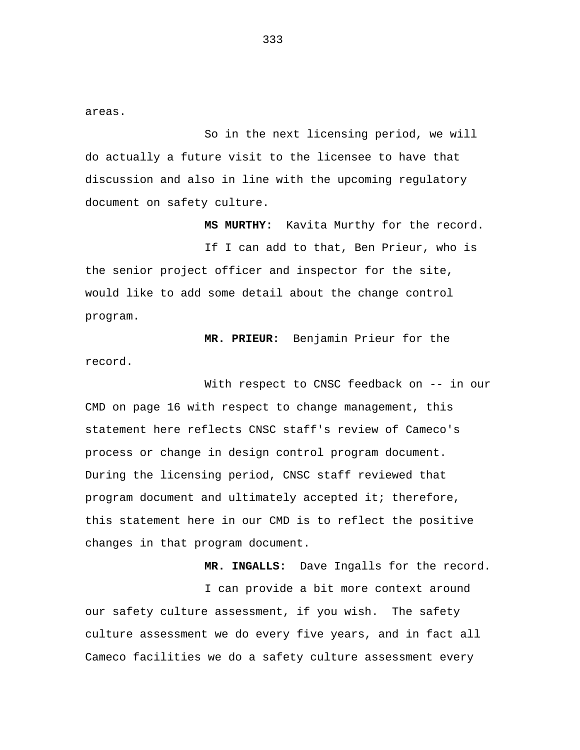areas.

So in the next licensing period, we will do actually a future visit to the licensee to have that discussion and also in line with the upcoming regulatory document on safety culture.

**MS MURTHY:** Kavita Murthy for the record.

If I can add to that, Ben Prieur, who is the senior project officer and inspector for the site, would like to add some detail about the change control program.

**MR. PRIEUR:** Benjamin Prieur for the record.

With respect to CNSC feedback on -- in our CMD on page 16 with respect to change management, this statement here reflects CNSC staff's review of Cameco's process or change in design control program document. During the licensing period, CNSC staff reviewed that program document and ultimately accepted it; therefore, this statement here in our CMD is to reflect the positive changes in that program document.

**MR. INGALLS:** Dave Ingalls for the record. I can provide a bit more context around our safety culture assessment, if you wish. The safety culture assessment we do every five years, and in fact all Cameco facilities we do a safety culture assessment every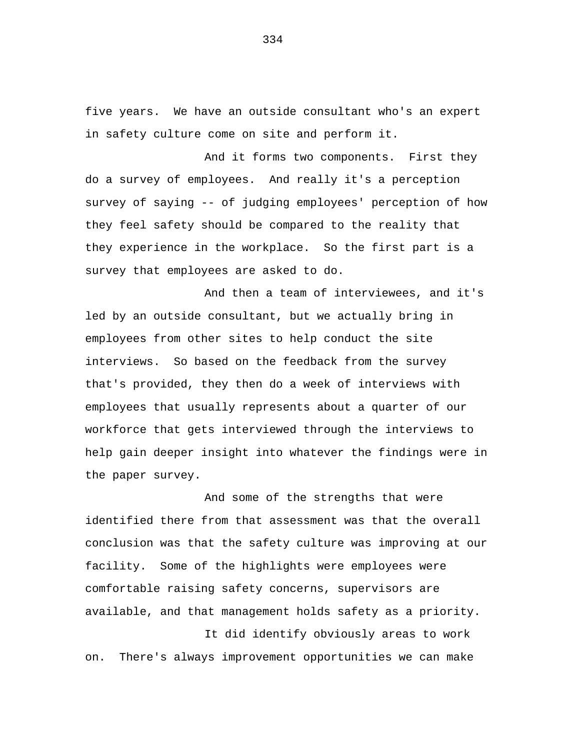five years. We have an outside consultant who's an expert in safety culture come on site and perform it.

And it forms two components. First they do a survey of employees. And really it's a perception survey of saying -- of judging employees' perception of how they feel safety should be compared to the reality that they experience in the workplace. So the first part is a survey that employees are asked to do.

And then a team of interviewees, and it's led by an outside consultant, but we actually bring in employees from other sites to help conduct the site interviews. So based on the feedback from the survey that's provided, they then do a week of interviews with employees that usually represents about a quarter of our workforce that gets interviewed through the interviews to help gain deeper insight into whatever the findings were in the paper survey.

And some of the strengths that were identified there from that assessment was that the overall conclusion was that the safety culture was improving at our facility. Some of the highlights were employees were comfortable raising safety concerns, supervisors are available, and that management holds safety as a priority.

It did identify obviously areas to work on. There's always improvement opportunities we can make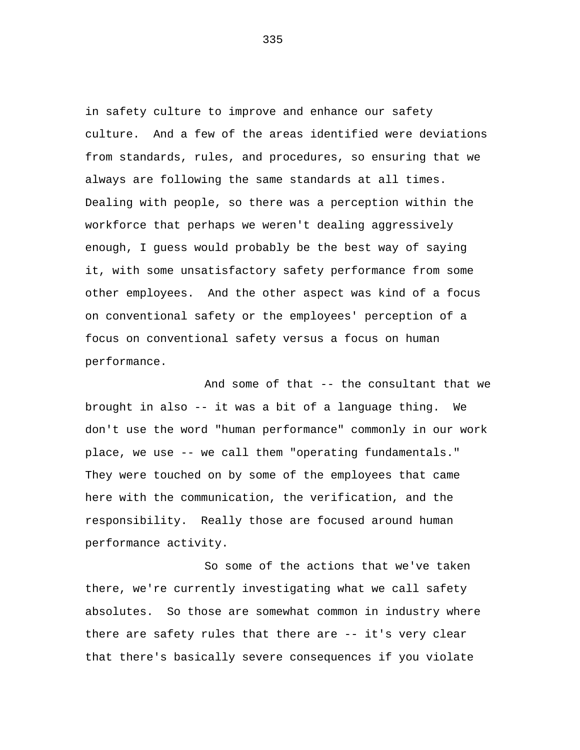in safety culture to improve and enhance our safety culture. And a few of the areas identified were deviations from standards, rules, and procedures, so ensuring that we always are following the same standards at all times. Dealing with people, so there was a perception within the workforce that perhaps we weren't dealing aggressively enough, I guess would probably be the best way of saying it, with some unsatisfactory safety performance from some other employees. And the other aspect was kind of a focus on conventional safety or the employees' perception of a focus on conventional safety versus a focus on human performance.

And some of that -- the consultant that we brought in also -- it was a bit of a language thing. We don't use the word "human performance" commonly in our work place, we use -- we call them "operating fundamentals." They were touched on by some of the employees that came here with the communication, the verification, and the responsibility. Really those are focused around human performance activity.

So some of the actions that we've taken there, we're currently investigating what we call safety absolutes. So those are somewhat common in industry where there are safety rules that there are -- it's very clear that there's basically severe consequences if you violate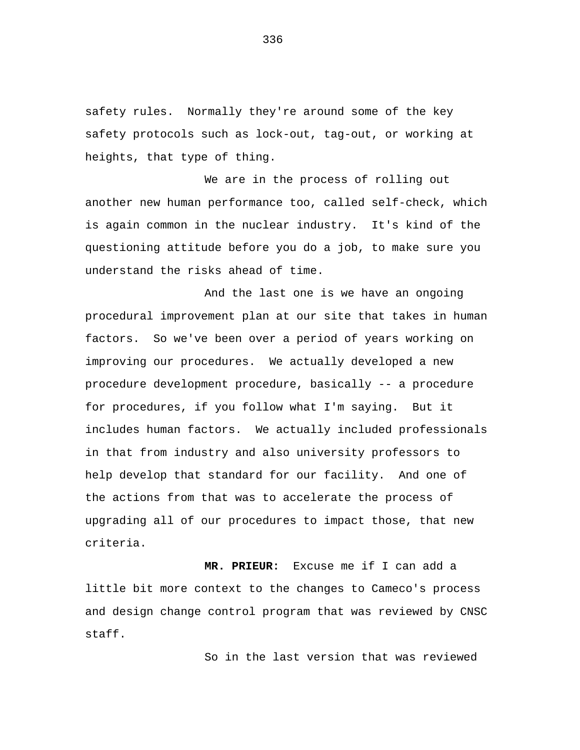safety rules. Normally they're around some of the key safety protocols such as lock-out, tag-out, or working at heights, that type of thing.

We are in the process of rolling out another new human performance too, called self-check, which is again common in the nuclear industry. It's kind of the questioning attitude before you do a job, to make sure you understand the risks ahead of time.

And the last one is we have an ongoing procedural improvement plan at our site that takes in human factors. So we've been over a period of years working on improving our procedures. We actually developed a new procedure development procedure, basically -- a procedure for procedures, if you follow what I'm saying. But it includes human factors. We actually included professionals in that from industry and also university professors to help develop that standard for our facility. And one of the actions from that was to accelerate the process of upgrading all of our procedures to impact those, that new criteria.

**MR. PRIEUR:** Excuse me if I can add a little bit more context to the changes to Cameco's process and design change control program that was reviewed by CNSC staff.

So in the last version that was reviewed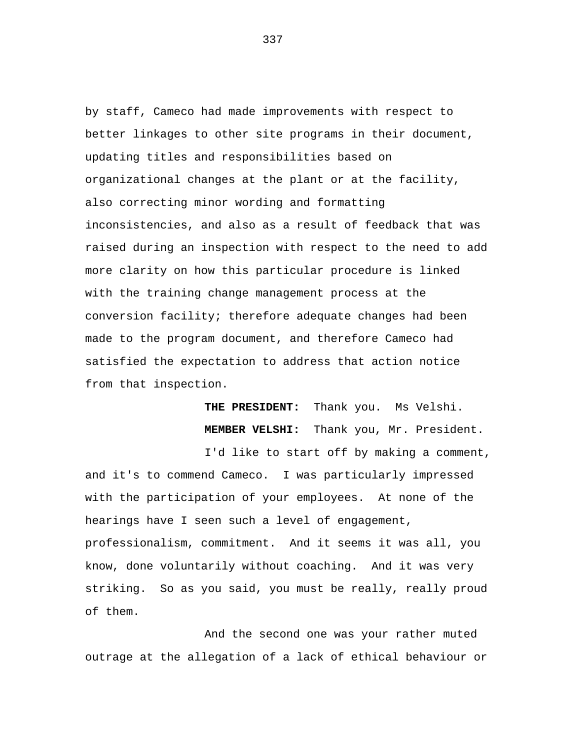by staff, Cameco had made improvements with respect to better linkages to other site programs in their document, updating titles and responsibilities based on organizational changes at the plant or at the facility, also correcting minor wording and formatting inconsistencies, and also as a result of feedback that was raised during an inspection with respect to the need to add more clarity on how this particular procedure is linked with the training change management process at the conversion facility; therefore adequate changes had been made to the program document, and therefore Cameco had satisfied the expectation to address that action notice from that inspection.

> **THE PRESIDENT:** Thank you. Ms Velshi.  **MEMBER VELSHI:** Thank you, Mr. President.

I'd like to start off by making a comment, and it's to commend Cameco. I was particularly impressed with the participation of your employees. At none of the hearings have I seen such a level of engagement, professionalism, commitment. And it seems it was all, you know, done voluntarily without coaching. And it was very striking. So as you said, you must be really, really proud of them.

And the second one was your rather muted outrage at the allegation of a lack of ethical behaviour or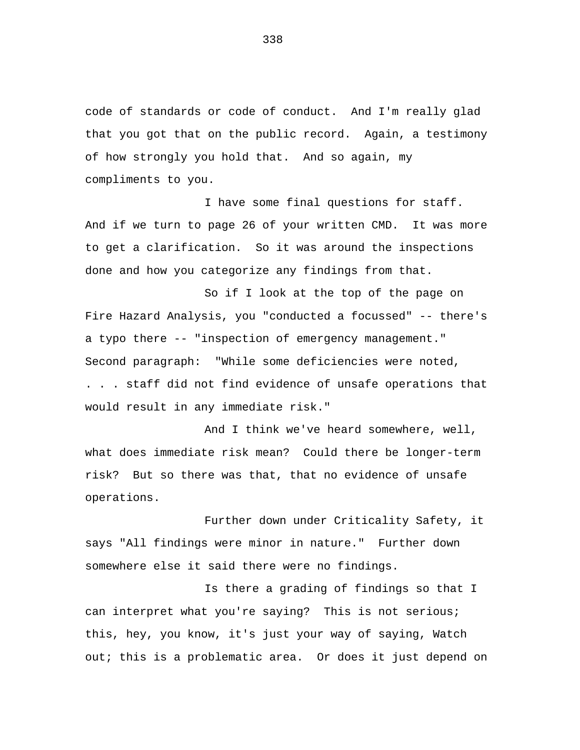code of standards or code of conduct. And I'm really glad that you got that on the public record. Again, a testimony of how strongly you hold that. And so again, my compliments to you.

I have some final questions for staff. And if we turn to page 26 of your written CMD. It was more to get a clarification. So it was around the inspections done and how you categorize any findings from that.

So if I look at the top of the page on Fire Hazard Analysis, you "conducted a focussed" -- there's a typo there -- "inspection of emergency management." Second paragraph: "While some deficiencies were noted, . . . staff did not find evidence of unsafe operations that would result in any immediate risk."

And I think we've heard somewhere, well, what does immediate risk mean? Could there be longer-term risk? But so there was that, that no evidence of unsafe operations.

Further down under Criticality Safety, it says "All findings were minor in nature." Further down somewhere else it said there were no findings.

Is there a grading of findings so that I can interpret what you're saying? This is not serious; this, hey, you know, it's just your way of saying, Watch out; this is a problematic area. Or does it just depend on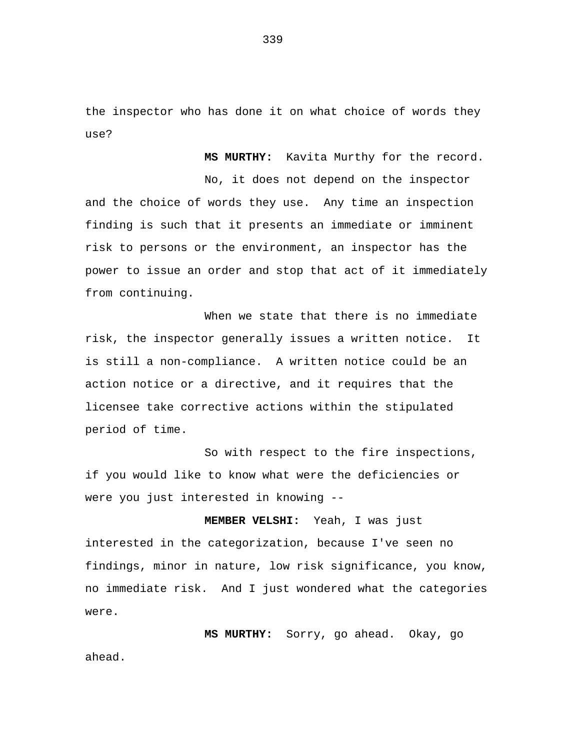the inspector who has done it on what choice of words they use?

**MS MURTHY:** Kavita Murthy for the record.

No, it does not depend on the inspector and the choice of words they use. Any time an inspection finding is such that it presents an immediate or imminent risk to persons or the environment, an inspector has the power to issue an order and stop that act of it immediately from continuing.

When we state that there is no immediate risk, the inspector generally issues a written notice. It is still a non-compliance. A written notice could be an action notice or a directive, and it requires that the licensee take corrective actions within the stipulated period of time.

So with respect to the fire inspections, if you would like to know what were the deficiencies or were you just interested in knowing --

**MEMBER VELSHI:** Yeah, I was just interested in the categorization, because I've seen no findings, minor in nature, low risk significance, you know, no immediate risk. And I just wondered what the categories were.

**MS MURTHY:** Sorry, go ahead. Okay, go ahead.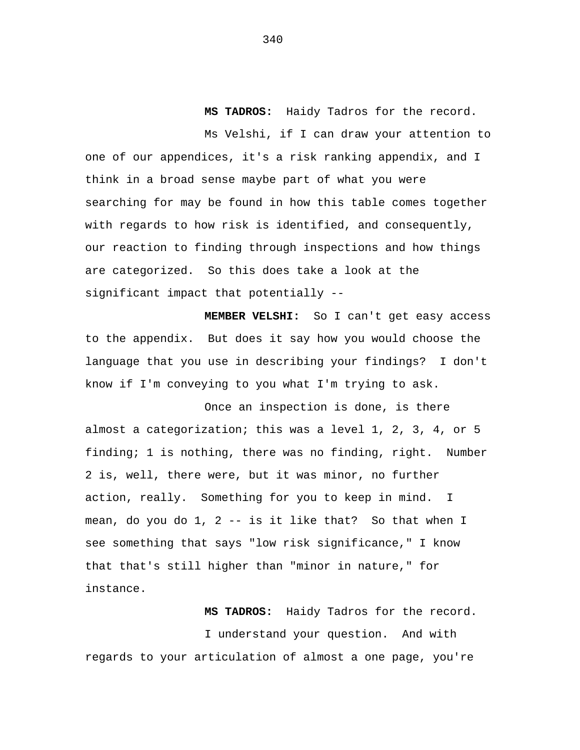**MS TADROS:** Haidy Tadros for the record.

Ms Velshi, if I can draw your attention to one of our appendices, it's a risk ranking appendix, and I think in a broad sense maybe part of what you were searching for may be found in how this table comes together with regards to how risk is identified, and consequently, our reaction to finding through inspections and how things are categorized. So this does take a look at the significant impact that potentially --

**MEMBER VELSHI:** So I can't get easy access to the appendix. But does it say how you would choose the language that you use in describing your findings? I don't know if I'm conveying to you what I'm trying to ask.

Once an inspection is done, is there almost a categorization; this was a level 1, 2, 3, 4, or 5 finding; 1 is nothing, there was no finding, right. Number 2 is, well, there were, but it was minor, no further action, really. Something for you to keep in mind. I mean, do you do 1, 2 -- is it like that? So that when I see something that says "low risk significance," I know that that's still higher than "minor in nature," for instance.

I understand your question. And with regards to your articulation of almost a one page, you're

**MS TADROS:** Haidy Tadros for the record.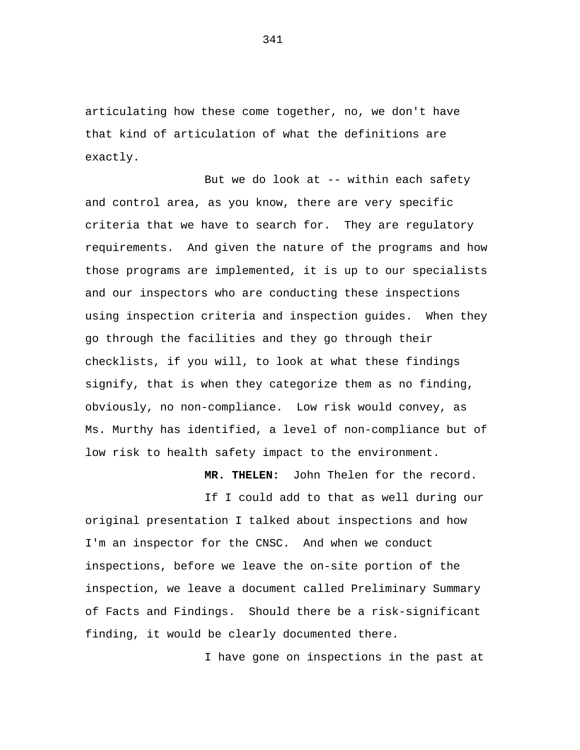articulating how these come together, no, we don't have that kind of articulation of what the definitions are exactly.

But we do look at -- within each safety and control area, as you know, there are very specific criteria that we have to search for. They are regulatory requirements. And given the nature of the programs and how those programs are implemented, it is up to our specialists and our inspectors who are conducting these inspections using inspection criteria and inspection guides. When they go through the facilities and they go through their checklists, if you will, to look at what these findings signify, that is when they categorize them as no finding, obviously, no non-compliance. Low risk would convey, as Ms. Murthy has identified, a level of non-compliance but of low risk to health safety impact to the environment.

**MR. THELEN:** John Thelen for the record.

If I could add to that as well during our original presentation I talked about inspections and how I'm an inspector for the CNSC. And when we conduct inspections, before we leave the on-site portion of the inspection, we leave a document called Preliminary Summary of Facts and Findings. Should there be a risk-significant finding, it would be clearly documented there.

I have gone on inspections in the past at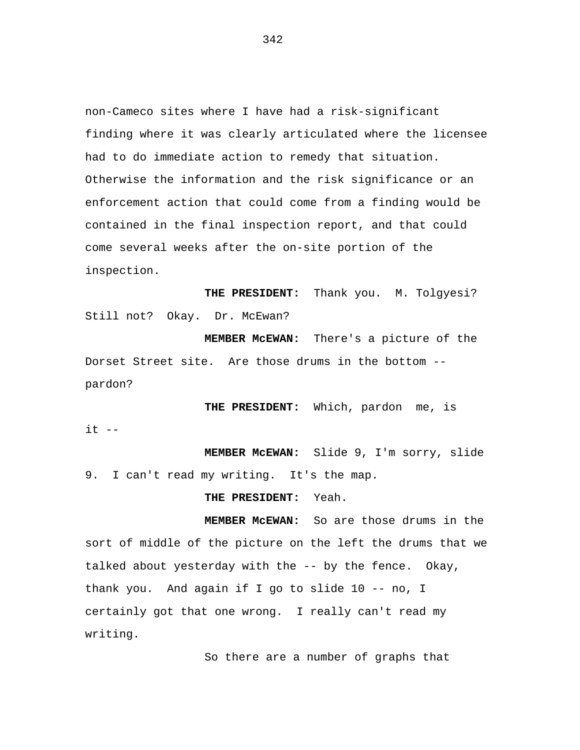non-Cameco sites where I have had a risk-significant finding where it was clearly articulated where the licensee had to do immediate action to remedy that situation. Otherwise the information and the risk significance or an enforcement action that could come from a finding would be contained in the final inspection report, and that could come several weeks after the on-site portion of the inspection.

**THE PRESIDENT:** Thank you. M. Tolgyesi? Still not? Okay. Dr. McEwan?

**MEMBER McEWAN:** There's a picture of the Dorset Street site. Are those drums in the bottom - pardon?

**THE PRESIDENT:** Which, pardon me, is  $it$   $--$ 

**MEMBER McEWAN:** Slide 9, I'm sorry, slide 9. I can't read my writing. It's the map.

**THE PRESIDENT:** Yeah.

**MEMBER McEWAN:** So are those drums in the sort of middle of the picture on the left the drums that we talked about yesterday with the -- by the fence. Okay, thank you. And again if I go to slide 10 -- no, I certainly got that one wrong. I really can't read my writing.

So there are a number of graphs that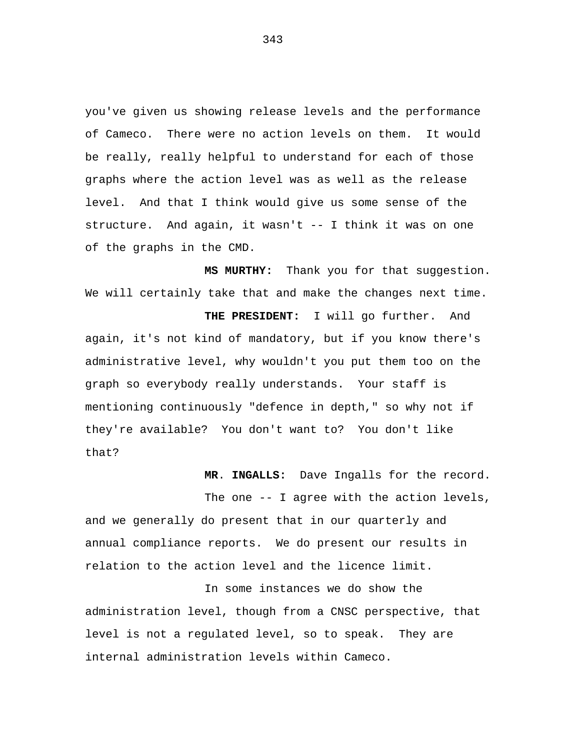you've given us showing release levels and the performance of Cameco. There were no action levels on them. It would be really, really helpful to understand for each of those graphs where the action level was as well as the release level. And that I think would give us some sense of the structure. And again, it wasn't -- I think it was on one of the graphs in the CMD.

**MS MURTHY:** Thank you for that suggestion. We will certainly take that and make the changes next time.

**THE PRESIDENT:** I will go further. And again, it's not kind of mandatory, but if you know there's administrative level, why wouldn't you put them too on the graph so everybody really understands. Your staff is mentioning continuously "defence in depth," so why not if they're available? You don't want to? You don't like that?

**MR**. **INGALLS:** Dave Ingalls for the record.

The one -- I agree with the action levels, and we generally do present that in our quarterly and annual compliance reports. We do present our results in relation to the action level and the licence limit.

In some instances we do show the administration level, though from a CNSC perspective, that level is not a regulated level, so to speak. They are internal administration levels within Cameco.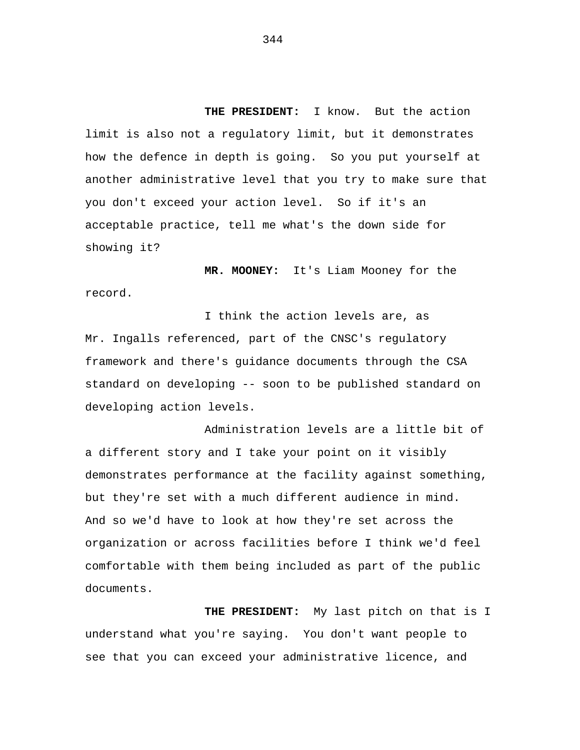**THE PRESIDENT:** I know. But the action limit is also not a regulatory limit, but it demonstrates how the defence in depth is going. So you put yourself at another administrative level that you try to make sure that you don't exceed your action level. So if it's an acceptable practice, tell me what's the down side for showing it?

**MR. MOONEY:** It's Liam Mooney for the record.

I think the action levels are, as Mr. Ingalls referenced, part of the CNSC's regulatory framework and there's guidance documents through the CSA standard on developing -- soon to be published standard on developing action levels.

Administration levels are a little bit of a different story and I take your point on it visibly demonstrates performance at the facility against something, but they're set with a much different audience in mind. And so we'd have to look at how they're set across the organization or across facilities before I think we'd feel comfortable with them being included as part of the public documents.

**THE PRESIDENT:** My last pitch on that is I understand what you're saying. You don't want people to see that you can exceed your administrative licence, and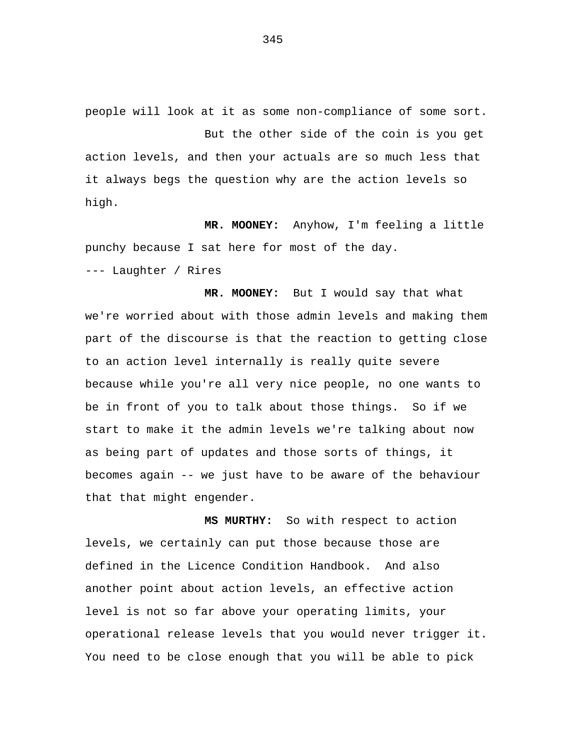people will look at it as some non-compliance of some sort. But the other side of the coin is you get action levels, and then your actuals are so much less that it always begs the question why are the action levels so high.

**MR. MOONEY:** Anyhow, I'm feeling a little punchy because I sat here for most of the day. --- Laughter / Rires

**MR. MOONEY:** But I would say that what we're worried about with those admin levels and making them part of the discourse is that the reaction to getting close to an action level internally is really quite severe because while you're all very nice people, no one wants to be in front of you to talk about those things. So if we start to make it the admin levels we're talking about now as being part of updates and those sorts of things, it becomes again -- we just have to be aware of the behaviour that that might engender.

**MS MURTHY:** So with respect to action levels, we certainly can put those because those are defined in the Licence Condition Handbook. And also another point about action levels, an effective action level is not so far above your operating limits, your operational release levels that you would never trigger it. You need to be close enough that you will be able to pick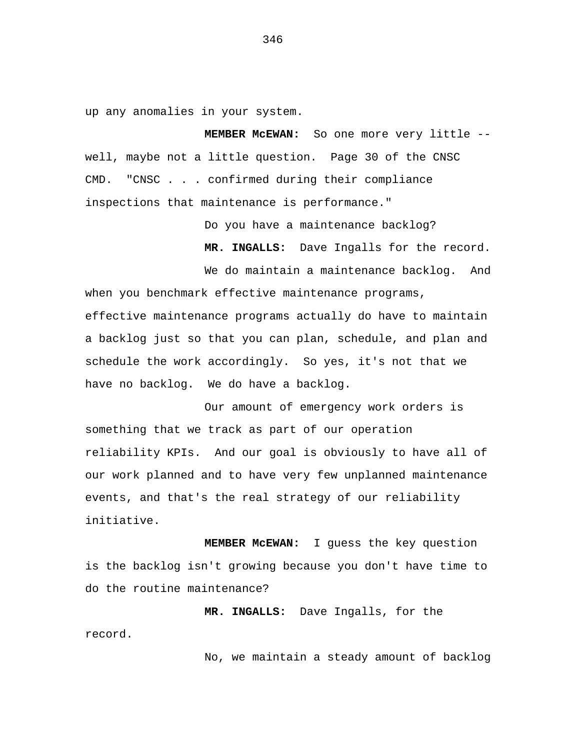up any anomalies in your system.

**MEMBER McEWAN:** So one more very little - well, maybe not a little question. Page 30 of the CNSC CMD. "CNSC . . . confirmed during their compliance inspections that maintenance is performance."

Do you have a maintenance backlog?

 **MR. INGALLS:** Dave Ingalls for the record.

We do maintain a maintenance backlog. And when you benchmark effective maintenance programs, effective maintenance programs actually do have to maintain a backlog just so that you can plan, schedule, and plan and schedule the work accordingly. So yes, it's not that we have no backlog. We do have a backlog.

Our amount of emergency work orders is something that we track as part of our operation reliability KPIs. And our goal is obviously to have all of our work planned and to have very few unplanned maintenance events, and that's the real strategy of our reliability initiative.

 **MEMBER McEWAN:** I guess the key question is the backlog isn't growing because you don't have time to do the routine maintenance?

**MR. INGALLS:** Dave Ingalls, for the record.

No, we maintain a steady amount of backlog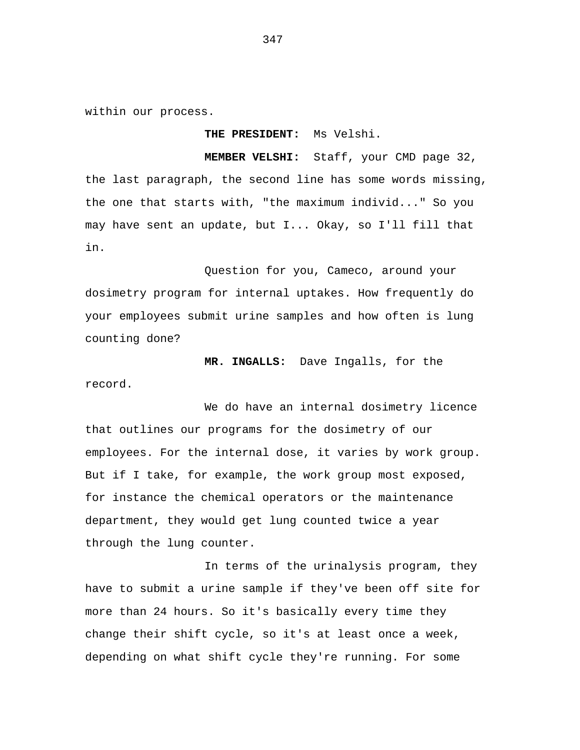within our process.

## **THE PRESIDENT:** Ms Velshi.

**MEMBER VELSHI:** Staff, your CMD page 32, the last paragraph, the second line has some words missing, the one that starts with, "the maximum individ..." So you may have sent an update, but I... Okay, so I'll fill that in.

Question for you, Cameco, around your dosimetry program for internal uptakes. How frequently do your employees submit urine samples and how often is lung counting done?

 **MR. INGALLS:** Dave Ingalls, for the record.

We do have an internal dosimetry licence that outlines our programs for the dosimetry of our employees. For the internal dose, it varies by work group. But if I take, for example, the work group most exposed, for instance the chemical operators or the maintenance department, they would get lung counted twice a year through the lung counter.

In terms of the urinalysis program, they have to submit a urine sample if they've been off site for more than 24 hours. So it's basically every time they change their shift cycle, so it's at least once a week, depending on what shift cycle they're running. For some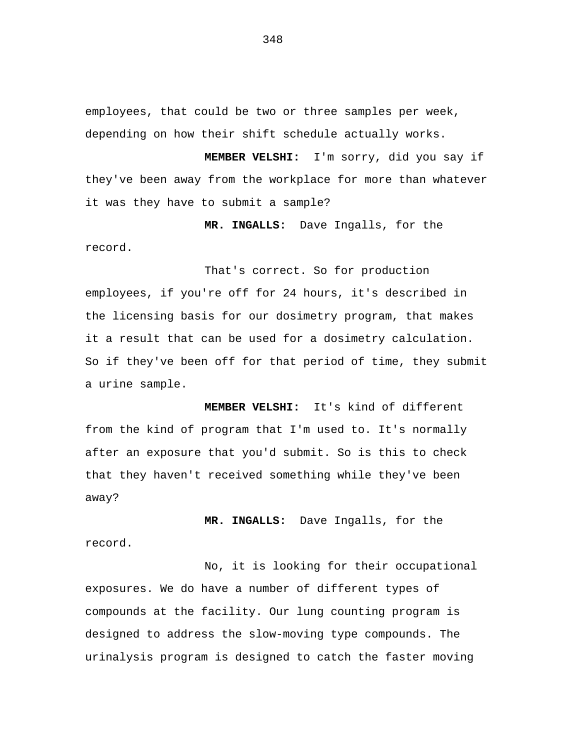employees, that could be two or three samples per week, depending on how their shift schedule actually works.

record.

 **MEMBER VELSHI:** I'm sorry, did you say if they've been away from the workplace for more than whatever it was they have to submit a sample?

**MR. INGALLS:** Dave Ingalls, for the

That's correct. So for production employees, if you're off for 24 hours, it's described in the licensing basis for our dosimetry program, that makes it a result that can be used for a dosimetry calculation. So if they've been off for that period of time, they submit a urine sample.

**MEMBER VELSHI:** It's kind of different from the kind of program that I'm used to. It's normally after an exposure that you'd submit. So is this to check that they haven't received something while they've been away?

**MR. INGALLS:** Dave Ingalls, for the record.

No, it is looking for their occupational exposures. We do have a number of different types of compounds at the facility. Our lung counting program is designed to address the slow-moving type compounds. The urinalysis program is designed to catch the faster moving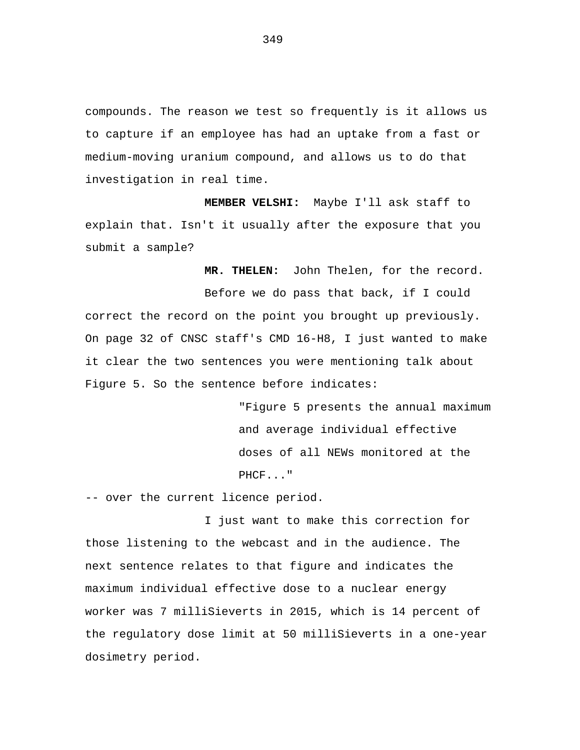compounds. The reason we test so frequently is it allows us to capture if an employee has had an uptake from a fast or medium-moving uranium compound, and allows us to do that investigation in real time.

**MEMBER VELSHI:** Maybe I'll ask staff to explain that. Isn't it usually after the exposure that you submit a sample?

**MR. THELEN:** John Thelen, for the record.

Before we do pass that back, if I could correct the record on the point you brought up previously. On page 32 of CNSC staff's CMD 16-H8, I just wanted to make it clear the two sentences you were mentioning talk about Figure 5. So the sentence before indicates:

> "Figure 5 presents the annual maximum and average individual effective doses of all NEWs monitored at the PHCF..."

-- over the current licence period.

I just want to make this correction for those listening to the webcast and in the audience. The next sentence relates to that figure and indicates the maximum individual effective dose to a nuclear energy worker was 7 milliSieverts in 2015, which is 14 percent of the regulatory dose limit at 50 milliSieverts in a one-year dosimetry period.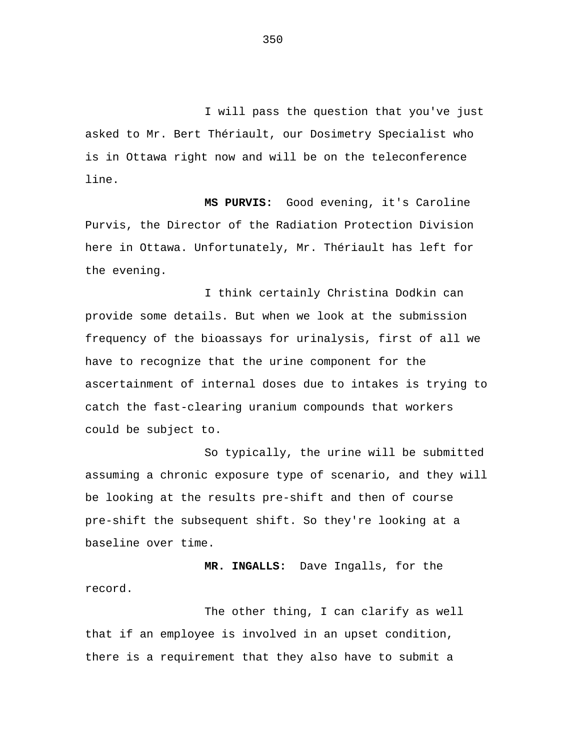I will pass the question that you've just asked to Mr. Bert Thériault, our Dosimetry Specialist who is in Ottawa right now and will be on the teleconference line.

**MS PURVIS:** Good evening, it's Caroline Purvis, the Director of the Radiation Protection Division here in Ottawa. Unfortunately, Mr. Thériault has left for the evening.

I think certainly Christina Dodkin can provide some details. But when we look at the submission frequency of the bioassays for urinalysis, first of all we have to recognize that the urine component for the ascertainment of internal doses due to intakes is trying to catch the fast-clearing uranium compounds that workers could be subject to.

So typically, the urine will be submitted assuming a chronic exposure type of scenario, and they will be looking at the results pre-shift and then of course pre-shift the subsequent shift. So they're looking at a baseline over time.

**MR. INGALLS:** Dave Ingalls, for the record.

The other thing, I can clarify as well that if an employee is involved in an upset condition, there is a requirement that they also have to submit a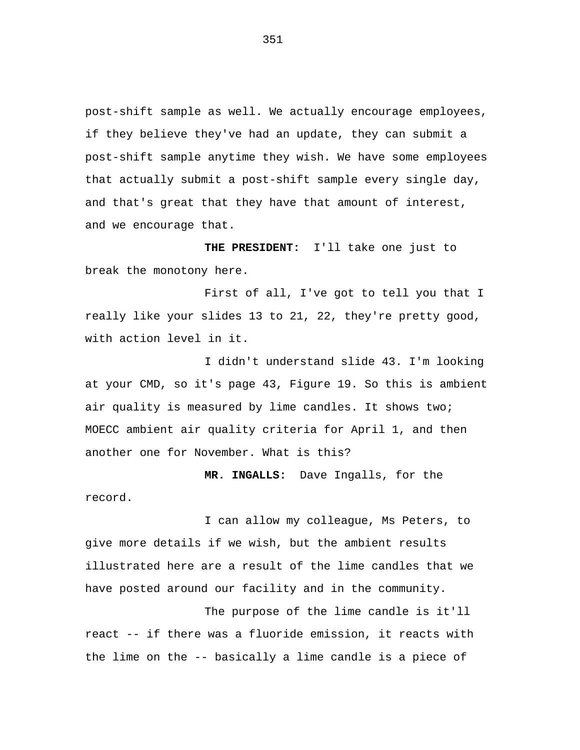post-shift sample as well. We actually encourage employees, if they believe they've had an update, they can submit a post-shift sample anytime they wish. We have some employees that actually submit a post-shift sample every single day, and that's great that they have that amount of interest, and we encourage that.

**THE PRESIDENT:** I'll take one just to break the monotony here.

First of all, I've got to tell you that I really like your slides 13 to 21, 22, they're pretty good, with action level in it.

I didn't understand slide 43. I'm looking at your CMD, so it's page 43, Figure 19. So this is ambient air quality is measured by lime candles. It shows two; MOECC ambient air quality criteria for April 1, and then another one for November. What is this?

**MR. INGALLS:** Dave Ingalls, for the record.

I can allow my colleague, Ms Peters, to give more details if we wish, but the ambient results illustrated here are a result of the lime candles that we have posted around our facility and in the community.

The purpose of the lime candle is it'll react -- if there was a fluoride emission, it reacts with the lime on the -- basically a lime candle is a piece of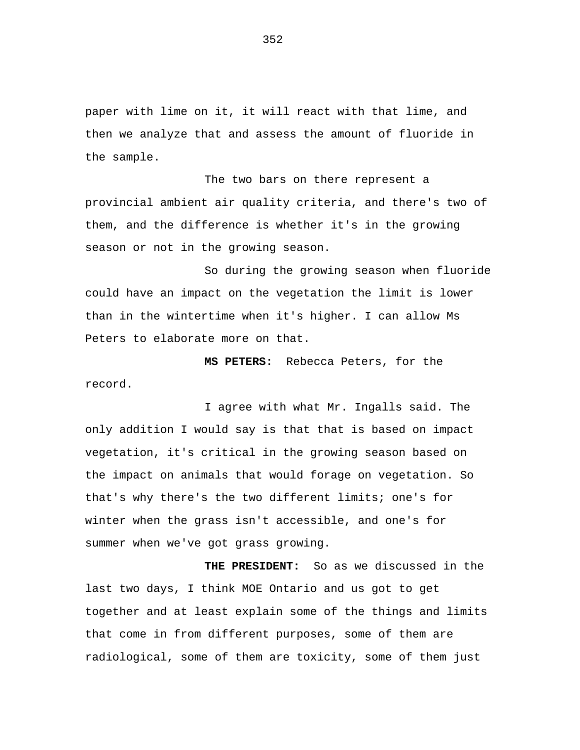paper with lime on it, it will react with that lime, and then we analyze that and assess the amount of fluoride in the sample.

The two bars on there represent a provincial ambient air quality criteria, and there's two of them, and the difference is whether it's in the growing season or not in the growing season.

So during the growing season when fluoride could have an impact on the vegetation the limit is lower than in the wintertime when it's higher. I can allow Ms Peters to elaborate more on that.

**MS PETERS:** Rebecca Peters, for the record.

I agree with what Mr. Ingalls said. The only addition I would say is that that is based on impact vegetation, it's critical in the growing season based on the impact on animals that would forage on vegetation. So that's why there's the two different limits; one's for winter when the grass isn't accessible, and one's for summer when we've got grass growing.

**THE PRESIDENT:** So as we discussed in the last two days, I think MOE Ontario and us got to get together and at least explain some of the things and limits that come in from different purposes, some of them are radiological, some of them are toxicity, some of them just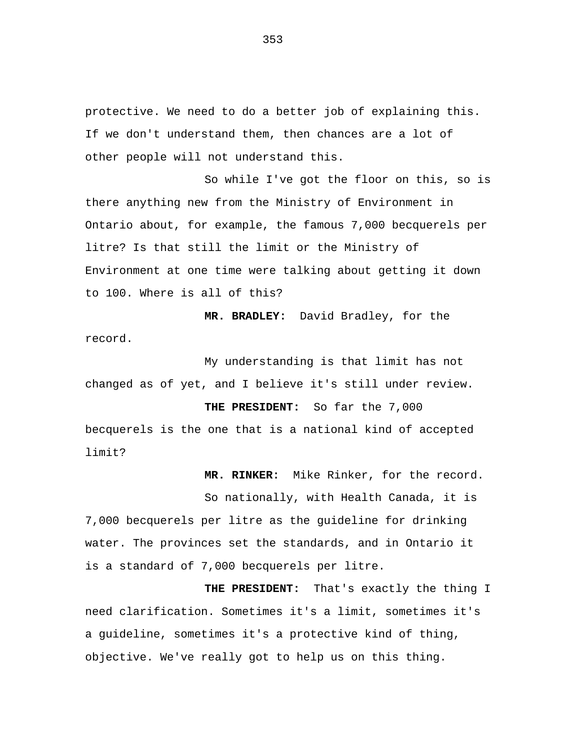protective. We need to do a better job of explaining this. If we don't understand them, then chances are a lot of other people will not understand this.

So while I've got the floor on this, so is there anything new from the Ministry of Environment in Ontario about, for example, the famous 7,000 becquerels per litre? Is that still the limit or the Ministry of Environment at one time were talking about getting it down to 100. Where is all of this?

**MR. BRADLEY:** David Bradley, for the record.

My understanding is that limit has not changed as of yet, and I believe it's still under review.

**THE PRESIDENT:** So far the 7,000 becquerels is the one that is a national kind of accepted limit?

**MR. RINKER:** Mike Rinker, for the record.

So nationally, with Health Canada, it is 7,000 becquerels per litre as the guideline for drinking water. The provinces set the standards, and in Ontario it is a standard of 7,000 becquerels per litre.

**THE PRESIDENT:** That's exactly the thing I need clarification. Sometimes it's a limit, sometimes it's a guideline, sometimes it's a protective kind of thing, objective. We've really got to help us on this thing.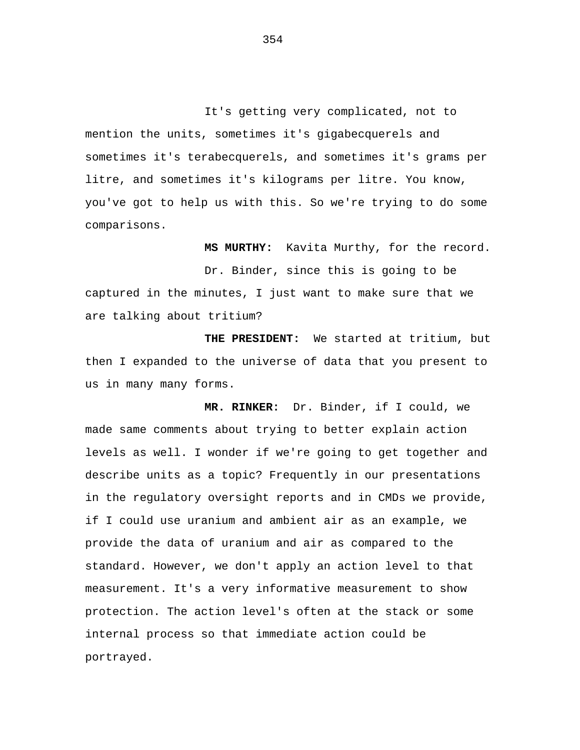It's getting very complicated, not to mention the units, sometimes it's gigabecquerels and sometimes it's terabecquerels, and sometimes it's grams per litre, and sometimes it's kilograms per litre. You know, you've got to help us with this. So we're trying to do some comparisons.

**MS MURTHY:** Kavita Murthy, for the record.

Dr. Binder, since this is going to be captured in the minutes, I just want to make sure that we

are talking about tritium?

**THE PRESIDENT:** We started at tritium, but then I expanded to the universe of data that you present to us in many many forms.

**MR. RINKER:** Dr. Binder, if I could, we made same comments about trying to better explain action levels as well. I wonder if we're going to get together and describe units as a topic? Frequently in our presentations in the regulatory oversight reports and in CMDs we provide, if I could use uranium and ambient air as an example, we provide the data of uranium and air as compared to the standard. However, we don't apply an action level to that measurement. It's a very informative measurement to show protection. The action level's often at the stack or some internal process so that immediate action could be portrayed.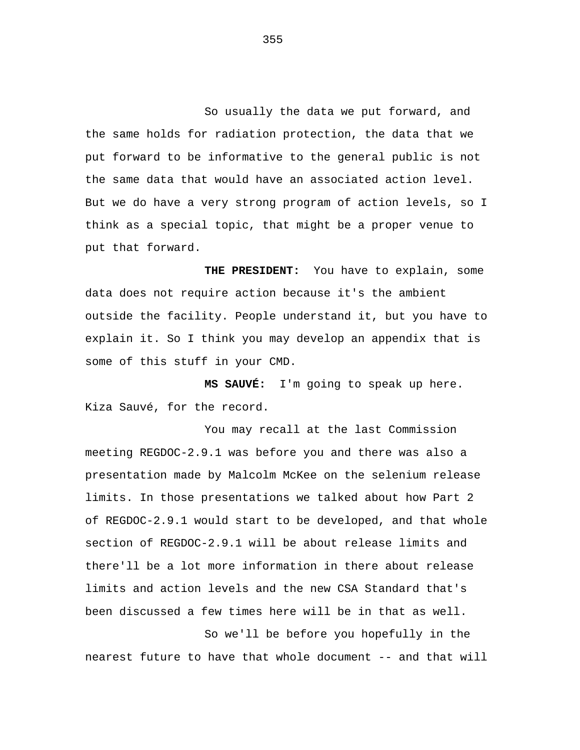So usually the data we put forward, and the same holds for radiation protection, the data that we put forward to be informative to the general public is not the same data that would have an associated action level. But we do have a very strong program of action levels, so I think as a special topic, that might be a proper venue to put that forward.

**THE PRESIDENT:** You have to explain, some data does not require action because it's the ambient outside the facility. People understand it, but you have to explain it. So I think you may develop an appendix that is some of this stuff in your CMD.

**MS SAUVÉ:** I'm going to speak up here. Kiza Sauvé, for the record.

You may recall at the last Commission meeting REGDOC-2.9.1 was before you and there was also a presentation made by Malcolm McKee on the selenium release limits. In those presentations we talked about how Part 2 of REGDOC-2.9.1 would start to be developed, and that whole section of REGDOC-2.9.1 will be about release limits and there'll be a lot more information in there about release limits and action levels and the new CSA Standard that's been discussed a few times here will be in that as well.

So we'll be before you hopefully in the nearest future to have that whole document -- and that will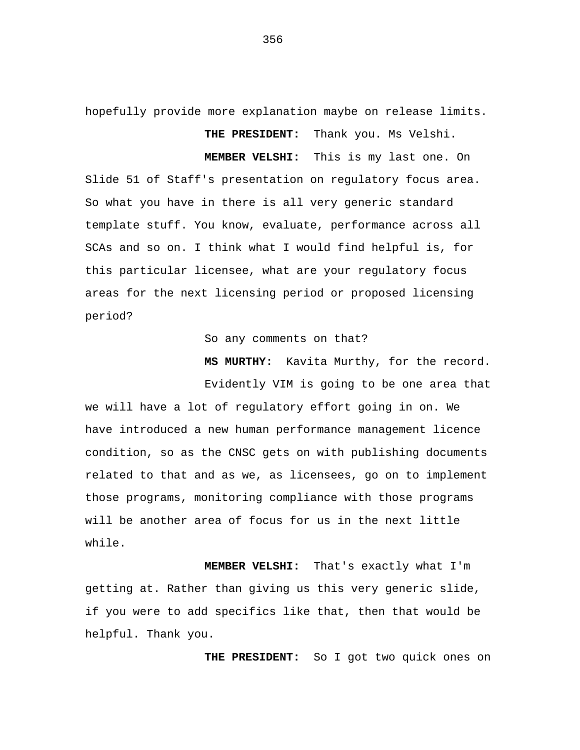hopefully provide more explanation maybe on release limits.

**THE PRESIDENT:** Thank you. Ms Velshi.

**MEMBER VELSHI:** This is my last one. On Slide 51 of Staff's presentation on regulatory focus area. So what you have in there is all very generic standard template stuff. You know, evaluate, performance across all SCAs and so on. I think what I would find helpful is, for this particular licensee, what are your regulatory focus areas for the next licensing period or proposed licensing period?

So any comments on that?

**MS MURTHY:** Kavita Murthy, for the record. Evidently VIM is going to be one area that

we will have a lot of regulatory effort going in on. We have introduced a new human performance management licence condition, so as the CNSC gets on with publishing documents related to that and as we, as licensees, go on to implement those programs, monitoring compliance with those programs will be another area of focus for us in the next little while.

**MEMBER VELSHI:** That's exactly what I'm getting at. Rather than giving us this very generic slide, if you were to add specifics like that, then that would be helpful. Thank you.

**THE PRESIDENT:** So I got two quick ones on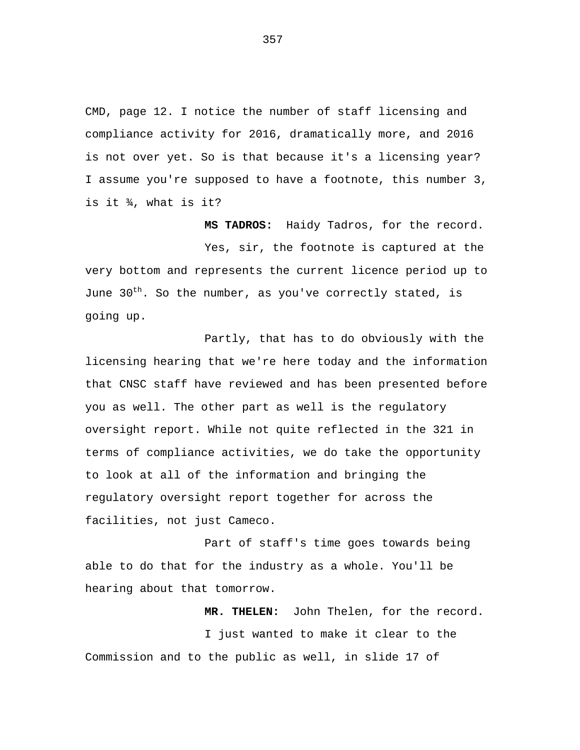CMD, page 12. I notice the number of staff licensing and compliance activity for 2016, dramatically more, and 2016 is not over yet. So is that because it's a licensing year? I assume you're supposed to have a footnote, this number 3, is it ¾, what is it?

**MS TADROS:** Haidy Tadros, for the record. Yes, sir, the footnote is captured at the very bottom and represents the current licence period up to June 30<sup>th</sup>. So the number, as you've correctly stated, is going up.

Partly, that has to do obviously with the licensing hearing that we're here today and the information that CNSC staff have reviewed and has been presented before you as well. The other part as well is the regulatory oversight report. While not quite reflected in the 321 in terms of compliance activities, we do take the opportunity to look at all of the information and bringing the regulatory oversight report together for across the facilities, not just Cameco.

Part of staff's time goes towards being able to do that for the industry as a whole. You'll be hearing about that tomorrow.

**MR. THELEN:** John Thelen, for the record. I just wanted to make it clear to the Commission and to the public as well, in slide 17 of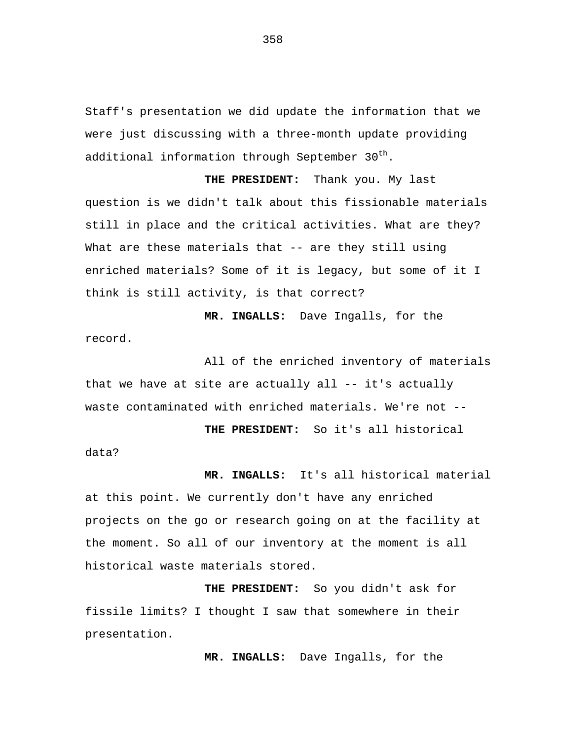Staff's presentation we did update the information that we were just discussing with a three-month update providing additional information through September 30<sup>th</sup>.

**THE PRESIDENT:** Thank you. My last question is we didn't talk about this fissionable materials still in place and the critical activities. What are they? What are these materials that -- are they still using enriched materials? Some of it is legacy, but some of it I think is still activity, is that correct?

**MR. INGALLS:** Dave Ingalls, for the record.

All of the enriched inventory of materials that we have at site are actually all  $-$  it's actually waste contaminated with enriched materials. We're not --

**THE PRESIDENT:** So it's all historical

data?

**MR. INGALLS:** It's all historical material

at this point. We currently don't have any enriched projects on the go or research going on at the facility at the moment. So all of our inventory at the moment is all historical waste materials stored.

**THE PRESIDENT:** So you didn't ask for fissile limits? I thought I saw that somewhere in their presentation.

**MR. INGALLS:** Dave Ingalls, for the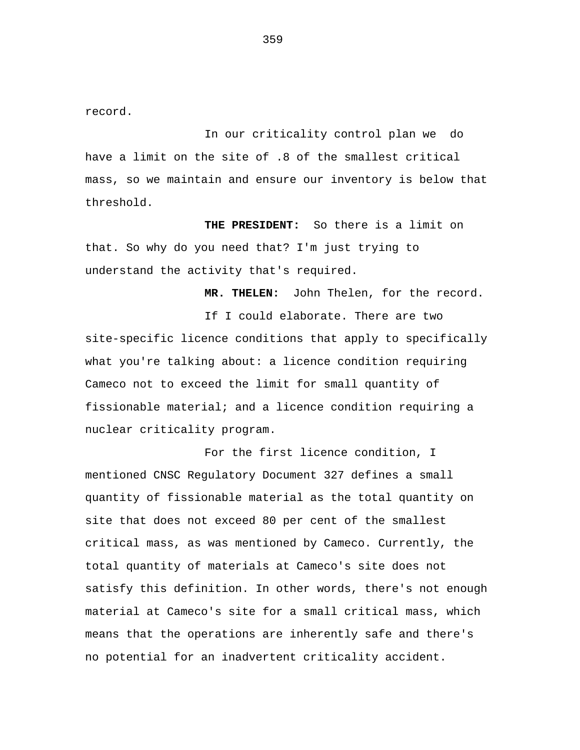record.

In our criticality control plan we do have a limit on the site of .8 of the smallest critical mass, so we maintain and ensure our inventory is below that threshold.

**THE PRESIDENT:** So there is a limit on that. So why do you need that? I'm just trying to understand the activity that's required.

**MR. THELEN:** John Thelen, for the record.

If I could elaborate. There are two site-specific licence conditions that apply to specifically what you're talking about: a licence condition requiring Cameco not to exceed the limit for small quantity of fissionable material; and a licence condition requiring a nuclear criticality program.

For the first licence condition, I mentioned CNSC Regulatory Document 327 defines a small quantity of fissionable material as the total quantity on site that does not exceed 80 per cent of the smallest critical mass, as was mentioned by Cameco. Currently, the total quantity of materials at Cameco's site does not satisfy this definition. In other words, there's not enough material at Cameco's site for a small critical mass, which means that the operations are inherently safe and there's no potential for an inadvertent criticality accident.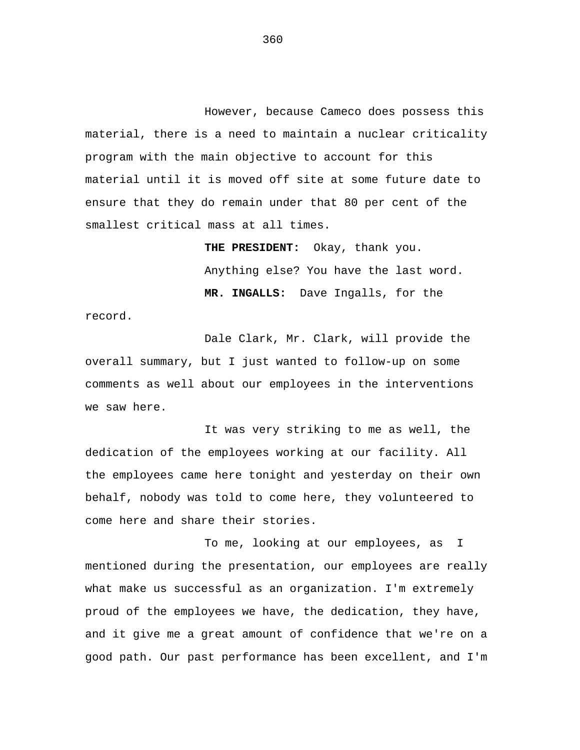However, because Cameco does possess this material, there is a need to maintain a nuclear criticality program with the main objective to account for this material until it is moved off site at some future date to ensure that they do remain under that 80 per cent of the smallest critical mass at all times.

> **THE PRESIDENT:** Okay, thank you. Anything else? You have the last word. **MR. INGALLS:** Dave Ingalls, for the

record.

Dale Clark, Mr. Clark, will provide the overall summary, but I just wanted to follow-up on some comments as well about our employees in the interventions we saw here.

It was very striking to me as well, the dedication of the employees working at our facility. All the employees came here tonight and yesterday on their own behalf, nobody was told to come here, they volunteered to come here and share their stories.

To me, looking at our employees, as I mentioned during the presentation, our employees are really what make us successful as an organization. I'm extremely proud of the employees we have, the dedication, they have, and it give me a great amount of confidence that we're on a good path. Our past performance has been excellent, and I'm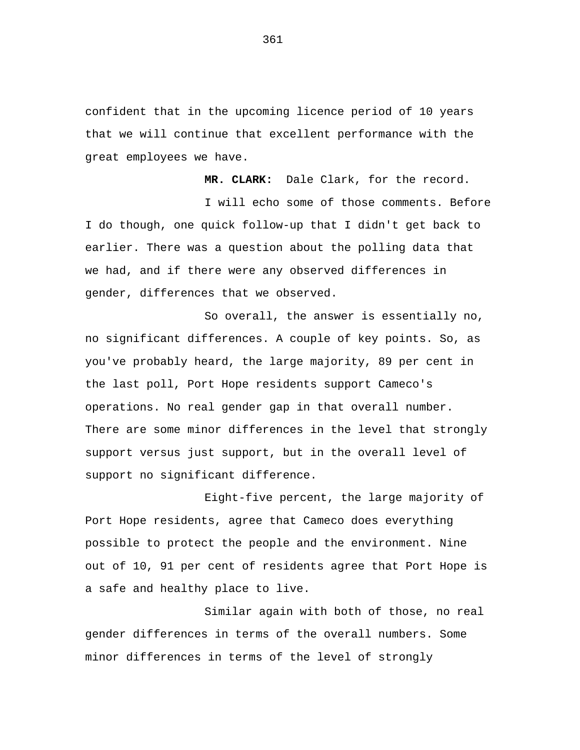confident that in the upcoming licence period of 10 years that we will continue that excellent performance with the great employees we have.

 **MR. CLARK:** Dale Clark, for the record. I will echo some of those comments. Before I do though, one quick follow-up that I didn't get back to earlier. There was a question about the polling data that we had, and if there were any observed differences in gender, differences that we observed.

So overall, the answer is essentially no, no significant differences. A couple of key points. So, as you've probably heard, the large majority, 89 per cent in the last poll, Port Hope residents support Cameco's operations. No real gender gap in that overall number. There are some minor differences in the level that strongly support versus just support, but in the overall level of support no significant difference.

Eight-five percent, the large majority of Port Hope residents, agree that Cameco does everything possible to protect the people and the environment. Nine out of 10, 91 per cent of residents agree that Port Hope is a safe and healthy place to live.

Similar again with both of those, no real gender differences in terms of the overall numbers. Some minor differences in terms of the level of strongly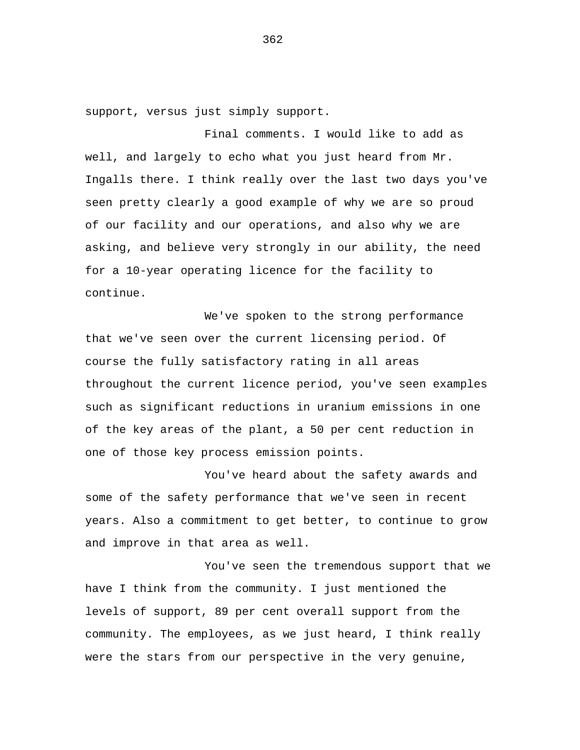support, versus just simply support.

Final comments. I would like to add as well, and largely to echo what you just heard from Mr. Ingalls there. I think really over the last two days you've seen pretty clearly a good example of why we are so proud of our facility and our operations, and also why we are asking, and believe very strongly in our ability, the need for a 10-year operating licence for the facility to continue.

We've spoken to the strong performance that we've seen over the current licensing period. Of course the fully satisfactory rating in all areas throughout the current licence period, you've seen examples such as significant reductions in uranium emissions in one of the key areas of the plant, a 50 per cent reduction in one of those key process emission points.

You've heard about the safety awards and some of the safety performance that we've seen in recent years. Also a commitment to get better, to continue to grow and improve in that area as well.

You've seen the tremendous support that we have I think from the community. I just mentioned the levels of support, 89 per cent overall support from the community. The employees, as we just heard, I think really were the stars from our perspective in the very genuine,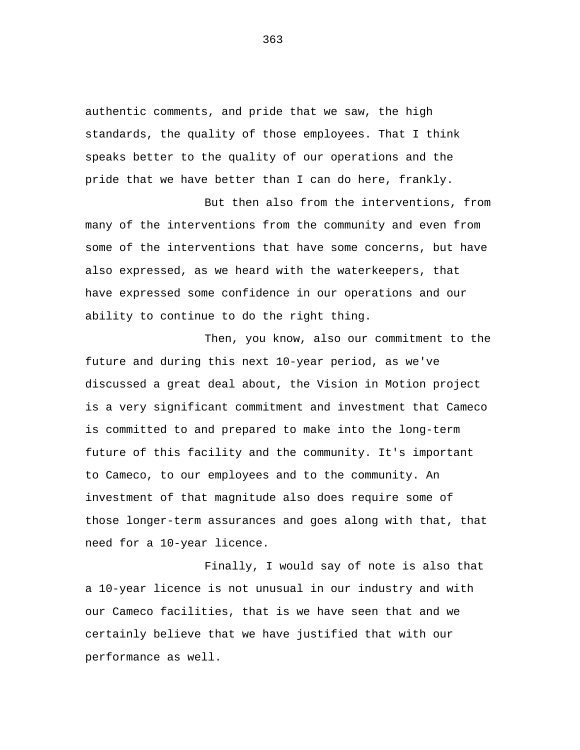authentic comments, and pride that we saw, the high standards, the quality of those employees. That I think speaks better to the quality of our operations and the pride that we have better than I can do here, frankly.

But then also from the interventions, from many of the interventions from the community and even from some of the interventions that have some concerns, but have also expressed, as we heard with the waterkeepers, that have expressed some confidence in our operations and our ability to continue to do the right thing.

Then, you know, also our commitment to the future and during this next 10-year period, as we've discussed a great deal about, the Vision in Motion project is a very significant commitment and investment that Cameco is committed to and prepared to make into the long-term future of this facility and the community. It's important to Cameco, to our employees and to the community. An investment of that magnitude also does require some of those longer-term assurances and goes along with that, that need for a 10-year licence.

Finally, I would say of note is also that a 10-year licence is not unusual in our industry and with our Cameco facilities, that is we have seen that and we certainly believe that we have justified that with our performance as well.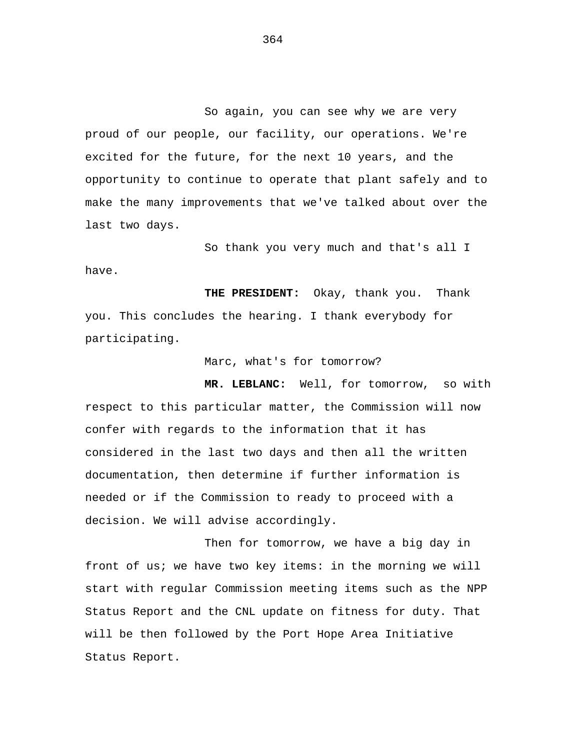So again, you can see why we are very proud of our people, our facility, our operations. We're excited for the future, for the next 10 years, and the opportunity to continue to operate that plant safely and to make the many improvements that we've talked about over the last two days.

So thank you very much and that's all I have.

**THE PRESIDENT:** Okay, thank you. Thank you. This concludes the hearing. I thank everybody for participating.

Marc, what's for tomorrow?

**MR. LEBLANC:** Well, for tomorrow, so with respect to this particular matter, the Commission will now confer with regards to the information that it has considered in the last two days and then all the written documentation, then determine if further information is needed or if the Commission to ready to proceed with a decision. We will advise accordingly.

Then for tomorrow, we have a big day in front of us; we have two key items: in the morning we will start with regular Commission meeting items such as the NPP Status Report and the CNL update on fitness for duty. That will be then followed by the Port Hope Area Initiative Status Report.